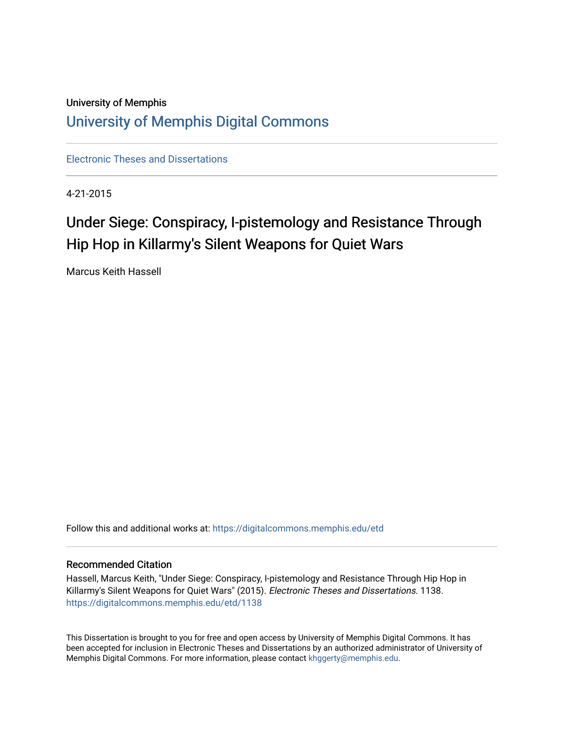# University of Memphis [University of Memphis Digital Commons](https://digitalcommons.memphis.edu/)

[Electronic Theses and Dissertations](https://digitalcommons.memphis.edu/etd)

4-21-2015

# Under Siege: Conspiracy, I-pistemology and Resistance Through Hip Hop in Killarmy's Silent Weapons for Quiet Wars

Marcus Keith Hassell

Follow this and additional works at: [https://digitalcommons.memphis.edu/etd](https://digitalcommons.memphis.edu/etd?utm_source=digitalcommons.memphis.edu%2Fetd%2F1138&utm_medium=PDF&utm_campaign=PDFCoverPages) 

## Recommended Citation

Hassell, Marcus Keith, "Under Siege: Conspiracy, I-pistemology and Resistance Through Hip Hop in Killarmy's Silent Weapons for Quiet Wars" (2015). Electronic Theses and Dissertations. 1138. [https://digitalcommons.memphis.edu/etd/1138](https://digitalcommons.memphis.edu/etd/1138?utm_source=digitalcommons.memphis.edu%2Fetd%2F1138&utm_medium=PDF&utm_campaign=PDFCoverPages) 

This Dissertation is brought to you for free and open access by University of Memphis Digital Commons. It has been accepted for inclusion in Electronic Theses and Dissertations by an authorized administrator of University of Memphis Digital Commons. For more information, please contact [khggerty@memphis.edu.](mailto:khggerty@memphis.edu)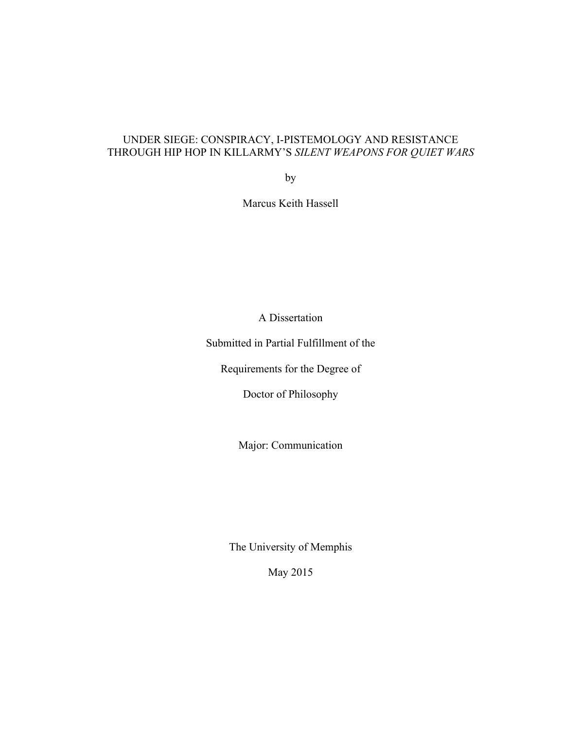# UNDER SIEGE: CONSPIRACY, I-PISTEMOLOGY AND RESISTANCE THROUGH HIP HOP IN KILLARMY'S *SILENT WEAPONS FOR QUIET WARS*

by

Marcus Keith Hassell

A Dissertation

Submitted in Partial Fulfillment of the

Requirements for the Degree of

Doctor of Philosophy

Major: Communication

The University of Memphis

May 2015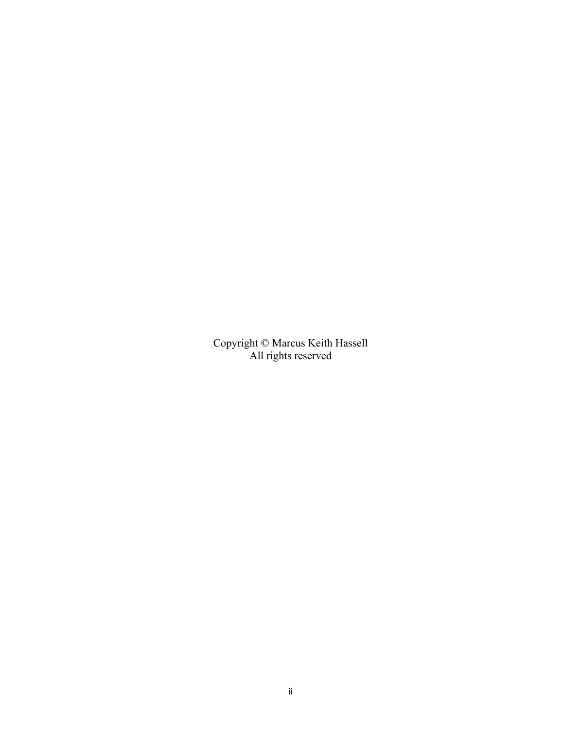Copyright © Marcus Keith Hassell All rights reserved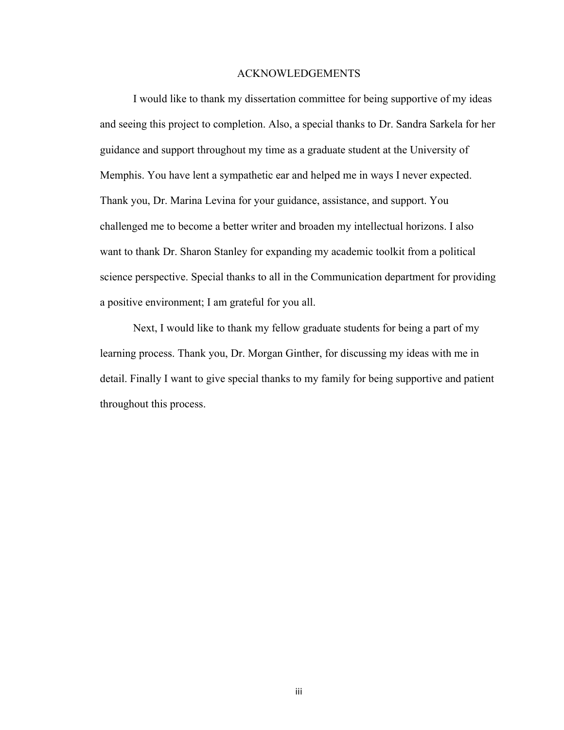### ACKNOWLEDGEMENTS

I would like to thank my dissertation committee for being supportive of my ideas and seeing this project to completion. Also, a special thanks to Dr. Sandra Sarkela for her guidance and support throughout my time as a graduate student at the University of Memphis. You have lent a sympathetic ear and helped me in ways I never expected. Thank you, Dr. Marina Levina for your guidance, assistance, and support. You challenged me to become a better writer and broaden my intellectual horizons. I also want to thank Dr. Sharon Stanley for expanding my academic toolkit from a political science perspective. Special thanks to all in the Communication department for providing a positive environment; I am grateful for you all.

Next, I would like to thank my fellow graduate students for being a part of my learning process. Thank you, Dr. Morgan Ginther, for discussing my ideas with me in detail. Finally I want to give special thanks to my family for being supportive and patient throughout this process.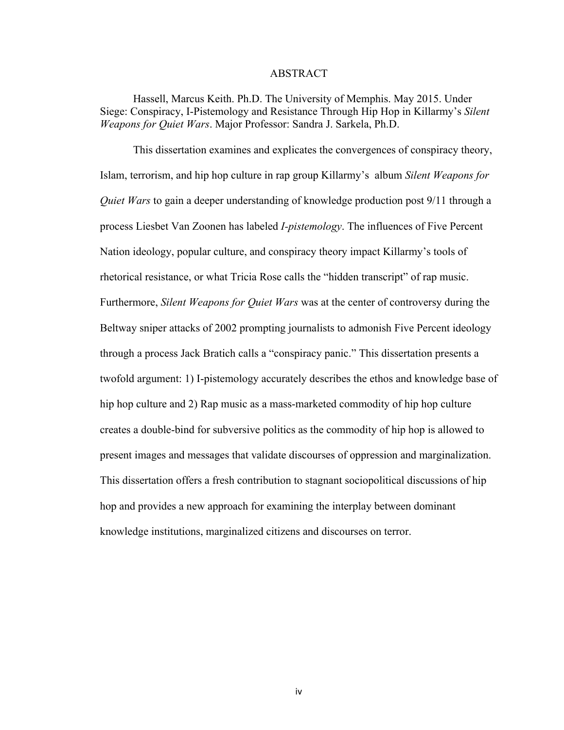## ABSTRACT

Hassell, Marcus Keith. Ph.D. The University of Memphis. May 2015. Under Siege: Conspiracy, I-Pistemology and Resistance Through Hip Hop in Killarmy's *Silent Weapons for Quiet Wars*. Major Professor: Sandra J. Sarkela, Ph.D.

This dissertation examines and explicates the convergences of conspiracy theory, Islam, terrorism, and hip hop culture in rap group Killarmy's album *Silent Weapons for Quiet Wars* to gain a deeper understanding of knowledge production post 9/11 through a process Liesbet Van Zoonen has labeled *I-pistemology*. The influences of Five Percent Nation ideology, popular culture, and conspiracy theory impact Killarmy's tools of rhetorical resistance, or what Tricia Rose calls the "hidden transcript" of rap music. Furthermore, *Silent Weapons for Quiet Wars* was at the center of controversy during the Beltway sniper attacks of 2002 prompting journalists to admonish Five Percent ideology through a process Jack Bratich calls a "conspiracy panic." This dissertation presents a twofold argument: 1) I-pistemology accurately describes the ethos and knowledge base of hip hop culture and 2) Rap music as a mass-marketed commodity of hip hop culture creates a double-bind for subversive politics as the commodity of hip hop is allowed to present images and messages that validate discourses of oppression and marginalization. This dissertation offers a fresh contribution to stagnant sociopolitical discussions of hip hop and provides a new approach for examining the interplay between dominant knowledge institutions, marginalized citizens and discourses on terror.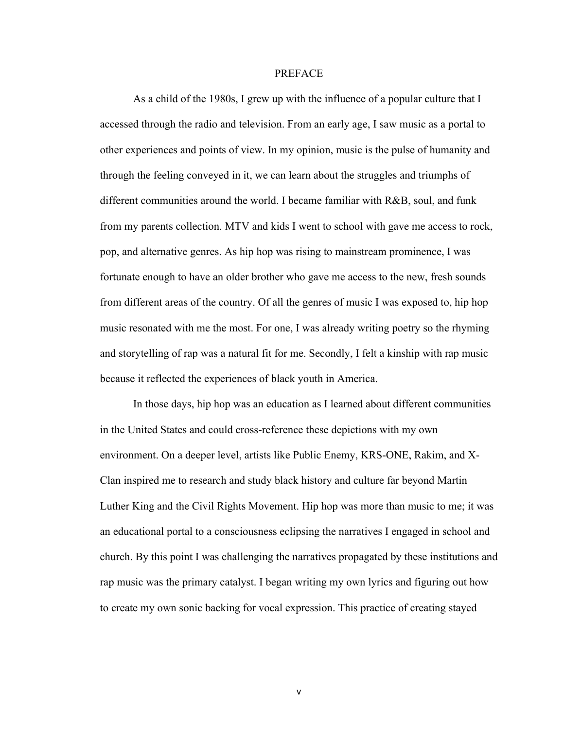#### **PREFACE**

As a child of the 1980s, I grew up with the influence of a popular culture that I accessed through the radio and television. From an early age, I saw music as a portal to other experiences and points of view. In my opinion, music is the pulse of humanity and through the feeling conveyed in it, we can learn about the struggles and triumphs of different communities around the world. I became familiar with R&B, soul, and funk from my parents collection. MTV and kids I went to school with gave me access to rock, pop, and alternative genres. As hip hop was rising to mainstream prominence, I was fortunate enough to have an older brother who gave me access to the new, fresh sounds from different areas of the country. Of all the genres of music I was exposed to, hip hop music resonated with me the most. For one, I was already writing poetry so the rhyming and storytelling of rap was a natural fit for me. Secondly, I felt a kinship with rap music because it reflected the experiences of black youth in America.

In those days, hip hop was an education as I learned about different communities in the United States and could cross-reference these depictions with my own environment. On a deeper level, artists like Public Enemy, KRS-ONE, Rakim, and X-Clan inspired me to research and study black history and culture far beyond Martin Luther King and the Civil Rights Movement. Hip hop was more than music to me; it was an educational portal to a consciousness eclipsing the narratives I engaged in school and church. By this point I was challenging the narratives propagated by these institutions and rap music was the primary catalyst. I began writing my own lyrics and figuring out how to create my own sonic backing for vocal expression. This practice of creating stayed

v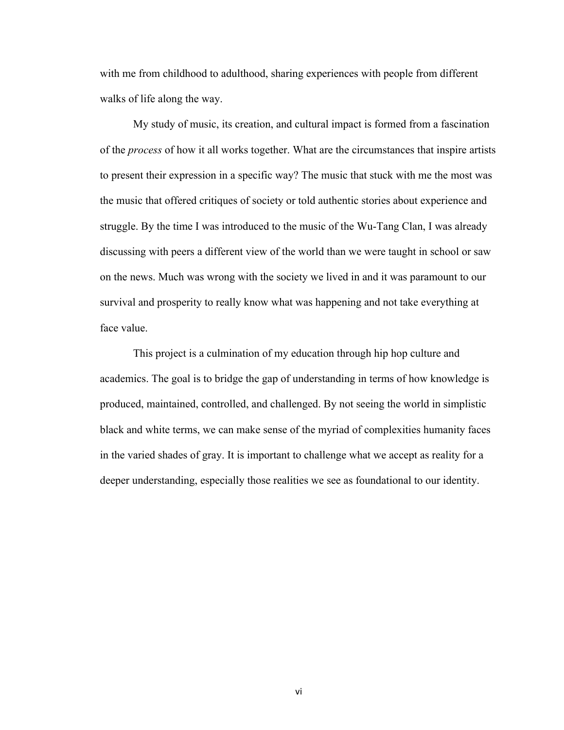with me from childhood to adulthood, sharing experiences with people from different walks of life along the way.

My study of music, its creation, and cultural impact is formed from a fascination of the *process* of how it all works together. What are the circumstances that inspire artists to present their expression in a specific way? The music that stuck with me the most was the music that offered critiques of society or told authentic stories about experience and struggle. By the time I was introduced to the music of the Wu-Tang Clan, I was already discussing with peers a different view of the world than we were taught in school or saw on the news. Much was wrong with the society we lived in and it was paramount to our survival and prosperity to really know what was happening and not take everything at face value.

This project is a culmination of my education through hip hop culture and academics. The goal is to bridge the gap of understanding in terms of how knowledge is produced, maintained, controlled, and challenged. By not seeing the world in simplistic black and white terms, we can make sense of the myriad of complexities humanity faces in the varied shades of gray. It is important to challenge what we accept as reality for a deeper understanding, especially those realities we see as foundational to our identity.

vi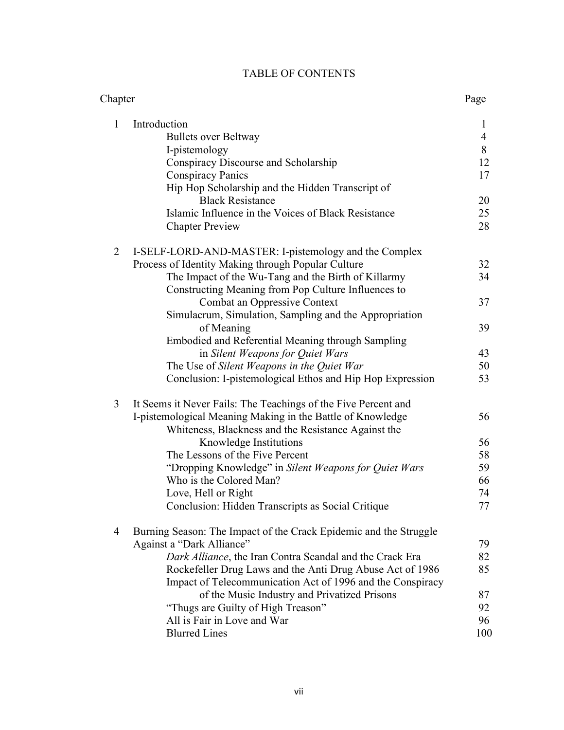# TABLE OF CONTENTS

| Chapter      |                                                                   | Page           |
|--------------|-------------------------------------------------------------------|----------------|
| $\mathbf{1}$ | Introduction                                                      | 1              |
|              | <b>Bullets over Beltway</b>                                       | $\overline{4}$ |
|              | I-pistemology                                                     | 8              |
|              | Conspiracy Discourse and Scholarship                              | 12             |
|              | <b>Conspiracy Panics</b>                                          | 17             |
|              | Hip Hop Scholarship and the Hidden Transcript of                  |                |
|              | <b>Black Resistance</b>                                           | 20             |
|              | Islamic Influence in the Voices of Black Resistance               | 25             |
|              | <b>Chapter Preview</b>                                            | 28             |
| 2            | I-SELF-LORD-AND-MASTER: I-pistemology and the Complex             |                |
|              | Process of Identity Making through Popular Culture                | 32             |
|              | The Impact of the Wu-Tang and the Birth of Killarmy               | 34             |
|              | Constructing Meaning from Pop Culture Influences to               |                |
|              | Combat an Oppressive Context                                      | 37             |
|              | Simulacrum, Simulation, Sampling and the Appropriation            |                |
|              | of Meaning                                                        | 39             |
|              | <b>Embodied and Referential Meaning through Sampling</b>          |                |
|              | in Silent Weapons for Quiet Wars                                  | 43             |
|              | The Use of Silent Weapons in the Quiet War                        | 50             |
|              | Conclusion: I-pistemological Ethos and Hip Hop Expression         | 53             |
| 3            | It Seems it Never Fails: The Teachings of the Five Percent and    |                |
|              | I-pistemological Meaning Making in the Battle of Knowledge        | 56             |
|              | Whiteness, Blackness and the Resistance Against the               |                |
|              | Knowledge Institutions                                            | 56             |
|              | The Lessons of the Five Percent                                   | 58             |
|              | "Dropping Knowledge" in Silent Weapons for Quiet Wars             | 59             |
|              | Who is the Colored Man?                                           | 66             |
|              | Love, Hell or Right                                               | 74             |
|              | Conclusion: Hidden Transcripts as Social Critique                 | 77             |
| 4            | Burning Season: The Impact of the Crack Epidemic and the Struggle |                |
|              | Against a "Dark Alliance"                                         | 79             |
|              | Dark Alliance, the Iran Contra Scandal and the Crack Era          | 82             |
|              | Rockefeller Drug Laws and the Anti Drug Abuse Act of 1986         | 85             |
|              | Impact of Telecommunication Act of 1996 and the Conspiracy        |                |
|              | of the Music Industry and Privatized Prisons                      | 87             |
|              | "Thugs are Guilty of High Treason"                                | 92             |
|              | All is Fair in Love and War                                       | 96             |
|              | <b>Blurred Lines</b>                                              | 100            |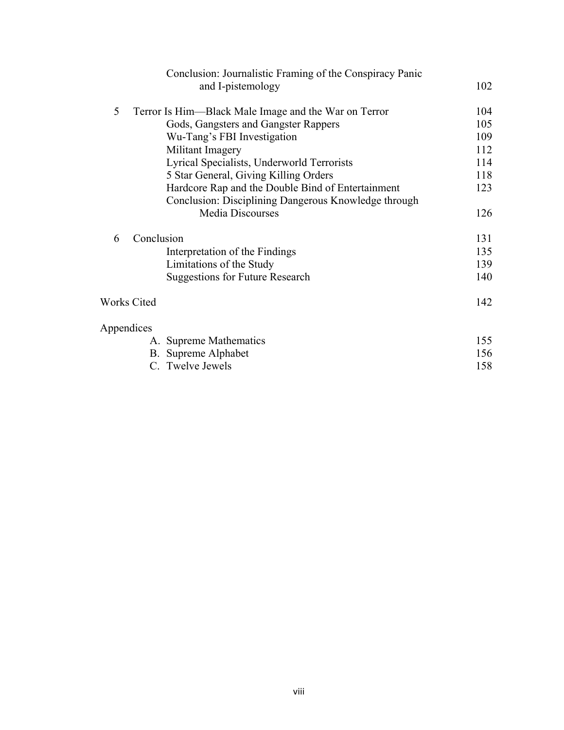|                    | Conclusion: Journalistic Framing of the Conspiracy Panic<br>and I-pistemology | 102 |
|--------------------|-------------------------------------------------------------------------------|-----|
| 5                  | Terror Is Him—Black Male Image and the War on Terror                          | 104 |
|                    | Gods, Gangsters and Gangster Rappers                                          | 105 |
|                    | Wu-Tang's FBI Investigation                                                   | 109 |
|                    | Militant Imagery                                                              | 112 |
|                    | Lyrical Specialists, Underworld Terrorists                                    | 114 |
|                    | 5 Star General, Giving Killing Orders                                         | 118 |
|                    | Hardcore Rap and the Double Bind of Entertainment                             | 123 |
|                    | Conclusion: Disciplining Dangerous Knowledge through                          |     |
|                    | <b>Media Discourses</b>                                                       | 126 |
| 6                  | Conclusion                                                                    | 131 |
|                    | Interpretation of the Findings                                                | 135 |
|                    | Limitations of the Study                                                      | 139 |
|                    | <b>Suggestions for Future Research</b>                                        | 140 |
| <b>Works Cited</b> |                                                                               | 142 |
| Appendices         |                                                                               |     |
|                    | A. Supreme Mathematics                                                        | 155 |
|                    | B. Supreme Alphabet                                                           | 156 |
|                    | C. Twelve Jewels                                                              | 158 |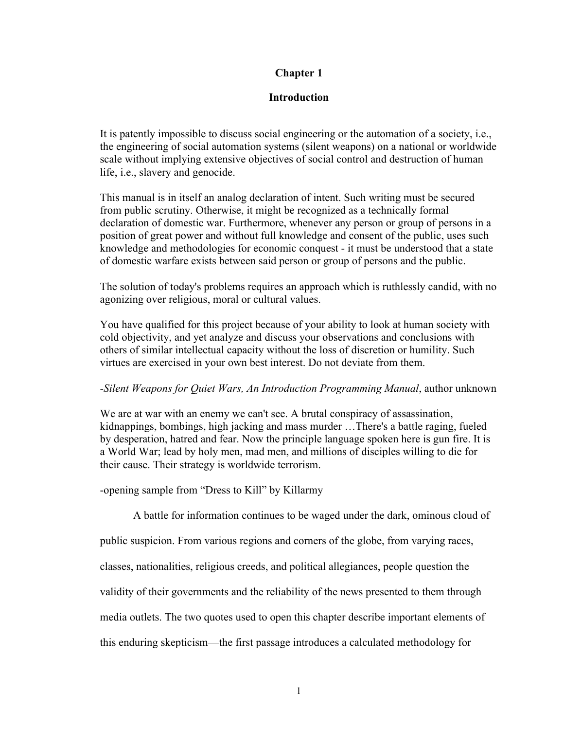# **Chapter 1**

# **Introduction**

It is patently impossible to discuss social engineering or the automation of a society, i.e., the engineering of social automation systems (silent weapons) on a national or worldwide scale without implying extensive objectives of social control and destruction of human life, i.e., slavery and genocide.

This manual is in itself an analog declaration of intent. Such writing must be secured from public scrutiny. Otherwise, it might be recognized as a technically formal declaration of domestic war. Furthermore, whenever any person or group of persons in a position of great power and without full knowledge and consent of the public, uses such knowledge and methodologies for economic conquest - it must be understood that a state of domestic warfare exists between said person or group of persons and the public.

The solution of today's problems requires an approach which is ruthlessly candid, with no agonizing over religious, moral or cultural values.

You have qualified for this project because of your ability to look at human society with cold objectivity, and yet analyze and discuss your observations and conclusions with others of similar intellectual capacity without the loss of discretion or humility. Such virtues are exercised in your own best interest. Do not deviate from them.

# -*Silent Weapons for Quiet Wars, An Introduction Programming Manual*, author unknown

We are at war with an enemy we can't see. A brutal conspiracy of assassination, kidnappings, bombings, high jacking and mass murder …There's a battle raging, fueled by desperation, hatred and fear. Now the principle language spoken here is gun fire. It is a World War; lead by holy men, mad men, and millions of disciples willing to die for their cause. Their strategy is worldwide terrorism.

-opening sample from "Dress to Kill" by Killarmy

A battle for information continues to be waged under the dark, ominous cloud of

public suspicion. From various regions and corners of the globe, from varying races,

classes, nationalities, religious creeds, and political allegiances, people question the

validity of their governments and the reliability of the news presented to them through

media outlets. The two quotes used to open this chapter describe important elements of

this enduring skepticism—the first passage introduces a calculated methodology for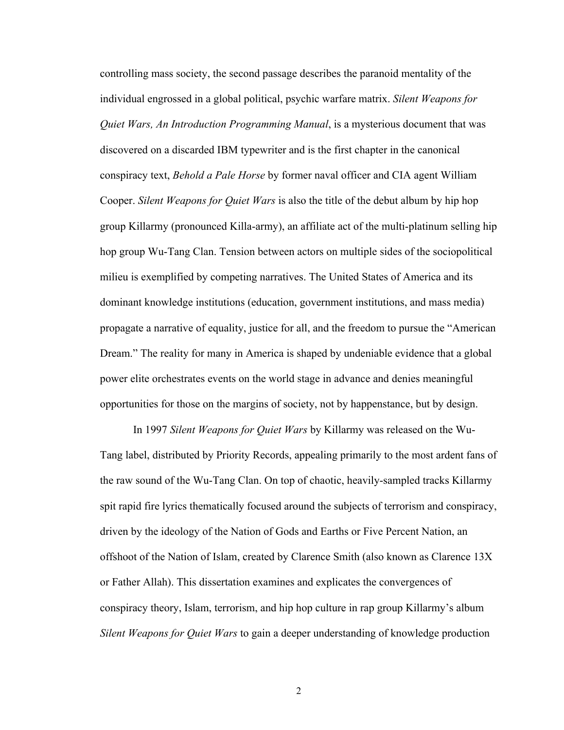controlling mass society, the second passage describes the paranoid mentality of the individual engrossed in a global political, psychic warfare matrix. *Silent Weapons for Quiet Wars, An Introduction Programming Manual*, is a mysterious document that was discovered on a discarded IBM typewriter and is the first chapter in the canonical conspiracy text, *Behold a Pale Horse* by former naval officer and CIA agent William Cooper. *Silent Weapons for Quiet Wars* is also the title of the debut album by hip hop group Killarmy (pronounced Killa-army), an affiliate act of the multi-platinum selling hip hop group Wu-Tang Clan. Tension between actors on multiple sides of the sociopolitical milieu is exemplified by competing narratives. The United States of America and its dominant knowledge institutions (education, government institutions, and mass media) propagate a narrative of equality, justice for all, and the freedom to pursue the "American Dream." The reality for many in America is shaped by undeniable evidence that a global power elite orchestrates events on the world stage in advance and denies meaningful opportunities for those on the margins of society, not by happenstance, but by design.

In 1997 *Silent Weapons for Quiet Wars* by Killarmy was released on the Wu-Tang label, distributed by Priority Records, appealing primarily to the most ardent fans of the raw sound of the Wu-Tang Clan. On top of chaotic, heavily-sampled tracks Killarmy spit rapid fire lyrics thematically focused around the subjects of terrorism and conspiracy, driven by the ideology of the Nation of Gods and Earths or Five Percent Nation, an offshoot of the Nation of Islam, created by Clarence Smith (also known as Clarence 13X or Father Allah). This dissertation examines and explicates the convergences of conspiracy theory, Islam, terrorism, and hip hop culture in rap group Killarmy's album *Silent Weapons for Quiet Wars* to gain a deeper understanding of knowledge production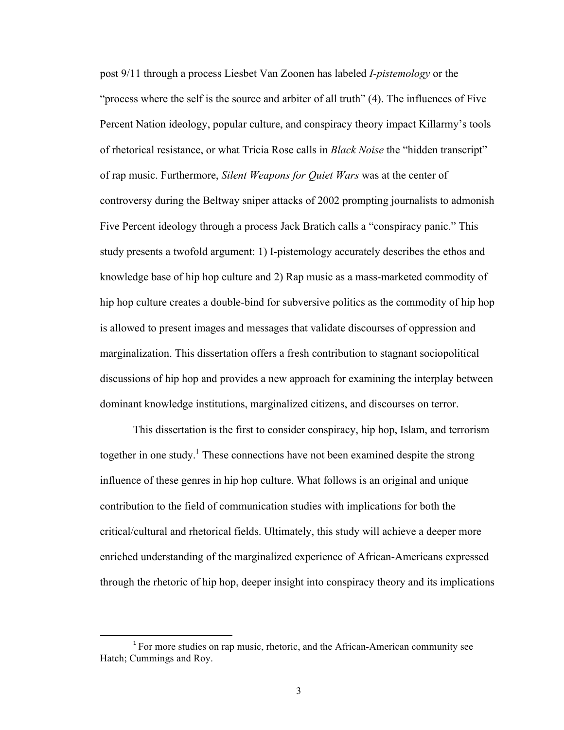post 9/11 through a process Liesbet Van Zoonen has labeled *I-pistemology* or the "process where the self is the source and arbiter of all truth" (4). The influences of Five Percent Nation ideology, popular culture, and conspiracy theory impact Killarmy's tools of rhetorical resistance, or what Tricia Rose calls in *Black Noise* the "hidden transcript" of rap music. Furthermore, *Silent Weapons for Quiet Wars* was at the center of controversy during the Beltway sniper attacks of 2002 prompting journalists to admonish Five Percent ideology through a process Jack Bratich calls a "conspiracy panic." This study presents a twofold argument: 1) I-pistemology accurately describes the ethos and knowledge base of hip hop culture and 2) Rap music as a mass-marketed commodity of hip hop culture creates a double-bind for subversive politics as the commodity of hip hop is allowed to present images and messages that validate discourses of oppression and marginalization. This dissertation offers a fresh contribution to stagnant sociopolitical discussions of hip hop and provides a new approach for examining the interplay between dominant knowledge institutions, marginalized citizens, and discourses on terror.

This dissertation is the first to consider conspiracy, hip hop, Islam, and terrorism together in one study.<sup>1</sup> These connections have not been examined despite the strong influence of these genres in hip hop culture. What follows is an original and unique contribution to the field of communication studies with implications for both the critical/cultural and rhetorical fields. Ultimately, this study will achieve a deeper more enriched understanding of the marginalized experience of African-Americans expressed through the rhetoric of hip hop, deeper insight into conspiracy theory and its implications

<sup>&</sup>lt;sup>1</sup> For more studies on rap music, rhetoric, and the African-American community see Hatch; Cummings and Roy.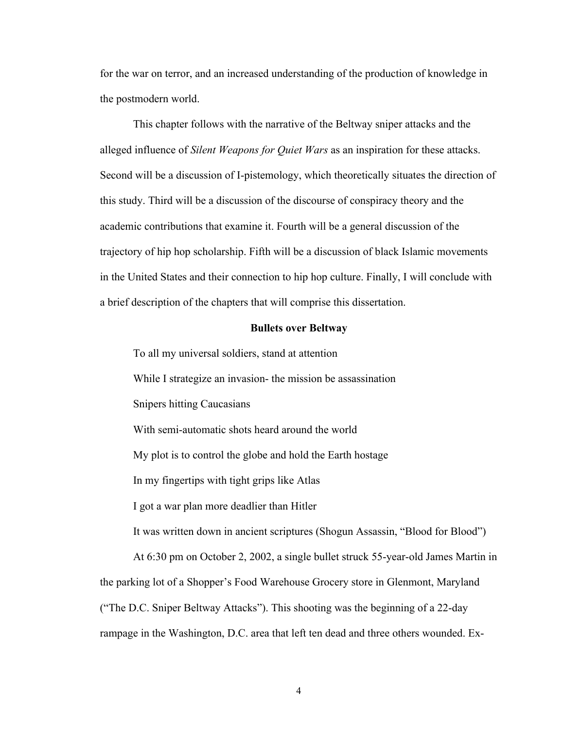for the war on terror, and an increased understanding of the production of knowledge in the postmodern world.

This chapter follows with the narrative of the Beltway sniper attacks and the alleged influence of *Silent Weapons for Quiet Wars* as an inspiration for these attacks. Second will be a discussion of I-pistemology, which theoretically situates the direction of this study. Third will be a discussion of the discourse of conspiracy theory and the academic contributions that examine it. Fourth will be a general discussion of the trajectory of hip hop scholarship. Fifth will be a discussion of black Islamic movements in the United States and their connection to hip hop culture. Finally, I will conclude with a brief description of the chapters that will comprise this dissertation.

#### **Bullets over Beltway**

To all my universal soldiers, stand at attention While I strategize an invasion- the mission be assassination Snipers hitting Caucasians With semi-automatic shots heard around the world My plot is to control the globe and hold the Earth hostage In my fingertips with tight grips like Atlas I got a war plan more deadlier than Hitler It was written down in ancient scriptures (Shogun Assassin, "Blood for Blood")

At 6:30 pm on October 2, 2002, a single bullet struck 55-year-old James Martin in the parking lot of a Shopper's Food Warehouse Grocery store in Glenmont, Maryland ("The D.C. Sniper Beltway Attacks"). This shooting was the beginning of a 22-day rampage in the Washington, D.C. area that left ten dead and three others wounded. Ex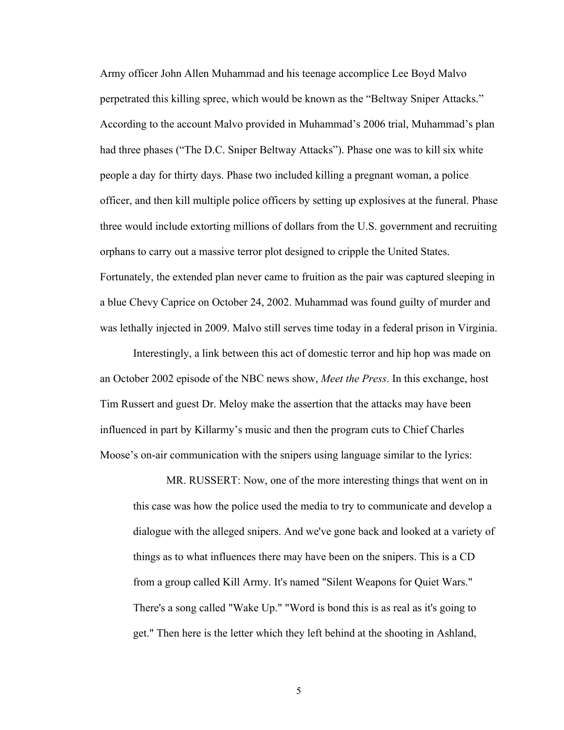Army officer John Allen Muhammad and his teenage accomplice Lee Boyd Malvo perpetrated this killing spree, which would be known as the "Beltway Sniper Attacks." According to the account Malvo provided in Muhammad's 2006 trial, Muhammad's plan had three phases ("The D.C. Sniper Beltway Attacks"). Phase one was to kill six white people a day for thirty days. Phase two included killing a pregnant woman, a police officer, and then kill multiple police officers by setting up explosives at the funeral. Phase three would include extorting millions of dollars from the U.S. government and recruiting orphans to carry out a massive terror plot designed to cripple the United States. Fortunately, the extended plan never came to fruition as the pair was captured sleeping in a blue Chevy Caprice on October 24, 2002. Muhammad was found guilty of murder and was lethally injected in 2009. Malvo still serves time today in a federal prison in Virginia.

Interestingly, a link between this act of domestic terror and hip hop was made on an October 2002 episode of the NBC news show, *Meet the Press*. In this exchange, host Tim Russert and guest Dr. Meloy make the assertion that the attacks may have been influenced in part by Killarmy's music and then the program cuts to Chief Charles Moose's on-air communication with the snipers using language similar to the lyrics:

MR. RUSSERT: Now, one of the more interesting things that went on in this case was how the police used the media to try to communicate and develop a dialogue with the alleged snipers. And we've gone back and looked at a variety of things as to what influences there may have been on the snipers. This is a CD from a group called Kill Army. It's named "Silent Weapons for Quiet Wars." There's a song called "Wake Up." "Word is bond this is as real as it's going to get." Then here is the letter which they left behind at the shooting in Ashland,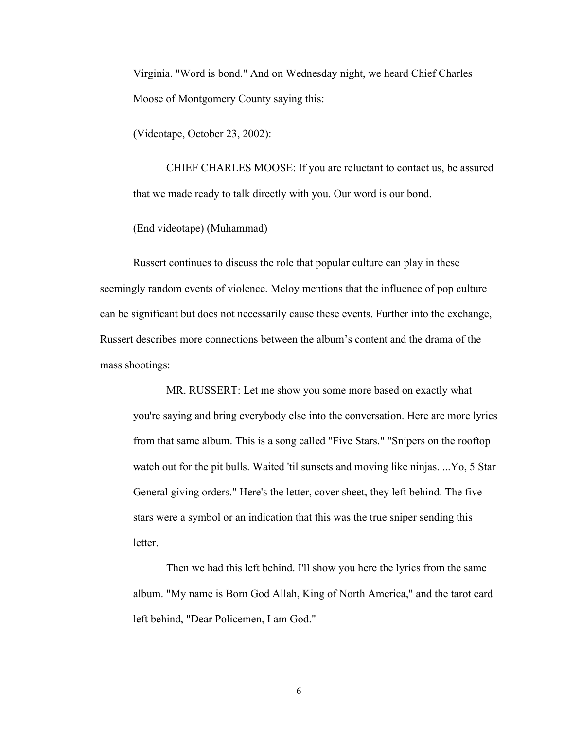Virginia. "Word is bond." And on Wednesday night, we heard Chief Charles Moose of Montgomery County saying this:

(Videotape, October 23, 2002):

CHIEF CHARLES MOOSE: If you are reluctant to contact us, be assured that we made ready to talk directly with you. Our word is our bond.

(End videotape) (Muhammad)

Russert continues to discuss the role that popular culture can play in these seemingly random events of violence. Meloy mentions that the influence of pop culture can be significant but does not necessarily cause these events. Further into the exchange, Russert describes more connections between the album's content and the drama of the mass shootings:

MR. RUSSERT: Let me show you some more based on exactly what you're saying and bring everybody else into the conversation. Here are more lyrics from that same album. This is a song called "Five Stars." "Snipers on the rooftop watch out for the pit bulls. Waited 'til sunsets and moving like ninjas. ...Yo, 5 Star General giving orders." Here's the letter, cover sheet, they left behind. The five stars were a symbol or an indication that this was the true sniper sending this letter.

Then we had this left behind. I'll show you here the lyrics from the same album. "My name is Born God Allah, King of North America," and the tarot card left behind, "Dear Policemen, I am God."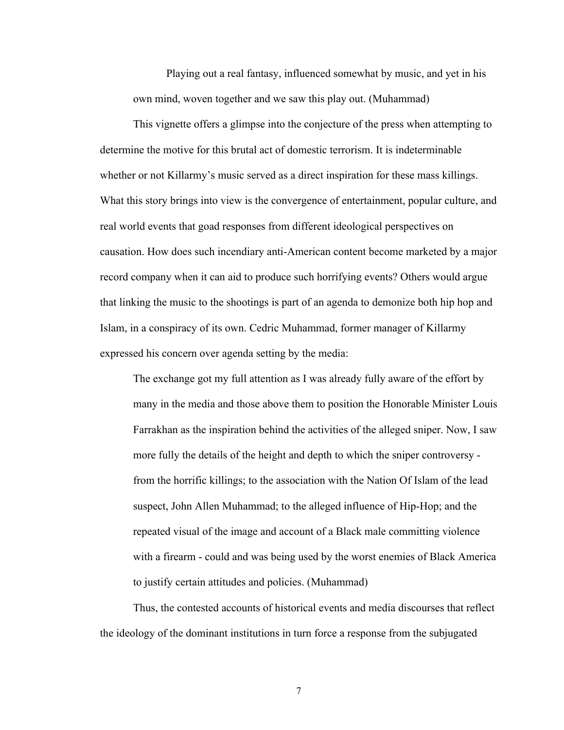Playing out a real fantasy, influenced somewhat by music, and yet in his own mind, woven together and we saw this play out. (Muhammad)

This vignette offers a glimpse into the conjecture of the press when attempting to determine the motive for this brutal act of domestic terrorism. It is indeterminable whether or not Killarmy's music served as a direct inspiration for these mass killings. What this story brings into view is the convergence of entertainment, popular culture, and real world events that goad responses from different ideological perspectives on causation. How does such incendiary anti-American content become marketed by a major record company when it can aid to produce such horrifying events? Others would argue that linking the music to the shootings is part of an agenda to demonize both hip hop and Islam, in a conspiracy of its own. Cedric Muhammad, former manager of Killarmy expressed his concern over agenda setting by the media:

The exchange got my full attention as I was already fully aware of the effort by many in the media and those above them to position the Honorable Minister Louis Farrakhan as the inspiration behind the activities of the alleged sniper. Now, I saw more fully the details of the height and depth to which the sniper controversy from the horrific killings; to the association with the Nation Of Islam of the lead suspect, John Allen Muhammad; to the alleged influence of Hip-Hop; and the repeated visual of the image and account of a Black male committing violence with a firearm - could and was being used by the worst enemies of Black America to justify certain attitudes and policies. (Muhammad)

Thus, the contested accounts of historical events and media discourses that reflect the ideology of the dominant institutions in turn force a response from the subjugated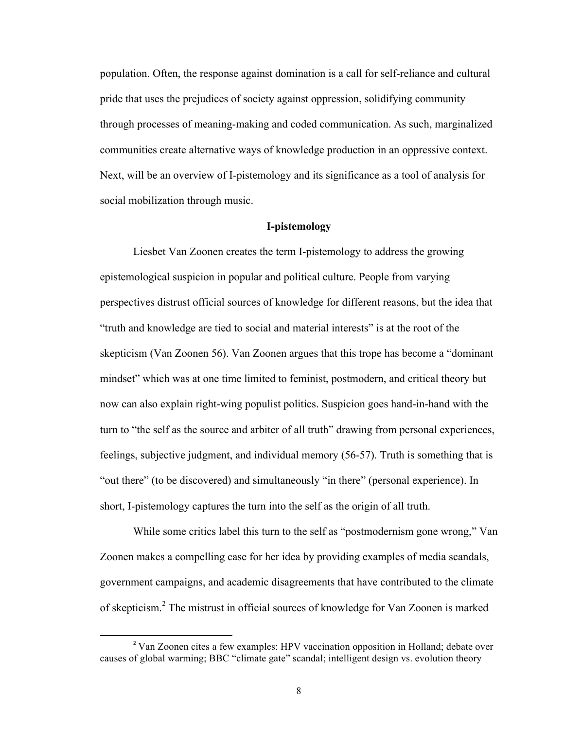population. Often, the response against domination is a call for self-reliance and cultural pride that uses the prejudices of society against oppression, solidifying community through processes of meaning-making and coded communication. As such, marginalized communities create alternative ways of knowledge production in an oppressive context. Next, will be an overview of I-pistemology and its significance as a tool of analysis for social mobilization through music.

### **I-pistemology**

Liesbet Van Zoonen creates the term I-pistemology to address the growing epistemological suspicion in popular and political culture. People from varying perspectives distrust official sources of knowledge for different reasons, but the idea that "truth and knowledge are tied to social and material interests" is at the root of the skepticism (Van Zoonen 56). Van Zoonen argues that this trope has become a "dominant mindset" which was at one time limited to feminist, postmodern, and critical theory but now can also explain right-wing populist politics. Suspicion goes hand-in-hand with the turn to "the self as the source and arbiter of all truth" drawing from personal experiences, feelings, subjective judgment, and individual memory (56-57). Truth is something that is "out there" (to be discovered) and simultaneously "in there" (personal experience). In short, I-pistemology captures the turn into the self as the origin of all truth.

While some critics label this turn to the self as "postmodernism gone wrong," Van Zoonen makes a compelling case for her idea by providing examples of media scandals, government campaigns, and academic disagreements that have contributed to the climate of skepticism. <sup>2</sup> The mistrust in official sources of knowledge for Van Zoonen is marked

<sup>&</sup>lt;sup>2</sup> Van Zoonen cites a few examples: HPV vaccination opposition in Holland; debate over causes of global warming; BBC "climate gate" scandal; intelligent design vs. evolution theory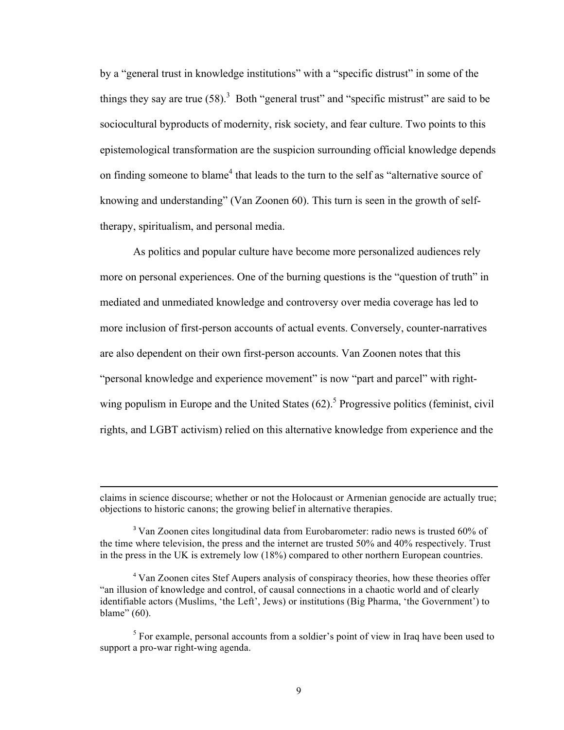by a "general trust in knowledge institutions" with a "specific distrust" in some of the things they say are true  $(58)$ .<sup>3</sup> Both "general trust" and "specific mistrust" are said to be sociocultural byproducts of modernity, risk society, and fear culture. Two points to this epistemological transformation are the suspicion surrounding official knowledge depends on finding someone to blame<sup>4</sup> that leads to the turn to the self as "alternative source of knowing and understanding" (Van Zoonen 60). This turn is seen in the growth of selftherapy, spiritualism, and personal media.

As politics and popular culture have become more personalized audiences rely more on personal experiences. One of the burning questions is the "question of truth" in mediated and unmediated knowledge and controversy over media coverage has led to more inclusion of first-person accounts of actual events. Conversely, counter-narratives are also dependent on their own first-person accounts. Van Zoonen notes that this "personal knowledge and experience movement" is now "part and parcel" with rightwing populism in Europe and the United States (62).<sup>5</sup> Progressive politics (feminist, civil rights, and LGBT activism) relied on this alternative knowledge from experience and the

<sup>!!!!!!!!!!!!!!!!!!!!!!!!!!!!!!!!!!!!!!!!!!!!!!!!!!!!!!!!!!!!!!!!!!!!!!!!!!!!!!!!!!!!!!!!!!!!!!!!!!!!!!!!!!!!!!!!!!!!!!!!!!!!!!!!!!!!!!!!!!!!!!!!!!!!!!!!!!!!!!!!!!!!!!!!!!!!!!!!!!!!</sup> claims in science discourse; whether or not the Holocaust or Armenian genocide are actually true; objections to historic canons; the growing belief in alternative therapies.

<sup>&</sup>lt;sup>3</sup> Van Zoonen cites longitudinal data from Eurobarometer: radio news is trusted 60% of the time where television, the press and the internet are trusted 50% and 40% respectively. Trust in the press in the UK is extremely low (18%) compared to other northern European countries.

<sup>&</sup>lt;sup>4</sup> Van Zoonen cites Stef Aupers analysis of conspiracy theories, how these theories offer "an illusion of knowledge and control, of causal connections in a chaotic world and of clearly identifiable actors (Muslims, 'the Left', Jews) or institutions (Big Pharma, 'the Government') to blame" (60).

 $<sup>5</sup>$  For example, personal accounts from a soldier's point of view in Iraq have been used to</sup> support a pro-war right-wing agenda.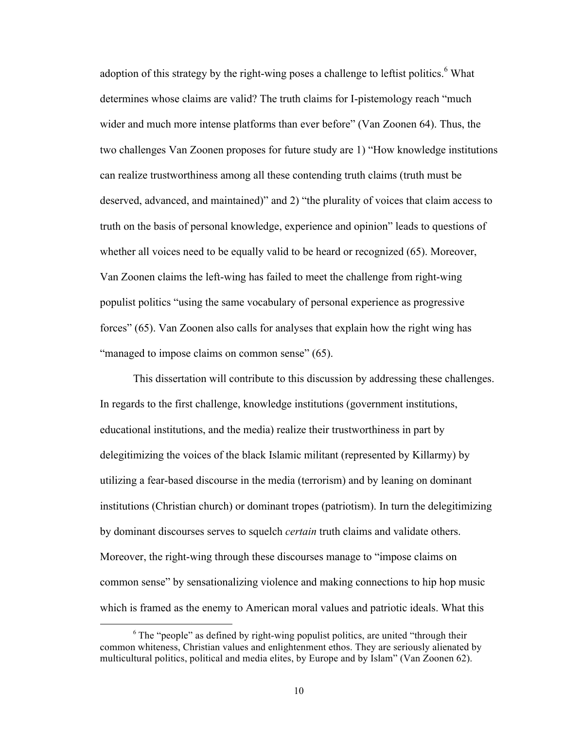adoption of this strategy by the right-wing poses a challenge to leftist politics.<sup>6</sup> What determines whose claims are valid? The truth claims for I-pistemology reach "much wider and much more intense platforms than ever before" (Van Zoonen 64). Thus, the two challenges Van Zoonen proposes for future study are 1) "How knowledge institutions can realize trustworthiness among all these contending truth claims (truth must be deserved, advanced, and maintained)" and 2) "the plurality of voices that claim access to truth on the basis of personal knowledge, experience and opinion" leads to questions of whether all voices need to be equally valid to be heard or recognized (65). Moreover, Van Zoonen claims the left-wing has failed to meet the challenge from right-wing populist politics "using the same vocabulary of personal experience as progressive forces" (65). Van Zoonen also calls for analyses that explain how the right wing has "managed to impose claims on common sense" (65).

This dissertation will contribute to this discussion by addressing these challenges. In regards to the first challenge, knowledge institutions (government institutions, educational institutions, and the media) realize their trustworthiness in part by delegitimizing the voices of the black Islamic militant (represented by Killarmy) by utilizing a fear-based discourse in the media (terrorism) and by leaning on dominant institutions (Christian church) or dominant tropes (patriotism). In turn the delegitimizing by dominant discourses serves to squelch *certain* truth claims and validate others. Moreover, the right-wing through these discourses manage to "impose claims on common sense" by sensationalizing violence and making connections to hip hop music which is framed as the enemy to American moral values and patriotic ideals. What this

 $6$  The "people" as defined by right-wing populist politics, are united "through their common whiteness, Christian values and enlightenment ethos. They are seriously alienated by multicultural politics, political and media elites, by Europe and by Islam" (Van Zoonen 62).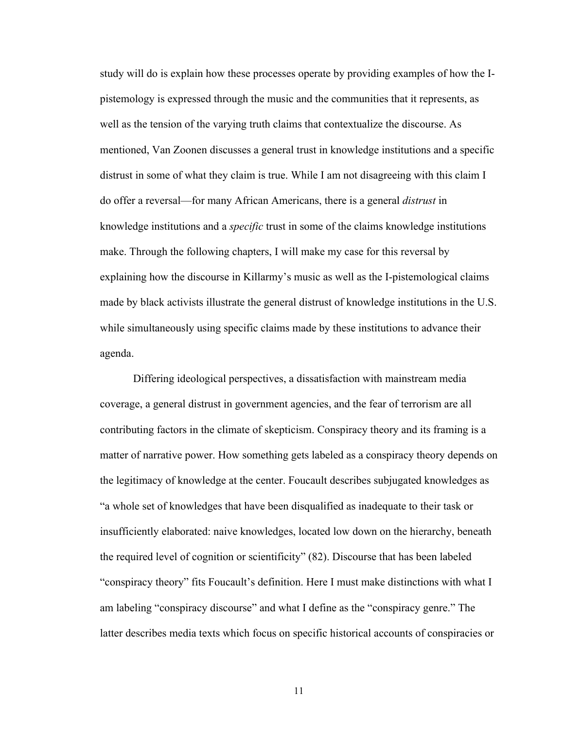study will do is explain how these processes operate by providing examples of how the Ipistemology is expressed through the music and the communities that it represents, as well as the tension of the varying truth claims that contextualize the discourse. As mentioned, Van Zoonen discusses a general trust in knowledge institutions and a specific distrust in some of what they claim is true. While I am not disagreeing with this claim I do offer a reversal—for many African Americans, there is a general *distrust* in knowledge institutions and a *specific* trust in some of the claims knowledge institutions make. Through the following chapters, I will make my case for this reversal by explaining how the discourse in Killarmy's music as well as the I-pistemological claims made by black activists illustrate the general distrust of knowledge institutions in the U.S. while simultaneously using specific claims made by these institutions to advance their agenda.

Differing ideological perspectives, a dissatisfaction with mainstream media coverage, a general distrust in government agencies, and the fear of terrorism are all contributing factors in the climate of skepticism. Conspiracy theory and its framing is a matter of narrative power. How something gets labeled as a conspiracy theory depends on the legitimacy of knowledge at the center. Foucault describes subjugated knowledges as "a whole set of knowledges that have been disqualified as inadequate to their task or insufficiently elaborated: naive knowledges, located low down on the hierarchy, beneath the required level of cognition or scientificity" (82). Discourse that has been labeled "conspiracy theory" fits Foucault's definition. Here I must make distinctions with what I am labeling "conspiracy discourse" and what I define as the "conspiracy genre." The latter describes media texts which focus on specific historical accounts of conspiracies or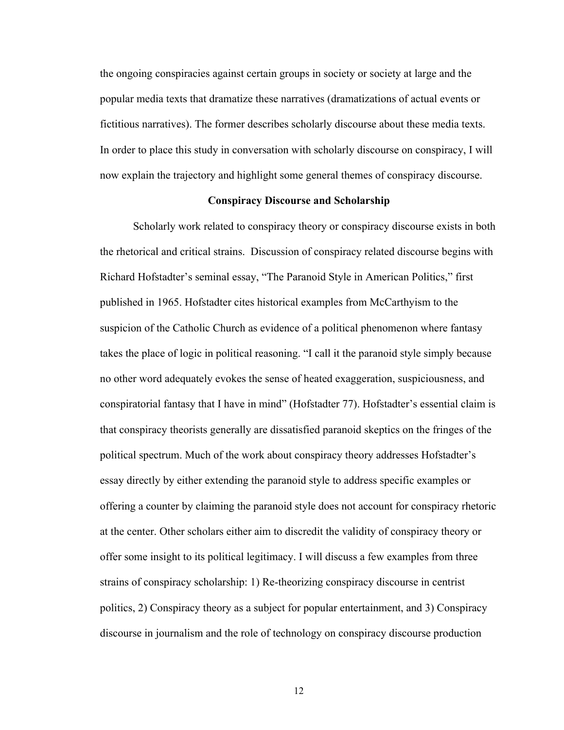the ongoing conspiracies against certain groups in society or society at large and the popular media texts that dramatize these narratives (dramatizations of actual events or fictitious narratives). The former describes scholarly discourse about these media texts. In order to place this study in conversation with scholarly discourse on conspiracy, I will now explain the trajectory and highlight some general themes of conspiracy discourse.

## **Conspiracy Discourse and Scholarship**

Scholarly work related to conspiracy theory or conspiracy discourse exists in both the rhetorical and critical strains. Discussion of conspiracy related discourse begins with Richard Hofstadter's seminal essay, "The Paranoid Style in American Politics," first published in 1965. Hofstadter cites historical examples from McCarthyism to the suspicion of the Catholic Church as evidence of a political phenomenon where fantasy takes the place of logic in political reasoning. "I call it the paranoid style simply because no other word adequately evokes the sense of heated exaggeration, suspiciousness, and conspiratorial fantasy that I have in mind" (Hofstadter 77). Hofstadter's essential claim is that conspiracy theorists generally are dissatisfied paranoid skeptics on the fringes of the political spectrum. Much of the work about conspiracy theory addresses Hofstadter's essay directly by either extending the paranoid style to address specific examples or offering a counter by claiming the paranoid style does not account for conspiracy rhetoric at the center. Other scholars either aim to discredit the validity of conspiracy theory or offer some insight to its political legitimacy. I will discuss a few examples from three strains of conspiracy scholarship: 1) Re-theorizing conspiracy discourse in centrist politics, 2) Conspiracy theory as a subject for popular entertainment, and 3) Conspiracy discourse in journalism and the role of technology on conspiracy discourse production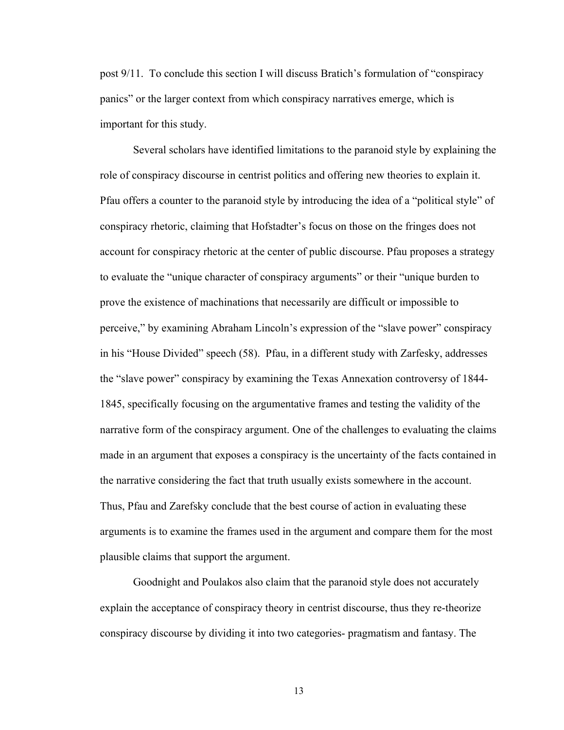post 9/11. To conclude this section I will discuss Bratich's formulation of "conspiracy panics" or the larger context from which conspiracy narratives emerge, which is important for this study.

Several scholars have identified limitations to the paranoid style by explaining the role of conspiracy discourse in centrist politics and offering new theories to explain it. Pfau offers a counter to the paranoid style by introducing the idea of a "political style" of conspiracy rhetoric, claiming that Hofstadter's focus on those on the fringes does not account for conspiracy rhetoric at the center of public discourse. Pfau proposes a strategy to evaluate the "unique character of conspiracy arguments" or their "unique burden to prove the existence of machinations that necessarily are difficult or impossible to perceive," by examining Abraham Lincoln's expression of the "slave power" conspiracy in his "House Divided" speech (58). Pfau, in a different study with Zarfesky, addresses the "slave power" conspiracy by examining the Texas Annexation controversy of 1844- 1845, specifically focusing on the argumentative frames and testing the validity of the narrative form of the conspiracy argument. One of the challenges to evaluating the claims made in an argument that exposes a conspiracy is the uncertainty of the facts contained in the narrative considering the fact that truth usually exists somewhere in the account. Thus, Pfau and Zarefsky conclude that the best course of action in evaluating these arguments is to examine the frames used in the argument and compare them for the most plausible claims that support the argument.

Goodnight and Poulakos also claim that the paranoid style does not accurately explain the acceptance of conspiracy theory in centrist discourse, thus they re-theorize conspiracy discourse by dividing it into two categories- pragmatism and fantasy. The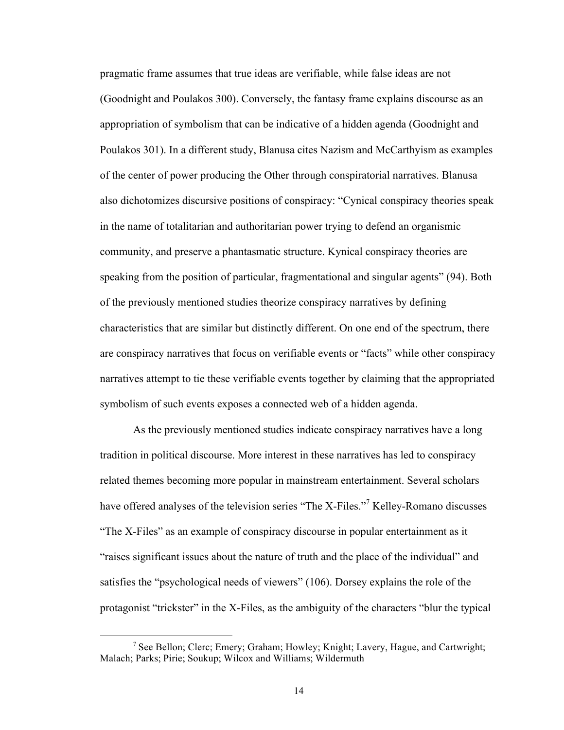pragmatic frame assumes that true ideas are verifiable, while false ideas are not (Goodnight and Poulakos 300). Conversely, the fantasy frame explains discourse as an appropriation of symbolism that can be indicative of a hidden agenda (Goodnight and Poulakos 301). In a different study, Blanusa cites Nazism and McCarthyism as examples of the center of power producing the Other through conspiratorial narratives. Blanusa also dichotomizes discursive positions of conspiracy: "Cynical conspiracy theories speak in the name of totalitarian and authoritarian power trying to defend an organismic community, and preserve a phantasmatic structure. Kynical conspiracy theories are speaking from the position of particular, fragmentational and singular agents" (94). Both of the previously mentioned studies theorize conspiracy narratives by defining characteristics that are similar but distinctly different. On one end of the spectrum, there are conspiracy narratives that focus on verifiable events or "facts" while other conspiracy narratives attempt to tie these verifiable events together by claiming that the appropriated symbolism of such events exposes a connected web of a hidden agenda.

As the previously mentioned studies indicate conspiracy narratives have a long tradition in political discourse. More interest in these narratives has led to conspiracy related themes becoming more popular in mainstream entertainment. Several scholars have offered analyses of the television series "The X-Files."<sup>7</sup> Kelley-Romano discusses "The X-Files" as an example of conspiracy discourse in popular entertainment as it "raises significant issues about the nature of truth and the place of the individual" and satisfies the "psychological needs of viewers" (106). Dorsey explains the role of the protagonist "trickster" in the X-Files, as the ambiguity of the characters "blur the typical

<sup>&</sup>lt;sup>7</sup> See Bellon; Clerc; Emery; Graham; Howley; Knight; Lavery, Hague, and Cartwright; Malach; Parks; Pirie; Soukup; Wilcox and Williams; Wildermuth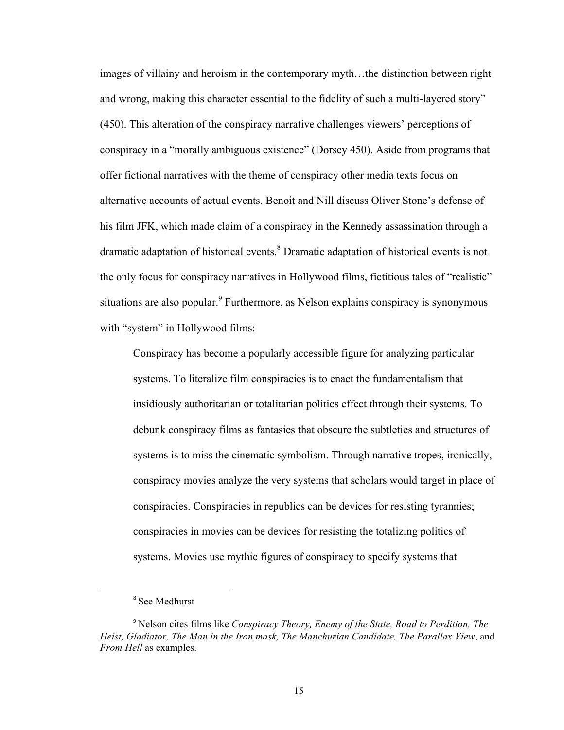images of villainy and heroism in the contemporary myth…the distinction between right and wrong, making this character essential to the fidelity of such a multi-layered story" (450). This alteration of the conspiracy narrative challenges viewers' perceptions of conspiracy in a "morally ambiguous existence" (Dorsey 450). Aside from programs that offer fictional narratives with the theme of conspiracy other media texts focus on alternative accounts of actual events. Benoit and Nill discuss Oliver Stone's defense of his film JFK, which made claim of a conspiracy in the Kennedy assassination through a dramatic adaptation of historical events. <sup>8</sup> Dramatic adaptation of historical events is not the only focus for conspiracy narratives in Hollywood films, fictitious tales of "realistic" situations are also popular.<sup>9</sup> Furthermore, as Nelson explains conspiracy is synonymous with "system" in Hollywood films:

Conspiracy has become a popularly accessible figure for analyzing particular systems. To literalize film conspiracies is to enact the fundamentalism that insidiously authoritarian or totalitarian politics effect through their systems. To debunk conspiracy films as fantasies that obscure the subtleties and structures of systems is to miss the cinematic symbolism. Through narrative tropes, ironically, conspiracy movies analyze the very systems that scholars would target in place of conspiracies. Conspiracies in republics can be devices for resisting tyrannies; conspiracies in movies can be devices for resisting the totalizing politics of systems. Movies use mythic figures of conspiracy to specify systems that

<sup>!!!!!!!!!!!!!!!!!!!!!!!!!!!!!!!!!!!!!!!!!!!!!!!!!!!!!!!!!!!!</sup> <sup>8</sup> See Medhurst

<sup>9</sup> Nelson cites films like *Conspiracy Theory, Enemy of the State, Road to Perdition, The Heist, Gladiator, The Man in the Iron mask, The Manchurian Candidate, The Parallax View*, and *From Hell* as examples.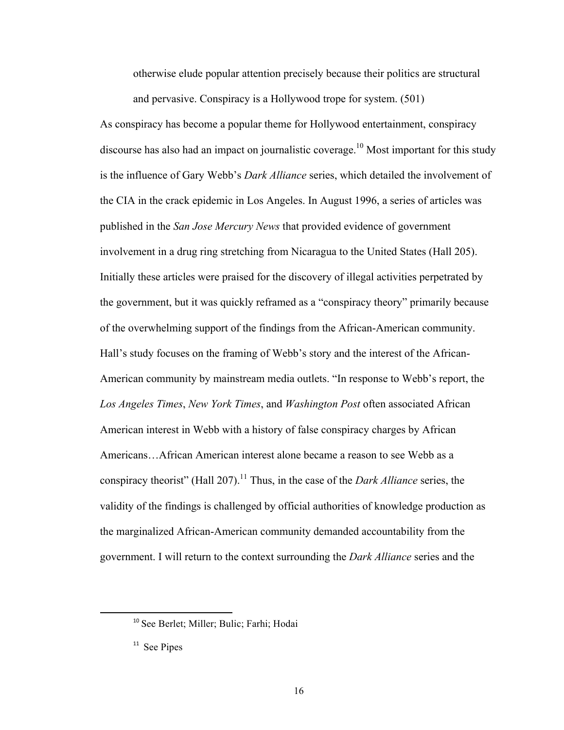otherwise elude popular attention precisely because their politics are structural and pervasive. Conspiracy is a Hollywood trope for system. (501)

As conspiracy has become a popular theme for Hollywood entertainment, conspiracy discourse has also had an impact on journalistic coverage.<sup>10</sup> Most important for this study is the influence of Gary Webb's *Dark Alliance* series, which detailed the involvement of the CIA in the crack epidemic in Los Angeles. In August 1996, a series of articles was published in the *San Jose Mercury News* that provided evidence of government involvement in a drug ring stretching from Nicaragua to the United States (Hall 205). Initially these articles were praised for the discovery of illegal activities perpetrated by the government, but it was quickly reframed as a "conspiracy theory" primarily because of the overwhelming support of the findings from the African-American community. Hall's study focuses on the framing of Webb's story and the interest of the African-American community by mainstream media outlets. "In response to Webb's report, the *Los Angeles Times*, *New York Times*, and *Washington Post* often associated African American interest in Webb with a history of false conspiracy charges by African Americans…African American interest alone became a reason to see Webb as a conspiracy theorist" (Hall 207).<sup>11</sup> Thus, in the case of the *Dark Alliance* series, the validity of the findings is challenged by official authorities of knowledge production as the marginalized African-American community demanded accountability from the government. I will return to the context surrounding the *Dark Alliance* series and the

<sup>&</sup>lt;sup>10</sup> See Berlet: Miller; Bulic; Farhi; Hodai

<sup>&</sup>lt;sup>11</sup> See Pipes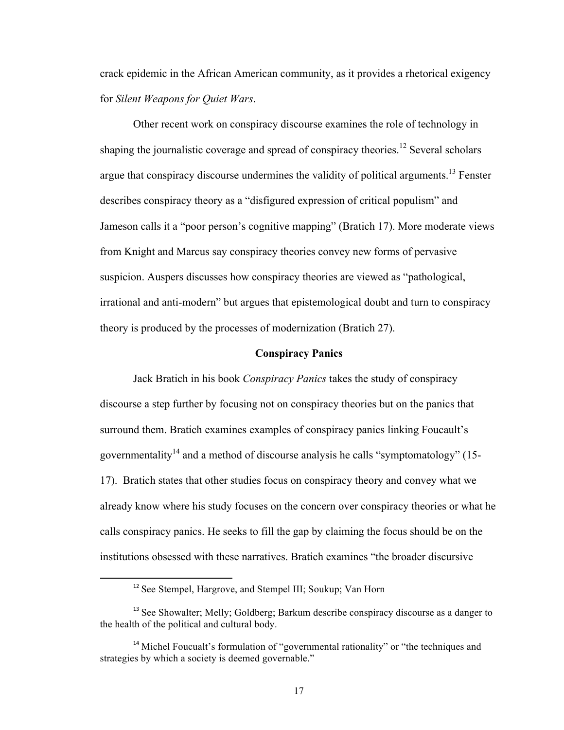crack epidemic in the African American community, as it provides a rhetorical exigency for *Silent Weapons for Quiet Wars*.

Other recent work on conspiracy discourse examines the role of technology in shaping the journalistic coverage and spread of conspiracy theories.<sup>12</sup> Several scholars argue that conspiracy discourse undermines the validity of political arguments.<sup>13</sup> Fenster describes conspiracy theory as a "disfigured expression of critical populism" and Jameson calls it a "poor person's cognitive mapping" (Bratich 17). More moderate views from Knight and Marcus say conspiracy theories convey new forms of pervasive suspicion. Auspers discusses how conspiracy theories are viewed as "pathological, irrational and anti-modern" but argues that epistemological doubt and turn to conspiracy theory is produced by the processes of modernization (Bratich 27).

#### **Conspiracy Panics**

Jack Bratich in his book *Conspiracy Panics* takes the study of conspiracy discourse a step further by focusing not on conspiracy theories but on the panics that surround them. Bratich examines examples of conspiracy panics linking Foucault's governmentality<sup>14</sup> and a method of discourse analysis he calls "symptomatology" (15-17). Bratich states that other studies focus on conspiracy theory and convey what we already know where his study focuses on the concern over conspiracy theories or what he calls conspiracy panics. He seeks to fill the gap by claiming the focus should be on the institutions obsessed with these narratives. Bratich examines "the broader discursive

<sup>&</sup>lt;sup>12</sup> See Stempel, Hargrove, and Stempel III; Soukup; Van Horn

<sup>&</sup>lt;sup>13</sup> See Showalter; Melly; Goldberg; Barkum describe conspiracy discourse as a danger to the health of the political and cultural body.

<sup>&</sup>lt;sup>14</sup> Michel Foucualt's formulation of "governmental rationality" or "the techniques and strategies by which a society is deemed governable."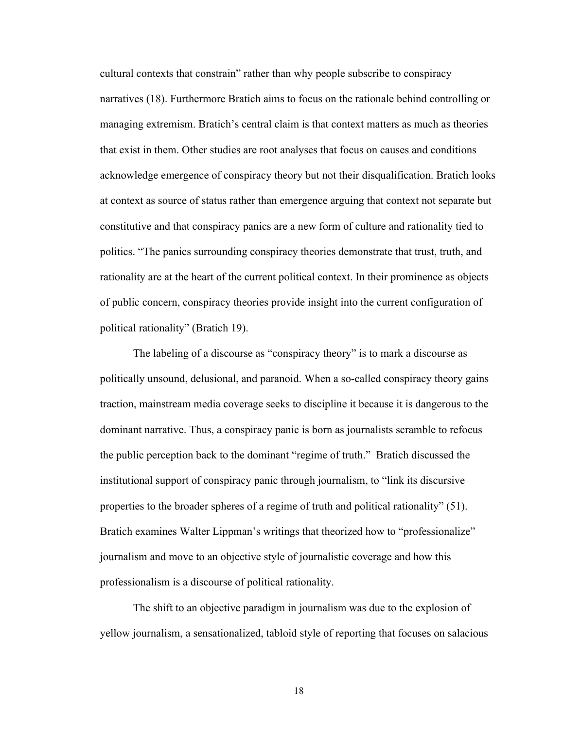cultural contexts that constrain" rather than why people subscribe to conspiracy narratives (18). Furthermore Bratich aims to focus on the rationale behind controlling or managing extremism. Bratich's central claim is that context matters as much as theories that exist in them. Other studies are root analyses that focus on causes and conditions acknowledge emergence of conspiracy theory but not their disqualification. Bratich looks at context as source of status rather than emergence arguing that context not separate but constitutive and that conspiracy panics are a new form of culture and rationality tied to politics. "The panics surrounding conspiracy theories demonstrate that trust, truth, and rationality are at the heart of the current political context. In their prominence as objects of public concern, conspiracy theories provide insight into the current configuration of political rationality" (Bratich 19).

The labeling of a discourse as "conspiracy theory" is to mark a discourse as politically unsound, delusional, and paranoid. When a so-called conspiracy theory gains traction, mainstream media coverage seeks to discipline it because it is dangerous to the dominant narrative. Thus, a conspiracy panic is born as journalists scramble to refocus the public perception back to the dominant "regime of truth." Bratich discussed the institutional support of conspiracy panic through journalism, to "link its discursive properties to the broader spheres of a regime of truth and political rationality" (51). Bratich examines Walter Lippman's writings that theorized how to "professionalize" journalism and move to an objective style of journalistic coverage and how this professionalism is a discourse of political rationality.

The shift to an objective paradigm in journalism was due to the explosion of yellow journalism, a sensationalized, tabloid style of reporting that focuses on salacious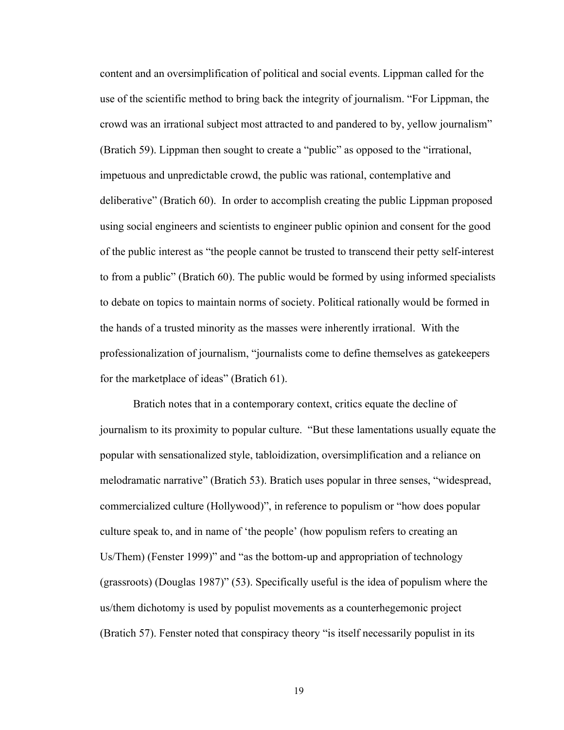content and an oversimplification of political and social events. Lippman called for the use of the scientific method to bring back the integrity of journalism. "For Lippman, the crowd was an irrational subject most attracted to and pandered to by, yellow journalism" (Bratich 59). Lippman then sought to create a "public" as opposed to the "irrational, impetuous and unpredictable crowd, the public was rational, contemplative and deliberative" (Bratich 60). In order to accomplish creating the public Lippman proposed using social engineers and scientists to engineer public opinion and consent for the good of the public interest as "the people cannot be trusted to transcend their petty self-interest to from a public" (Bratich 60). The public would be formed by using informed specialists to debate on topics to maintain norms of society. Political rationally would be formed in the hands of a trusted minority as the masses were inherently irrational. With the professionalization of journalism, "journalists come to define themselves as gatekeepers for the marketplace of ideas" (Bratich 61).

Bratich notes that in a contemporary context, critics equate the decline of journalism to its proximity to popular culture. "But these lamentations usually equate the popular with sensationalized style, tabloidization, oversimplification and a reliance on melodramatic narrative" (Bratich 53). Bratich uses popular in three senses, "widespread, commercialized culture (Hollywood)", in reference to populism or "how does popular culture speak to, and in name of 'the people' (how populism refers to creating an Us/Them) (Fenster 1999)" and "as the bottom-up and appropriation of technology (grassroots) (Douglas 1987)" (53). Specifically useful is the idea of populism where the us/them dichotomy is used by populist movements as a counterhegemonic project (Bratich 57). Fenster noted that conspiracy theory "is itself necessarily populist in its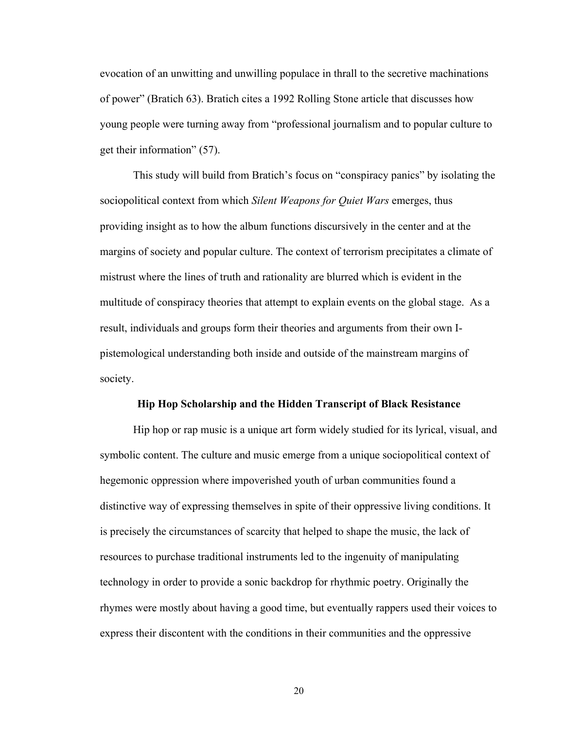evocation of an unwitting and unwilling populace in thrall to the secretive machinations of power" (Bratich 63). Bratich cites a 1992 Rolling Stone article that discusses how young people were turning away from "professional journalism and to popular culture to get their information" (57).

This study will build from Bratich's focus on "conspiracy panics" by isolating the sociopolitical context from which *Silent Weapons for Quiet Wars* emerges, thus providing insight as to how the album functions discursively in the center and at the margins of society and popular culture. The context of terrorism precipitates a climate of mistrust where the lines of truth and rationality are blurred which is evident in the multitude of conspiracy theories that attempt to explain events on the global stage. As a result, individuals and groups form their theories and arguments from their own Ipistemological understanding both inside and outside of the mainstream margins of society.

#### **Hip Hop Scholarship and the Hidden Transcript of Black Resistance**

Hip hop or rap music is a unique art form widely studied for its lyrical, visual, and symbolic content. The culture and music emerge from a unique sociopolitical context of hegemonic oppression where impoverished youth of urban communities found a distinctive way of expressing themselves in spite of their oppressive living conditions. It is precisely the circumstances of scarcity that helped to shape the music, the lack of resources to purchase traditional instruments led to the ingenuity of manipulating technology in order to provide a sonic backdrop for rhythmic poetry. Originally the rhymes were mostly about having a good time, but eventually rappers used their voices to express their discontent with the conditions in their communities and the oppressive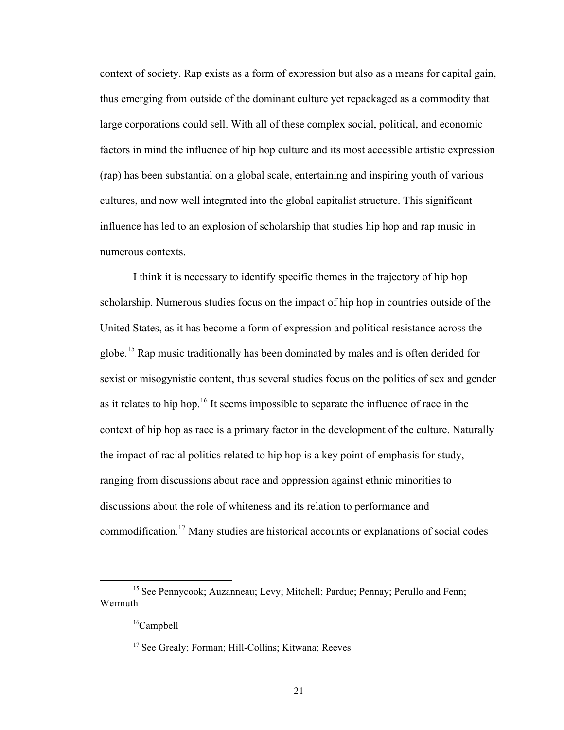context of society. Rap exists as a form of expression but also as a means for capital gain, thus emerging from outside of the dominant culture yet repackaged as a commodity that large corporations could sell. With all of these complex social, political, and economic factors in mind the influence of hip hop culture and its most accessible artistic expression (rap) has been substantial on a global scale, entertaining and inspiring youth of various cultures, and now well integrated into the global capitalist structure. This significant influence has led to an explosion of scholarship that studies hip hop and rap music in numerous contexts.

I think it is necessary to identify specific themes in the trajectory of hip hop scholarship. Numerous studies focus on the impact of hip hop in countries outside of the United States, as it has become a form of expression and political resistance across the globe.<sup>15</sup> Rap music traditionally has been dominated by males and is often derided for sexist or misogynistic content, thus several studies focus on the politics of sex and gender as it relates to hip hop.<sup>16</sup> It seems impossible to separate the influence of race in the context of hip hop as race is a primary factor in the development of the culture. Naturally the impact of racial politics related to hip hop is a key point of emphasis for study, ranging from discussions about race and oppression against ethnic minorities to discussions about the role of whiteness and its relation to performance and commodification. <sup>17</sup> Many studies are historical accounts or explanations of social codes

<sup>&</sup>lt;sup>15</sup> See Pennycook; Auzanneau; Levy; Mitchell; Pardue; Pennay; Perullo and Fenn; Wermuth

<sup>&</sup>lt;sup>16</sup>Campbell

<sup>&</sup>lt;sup>17</sup> See Grealy; Forman; Hill-Collins; Kitwana; Reeves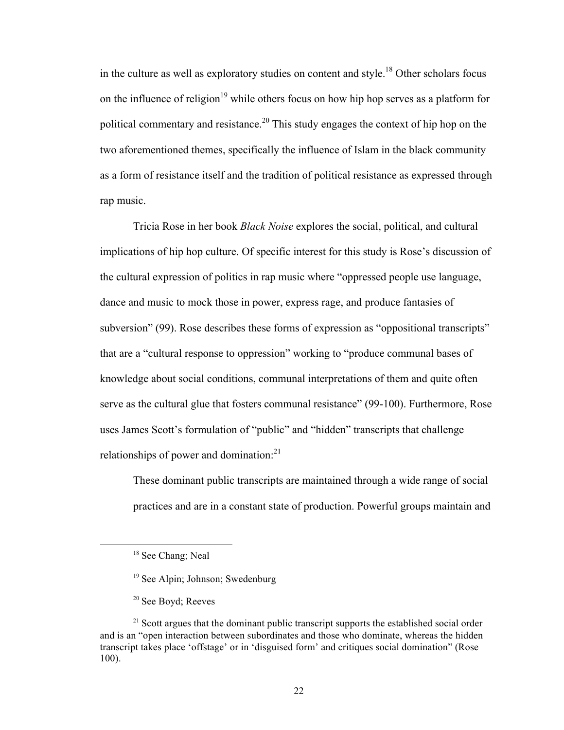in the culture as well as exploratory studies on content and style.<sup>18</sup> Other scholars focus on the influence of religion<sup>19</sup> while others focus on how hip hop serves as a platform for political commentary and resistance.<sup>20</sup> This study engages the context of hip hop on the two aforementioned themes, specifically the influence of Islam in the black community as a form of resistance itself and the tradition of political resistance as expressed through rap music.

Tricia Rose in her book *Black Noise* explores the social, political, and cultural implications of hip hop culture. Of specific interest for this study is Rose's discussion of the cultural expression of politics in rap music where "oppressed people use language, dance and music to mock those in power, express rage, and produce fantasies of subversion" (99). Rose describes these forms of expression as "oppositional transcripts" that are a "cultural response to oppression" working to "produce communal bases of knowledge about social conditions, communal interpretations of them and quite often serve as the cultural glue that fosters communal resistance" (99-100). Furthermore, Rose uses James Scott's formulation of "public" and "hidden" transcripts that challenge relationships of power and domination: $21$ 

These dominant public transcripts are maintained through a wide range of social practices and are in a constant state of production. Powerful groups maintain and

<sup>!!!!!!!!!!!!!!!!!!!!!!!!!!!!!!!!!!!!!!!!!!!!!!!!!!!!!!!!!!!!</sup> <sup>18</sup> See Chang; Neal

<sup>&</sup>lt;sup>19</sup> See Alpin; Johnson; Swedenburg

<sup>20</sup> See Boyd; Reeves

<sup>&</sup>lt;sup>21</sup> Scott argues that the dominant public transcript supports the established social order and is an "open interaction between subordinates and those who dominate, whereas the hidden transcript takes place 'offstage' or in 'disguised form' and critiques social domination" (Rose 100).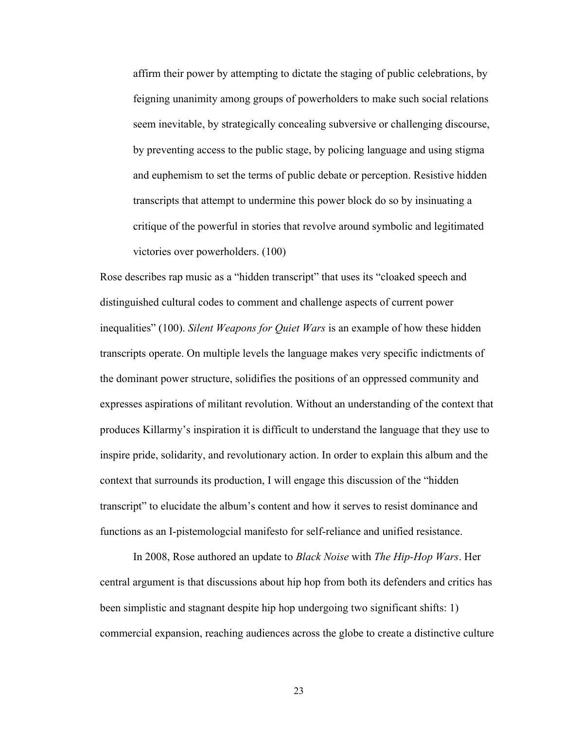affirm their power by attempting to dictate the staging of public celebrations, by feigning unanimity among groups of powerholders to make such social relations seem inevitable, by strategically concealing subversive or challenging discourse, by preventing access to the public stage, by policing language and using stigma and euphemism to set the terms of public debate or perception. Resistive hidden transcripts that attempt to undermine this power block do so by insinuating a critique of the powerful in stories that revolve around symbolic and legitimated victories over powerholders. (100)

Rose describes rap music as a "hidden transcript" that uses its "cloaked speech and distinguished cultural codes to comment and challenge aspects of current power inequalities" (100). *Silent Weapons for Quiet Wars* is an example of how these hidden transcripts operate. On multiple levels the language makes very specific indictments of the dominant power structure, solidifies the positions of an oppressed community and expresses aspirations of militant revolution. Without an understanding of the context that produces Killarmy's inspiration it is difficult to understand the language that they use to inspire pride, solidarity, and revolutionary action. In order to explain this album and the context that surrounds its production, I will engage this discussion of the "hidden transcript" to elucidate the album's content and how it serves to resist dominance and functions as an I-pistemologcial manifesto for self-reliance and unified resistance.

In 2008, Rose authored an update to *Black Noise* with *The Hip-Hop Wars*. Her central argument is that discussions about hip hop from both its defenders and critics has been simplistic and stagnant despite hip hop undergoing two significant shifts: 1) commercial expansion, reaching audiences across the globe to create a distinctive culture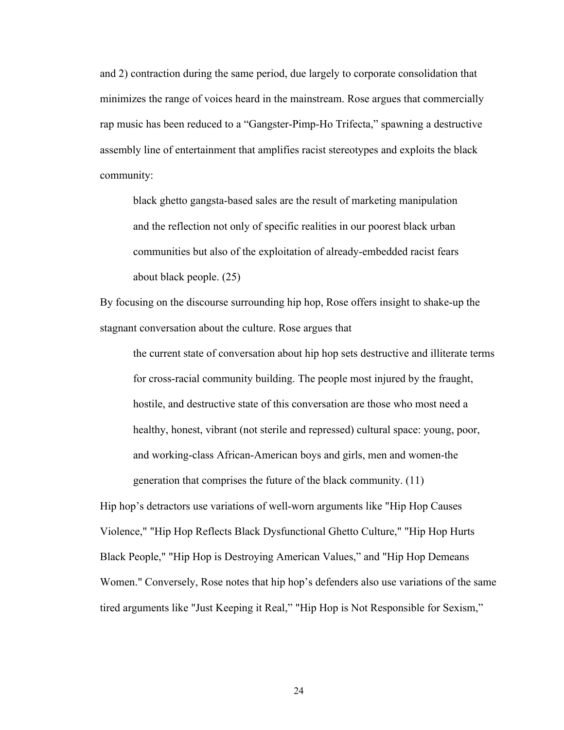and 2) contraction during the same period, due largely to corporate consolidation that minimizes the range of voices heard in the mainstream. Rose argues that commercially rap music has been reduced to a "Gangster-Pimp-Ho Trifecta," spawning a destructive assembly line of entertainment that amplifies racist stereotypes and exploits the black community:

black ghetto gangsta-based sales are the result of marketing manipulation and the reflection not only of specific realities in our poorest black urban communities but also of the exploitation of already-embedded racist fears about black people. (25)

By focusing on the discourse surrounding hip hop, Rose offers insight to shake-up the stagnant conversation about the culture. Rose argues that

the current state of conversation about hip hop sets destructive and illiterate terms for cross-racial community building. The people most injured by the fraught, hostile, and destructive state of this conversation are those who most need a healthy, honest, vibrant (not sterile and repressed) cultural space: young, poor, and working-class African-American boys and girls, men and women-the generation that comprises the future of the black community. (11)

Hip hop's detractors use variations of well-worn arguments like "Hip Hop Causes Violence," "Hip Hop Reflects Black Dysfunctional Ghetto Culture," "Hip Hop Hurts Black People," "Hip Hop is Destroying American Values," and "Hip Hop Demeans Women." Conversely, Rose notes that hip hop's defenders also use variations of the same tired arguments like "Just Keeping it Real," "Hip Hop is Not Responsible for Sexism,"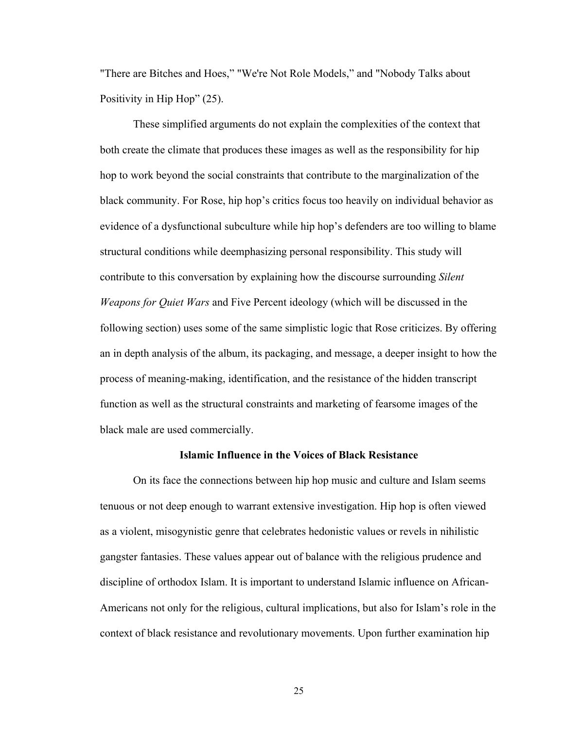"There are Bitches and Hoes," "We're Not Role Models," and "Nobody Talks about Positivity in Hip Hop" (25).

These simplified arguments do not explain the complexities of the context that both create the climate that produces these images as well as the responsibility for hip hop to work beyond the social constraints that contribute to the marginalization of the black community. For Rose, hip hop's critics focus too heavily on individual behavior as evidence of a dysfunctional subculture while hip hop's defenders are too willing to blame structural conditions while deemphasizing personal responsibility. This study will contribute to this conversation by explaining how the discourse surrounding *Silent Weapons for Quiet Wars* and Five Percent ideology (which will be discussed in the following section) uses some of the same simplistic logic that Rose criticizes. By offering an in depth analysis of the album, its packaging, and message, a deeper insight to how the process of meaning-making, identification, and the resistance of the hidden transcript function as well as the structural constraints and marketing of fearsome images of the black male are used commercially.

### **Islamic Influence in the Voices of Black Resistance**

On its face the connections between hip hop music and culture and Islam seems tenuous or not deep enough to warrant extensive investigation. Hip hop is often viewed as a violent, misogynistic genre that celebrates hedonistic values or revels in nihilistic gangster fantasies. These values appear out of balance with the religious prudence and discipline of orthodox Islam. It is important to understand Islamic influence on African-Americans not only for the religious, cultural implications, but also for Islam's role in the context of black resistance and revolutionary movements. Upon further examination hip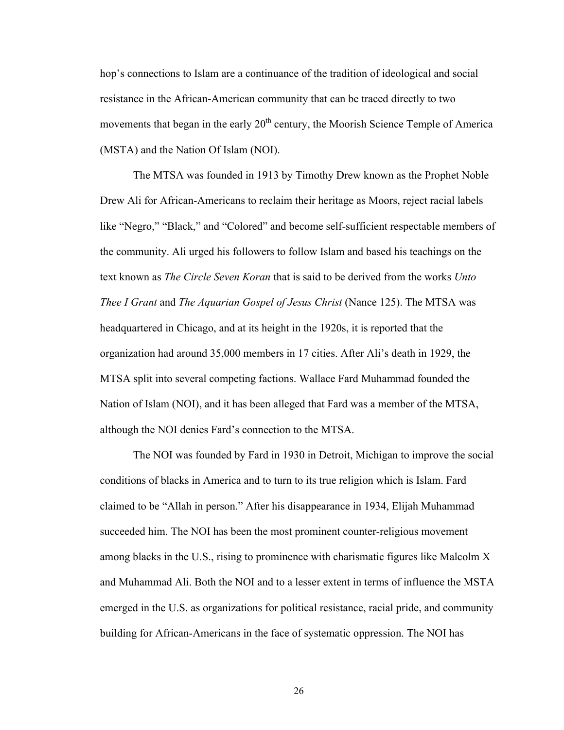hop's connections to Islam are a continuance of the tradition of ideological and social resistance in the African-American community that can be traced directly to two movements that began in the early  $20<sup>th</sup>$  century, the Moorish Science Temple of America (MSTA) and the Nation Of Islam (NOI).

The MTSA was founded in 1913 by Timothy Drew known as the Prophet Noble Drew Ali for African-Americans to reclaim their heritage as Moors, reject racial labels like "Negro," "Black," and "Colored" and become self-sufficient respectable members of the community. Ali urged his followers to follow Islam and based his teachings on the text known as *The Circle Seven Koran* that is said to be derived from the works *Unto Thee I Grant* and *The Aquarian Gospel of Jesus Christ* (Nance 125). The MTSA was headquartered in Chicago, and at its height in the 1920s, it is reported that the organization had around 35,000 members in 17 cities. After Ali's death in 1929, the MTSA split into several competing factions. Wallace Fard Muhammad founded the Nation of Islam (NOI), and it has been alleged that Fard was a member of the MTSA, although the NOI denies Fard's connection to the MTSA.

The NOI was founded by Fard in 1930 in Detroit, Michigan to improve the social conditions of blacks in America and to turn to its true religion which is Islam. Fard claimed to be "Allah in person." After his disappearance in 1934, Elijah Muhammad succeeded him. The NOI has been the most prominent counter-religious movement among blacks in the U.S., rising to prominence with charismatic figures like Malcolm X and Muhammad Ali. Both the NOI and to a lesser extent in terms of influence the MSTA emerged in the U.S. as organizations for political resistance, racial pride, and community building for African-Americans in the face of systematic oppression. The NOI has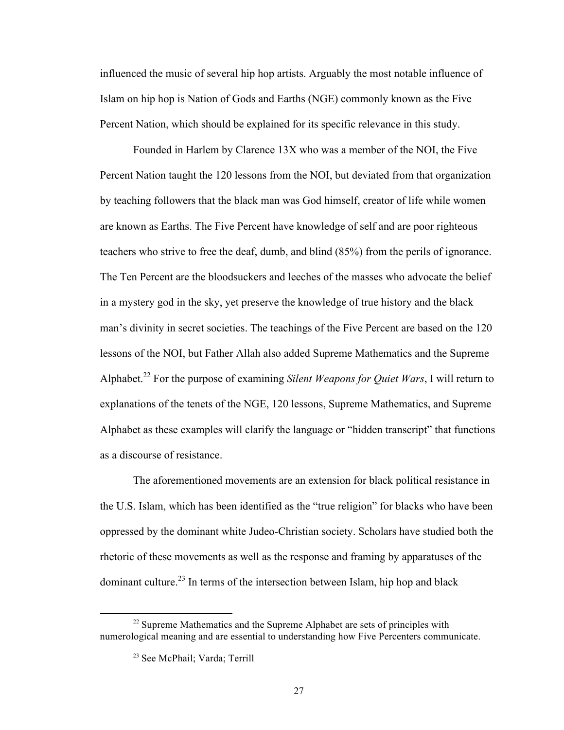influenced the music of several hip hop artists. Arguably the most notable influence of Islam on hip hop is Nation of Gods and Earths (NGE) commonly known as the Five Percent Nation, which should be explained for its specific relevance in this study.

Founded in Harlem by Clarence 13X who was a member of the NOI, the Five Percent Nation taught the 120 lessons from the NOI, but deviated from that organization by teaching followers that the black man was God himself, creator of life while women are known as Earths. The Five Percent have knowledge of self and are poor righteous teachers who strive to free the deaf, dumb, and blind (85%) from the perils of ignorance. The Ten Percent are the bloodsuckers and leeches of the masses who advocate the belief in a mystery god in the sky, yet preserve the knowledge of true history and the black man's divinity in secret societies. The teachings of the Five Percent are based on the 120 lessons of the NOI, but Father Allah also added Supreme Mathematics and the Supreme Alphabet. <sup>22</sup> For the purpose of examining *Silent Weapons for Quiet Wars*, I will return to explanations of the tenets of the NGE, 120 lessons, Supreme Mathematics, and Supreme Alphabet as these examples will clarify the language or "hidden transcript" that functions as a discourse of resistance.

The aforementioned movements are an extension for black political resistance in the U.S. Islam, which has been identified as the "true religion" for blacks who have been oppressed by the dominant white Judeo-Christian society. Scholars have studied both the rhetoric of these movements as well as the response and framing by apparatuses of the dominant culture.<sup>23</sup> In terms of the intersection between Islam, hip hop and black

 $22$  Supreme Mathematics and the Supreme Alphabet are sets of principles with numerological meaning and are essential to understanding how Five Percenters communicate.

<sup>&</sup>lt;sup>23</sup> See McPhail; Varda; Terrill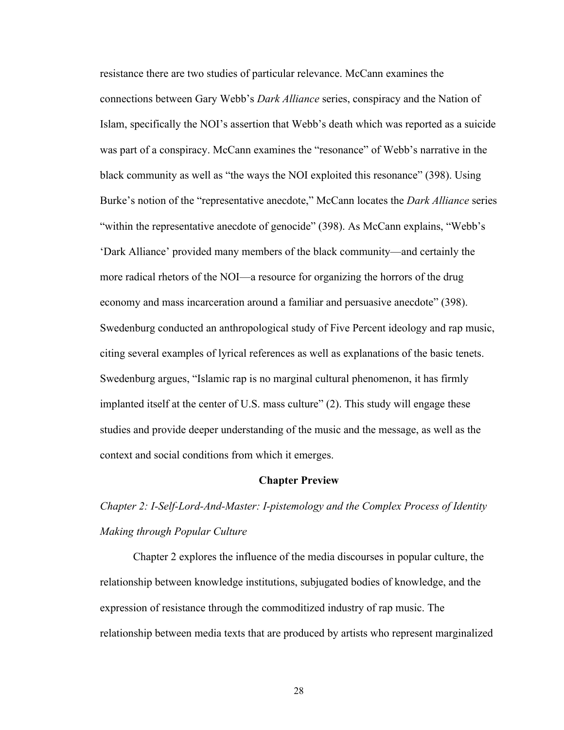resistance there are two studies of particular relevance. McCann examines the connections between Gary Webb's *Dark Alliance* series, conspiracy and the Nation of Islam, specifically the NOI's assertion that Webb's death which was reported as a suicide was part of a conspiracy. McCann examines the "resonance" of Webb's narrative in the black community as well as "the ways the NOI exploited this resonance" (398). Using Burke's notion of the "representative anecdote," McCann locates the *Dark Alliance* series "within the representative anecdote of genocide" (398). As McCann explains, "Webb's 'Dark Alliance' provided many members of the black community—and certainly the more radical rhetors of the NOI—a resource for organizing the horrors of the drug economy and mass incarceration around a familiar and persuasive anecdote" (398). Swedenburg conducted an anthropological study of Five Percent ideology and rap music, citing several examples of lyrical references as well as explanations of the basic tenets. Swedenburg argues, "Islamic rap is no marginal cultural phenomenon, it has firmly implanted itself at the center of U.S. mass culture" (2). This study will engage these studies and provide deeper understanding of the music and the message, as well as the context and social conditions from which it emerges.

#### **Chapter Preview**

*Chapter 2: I-Self-Lord-And-Master: I-pistemology and the Complex Process of Identity Making through Popular Culture*

Chapter 2 explores the influence of the media discourses in popular culture, the relationship between knowledge institutions, subjugated bodies of knowledge, and the expression of resistance through the commoditized industry of rap music. The relationship between media texts that are produced by artists who represent marginalized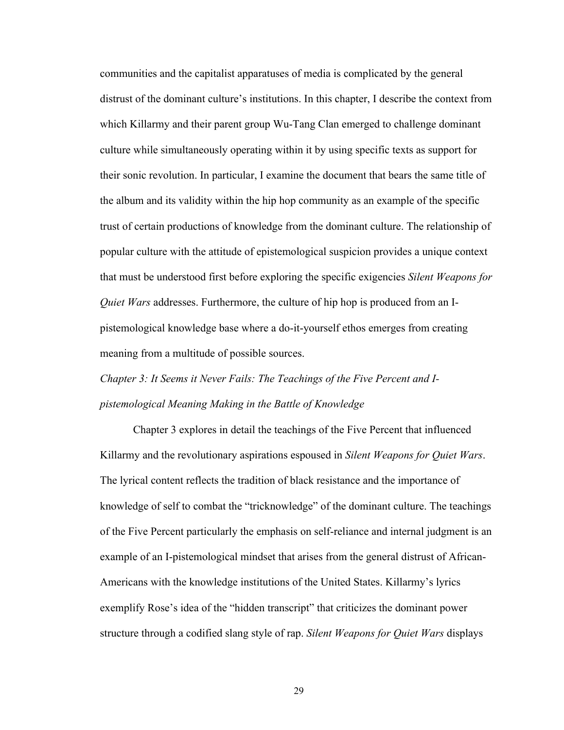communities and the capitalist apparatuses of media is complicated by the general distrust of the dominant culture's institutions. In this chapter, I describe the context from which Killarmy and their parent group Wu-Tang Clan emerged to challenge dominant culture while simultaneously operating within it by using specific texts as support for their sonic revolution. In particular, I examine the document that bears the same title of the album and its validity within the hip hop community as an example of the specific trust of certain productions of knowledge from the dominant culture. The relationship of popular culture with the attitude of epistemological suspicion provides a unique context that must be understood first before exploring the specific exigencies *Silent Weapons for Quiet Wars* addresses. Furthermore, the culture of hip hop is produced from an Ipistemological knowledge base where a do-it-yourself ethos emerges from creating meaning from a multitude of possible sources.

*Chapter 3: It Seems it Never Fails: The Teachings of the Five Percent and Ipistemological Meaning Making in the Battle of Knowledge*

Chapter 3 explores in detail the teachings of the Five Percent that influenced Killarmy and the revolutionary aspirations espoused in *Silent Weapons for Quiet Wars*. The lyrical content reflects the tradition of black resistance and the importance of knowledge of self to combat the "tricknowledge" of the dominant culture. The teachings of the Five Percent particularly the emphasis on self-reliance and internal judgment is an example of an I-pistemological mindset that arises from the general distrust of African-Americans with the knowledge institutions of the United States. Killarmy's lyrics exemplify Rose's idea of the "hidden transcript" that criticizes the dominant power structure through a codified slang style of rap. *Silent Weapons for Quiet Wars* displays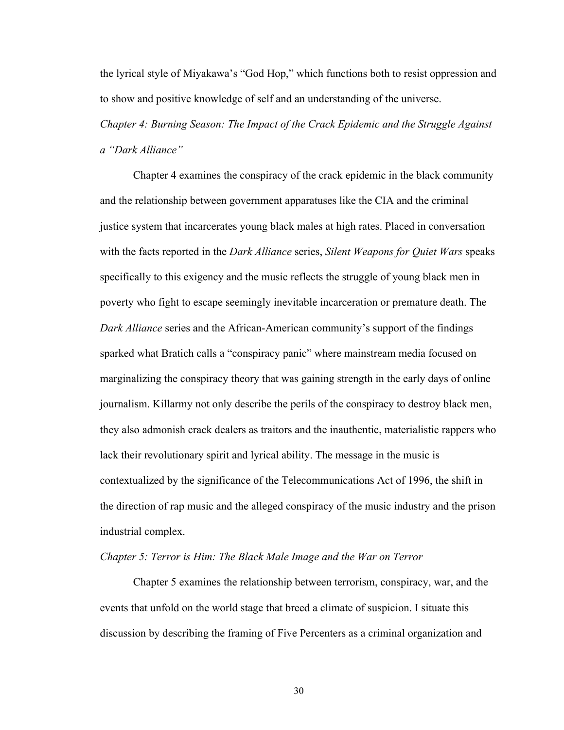the lyrical style of Miyakawa's "God Hop," which functions both to resist oppression and to show and positive knowledge of self and an understanding of the universe.

*Chapter 4: Burning Season: The Impact of the Crack Epidemic and the Struggle Against a "Dark Alliance"*

Chapter 4 examines the conspiracy of the crack epidemic in the black community and the relationship between government apparatuses like the CIA and the criminal justice system that incarcerates young black males at high rates. Placed in conversation with the facts reported in the *Dark Alliance* series, *Silent Weapons for Quiet Wars* speaks specifically to this exigency and the music reflects the struggle of young black men in poverty who fight to escape seemingly inevitable incarceration or premature death. The *Dark Alliance* series and the African-American community's support of the findings sparked what Bratich calls a "conspiracy panic" where mainstream media focused on marginalizing the conspiracy theory that was gaining strength in the early days of online journalism. Killarmy not only describe the perils of the conspiracy to destroy black men, they also admonish crack dealers as traitors and the inauthentic, materialistic rappers who lack their revolutionary spirit and lyrical ability. The message in the music is contextualized by the significance of the Telecommunications Act of 1996, the shift in the direction of rap music and the alleged conspiracy of the music industry and the prison industrial complex.

## *Chapter 5: Terror is Him: The Black Male Image and the War on Terror*

Chapter 5 examines the relationship between terrorism, conspiracy, war, and the events that unfold on the world stage that breed a climate of suspicion. I situate this discussion by describing the framing of Five Percenters as a criminal organization and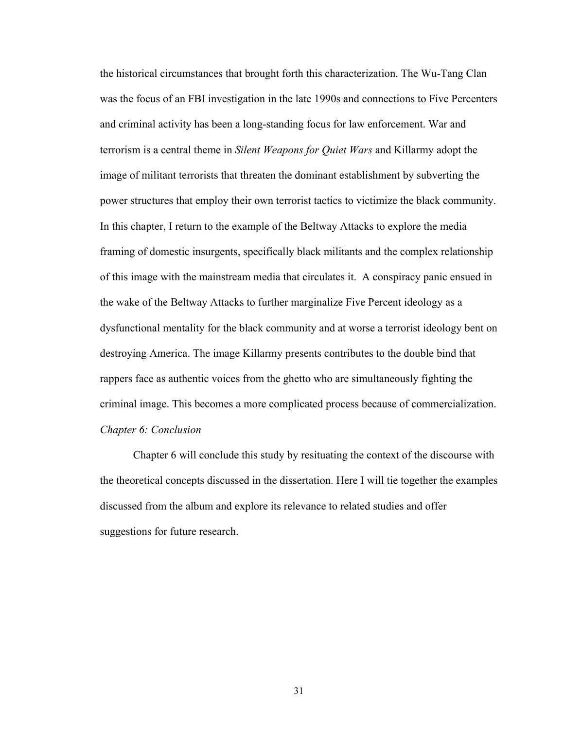the historical circumstances that brought forth this characterization. The Wu-Tang Clan was the focus of an FBI investigation in the late 1990s and connections to Five Percenters and criminal activity has been a long-standing focus for law enforcement. War and terrorism is a central theme in *Silent Weapons for Quiet Wars* and Killarmy adopt the image of militant terrorists that threaten the dominant establishment by subverting the power structures that employ their own terrorist tactics to victimize the black community. In this chapter, I return to the example of the Beltway Attacks to explore the media framing of domestic insurgents, specifically black militants and the complex relationship of this image with the mainstream media that circulates it. A conspiracy panic ensued in the wake of the Beltway Attacks to further marginalize Five Percent ideology as a dysfunctional mentality for the black community and at worse a terrorist ideology bent on destroying America. The image Killarmy presents contributes to the double bind that rappers face as authentic voices from the ghetto who are simultaneously fighting the criminal image. This becomes a more complicated process because of commercialization. *Chapter 6: Conclusion*

Chapter 6 will conclude this study by resituating the context of the discourse with the theoretical concepts discussed in the dissertation. Here I will tie together the examples discussed from the album and explore its relevance to related studies and offer suggestions for future research.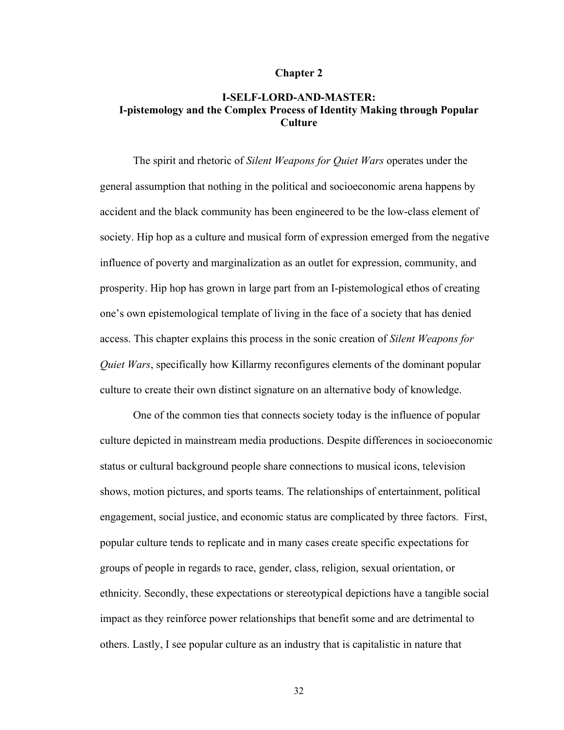#### **Chapter 2**

# **I-SELF-LORD-AND-MASTER: I-pistemology and the Complex Process of Identity Making through Popular Culture**

The spirit and rhetoric of *Silent Weapons for Quiet Wars* operates under the general assumption that nothing in the political and socioeconomic arena happens by accident and the black community has been engineered to be the low-class element of society. Hip hop as a culture and musical form of expression emerged from the negative influence of poverty and marginalization as an outlet for expression, community, and prosperity. Hip hop has grown in large part from an I-pistemological ethos of creating one's own epistemological template of living in the face of a society that has denied access. This chapter explains this process in the sonic creation of *Silent Weapons for Quiet Wars*, specifically how Killarmy reconfigures elements of the dominant popular culture to create their own distinct signature on an alternative body of knowledge.

One of the common ties that connects society today is the influence of popular culture depicted in mainstream media productions. Despite differences in socioeconomic status or cultural background people share connections to musical icons, television shows, motion pictures, and sports teams. The relationships of entertainment, political engagement, social justice, and economic status are complicated by three factors. First, popular culture tends to replicate and in many cases create specific expectations for groups of people in regards to race, gender, class, religion, sexual orientation, or ethnicity. Secondly, these expectations or stereotypical depictions have a tangible social impact as they reinforce power relationships that benefit some and are detrimental to others. Lastly, I see popular culture as an industry that is capitalistic in nature that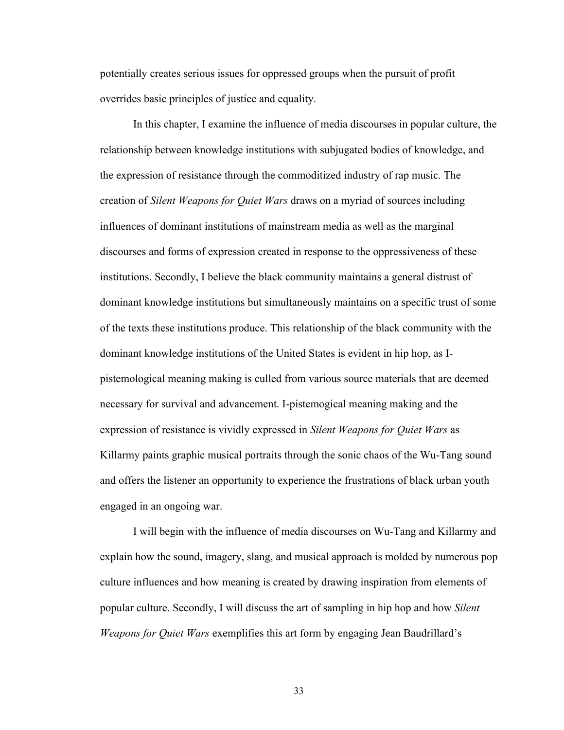potentially creates serious issues for oppressed groups when the pursuit of profit overrides basic principles of justice and equality.

In this chapter, I examine the influence of media discourses in popular culture, the relationship between knowledge institutions with subjugated bodies of knowledge, and the expression of resistance through the commoditized industry of rap music. The creation of *Silent Weapons for Quiet Wars* draws on a myriad of sources including influences of dominant institutions of mainstream media as well as the marginal discourses and forms of expression created in response to the oppressiveness of these institutions. Secondly, I believe the black community maintains a general distrust of dominant knowledge institutions but simultaneously maintains on a specific trust of some of the texts these institutions produce. This relationship of the black community with the dominant knowledge institutions of the United States is evident in hip hop, as Ipistemological meaning making is culled from various source materials that are deemed necessary for survival and advancement. I-pistemogical meaning making and the expression of resistance is vividly expressed in *Silent Weapons for Quiet Wars* as Killarmy paints graphic musical portraits through the sonic chaos of the Wu-Tang sound and offers the listener an opportunity to experience the frustrations of black urban youth engaged in an ongoing war.

I will begin with the influence of media discourses on Wu-Tang and Killarmy and explain how the sound, imagery, slang, and musical approach is molded by numerous pop culture influences and how meaning is created by drawing inspiration from elements of popular culture. Secondly, I will discuss the art of sampling in hip hop and how *Silent Weapons for Quiet Wars* exemplifies this art form by engaging Jean Baudrillard's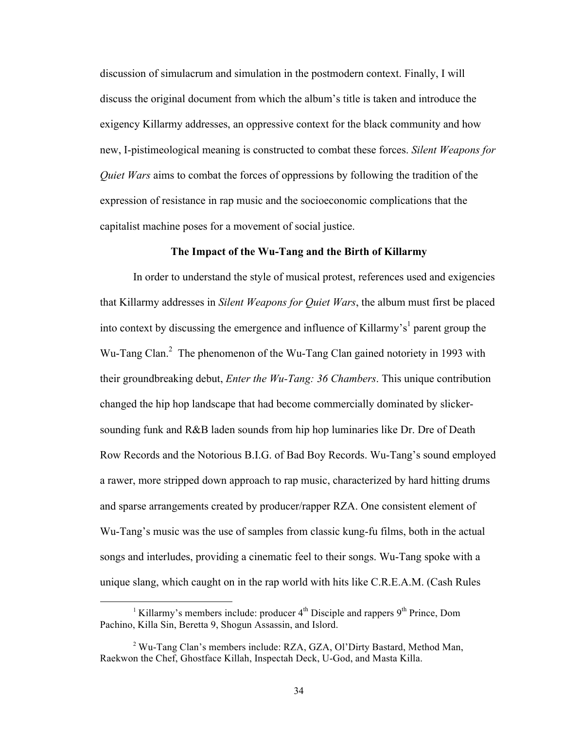discussion of simulacrum and simulation in the postmodern context. Finally, I will discuss the original document from which the album's title is taken and introduce the exigency Killarmy addresses, an oppressive context for the black community and how new, I-pistimeological meaning is constructed to combat these forces. *Silent Weapons for Quiet Wars* aims to combat the forces of oppressions by following the tradition of the expression of resistance in rap music and the socioeconomic complications that the capitalist machine poses for a movement of social justice.

#### **The Impact of the Wu-Tang and the Birth of Killarmy**

In order to understand the style of musical protest, references used and exigencies that Killarmy addresses in *Silent Weapons for Quiet Wars*, the album must first be placed into context by discussing the emergence and influence of Killarmy's<sup>1</sup> parent group the Wu-Tang Clan.<sup>2</sup> The phenomenon of the Wu-Tang Clan gained notoriety in 1993 with their groundbreaking debut, *Enter the Wu-Tang: 36 Chambers*. This unique contribution changed the hip hop landscape that had become commercially dominated by slickersounding funk and R&B laden sounds from hip hop luminaries like Dr. Dre of Death Row Records and the Notorious B.I.G. of Bad Boy Records. Wu-Tang's sound employed a rawer, more stripped down approach to rap music, characterized by hard hitting drums and sparse arrangements created by producer/rapper RZA. One consistent element of Wu-Tang's music was the use of samples from classic kung-fu films, both in the actual songs and interludes, providing a cinematic feel to their songs. Wu-Tang spoke with a unique slang, which caught on in the rap world with hits like C.R.E.A.M. (Cash Rules

!!!!!!!!!!!!!!!!!!!!!!!!!!!!!!!!!!!!!!!!!!!!!!!!!!!!!!!!!!!!

<sup>&</sup>lt;sup>1</sup> Killarmy's members include: producer  $4<sup>th</sup>$  Disciple and rappers  $9<sup>th</sup>$  Prince, Dom Pachino, Killa Sin, Beretta 9, Shogun Assassin, and Islord.

<sup>2</sup> Wu-Tang Clan's members include: RZA, GZA, Ol'Dirty Bastard, Method Man, Raekwon the Chef, Ghostface Killah, Inspectah Deck, U-God, and Masta Killa.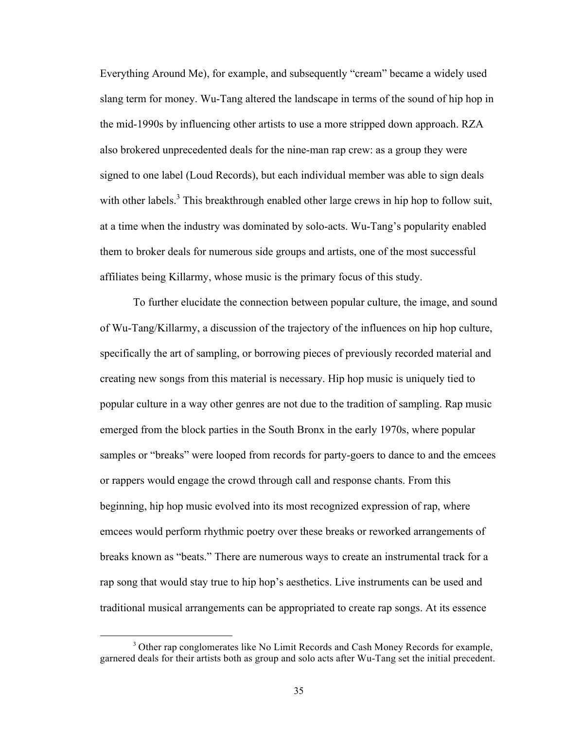Everything Around Me), for example, and subsequently "cream" became a widely used slang term for money. Wu-Tang altered the landscape in terms of the sound of hip hop in the mid-1990s by influencing other artists to use a more stripped down approach. RZA also brokered unprecedented deals for the nine-man rap crew: as a group they were signed to one label (Loud Records), but each individual member was able to sign deals with other labels.<sup>3</sup> This breakthrough enabled other large crews in hip hop to follow suit, at a time when the industry was dominated by solo-acts. Wu-Tang's popularity enabled them to broker deals for numerous side groups and artists, one of the most successful affiliates being Killarmy, whose music is the primary focus of this study.

To further elucidate the connection between popular culture, the image, and sound of Wu-Tang/Killarmy, a discussion of the trajectory of the influences on hip hop culture, specifically the art of sampling, or borrowing pieces of previously recorded material and creating new songs from this material is necessary. Hip hop music is uniquely tied to popular culture in a way other genres are not due to the tradition of sampling. Rap music emerged from the block parties in the South Bronx in the early 1970s, where popular samples or "breaks" were looped from records for party-goers to dance to and the emcees or rappers would engage the crowd through call and response chants. From this beginning, hip hop music evolved into its most recognized expression of rap, where emcees would perform rhythmic poetry over these breaks or reworked arrangements of breaks known as "beats." There are numerous ways to create an instrumental track for a rap song that would stay true to hip hop's aesthetics. Live instruments can be used and traditional musical arrangements can be appropriated to create rap songs. At its essence

!!!!!!!!!!!!!!!!!!!!!!!!!!!!!!!!!!!!!!!!!!!!!!!!!!!!!!!!!!!!

<sup>3</sup> Other rap conglomerates like No Limit Records and Cash Money Records for example, garnered deals for their artists both as group and solo acts after Wu-Tang set the initial precedent.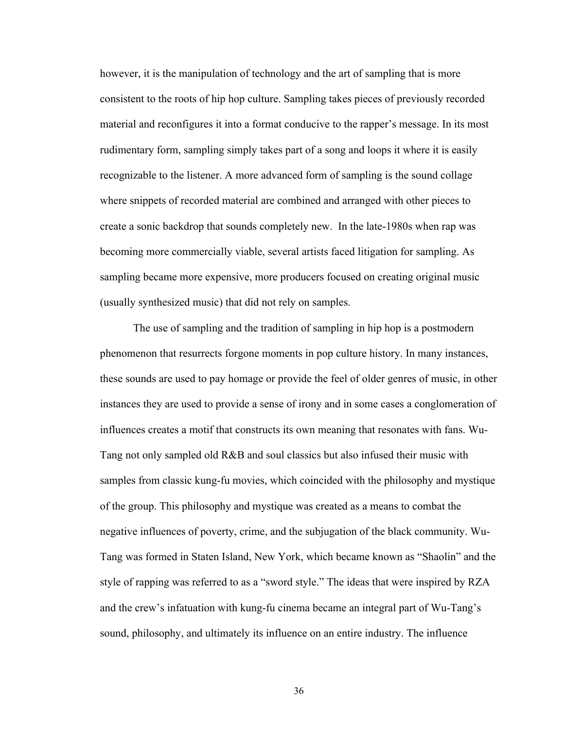however, it is the manipulation of technology and the art of sampling that is more consistent to the roots of hip hop culture. Sampling takes pieces of previously recorded material and reconfigures it into a format conducive to the rapper's message. In its most rudimentary form, sampling simply takes part of a song and loops it where it is easily recognizable to the listener. A more advanced form of sampling is the sound collage where snippets of recorded material are combined and arranged with other pieces to create a sonic backdrop that sounds completely new. In the late-1980s when rap was becoming more commercially viable, several artists faced litigation for sampling. As sampling became more expensive, more producers focused on creating original music (usually synthesized music) that did not rely on samples.

The use of sampling and the tradition of sampling in hip hop is a postmodern phenomenon that resurrects forgone moments in pop culture history. In many instances, these sounds are used to pay homage or provide the feel of older genres of music, in other instances they are used to provide a sense of irony and in some cases a conglomeration of influences creates a motif that constructs its own meaning that resonates with fans. Wu-Tang not only sampled old R&B and soul classics but also infused their music with samples from classic kung-fu movies, which coincided with the philosophy and mystique of the group. This philosophy and mystique was created as a means to combat the negative influences of poverty, crime, and the subjugation of the black community. Wu-Tang was formed in Staten Island, New York, which became known as "Shaolin" and the style of rapping was referred to as a "sword style." The ideas that were inspired by RZA and the crew's infatuation with kung-fu cinema became an integral part of Wu-Tang's sound, philosophy, and ultimately its influence on an entire industry. The influence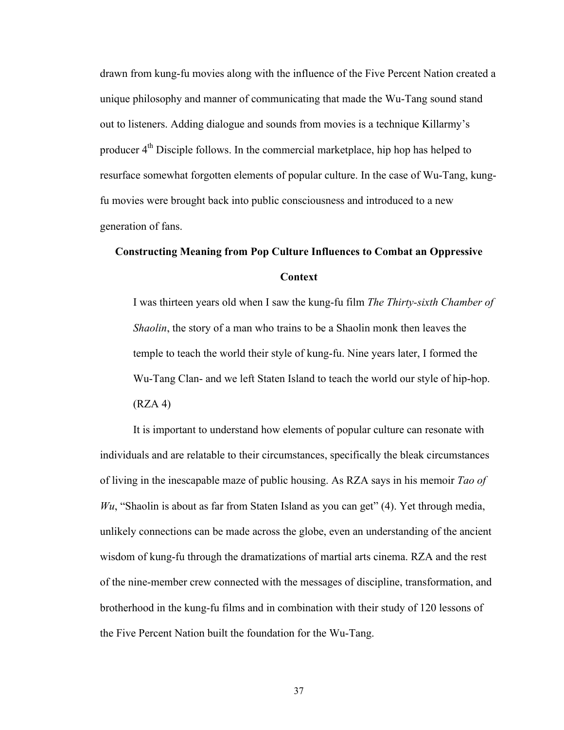drawn from kung-fu movies along with the influence of the Five Percent Nation created a unique philosophy and manner of communicating that made the Wu-Tang sound stand out to listeners. Adding dialogue and sounds from movies is a technique Killarmy's producer 4th Disciple follows. In the commercial marketplace, hip hop has helped to resurface somewhat forgotten elements of popular culture. In the case of Wu-Tang, kungfu movies were brought back into public consciousness and introduced to a new generation of fans.

# **Constructing Meaning from Pop Culture Influences to Combat an Oppressive Context**

I was thirteen years old when I saw the kung-fu film *The Thirty-sixth Chamber of Shaolin*, the story of a man who trains to be a Shaolin monk then leaves the temple to teach the world their style of kung-fu. Nine years later, I formed the Wu-Tang Clan- and we left Staten Island to teach the world our style of hip-hop. (RZA 4)

It is important to understand how elements of popular culture can resonate with individuals and are relatable to their circumstances, specifically the bleak circumstances of living in the inescapable maze of public housing. As RZA says in his memoir *Tao of Wu*, "Shaolin is about as far from Staten Island as you can get" (4). Yet through media, unlikely connections can be made across the globe, even an understanding of the ancient wisdom of kung-fu through the dramatizations of martial arts cinema. RZA and the rest of the nine-member crew connected with the messages of discipline, transformation, and brotherhood in the kung-fu films and in combination with their study of 120 lessons of the Five Percent Nation built the foundation for the Wu-Tang.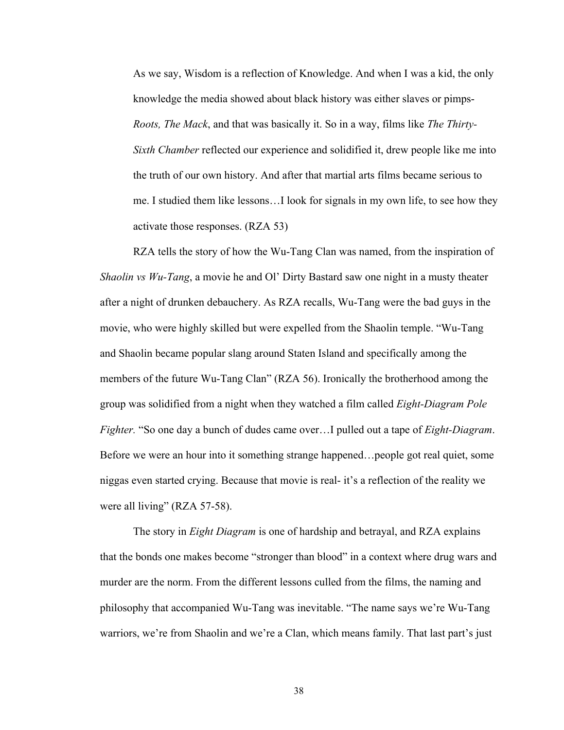As we say, Wisdom is a reflection of Knowledge. And when I was a kid, the only knowledge the media showed about black history was either slaves or pimps-*Roots, The Mack*, and that was basically it. So in a way, films like *The Thirty-Sixth Chamber* reflected our experience and solidified it, drew people like me into the truth of our own history. And after that martial arts films became serious to me. I studied them like lessons…I look for signals in my own life, to see how they activate those responses. (RZA 53)

RZA tells the story of how the Wu-Tang Clan was named, from the inspiration of *Shaolin vs Wu-Tang*, a movie he and Ol' Dirty Bastard saw one night in a musty theater after a night of drunken debauchery. As RZA recalls, Wu-Tang were the bad guys in the movie, who were highly skilled but were expelled from the Shaolin temple. "Wu-Tang and Shaolin became popular slang around Staten Island and specifically among the members of the future Wu-Tang Clan" (RZA 56). Ironically the brotherhood among the group was solidified from a night when they watched a film called *Eight-Diagram Pole Fighter.* "So one day a bunch of dudes came over…I pulled out a tape of *Eight-Diagram*. Before we were an hour into it something strange happened…people got real quiet, some niggas even started crying. Because that movie is real- it's a reflection of the reality we were all living" (RZA 57-58).

The story in *Eight Diagram* is one of hardship and betrayal, and RZA explains that the bonds one makes become "stronger than blood" in a context where drug wars and murder are the norm. From the different lessons culled from the films, the naming and philosophy that accompanied Wu-Tang was inevitable. "The name says we're Wu-Tang warriors, we're from Shaolin and we're a Clan, which means family. That last part's just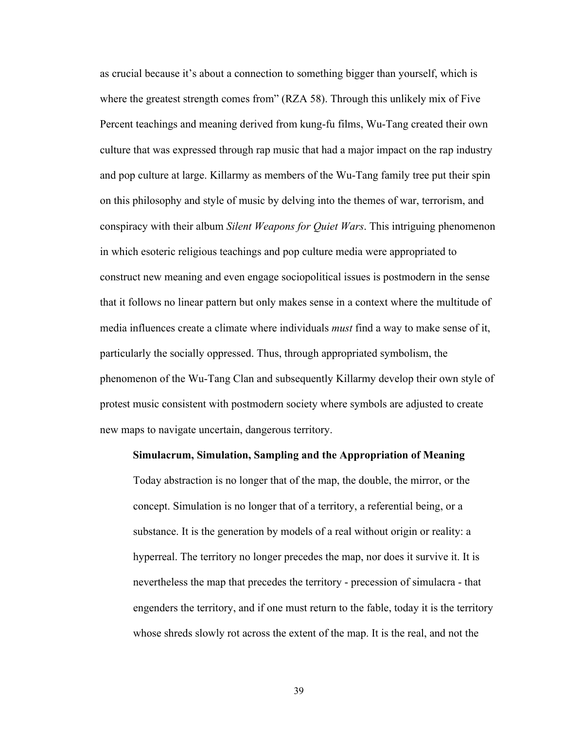as crucial because it's about a connection to something bigger than yourself, which is where the greatest strength comes from" (RZA 58). Through this unlikely mix of Five Percent teachings and meaning derived from kung-fu films, Wu-Tang created their own culture that was expressed through rap music that had a major impact on the rap industry and pop culture at large. Killarmy as members of the Wu-Tang family tree put their spin on this philosophy and style of music by delving into the themes of war, terrorism, and conspiracy with their album *Silent Weapons for Quiet Wars*. This intriguing phenomenon in which esoteric religious teachings and pop culture media were appropriated to construct new meaning and even engage sociopolitical issues is postmodern in the sense that it follows no linear pattern but only makes sense in a context where the multitude of media influences create a climate where individuals *must* find a way to make sense of it, particularly the socially oppressed. Thus, through appropriated symbolism, the phenomenon of the Wu-Tang Clan and subsequently Killarmy develop their own style of protest music consistent with postmodern society where symbols are adjusted to create new maps to navigate uncertain, dangerous territory.

#### **Simulacrum, Simulation, Sampling and the Appropriation of Meaning**

Today abstraction is no longer that of the map, the double, the mirror, or the concept. Simulation is no longer that of a territory, a referential being, or a substance. It is the generation by models of a real without origin or reality: a hyperreal. The territory no longer precedes the map, nor does it survive it. It is nevertheless the map that precedes the territory - precession of simulacra - that engenders the territory, and if one must return to the fable, today it is the territory whose shreds slowly rot across the extent of the map. It is the real, and not the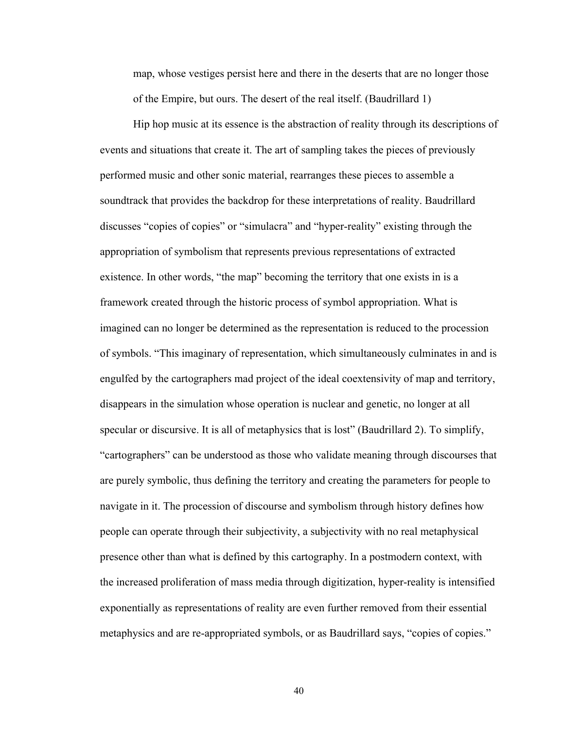map, whose vestiges persist here and there in the deserts that are no longer those of the Empire, but ours. The desert of the real itself. (Baudrillard 1)

Hip hop music at its essence is the abstraction of reality through its descriptions of events and situations that create it. The art of sampling takes the pieces of previously performed music and other sonic material, rearranges these pieces to assemble a soundtrack that provides the backdrop for these interpretations of reality. Baudrillard discusses "copies of copies" or "simulacra" and "hyper-reality" existing through the appropriation of symbolism that represents previous representations of extracted existence. In other words, "the map" becoming the territory that one exists in is a framework created through the historic process of symbol appropriation. What is imagined can no longer be determined as the representation is reduced to the procession of symbols. "This imaginary of representation, which simultaneously culminates in and is engulfed by the cartographers mad project of the ideal coextensivity of map and territory, disappears in the simulation whose operation is nuclear and genetic, no longer at all specular or discursive. It is all of metaphysics that is lost" (Baudrillard 2). To simplify, "cartographers" can be understood as those who validate meaning through discourses that are purely symbolic, thus defining the territory and creating the parameters for people to navigate in it. The procession of discourse and symbolism through history defines how people can operate through their subjectivity, a subjectivity with no real metaphysical presence other than what is defined by this cartography. In a postmodern context, with the increased proliferation of mass media through digitization, hyper-reality is intensified exponentially as representations of reality are even further removed from their essential metaphysics and are re-appropriated symbols, or as Baudrillard says, "copies of copies."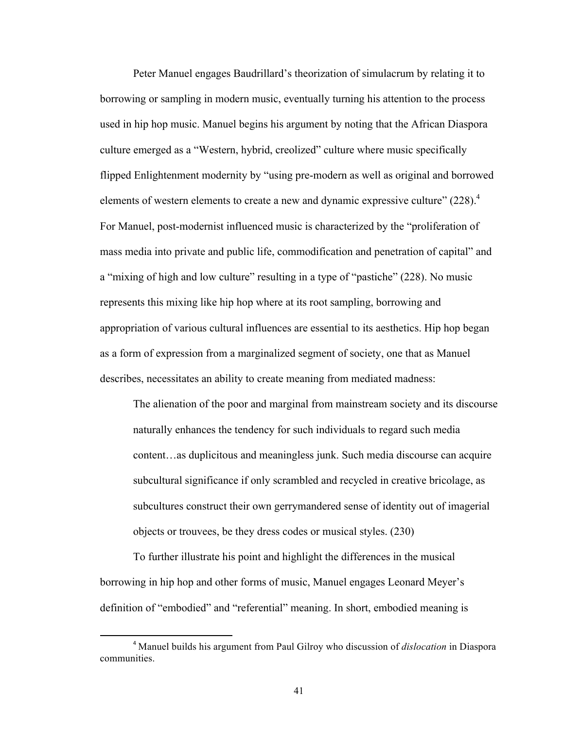Peter Manuel engages Baudrillard's theorization of simulacrum by relating it to borrowing or sampling in modern music, eventually turning his attention to the process used in hip hop music. Manuel begins his argument by noting that the African Diaspora culture emerged as a "Western, hybrid, creolized" culture where music specifically flipped Enlightenment modernity by "using pre-modern as well as original and borrowed elements of western elements to create a new and dynamic expressive culture" (228).<sup>4</sup> For Manuel, post-modernist influenced music is characterized by the "proliferation of mass media into private and public life, commodification and penetration of capital" and a "mixing of high and low culture" resulting in a type of "pastiche" (228). No music represents this mixing like hip hop where at its root sampling, borrowing and appropriation of various cultural influences are essential to its aesthetics. Hip hop began as a form of expression from a marginalized segment of society, one that as Manuel describes, necessitates an ability to create meaning from mediated madness:

The alienation of the poor and marginal from mainstream society and its discourse naturally enhances the tendency for such individuals to regard such media content…as duplicitous and meaningless junk. Such media discourse can acquire subcultural significance if only scrambled and recycled in creative bricolage, as subcultures construct their own gerrymandered sense of identity out of imagerial objects or trouvees, be they dress codes or musical styles. (230)

To further illustrate his point and highlight the differences in the musical borrowing in hip hop and other forms of music, Manuel engages Leonard Meyer's definition of "embodied" and "referential" meaning. In short, embodied meaning is

!!!!!!!!!!!!!!!!!!!!!!!!!!!!!!!!!!!!!!!!!!!!!!!!!!!!!!!!!!!!

<sup>4</sup> Manuel builds his argument from Paul Gilroy who discussion of *dislocation* in Diaspora communities.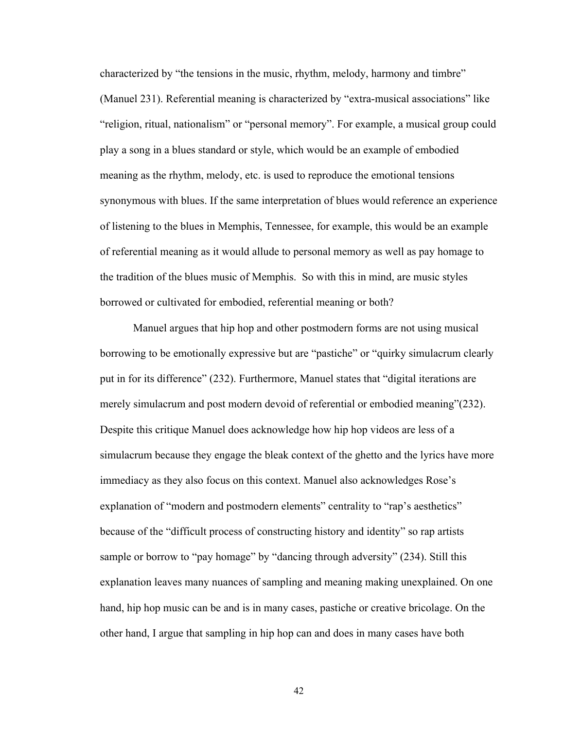characterized by "the tensions in the music, rhythm, melody, harmony and timbre" (Manuel 231). Referential meaning is characterized by "extra-musical associations" like "religion, ritual, nationalism" or "personal memory". For example, a musical group could play a song in a blues standard or style, which would be an example of embodied meaning as the rhythm, melody, etc. is used to reproduce the emotional tensions synonymous with blues. If the same interpretation of blues would reference an experience of listening to the blues in Memphis, Tennessee, for example, this would be an example of referential meaning as it would allude to personal memory as well as pay homage to the tradition of the blues music of Memphis. So with this in mind, are music styles borrowed or cultivated for embodied, referential meaning or both?

Manuel argues that hip hop and other postmodern forms are not using musical borrowing to be emotionally expressive but are "pastiche" or "quirky simulacrum clearly put in for its difference" (232). Furthermore, Manuel states that "digital iterations are merely simulacrum and post modern devoid of referential or embodied meaning"(232). Despite this critique Manuel does acknowledge how hip hop videos are less of a simulacrum because they engage the bleak context of the ghetto and the lyrics have more immediacy as they also focus on this context. Manuel also acknowledges Rose's explanation of "modern and postmodern elements" centrality to "rap's aesthetics" because of the "difficult process of constructing history and identity" so rap artists sample or borrow to "pay homage" by "dancing through adversity" (234). Still this explanation leaves many nuances of sampling and meaning making unexplained. On one hand, hip hop music can be and is in many cases, pastiche or creative bricolage. On the other hand, I argue that sampling in hip hop can and does in many cases have both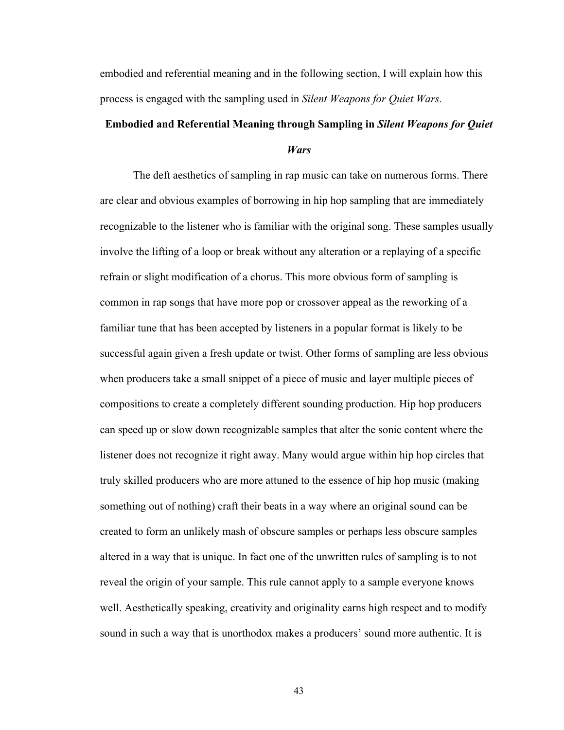embodied and referential meaning and in the following section, I will explain how this process is engaged with the sampling used in *Silent Weapons for Quiet Wars.*

#### **Embodied and Referential Meaning through Sampling in** *Silent Weapons for Quiet*

*Wars*

The deft aesthetics of sampling in rap music can take on numerous forms. There are clear and obvious examples of borrowing in hip hop sampling that are immediately recognizable to the listener who is familiar with the original song. These samples usually involve the lifting of a loop or break without any alteration or a replaying of a specific refrain or slight modification of a chorus. This more obvious form of sampling is common in rap songs that have more pop or crossover appeal as the reworking of a familiar tune that has been accepted by listeners in a popular format is likely to be successful again given a fresh update or twist. Other forms of sampling are less obvious when producers take a small snippet of a piece of music and layer multiple pieces of compositions to create a completely different sounding production. Hip hop producers can speed up or slow down recognizable samples that alter the sonic content where the listener does not recognize it right away. Many would argue within hip hop circles that truly skilled producers who are more attuned to the essence of hip hop music (making something out of nothing) craft their beats in a way where an original sound can be created to form an unlikely mash of obscure samples or perhaps less obscure samples altered in a way that is unique. In fact one of the unwritten rules of sampling is to not reveal the origin of your sample. This rule cannot apply to a sample everyone knows well. Aesthetically speaking, creativity and originality earns high respect and to modify sound in such a way that is unorthodox makes a producers' sound more authentic. It is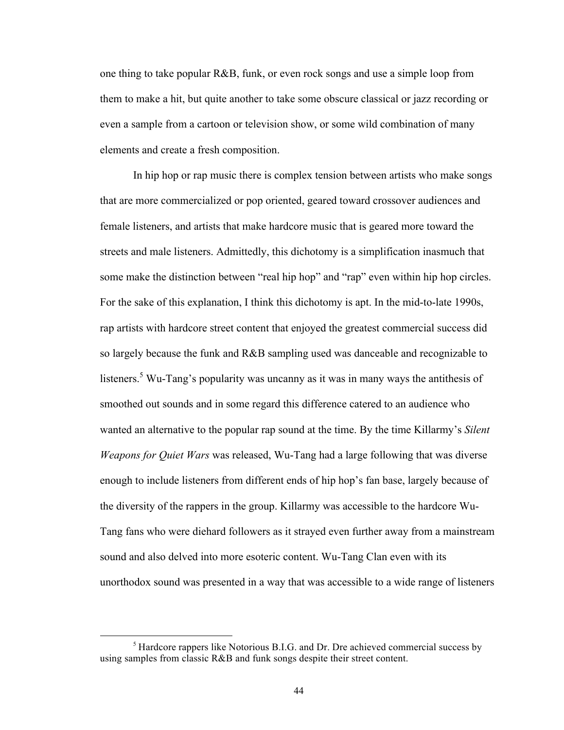one thing to take popular R&B, funk, or even rock songs and use a simple loop from them to make a hit, but quite another to take some obscure classical or jazz recording or even a sample from a cartoon or television show, or some wild combination of many elements and create a fresh composition.

In hip hop or rap music there is complex tension between artists who make songs that are more commercialized or pop oriented, geared toward crossover audiences and female listeners, and artists that make hardcore music that is geared more toward the streets and male listeners. Admittedly, this dichotomy is a simplification inasmuch that some make the distinction between "real hip hop" and "rap" even within hip hop circles. For the sake of this explanation, I think this dichotomy is apt. In the mid-to-late 1990s, rap artists with hardcore street content that enjoyed the greatest commercial success did so largely because the funk and R&B sampling used was danceable and recognizable to listeners.<sup>5</sup> Wu-Tang's popularity was uncanny as it was in many ways the antithesis of smoothed out sounds and in some regard this difference catered to an audience who wanted an alternative to the popular rap sound at the time. By the time Killarmy's *Silent Weapons for Quiet Wars* was released, Wu-Tang had a large following that was diverse enough to include listeners from different ends of hip hop's fan base, largely because of the diversity of the rappers in the group. Killarmy was accessible to the hardcore Wu-Tang fans who were diehard followers as it strayed even further away from a mainstream sound and also delved into more esoteric content. Wu-Tang Clan even with its unorthodox sound was presented in a way that was accessible to a wide range of listeners

!!!!!!!!!!!!!!!!!!!!!!!!!!!!!!!!!!!!!!!!!!!!!!!!!!!!!!!!!!!!

<sup>5</sup> Hardcore rappers like Notorious B.I.G. and Dr. Dre achieved commercial success by using samples from classic R&B and funk songs despite their street content.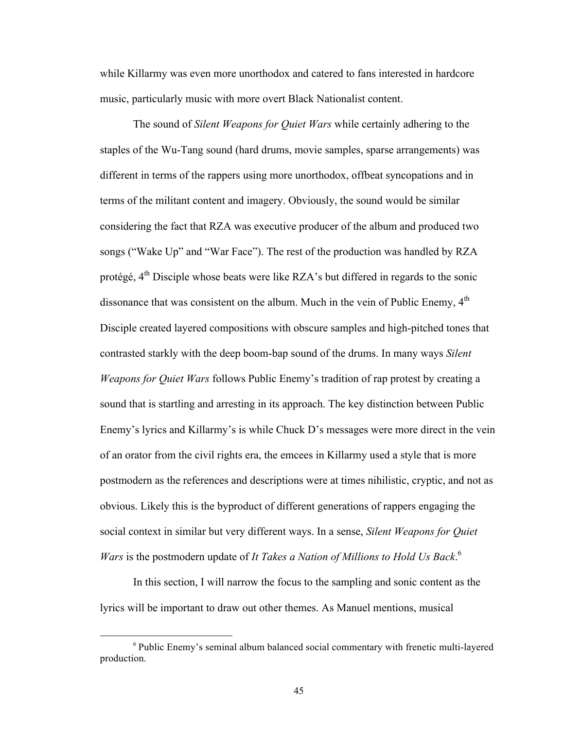while Killarmy was even more unorthodox and catered to fans interested in hardcore music, particularly music with more overt Black Nationalist content.

The sound of *Silent Weapons for Quiet Wars* while certainly adhering to the staples of the Wu-Tang sound (hard drums, movie samples, sparse arrangements) was different in terms of the rappers using more unorthodox, offbeat syncopations and in terms of the militant content and imagery. Obviously, the sound would be similar considering the fact that RZA was executive producer of the album and produced two songs ("Wake Up" and "War Face"). The rest of the production was handled by RZA protégé,  $4<sup>th</sup>$  Disciple whose beats were like RZA's but differed in regards to the sonic dissonance that was consistent on the album. Much in the vein of Public Enemy, 4<sup>th</sup> Disciple created layered compositions with obscure samples and high-pitched tones that contrasted starkly with the deep boom-bap sound of the drums. In many ways *Silent Weapons for Quiet Wars* follows Public Enemy's tradition of rap protest by creating a sound that is startling and arresting in its approach. The key distinction between Public Enemy's lyrics and Killarmy's is while Chuck D's messages were more direct in the vein of an orator from the civil rights era, the emcees in Killarmy used a style that is more postmodern as the references and descriptions were at times nihilistic, cryptic, and not as obvious. Likely this is the byproduct of different generations of rappers engaging the social context in similar but very different ways. In a sense, *Silent Weapons for Quiet Wars* is the postmodern update of *It Takes a Nation of Millions to Hold Us Back*. 6

In this section, I will narrow the focus to the sampling and sonic content as the lyrics will be important to draw out other themes. As Manuel mentions, musical

!!!!!!!!!!!!!!!!!!!!!!!!!!!!!!!!!!!!!!!!!!!!!!!!!!!!!!!!!!!!

<sup>6</sup> Public Enemy's seminal album balanced social commentary with frenetic multi-layered production.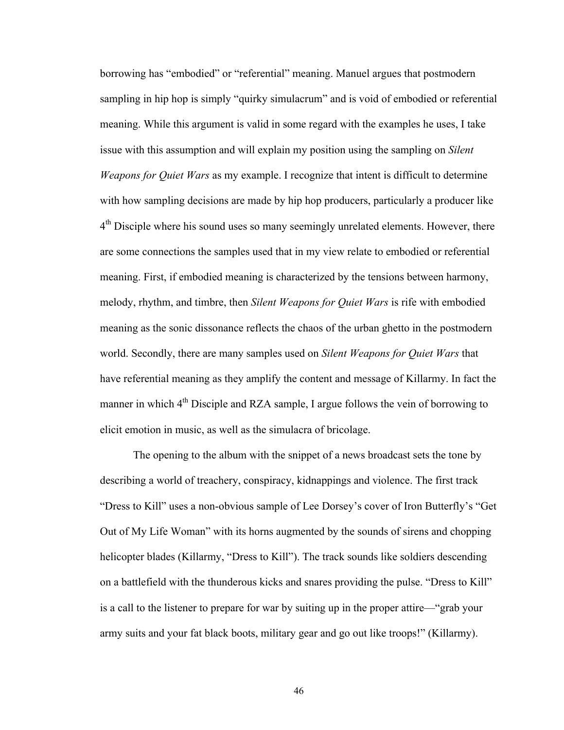borrowing has "embodied" or "referential" meaning. Manuel argues that postmodern sampling in hip hop is simply "quirky simulacrum" and is void of embodied or referential meaning. While this argument is valid in some regard with the examples he uses, I take issue with this assumption and will explain my position using the sampling on *Silent Weapons for Quiet Wars* as my example. I recognize that intent is difficult to determine with how sampling decisions are made by hip hop producers, particularly a producer like  $4<sup>th</sup>$  Disciple where his sound uses so many seemingly unrelated elements. However, there are some connections the samples used that in my view relate to embodied or referential meaning. First, if embodied meaning is characterized by the tensions between harmony, melody, rhythm, and timbre, then *Silent Weapons for Quiet Wars* is rife with embodied meaning as the sonic dissonance reflects the chaos of the urban ghetto in the postmodern world. Secondly, there are many samples used on *Silent Weapons for Quiet Wars* that have referential meaning as they amplify the content and message of Killarmy. In fact the manner in which  $4<sup>th</sup>$  Disciple and RZA sample, I argue follows the vein of borrowing to elicit emotion in music, as well as the simulacra of bricolage.

The opening to the album with the snippet of a news broadcast sets the tone by describing a world of treachery, conspiracy, kidnappings and violence. The first track "Dress to Kill" uses a non-obvious sample of Lee Dorsey's cover of Iron Butterfly's "Get Out of My Life Woman" with its horns augmented by the sounds of sirens and chopping helicopter blades (Killarmy, "Dress to Kill"). The track sounds like soldiers descending on a battlefield with the thunderous kicks and snares providing the pulse. "Dress to Kill" is a call to the listener to prepare for war by suiting up in the proper attire—"grab your army suits and your fat black boots, military gear and go out like troops!" (Killarmy).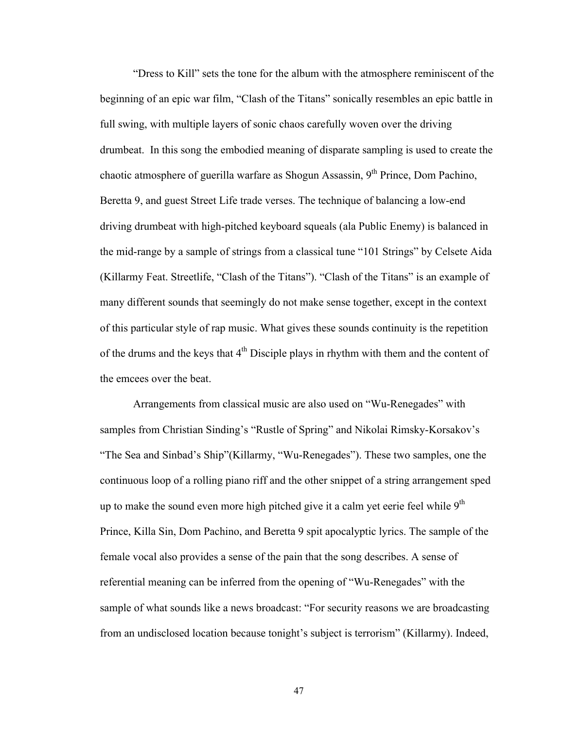"Dress to Kill" sets the tone for the album with the atmosphere reminiscent of the beginning of an epic war film, "Clash of the Titans" sonically resembles an epic battle in full swing, with multiple layers of sonic chaos carefully woven over the driving drumbeat. In this song the embodied meaning of disparate sampling is used to create the chaotic atmosphere of guerilla warfare as Shogun Assassin,  $9<sup>th</sup>$  Prince, Dom Pachino, Beretta 9, and guest Street Life trade verses. The technique of balancing a low-end driving drumbeat with high-pitched keyboard squeals (ala Public Enemy) is balanced in the mid-range by a sample of strings from a classical tune "101 Strings" by Celsete Aida (Killarmy Feat. Streetlife, "Clash of the Titans"). "Clash of the Titans" is an example of many different sounds that seemingly do not make sense together, except in the context of this particular style of rap music. What gives these sounds continuity is the repetition of the drums and the keys that  $4<sup>th</sup>$  Disciple plays in rhythm with them and the content of the emcees over the beat.

Arrangements from classical music are also used on "Wu-Renegades" with samples from Christian Sinding's "Rustle of Spring" and Nikolai Rimsky-Korsakov's "The Sea and Sinbad's Ship"(Killarmy, "Wu-Renegades"). These two samples, one the continuous loop of a rolling piano riff and the other snippet of a string arrangement sped up to make the sound even more high pitched give it a calm yet eerie feel while  $9<sup>th</sup>$ Prince, Killa Sin, Dom Pachino, and Beretta 9 spit apocalyptic lyrics. The sample of the female vocal also provides a sense of the pain that the song describes. A sense of referential meaning can be inferred from the opening of "Wu-Renegades" with the sample of what sounds like a news broadcast: "For security reasons we are broadcasting from an undisclosed location because tonight's subject is terrorism" (Killarmy). Indeed,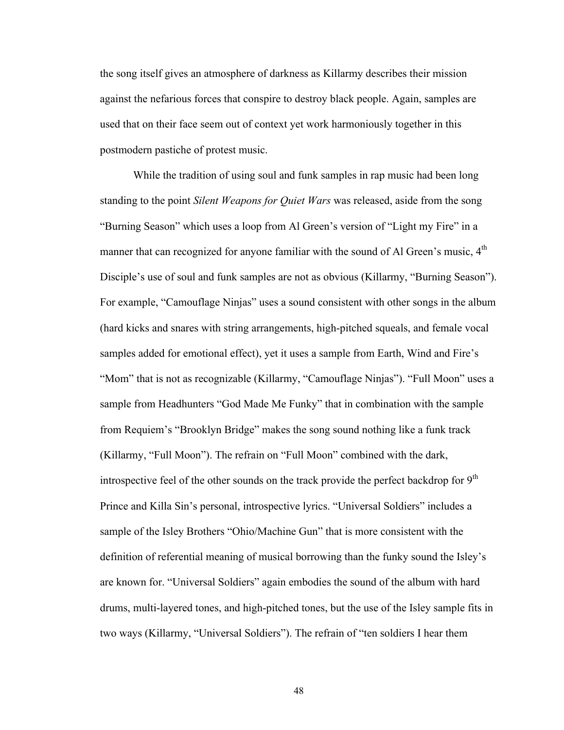the song itself gives an atmosphere of darkness as Killarmy describes their mission against the nefarious forces that conspire to destroy black people. Again, samples are used that on their face seem out of context yet work harmoniously together in this postmodern pastiche of protest music.

While the tradition of using soul and funk samples in rap music had been long standing to the point *Silent Weapons for Quiet Wars* was released, aside from the song "Burning Season" which uses a loop from Al Green's version of "Light my Fire" in a manner that can recognized for anyone familiar with the sound of Al Green's music, 4<sup>th</sup> Disciple's use of soul and funk samples are not as obvious (Killarmy, "Burning Season"). For example, "Camouflage Ninjas" uses a sound consistent with other songs in the album (hard kicks and snares with string arrangements, high-pitched squeals, and female vocal samples added for emotional effect), yet it uses a sample from Earth, Wind and Fire's "Mom" that is not as recognizable (Killarmy, "Camouflage Ninjas"). "Full Moon" uses a sample from Headhunters "God Made Me Funky" that in combination with the sample from Requiem's "Brooklyn Bridge" makes the song sound nothing like a funk track (Killarmy, "Full Moon"). The refrain on "Full Moon" combined with the dark, introspective feel of the other sounds on the track provide the perfect backdrop for  $9<sup>th</sup>$ Prince and Killa Sin's personal, introspective lyrics. "Universal Soldiers" includes a sample of the Isley Brothers "Ohio/Machine Gun" that is more consistent with the definition of referential meaning of musical borrowing than the funky sound the Isley's are known for. "Universal Soldiers" again embodies the sound of the album with hard drums, multi-layered tones, and high-pitched tones, but the use of the Isley sample fits in two ways (Killarmy, "Universal Soldiers"). The refrain of "ten soldiers I hear them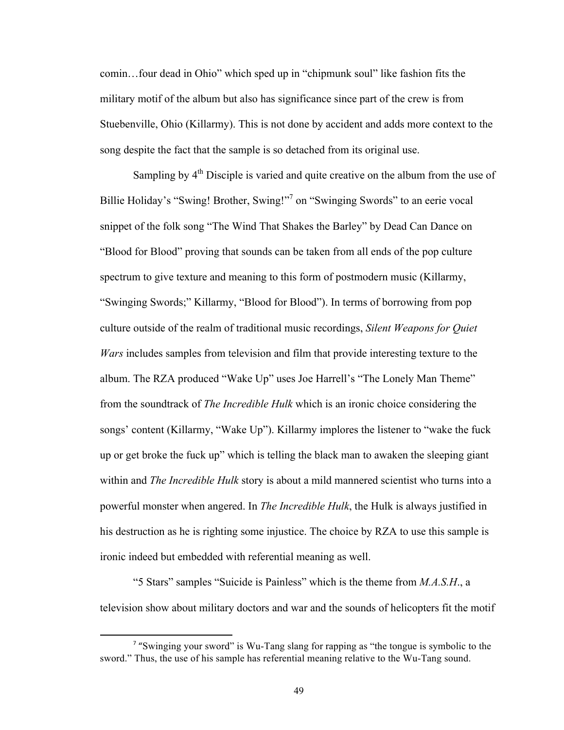comin…four dead in Ohio" which sped up in "chipmunk soul" like fashion fits the military motif of the album but also has significance since part of the crew is from Stuebenville, Ohio (Killarmy). This is not done by accident and adds more context to the song despite the fact that the sample is so detached from its original use.

Sampling by 4<sup>th</sup> Disciple is varied and quite creative on the album from the use of Billie Holiday's "Swing! Brother, Swing!"<sup>7</sup> on "Swinging Swords" to an eerie vocal snippet of the folk song "The Wind That Shakes the Barley" by Dead Can Dance on "Blood for Blood" proving that sounds can be taken from all ends of the pop culture spectrum to give texture and meaning to this form of postmodern music (Killarmy, "Swinging Swords;" Killarmy, "Blood for Blood"). In terms of borrowing from pop culture outside of the realm of traditional music recordings, *Silent Weapons for Quiet Wars* includes samples from television and film that provide interesting texture to the album. The RZA produced "Wake Up" uses Joe Harrell's "The Lonely Man Theme" from the soundtrack of *The Incredible Hulk* which is an ironic choice considering the songs' content (Killarmy, "Wake Up"). Killarmy implores the listener to "wake the fuck up or get broke the fuck up" which is telling the black man to awaken the sleeping giant within and *The Incredible Hulk* story is about a mild mannered scientist who turns into a powerful monster when angered. In *The Incredible Hulk*, the Hulk is always justified in his destruction as he is righting some injustice. The choice by RZA to use this sample is ironic indeed but embedded with referential meaning as well.

"5 Stars" samples "Suicide is Painless" which is the theme from *M.A.S.H*., a television show about military doctors and war and the sounds of helicopters fit the motif

!!!!!!!!!!!!!!!!!!!!!!!!!!!!!!!!!!!!!!!!!!!!!!!!!!!!!!!!!!!!

<sup>&</sup>lt;sup>7</sup> "Swinging your sword" is Wu-Tang slang for rapping as "the tongue is symbolic to the sword." Thus, the use of his sample has referential meaning relative to the Wu-Tang sound.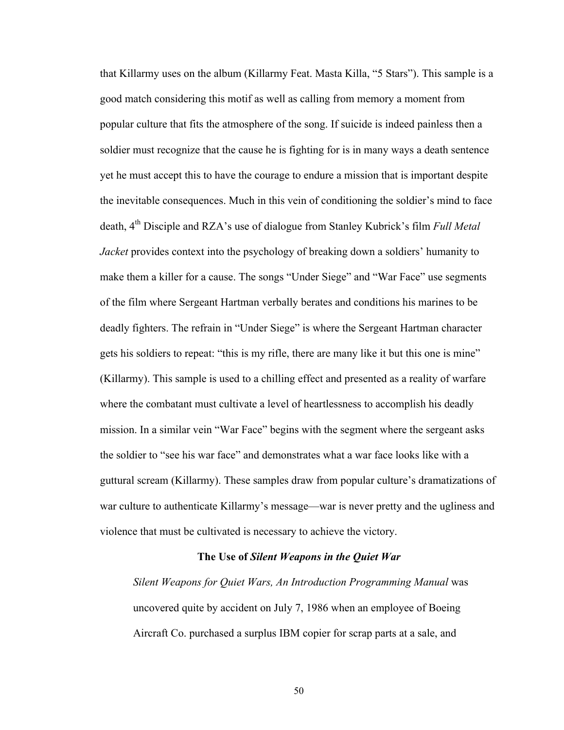that Killarmy uses on the album (Killarmy Feat. Masta Killa, "5 Stars"). This sample is a good match considering this motif as well as calling from memory a moment from popular culture that fits the atmosphere of the song. If suicide is indeed painless then a soldier must recognize that the cause he is fighting for is in many ways a death sentence yet he must accept this to have the courage to endure a mission that is important despite the inevitable consequences. Much in this vein of conditioning the soldier's mind to face death, 4<sup>th</sup> Disciple and RZA's use of dialogue from Stanley Kubrick's film *Full Metal Jacket* provides context into the psychology of breaking down a soldiers' humanity to make them a killer for a cause. The songs "Under Siege" and "War Face" use segments of the film where Sergeant Hartman verbally berates and conditions his marines to be deadly fighters. The refrain in "Under Siege" is where the Sergeant Hartman character gets his soldiers to repeat: "this is my rifle, there are many like it but this one is mine" (Killarmy). This sample is used to a chilling effect and presented as a reality of warfare where the combatant must cultivate a level of heartlessness to accomplish his deadly mission. In a similar vein "War Face" begins with the segment where the sergeant asks the soldier to "see his war face" and demonstrates what a war face looks like with a guttural scream (Killarmy). These samples draw from popular culture's dramatizations of war culture to authenticate Killarmy's message—war is never pretty and the ugliness and violence that must be cultivated is necessary to achieve the victory.

## **The Use of** *Silent Weapons in the Quiet War*

*Silent Weapons for Quiet Wars, An Introduction Programming Manual* was uncovered quite by accident on July 7, 1986 when an employee of Boeing Aircraft Co. purchased a surplus IBM copier for scrap parts at a sale, and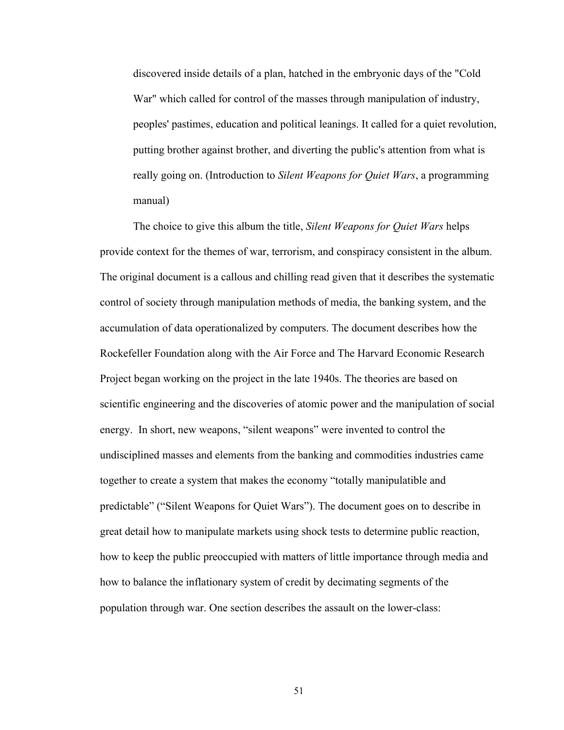discovered inside details of a plan, hatched in the embryonic days of the "Cold War" which called for control of the masses through manipulation of industry, peoples' pastimes, education and political leanings. It called for a quiet revolution, putting brother against brother, and diverting the public's attention from what is really going on. (Introduction to *Silent Weapons for Quiet Wars*, a programming manual)

The choice to give this album the title, *Silent Weapons for Quiet Wars* helps provide context for the themes of war, terrorism, and conspiracy consistent in the album. The original document is a callous and chilling read given that it describes the systematic control of society through manipulation methods of media, the banking system, and the accumulation of data operationalized by computers. The document describes how the Rockefeller Foundation along with the Air Force and The Harvard Economic Research Project began working on the project in the late 1940s. The theories are based on scientific engineering and the discoveries of atomic power and the manipulation of social energy. In short, new weapons, "silent weapons" were invented to control the undisciplined masses and elements from the banking and commodities industries came together to create a system that makes the economy "totally manipulatible and predictable" ("Silent Weapons for Quiet Wars"). The document goes on to describe in great detail how to manipulate markets using shock tests to determine public reaction, how to keep the public preoccupied with matters of little importance through media and how to balance the inflationary system of credit by decimating segments of the population through war. One section describes the assault on the lower-class: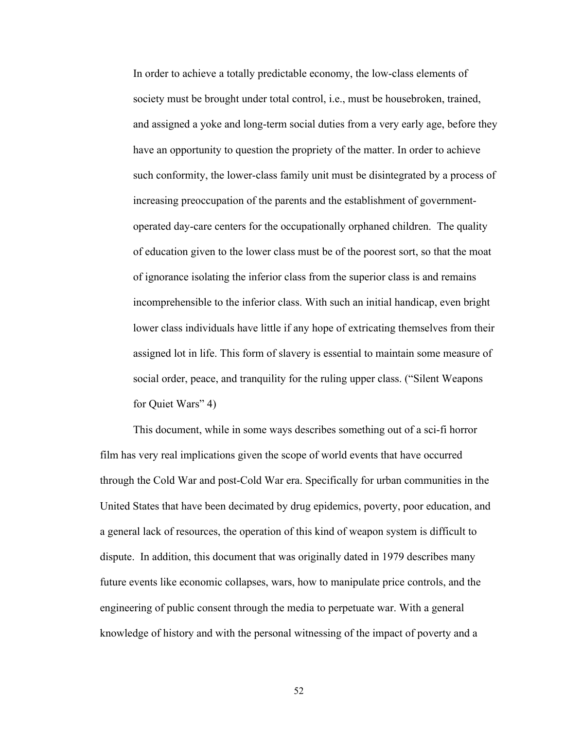In order to achieve a totally predictable economy, the low-class elements of society must be brought under total control, i.e., must be housebroken, trained, and assigned a yoke and long-term social duties from a very early age, before they have an opportunity to question the propriety of the matter. In order to achieve such conformity, the lower-class family unit must be disintegrated by a process of increasing preoccupation of the parents and the establishment of governmentoperated day-care centers for the occupationally orphaned children. The quality of education given to the lower class must be of the poorest sort, so that the moat of ignorance isolating the inferior class from the superior class is and remains incomprehensible to the inferior class. With such an initial handicap, even bright lower class individuals have little if any hope of extricating themselves from their assigned lot in life. This form of slavery is essential to maintain some measure of social order, peace, and tranquility for the ruling upper class. ("Silent Weapons for Quiet Wars" 4)

This document, while in some ways describes something out of a sci-fi horror film has very real implications given the scope of world events that have occurred through the Cold War and post-Cold War era. Specifically for urban communities in the United States that have been decimated by drug epidemics, poverty, poor education, and a general lack of resources, the operation of this kind of weapon system is difficult to dispute. In addition, this document that was originally dated in 1979 describes many future events like economic collapses, wars, how to manipulate price controls, and the engineering of public consent through the media to perpetuate war. With a general knowledge of history and with the personal witnessing of the impact of poverty and a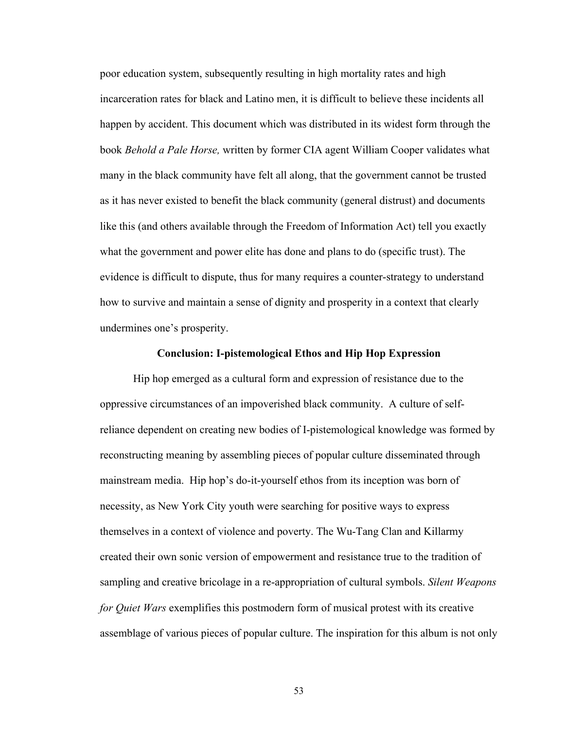poor education system, subsequently resulting in high mortality rates and high incarceration rates for black and Latino men, it is difficult to believe these incidents all happen by accident. This document which was distributed in its widest form through the book *Behold a Pale Horse,* written by former CIA agent William Cooper validates what many in the black community have felt all along, that the government cannot be trusted as it has never existed to benefit the black community (general distrust) and documents like this (and others available through the Freedom of Information Act) tell you exactly what the government and power elite has done and plans to do (specific trust). The evidence is difficult to dispute, thus for many requires a counter-strategy to understand how to survive and maintain a sense of dignity and prosperity in a context that clearly undermines one's prosperity.

#### **Conclusion: I-pistemological Ethos and Hip Hop Expression**

Hip hop emerged as a cultural form and expression of resistance due to the oppressive circumstances of an impoverished black community. A culture of selfreliance dependent on creating new bodies of I-pistemological knowledge was formed by reconstructing meaning by assembling pieces of popular culture disseminated through mainstream media. Hip hop's do-it-yourself ethos from its inception was born of necessity, as New York City youth were searching for positive ways to express themselves in a context of violence and poverty. The Wu-Tang Clan and Killarmy created their own sonic version of empowerment and resistance true to the tradition of sampling and creative bricolage in a re-appropriation of cultural symbols. *Silent Weapons for Quiet Wars* exemplifies this postmodern form of musical protest with its creative assemblage of various pieces of popular culture. The inspiration for this album is not only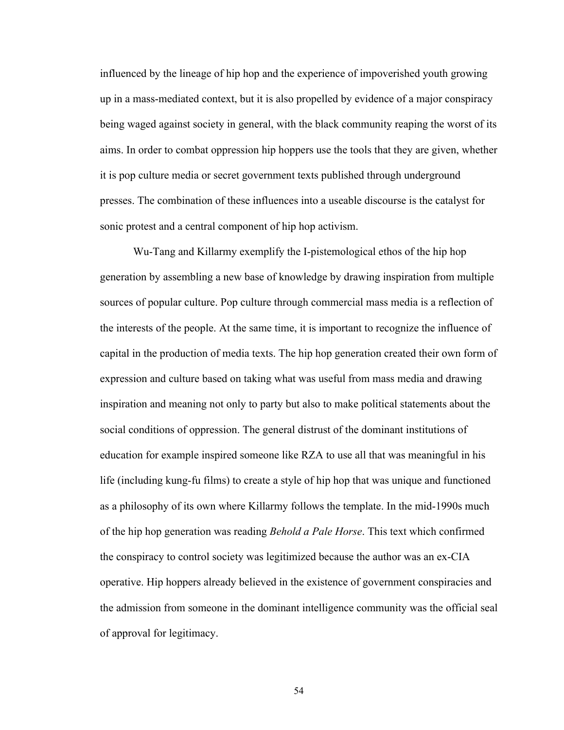influenced by the lineage of hip hop and the experience of impoverished youth growing up in a mass-mediated context, but it is also propelled by evidence of a major conspiracy being waged against society in general, with the black community reaping the worst of its aims. In order to combat oppression hip hoppers use the tools that they are given, whether it is pop culture media or secret government texts published through underground presses. The combination of these influences into a useable discourse is the catalyst for sonic protest and a central component of hip hop activism.

Wu-Tang and Killarmy exemplify the I-pistemological ethos of the hip hop generation by assembling a new base of knowledge by drawing inspiration from multiple sources of popular culture. Pop culture through commercial mass media is a reflection of the interests of the people. At the same time, it is important to recognize the influence of capital in the production of media texts. The hip hop generation created their own form of expression and culture based on taking what was useful from mass media and drawing inspiration and meaning not only to party but also to make political statements about the social conditions of oppression. The general distrust of the dominant institutions of education for example inspired someone like RZA to use all that was meaningful in his life (including kung-fu films) to create a style of hip hop that was unique and functioned as a philosophy of its own where Killarmy follows the template. In the mid-1990s much of the hip hop generation was reading *Behold a Pale Horse*. This text which confirmed the conspiracy to control society was legitimized because the author was an ex-CIA operative. Hip hoppers already believed in the existence of government conspiracies and the admission from someone in the dominant intelligence community was the official seal of approval for legitimacy.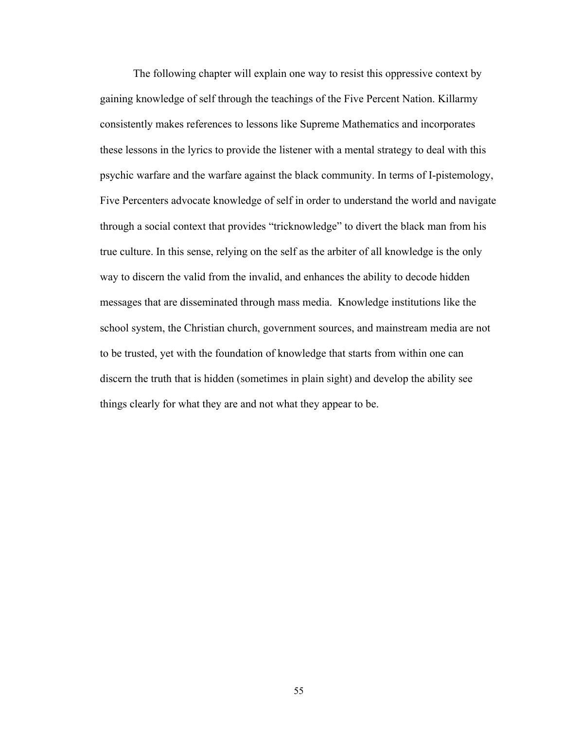The following chapter will explain one way to resist this oppressive context by gaining knowledge of self through the teachings of the Five Percent Nation. Killarmy consistently makes references to lessons like Supreme Mathematics and incorporates these lessons in the lyrics to provide the listener with a mental strategy to deal with this psychic warfare and the warfare against the black community. In terms of I-pistemology, Five Percenters advocate knowledge of self in order to understand the world and navigate through a social context that provides "tricknowledge" to divert the black man from his true culture. In this sense, relying on the self as the arbiter of all knowledge is the only way to discern the valid from the invalid, and enhances the ability to decode hidden messages that are disseminated through mass media. Knowledge institutions like the school system, the Christian church, government sources, and mainstream media are not to be trusted, yet with the foundation of knowledge that starts from within one can discern the truth that is hidden (sometimes in plain sight) and develop the ability see things clearly for what they are and not what they appear to be.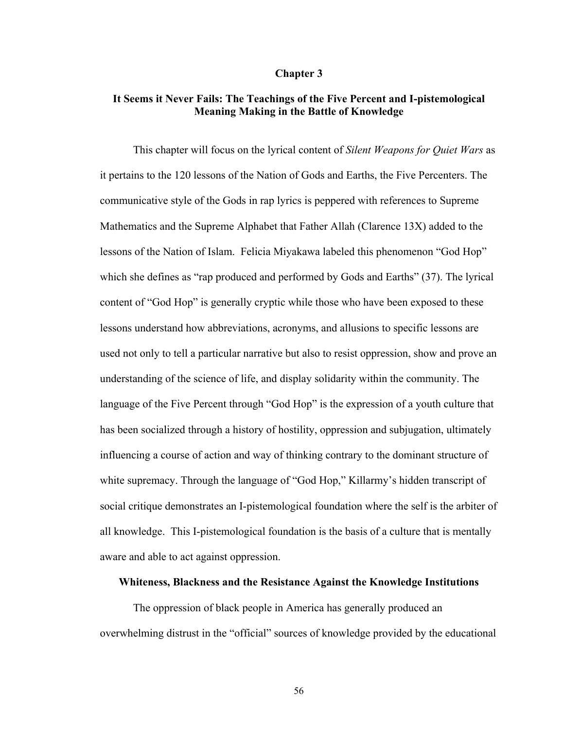#### **Chapter 3**

## **It Seems it Never Fails: The Teachings of the Five Percent and I-pistemological Meaning Making in the Battle of Knowledge**

This chapter will focus on the lyrical content of *Silent Weapons for Quiet Wars* as it pertains to the 120 lessons of the Nation of Gods and Earths, the Five Percenters. The communicative style of the Gods in rap lyrics is peppered with references to Supreme Mathematics and the Supreme Alphabet that Father Allah (Clarence 13X) added to the lessons of the Nation of Islam. Felicia Miyakawa labeled this phenomenon "God Hop" which she defines as "rap produced and performed by Gods and Earths" (37). The lyrical content of "God Hop" is generally cryptic while those who have been exposed to these lessons understand how abbreviations, acronyms, and allusions to specific lessons are used not only to tell a particular narrative but also to resist oppression, show and prove an understanding of the science of life, and display solidarity within the community. The language of the Five Percent through "God Hop" is the expression of a youth culture that has been socialized through a history of hostility, oppression and subjugation, ultimately influencing a course of action and way of thinking contrary to the dominant structure of white supremacy. Through the language of "God Hop," Killarmy's hidden transcript of social critique demonstrates an I-pistemological foundation where the self is the arbiter of all knowledge. This I-pistemological foundation is the basis of a culture that is mentally aware and able to act against oppression.

#### **Whiteness, Blackness and the Resistance Against the Knowledge Institutions**

The oppression of black people in America has generally produced an overwhelming distrust in the "official" sources of knowledge provided by the educational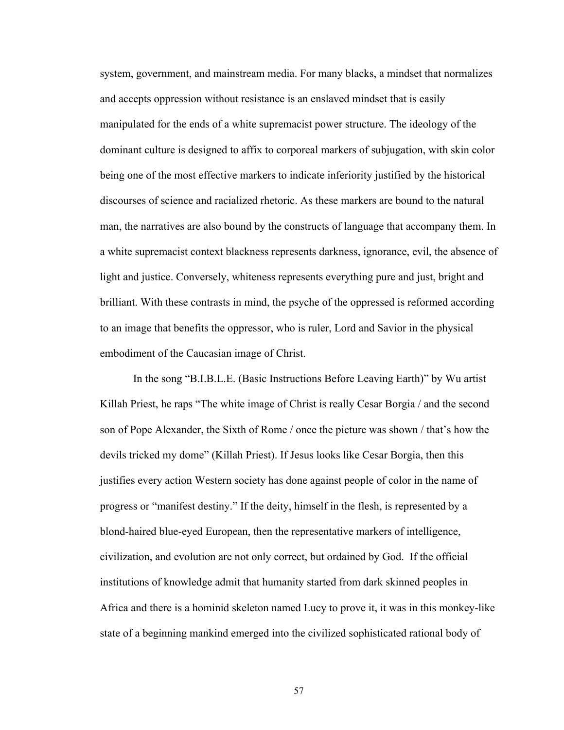system, government, and mainstream media. For many blacks, a mindset that normalizes and accepts oppression without resistance is an enslaved mindset that is easily manipulated for the ends of a white supremacist power structure. The ideology of the dominant culture is designed to affix to corporeal markers of subjugation, with skin color being one of the most effective markers to indicate inferiority justified by the historical discourses of science and racialized rhetoric. As these markers are bound to the natural man, the narratives are also bound by the constructs of language that accompany them. In a white supremacist context blackness represents darkness, ignorance, evil, the absence of light and justice. Conversely, whiteness represents everything pure and just, bright and brilliant. With these contrasts in mind, the psyche of the oppressed is reformed according to an image that benefits the oppressor, who is ruler, Lord and Savior in the physical embodiment of the Caucasian image of Christ.

In the song "B.I.B.L.E. (Basic Instructions Before Leaving Earth)" by Wu artist Killah Priest, he raps "The white image of Christ is really Cesar Borgia / and the second son of Pope Alexander, the Sixth of Rome / once the picture was shown / that's how the devils tricked my dome" (Killah Priest). If Jesus looks like Cesar Borgia, then this justifies every action Western society has done against people of color in the name of progress or "manifest destiny." If the deity, himself in the flesh, is represented by a blond-haired blue-eyed European, then the representative markers of intelligence, civilization, and evolution are not only correct, but ordained by God. If the official institutions of knowledge admit that humanity started from dark skinned peoples in Africa and there is a hominid skeleton named Lucy to prove it, it was in this monkey-like state of a beginning mankind emerged into the civilized sophisticated rational body of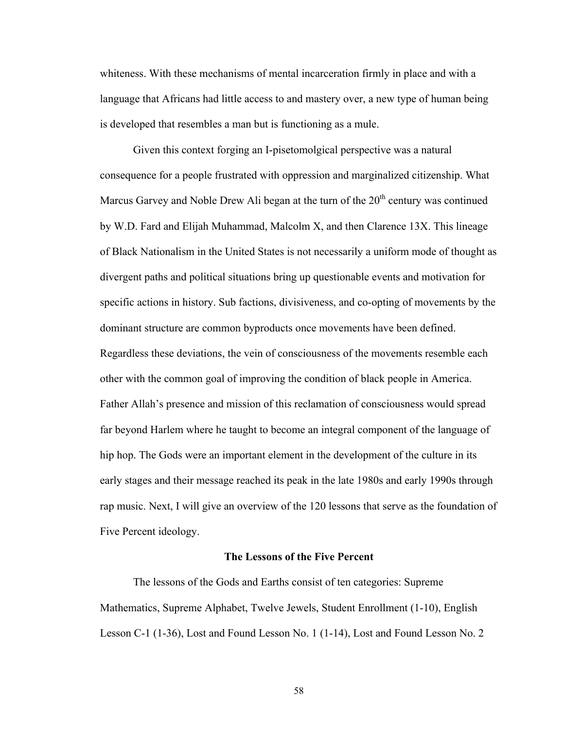whiteness. With these mechanisms of mental incarceration firmly in place and with a language that Africans had little access to and mastery over, a new type of human being is developed that resembles a man but is functioning as a mule.

Given this context forging an I-pisetomolgical perspective was a natural consequence for a people frustrated with oppression and marginalized citizenship. What Marcus Garvey and Noble Drew Ali began at the turn of the  $20<sup>th</sup>$  century was continued by W.D. Fard and Elijah Muhammad, Malcolm X, and then Clarence 13X. This lineage of Black Nationalism in the United States is not necessarily a uniform mode of thought as divergent paths and political situations bring up questionable events and motivation for specific actions in history. Sub factions, divisiveness, and co-opting of movements by the dominant structure are common byproducts once movements have been defined. Regardless these deviations, the vein of consciousness of the movements resemble each other with the common goal of improving the condition of black people in America. Father Allah's presence and mission of this reclamation of consciousness would spread far beyond Harlem where he taught to become an integral component of the language of hip hop. The Gods were an important element in the development of the culture in its early stages and their message reached its peak in the late 1980s and early 1990s through rap music. Next, I will give an overview of the 120 lessons that serve as the foundation of Five Percent ideology.

## **The Lessons of the Five Percent**

The lessons of the Gods and Earths consist of ten categories: Supreme Mathematics, Supreme Alphabet, Twelve Jewels, Student Enrollment (1-10), English Lesson C-1 (1-36), Lost and Found Lesson No. 1 (1-14), Lost and Found Lesson No. 2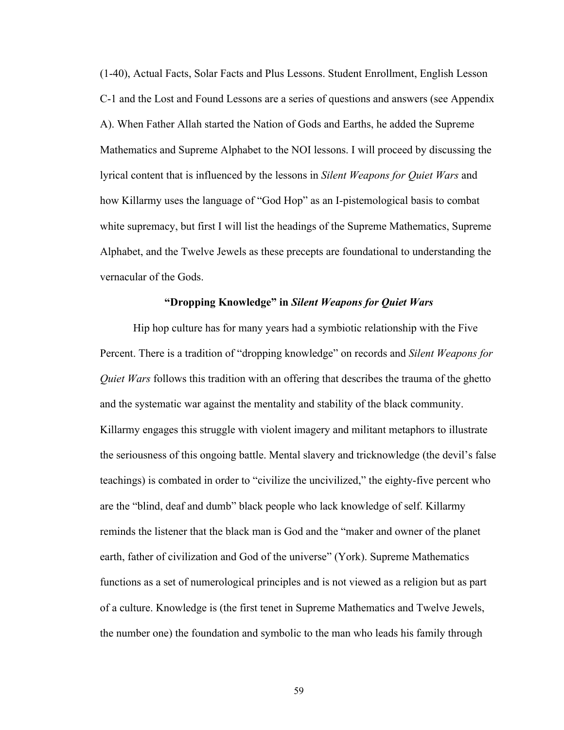(1-40), Actual Facts, Solar Facts and Plus Lessons. Student Enrollment, English Lesson C-1 and the Lost and Found Lessons are a series of questions and answers (see Appendix A). When Father Allah started the Nation of Gods and Earths, he added the Supreme Mathematics and Supreme Alphabet to the NOI lessons. I will proceed by discussing the lyrical content that is influenced by the lessons in *Silent Weapons for Quiet Wars* and how Killarmy uses the language of "God Hop" as an I-pistemological basis to combat white supremacy, but first I will list the headings of the Supreme Mathematics, Supreme Alphabet, and the Twelve Jewels as these precepts are foundational to understanding the vernacular of the Gods.

#### **"Dropping Knowledge" in** *Silent Weapons for Quiet Wars*

Hip hop culture has for many years had a symbiotic relationship with the Five Percent. There is a tradition of "dropping knowledge" on records and *Silent Weapons for Quiet Wars* follows this tradition with an offering that describes the trauma of the ghetto and the systematic war against the mentality and stability of the black community. Killarmy engages this struggle with violent imagery and militant metaphors to illustrate the seriousness of this ongoing battle. Mental slavery and tricknowledge (the devil's false teachings) is combated in order to "civilize the uncivilized," the eighty-five percent who are the "blind, deaf and dumb" black people who lack knowledge of self. Killarmy reminds the listener that the black man is God and the "maker and owner of the planet earth, father of civilization and God of the universe" (York). Supreme Mathematics functions as a set of numerological principles and is not viewed as a religion but as part of a culture. Knowledge is (the first tenet in Supreme Mathematics and Twelve Jewels, the number one) the foundation and symbolic to the man who leads his family through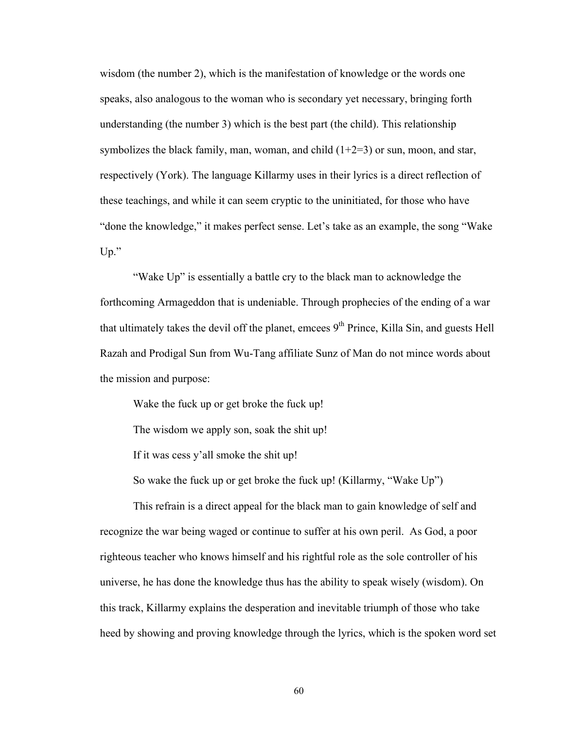wisdom (the number 2), which is the manifestation of knowledge or the words one speaks, also analogous to the woman who is secondary yet necessary, bringing forth understanding (the number 3) which is the best part (the child). This relationship symbolizes the black family, man, woman, and child  $(1+2=3)$  or sun, moon, and star, respectively (York). The language Killarmy uses in their lyrics is a direct reflection of these teachings, and while it can seem cryptic to the uninitiated, for those who have "done the knowledge," it makes perfect sense. Let's take as an example, the song "Wake Up."

"Wake Up" is essentially a battle cry to the black man to acknowledge the forthcoming Armageddon that is undeniable. Through prophecies of the ending of a war that ultimately takes the devil off the planet, emcees  $9<sup>th</sup>$  Prince, Killa Sin, and guests Hell Razah and Prodigal Sun from Wu-Tang affiliate Sunz of Man do not mince words about the mission and purpose:

Wake the fuck up or get broke the fuck up!

The wisdom we apply son, soak the shit up!

If it was cess y'all smoke the shit up!

So wake the fuck up or get broke the fuck up! (Killarmy, "Wake Up")

This refrain is a direct appeal for the black man to gain knowledge of self and recognize the war being waged or continue to suffer at his own peril. As God, a poor righteous teacher who knows himself and his rightful role as the sole controller of his universe, he has done the knowledge thus has the ability to speak wisely (wisdom). On this track, Killarmy explains the desperation and inevitable triumph of those who take heed by showing and proving knowledge through the lyrics, which is the spoken word set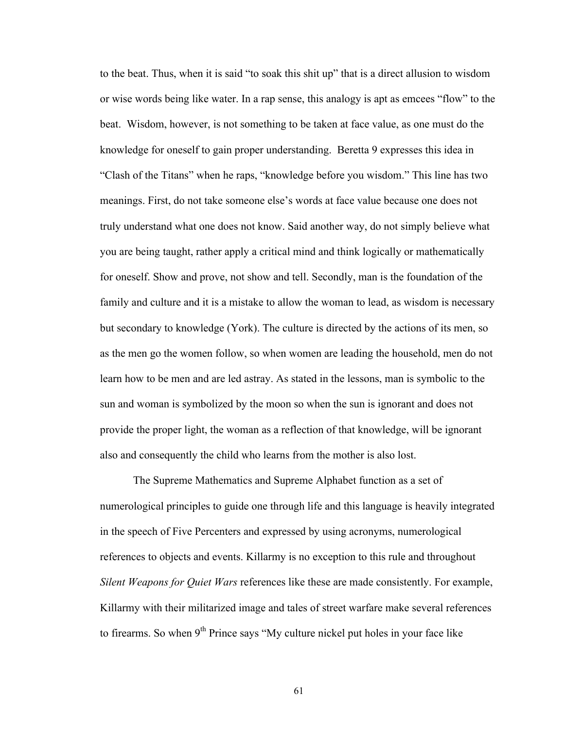to the beat. Thus, when it is said "to soak this shit up" that is a direct allusion to wisdom or wise words being like water. In a rap sense, this analogy is apt as emcees "flow" to the beat. Wisdom, however, is not something to be taken at face value, as one must do the knowledge for oneself to gain proper understanding. Beretta 9 expresses this idea in "Clash of the Titans" when he raps, "knowledge before you wisdom." This line has two meanings. First, do not take someone else's words at face value because one does not truly understand what one does not know. Said another way, do not simply believe what you are being taught, rather apply a critical mind and think logically or mathematically for oneself. Show and prove, not show and tell. Secondly, man is the foundation of the family and culture and it is a mistake to allow the woman to lead, as wisdom is necessary but secondary to knowledge (York). The culture is directed by the actions of its men, so as the men go the women follow, so when women are leading the household, men do not learn how to be men and are led astray. As stated in the lessons, man is symbolic to the sun and woman is symbolized by the moon so when the sun is ignorant and does not provide the proper light, the woman as a reflection of that knowledge, will be ignorant also and consequently the child who learns from the mother is also lost.

The Supreme Mathematics and Supreme Alphabet function as a set of numerological principles to guide one through life and this language is heavily integrated in the speech of Five Percenters and expressed by using acronyms, numerological references to objects and events. Killarmy is no exception to this rule and throughout *Silent Weapons for Quiet Wars* references like these are made consistently. For example, Killarmy with their militarized image and tales of street warfare make several references to firearms. So when  $9<sup>th</sup>$  Prince says "My culture nickel put holes in your face like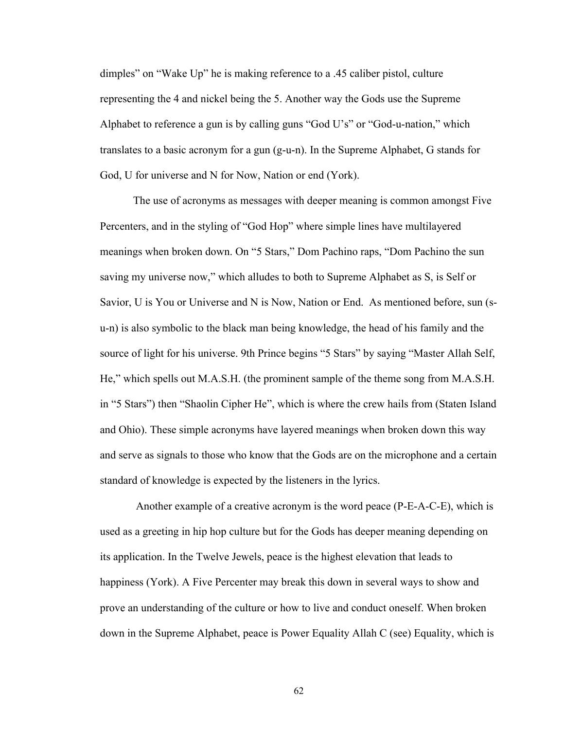dimples" on "Wake Up" he is making reference to a .45 caliber pistol, culture representing the 4 and nickel being the 5. Another way the Gods use the Supreme Alphabet to reference a gun is by calling guns "God U's" or "God-u-nation," which translates to a basic acronym for a gun (g-u-n). In the Supreme Alphabet, G stands for God, U for universe and N for Now, Nation or end (York).

The use of acronyms as messages with deeper meaning is common amongst Five Percenters, and in the styling of "God Hop" where simple lines have multilayered meanings when broken down. On "5 Stars," Dom Pachino raps, "Dom Pachino the sun saving my universe now," which alludes to both to Supreme Alphabet as S, is Self or Savior, U is You or Universe and N is Now, Nation or End. As mentioned before, sun (su-n) is also symbolic to the black man being knowledge, the head of his family and the source of light for his universe. 9th Prince begins "5 Stars" by saying "Master Allah Self, He," which spells out M.A.S.H. (the prominent sample of the theme song from M.A.S.H. in "5 Stars") then "Shaolin Cipher He", which is where the crew hails from (Staten Island and Ohio). These simple acronyms have layered meanings when broken down this way and serve as signals to those who know that the Gods are on the microphone and a certain standard of knowledge is expected by the listeners in the lyrics.

Another example of a creative acronym is the word peace (P-E-A-C-E), which is used as a greeting in hip hop culture but for the Gods has deeper meaning depending on its application. In the Twelve Jewels, peace is the highest elevation that leads to happiness (York). A Five Percenter may break this down in several ways to show and prove an understanding of the culture or how to live and conduct oneself. When broken down in the Supreme Alphabet, peace is Power Equality Allah C (see) Equality, which is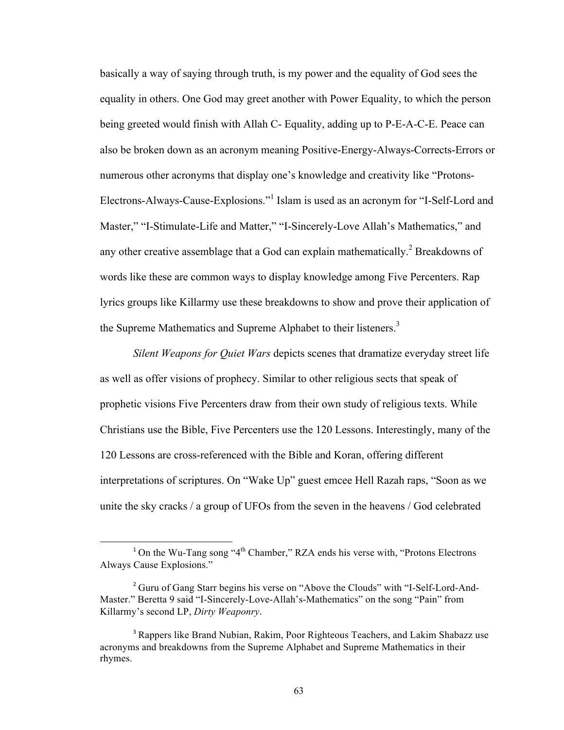basically a way of saying through truth, is my power and the equality of God sees the equality in others. One God may greet another with Power Equality, to which the person being greeted would finish with Allah C- Equality, adding up to P-E-A-C-E. Peace can also be broken down as an acronym meaning Positive-Energy-Always-Corrects-Errors or numerous other acronyms that display one's knowledge and creativity like "Protons-Electrons-Always-Cause-Explosions."<sup>1</sup> Islam is used as an acronym for "I-Self-Lord and Master," "I-Stimulate-Life and Matter," "I-Sincerely-Love Allah's Mathematics," and any other creative assemblage that a God can explain mathematically.<sup>2</sup> Breakdowns of words like these are common ways to display knowledge among Five Percenters. Rap lyrics groups like Killarmy use these breakdowns to show and prove their application of the Supreme Mathematics and Supreme Alphabet to their listeners.<sup>3</sup>

*Silent Weapons for Quiet Wars* depicts scenes that dramatize everyday street life as well as offer visions of prophecy. Similar to other religious sects that speak of prophetic visions Five Percenters draw from their own study of religious texts. While Christians use the Bible, Five Percenters use the 120 Lessons. Interestingly, many of the 120 Lessons are cross-referenced with the Bible and Koran, offering different interpretations of scriptures. On "Wake Up" guest emcee Hell Razah raps, "Soon as we unite the sky cracks / a group of UFOs from the seven in the heavens / God celebrated

!!!!!!!!!!!!!!!!!!!!!!!!!!!!!!!!!!!!!!!!!!!!!!!!!!!!!!!!!!!!

<sup>&</sup>lt;sup>1</sup> On the Wu-Tang song "4<sup>th</sup> Chamber," RZA ends his verse with, "Protons Electrons" Always Cause Explosions."

<sup>2</sup> Guru of Gang Starr begins his verse on "Above the Clouds" with "I-Self-Lord-And-Master." Beretta 9 said "I-Sincerely-Love-Allah's-Mathematics" on the song "Pain" from Killarmy's second LP, *Dirty Weaponry*.

<sup>&</sup>lt;sup>3</sup> Rappers like Brand Nubian, Rakim, Poor Righteous Teachers, and Lakim Shabazz use acronyms and breakdowns from the Supreme Alphabet and Supreme Mathematics in their rhymes.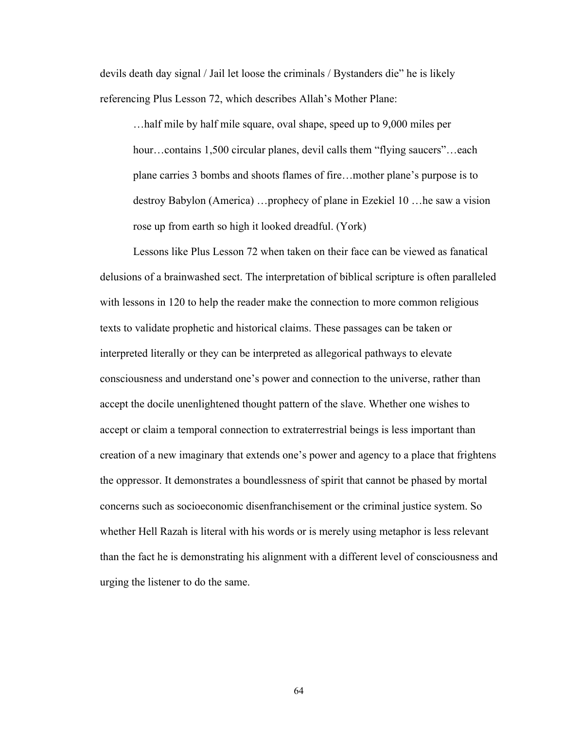devils death day signal / Jail let loose the criminals / Bystanders die" he is likely referencing Plus Lesson 72, which describes Allah's Mother Plane:

…half mile by half mile square, oval shape, speed up to 9,000 miles per hour…contains 1,500 circular planes, devil calls them "flying saucers"…each plane carries 3 bombs and shoots flames of fire…mother plane's purpose is to destroy Babylon (America) …prophecy of plane in Ezekiel 10 …he saw a vision rose up from earth so high it looked dreadful. (York)

Lessons like Plus Lesson 72 when taken on their face can be viewed as fanatical delusions of a brainwashed sect. The interpretation of biblical scripture is often paralleled with lessons in 120 to help the reader make the connection to more common religious texts to validate prophetic and historical claims. These passages can be taken or interpreted literally or they can be interpreted as allegorical pathways to elevate consciousness and understand one's power and connection to the universe, rather than accept the docile unenlightened thought pattern of the slave. Whether one wishes to accept or claim a temporal connection to extraterrestrial beings is less important than creation of a new imaginary that extends one's power and agency to a place that frightens the oppressor. It demonstrates a boundlessness of spirit that cannot be phased by mortal concerns such as socioeconomic disenfranchisement or the criminal justice system. So whether Hell Razah is literal with his words or is merely using metaphor is less relevant than the fact he is demonstrating his alignment with a different level of consciousness and urging the listener to do the same.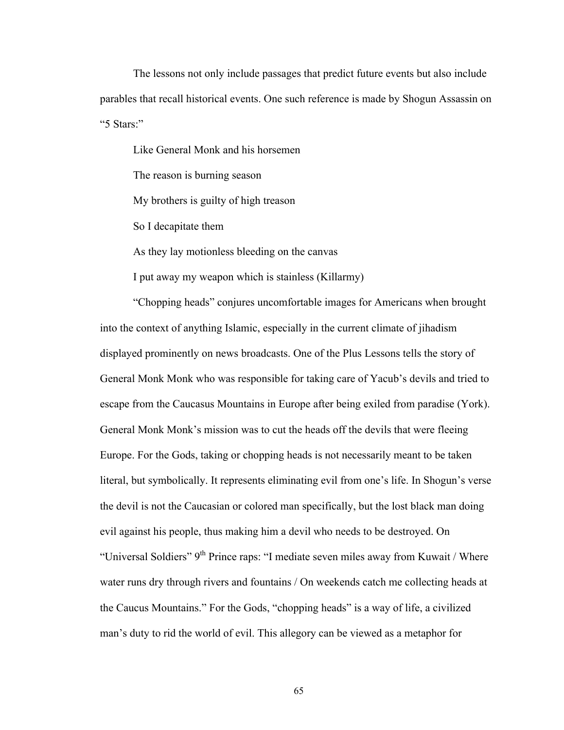The lessons not only include passages that predict future events but also include parables that recall historical events. One such reference is made by Shogun Assassin on "5 Stars:"

Like General Monk and his horsemen The reason is burning season My brothers is guilty of high treason So I decapitate them As they lay motionless bleeding on the canvas

I put away my weapon which is stainless (Killarmy)

"Chopping heads" conjures uncomfortable images for Americans when brought into the context of anything Islamic, especially in the current climate of jihadism displayed prominently on news broadcasts. One of the Plus Lessons tells the story of General Monk Monk who was responsible for taking care of Yacub's devils and tried to escape from the Caucasus Mountains in Europe after being exiled from paradise (York). General Monk Monk's mission was to cut the heads off the devils that were fleeing Europe. For the Gods, taking or chopping heads is not necessarily meant to be taken literal, but symbolically. It represents eliminating evil from one's life. In Shogun's verse the devil is not the Caucasian or colored man specifically, but the lost black man doing evil against his people, thus making him a devil who needs to be destroyed. On "Universal Soldiers"  $9<sup>th</sup>$  Prince raps: "I mediate seven miles away from Kuwait / Where water runs dry through rivers and fountains / On weekends catch me collecting heads at the Caucus Mountains." For the Gods, "chopping heads" is a way of life, a civilized man's duty to rid the world of evil. This allegory can be viewed as a metaphor for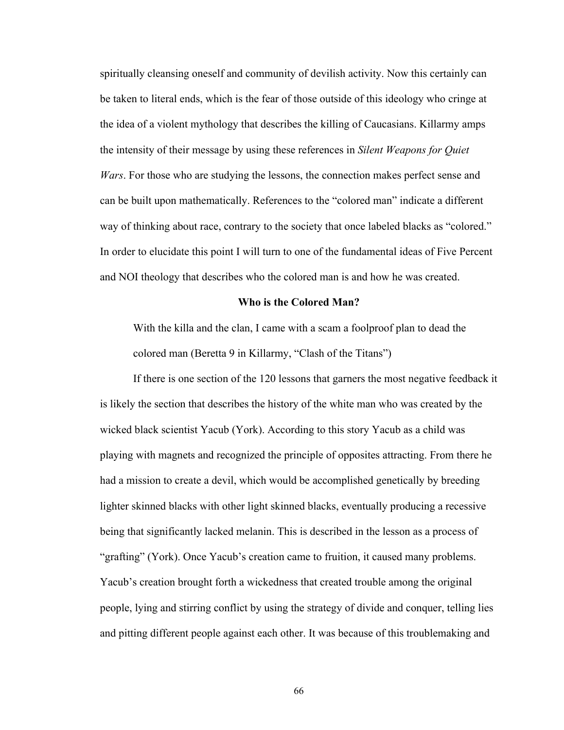spiritually cleansing oneself and community of devilish activity. Now this certainly can be taken to literal ends, which is the fear of those outside of this ideology who cringe at the idea of a violent mythology that describes the killing of Caucasians. Killarmy amps the intensity of their message by using these references in *Silent Weapons for Quiet Wars*. For those who are studying the lessons, the connection makes perfect sense and can be built upon mathematically. References to the "colored man" indicate a different way of thinking about race, contrary to the society that once labeled blacks as "colored." In order to elucidate this point I will turn to one of the fundamental ideas of Five Percent and NOI theology that describes who the colored man is and how he was created.

#### **Who is the Colored Man?**

With the killa and the clan, I came with a scam a foolproof plan to dead the colored man (Beretta 9 in Killarmy, "Clash of the Titans")

If there is one section of the 120 lessons that garners the most negative feedback it is likely the section that describes the history of the white man who was created by the wicked black scientist Yacub (York). According to this story Yacub as a child was playing with magnets and recognized the principle of opposites attracting. From there he had a mission to create a devil, which would be accomplished genetically by breeding lighter skinned blacks with other light skinned blacks, eventually producing a recessive being that significantly lacked melanin. This is described in the lesson as a process of "grafting" (York). Once Yacub's creation came to fruition, it caused many problems. Yacub's creation brought forth a wickedness that created trouble among the original people, lying and stirring conflict by using the strategy of divide and conquer, telling lies and pitting different people against each other. It was because of this troublemaking and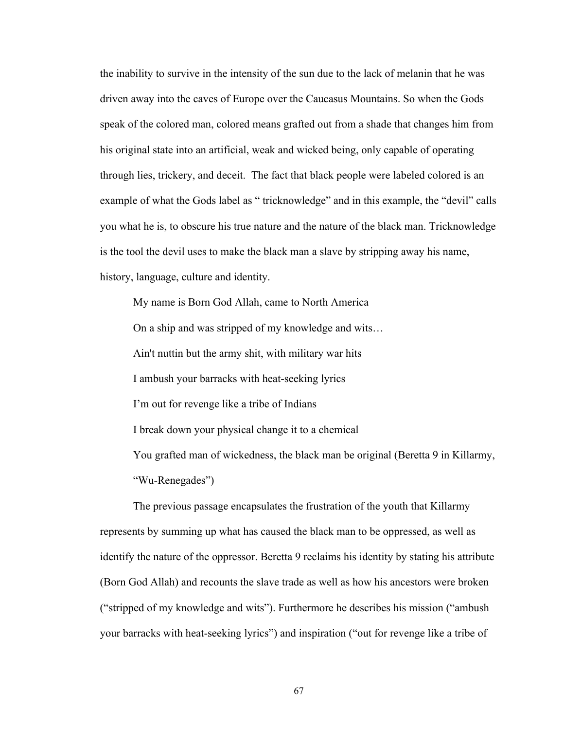the inability to survive in the intensity of the sun due to the lack of melanin that he was driven away into the caves of Europe over the Caucasus Mountains. So when the Gods speak of the colored man, colored means grafted out from a shade that changes him from his original state into an artificial, weak and wicked being, only capable of operating through lies, trickery, and deceit. The fact that black people were labeled colored is an example of what the Gods label as " tricknowledge" and in this example, the "devil" calls you what he is, to obscure his true nature and the nature of the black man. Tricknowledge is the tool the devil uses to make the black man a slave by stripping away his name, history, language, culture and identity.

My name is Born God Allah, came to North America On a ship and was stripped of my knowledge and wits… Ain't nuttin but the army shit, with military war hits I ambush your barracks with heat-seeking lyrics I'm out for revenge like a tribe of Indians I break down your physical change it to a chemical You grafted man of wickedness, the black man be original (Beretta 9 in Killarmy, "Wu-Renegades")

The previous passage encapsulates the frustration of the youth that Killarmy represents by summing up what has caused the black man to be oppressed, as well as identify the nature of the oppressor. Beretta 9 reclaims his identity by stating his attribute (Born God Allah) and recounts the slave trade as well as how his ancestors were broken ("stripped of my knowledge and wits"). Furthermore he describes his mission ("ambush your barracks with heat-seeking lyrics") and inspiration ("out for revenge like a tribe of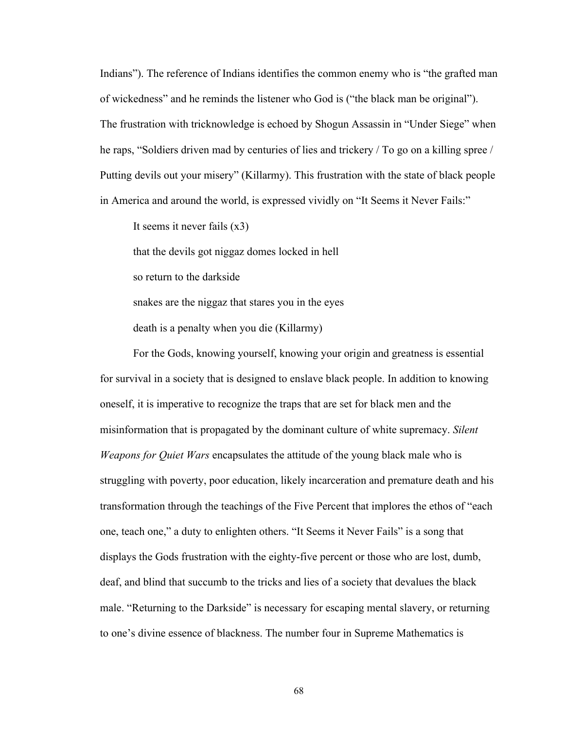Indians"). The reference of Indians identifies the common enemy who is "the grafted man of wickedness" and he reminds the listener who God is ("the black man be original"). The frustration with tricknowledge is echoed by Shogun Assassin in "Under Siege" when he raps, "Soldiers driven mad by centuries of lies and trickery / To go on a killing spree / Putting devils out your misery" (Killarmy). This frustration with the state of black people in America and around the world, is expressed vividly on "It Seems it Never Fails:"

It seems it never fails  $(x3)$ 

that the devils got niggaz domes locked in hell

so return to the darkside

snakes are the niggaz that stares you in the eyes

death is a penalty when you die (Killarmy)

For the Gods, knowing yourself, knowing your origin and greatness is essential for survival in a society that is designed to enslave black people. In addition to knowing oneself, it is imperative to recognize the traps that are set for black men and the misinformation that is propagated by the dominant culture of white supremacy. *Silent Weapons for Quiet Wars* encapsulates the attitude of the young black male who is struggling with poverty, poor education, likely incarceration and premature death and his transformation through the teachings of the Five Percent that implores the ethos of "each one, teach one," a duty to enlighten others. "It Seems it Never Fails" is a song that displays the Gods frustration with the eighty-five percent or those who are lost, dumb, deaf, and blind that succumb to the tricks and lies of a society that devalues the black male. "Returning to the Darkside" is necessary for escaping mental slavery, or returning to one's divine essence of blackness. The number four in Supreme Mathematics is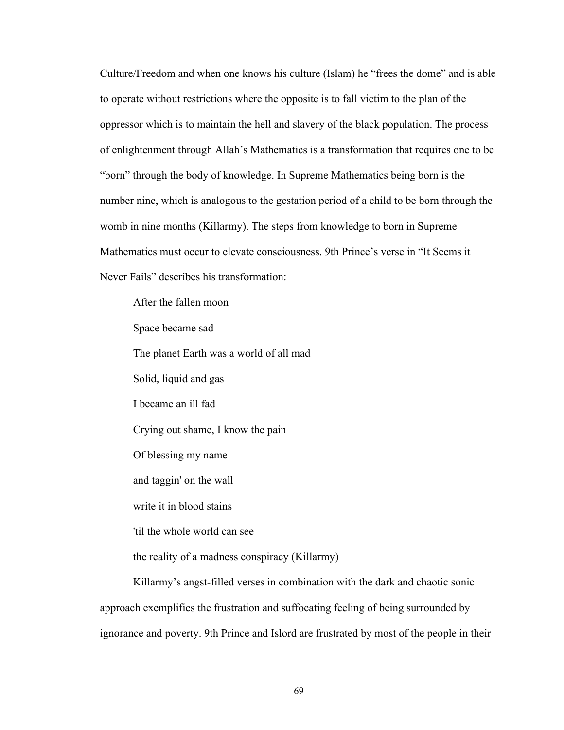Culture/Freedom and when one knows his culture (Islam) he "frees the dome" and is able to operate without restrictions where the opposite is to fall victim to the plan of the oppressor which is to maintain the hell and slavery of the black population. The process of enlightenment through Allah's Mathematics is a transformation that requires one to be "born" through the body of knowledge. In Supreme Mathematics being born is the number nine, which is analogous to the gestation period of a child to be born through the womb in nine months (Killarmy). The steps from knowledge to born in Supreme Mathematics must occur to elevate consciousness. 9th Prince's verse in "It Seems it Never Fails" describes his transformation:

After the fallen moon Space became sad The planet Earth was a world of all mad Solid, liquid and gas I became an ill fad Crying out shame, I know the pain Of blessing my name and taggin' on the wall write it in blood stains 'til the whole world can see the reality of a madness conspiracy (Killarmy) Killarmy's angst-filled verses in combination with the dark and chaotic sonic

approach exemplifies the frustration and suffocating feeling of being surrounded by ignorance and poverty. 9th Prince and Islord are frustrated by most of the people in their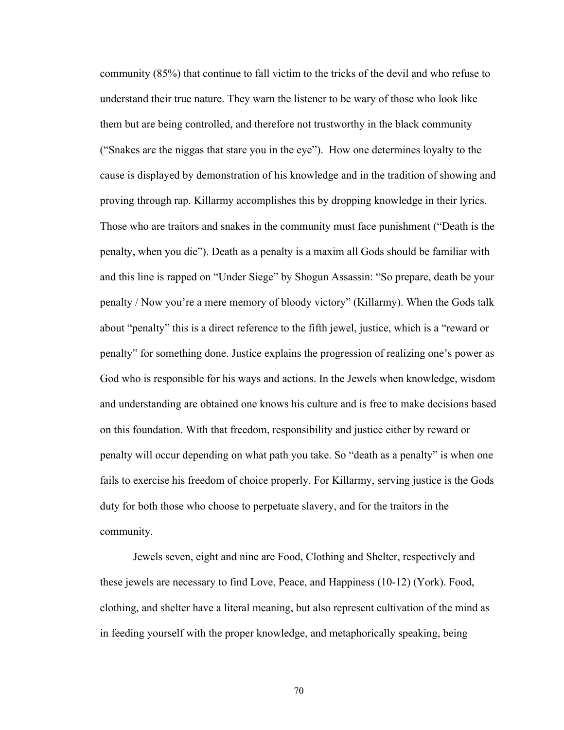community (85%) that continue to fall victim to the tricks of the devil and who refuse to understand their true nature. They warn the listener to be wary of those who look like them but are being controlled, and therefore not trustworthy in the black community ("Snakes are the niggas that stare you in the eye"). How one determines loyalty to the cause is displayed by demonstration of his knowledge and in the tradition of showing and proving through rap. Killarmy accomplishes this by dropping knowledge in their lyrics. Those who are traitors and snakes in the community must face punishment ("Death is the penalty, when you die"). Death as a penalty is a maxim all Gods should be familiar with and this line is rapped on "Under Siege" by Shogun Assassin: "So prepare, death be your penalty / Now you're a mere memory of bloody victory" (Killarmy). When the Gods talk about "penalty" this is a direct reference to the fifth jewel, justice, which is a "reward or penalty" for something done. Justice explains the progression of realizing one's power as God who is responsible for his ways and actions. In the Jewels when knowledge, wisdom and understanding are obtained one knows his culture and is free to make decisions based on this foundation. With that freedom, responsibility and justice either by reward or penalty will occur depending on what path you take. So "death as a penalty" is when one fails to exercise his freedom of choice properly. For Killarmy, serving justice is the Gods duty for both those who choose to perpetuate slavery, and for the traitors in the community.

Jewels seven, eight and nine are Food, Clothing and Shelter, respectively and these jewels are necessary to find Love, Peace, and Happiness (10-12) (York). Food, clothing, and shelter have a literal meaning, but also represent cultivation of the mind as in feeding yourself with the proper knowledge, and metaphorically speaking, being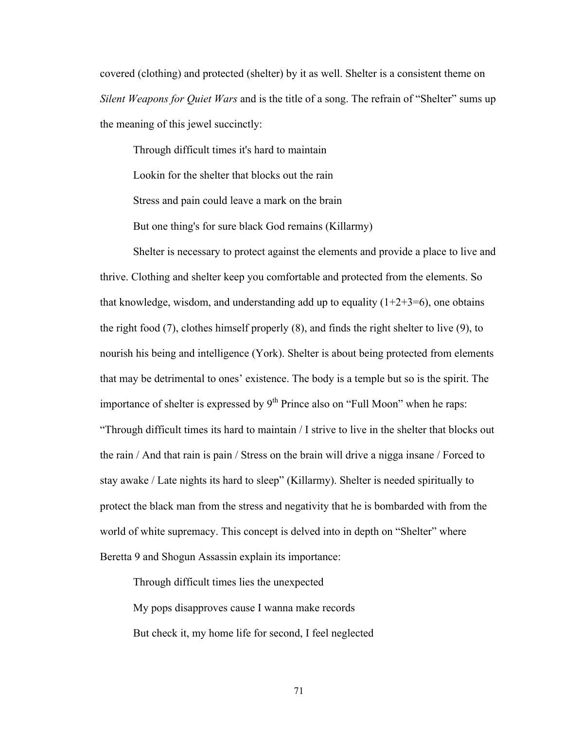covered (clothing) and protected (shelter) by it as well. Shelter is a consistent theme on *Silent Weapons for Quiet Wars* and is the title of a song. The refrain of "Shelter" sums up the meaning of this jewel succinctly:

Through difficult times it's hard to maintain

Lookin for the shelter that blocks out the rain

Stress and pain could leave a mark on the brain

But one thing's for sure black God remains (Killarmy)

Shelter is necessary to protect against the elements and provide a place to live and thrive. Clothing and shelter keep you comfortable and protected from the elements. So that knowledge, wisdom, and understanding add up to equality  $(1+2+3=6)$ , one obtains the right food (7), clothes himself properly (8), and finds the right shelter to live (9), to nourish his being and intelligence (York). Shelter is about being protected from elements that may be detrimental to ones' existence. The body is a temple but so is the spirit. The importance of shelter is expressed by  $9<sup>th</sup>$  Prince also on "Full Moon" when he raps: "Through difficult times its hard to maintain / I strive to live in the shelter that blocks out the rain / And that rain is pain / Stress on the brain will drive a nigga insane / Forced to stay awake / Late nights its hard to sleep" (Killarmy). Shelter is needed spiritually to protect the black man from the stress and negativity that he is bombarded with from the world of white supremacy. This concept is delved into in depth on "Shelter" where Beretta 9 and Shogun Assassin explain its importance:

Through difficult times lies the unexpected My pops disapproves cause I wanna make records But check it, my home life for second, I feel neglected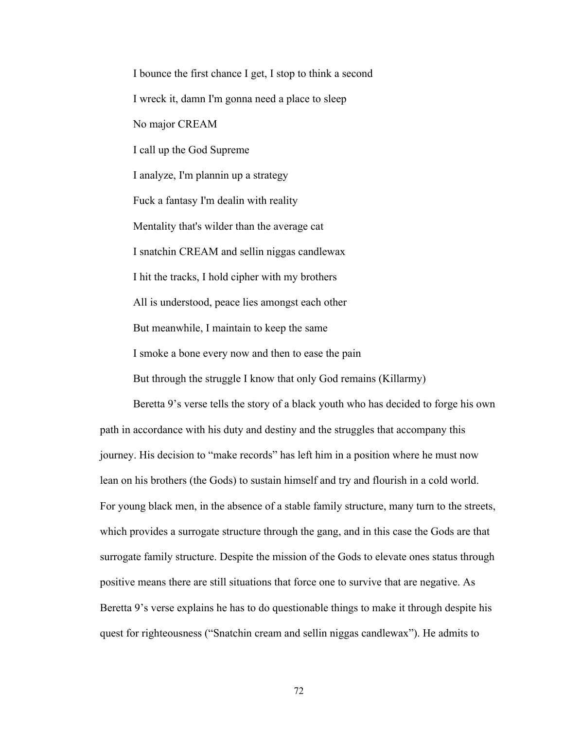I bounce the first chance I get, I stop to think a second I wreck it, damn I'm gonna need a place to sleep No major CREAM I call up the God Supreme I analyze, I'm plannin up a strategy Fuck a fantasy I'm dealin with reality Mentality that's wilder than the average cat I snatchin CREAM and sellin niggas candlewax I hit the tracks, I hold cipher with my brothers All is understood, peace lies amongst each other But meanwhile, I maintain to keep the same I smoke a bone every now and then to ease the pain

But through the struggle I know that only God remains (Killarmy)

Beretta 9's verse tells the story of a black youth who has decided to forge his own path in accordance with his duty and destiny and the struggles that accompany this journey. His decision to "make records" has left him in a position where he must now lean on his brothers (the Gods) to sustain himself and try and flourish in a cold world. For young black men, in the absence of a stable family structure, many turn to the streets, which provides a surrogate structure through the gang, and in this case the Gods are that surrogate family structure. Despite the mission of the Gods to elevate ones status through positive means there are still situations that force one to survive that are negative. As Beretta 9's verse explains he has to do questionable things to make it through despite his quest for righteousness ("Snatchin cream and sellin niggas candlewax"). He admits to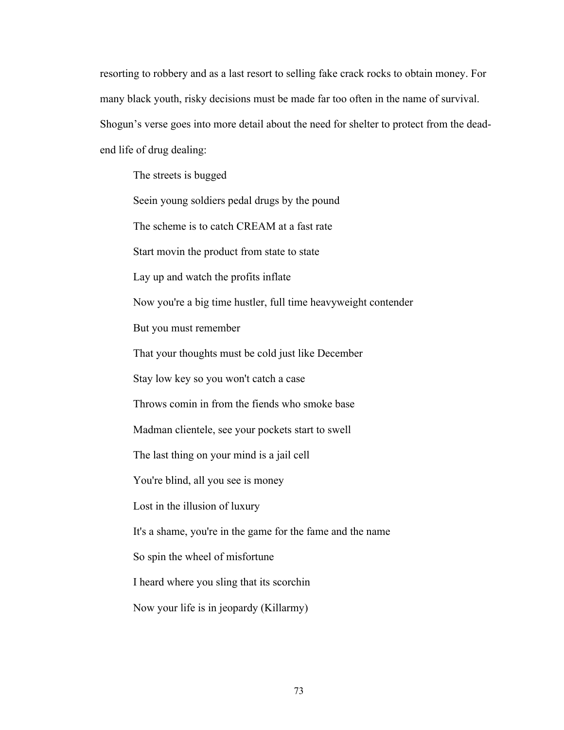resorting to robbery and as a last resort to selling fake crack rocks to obtain money. For many black youth, risky decisions must be made far too often in the name of survival. Shogun's verse goes into more detail about the need for shelter to protect from the deadend life of drug dealing:

The streets is bugged Seein young soldiers pedal drugs by the pound The scheme is to catch CREAM at a fast rate Start movin the product from state to state Lay up and watch the profits inflate Now you're a big time hustler, full time heavyweight contender But you must remember That your thoughts must be cold just like December Stay low key so you won't catch a case Throws comin in from the fiends who smoke base Madman clientele, see your pockets start to swell The last thing on your mind is a jail cell You're blind, all you see is money Lost in the illusion of luxury It's a shame, you're in the game for the fame and the name So spin the wheel of misfortune I heard where you sling that its scorchin Now your life is in jeopardy (Killarmy)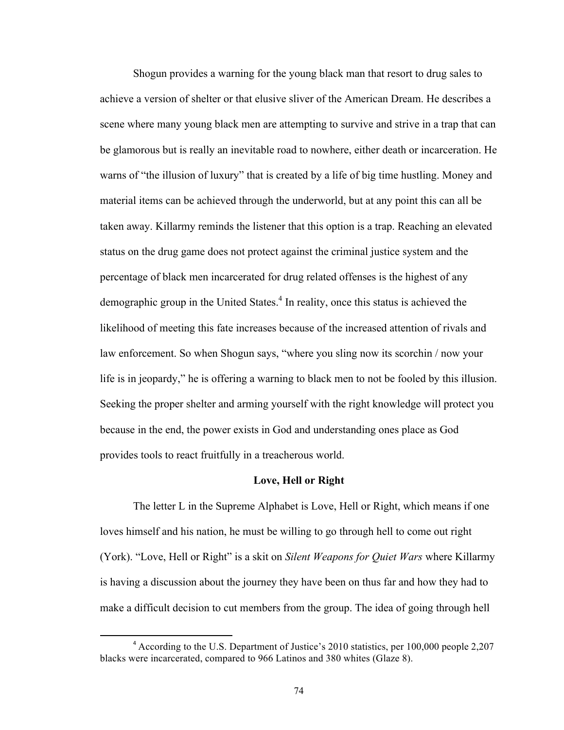Shogun provides a warning for the young black man that resort to drug sales to achieve a version of shelter or that elusive sliver of the American Dream. He describes a scene where many young black men are attempting to survive and strive in a trap that can be glamorous but is really an inevitable road to nowhere, either death or incarceration. He warns of "the illusion of luxury" that is created by a life of big time hustling. Money and material items can be achieved through the underworld, but at any point this can all be taken away. Killarmy reminds the listener that this option is a trap. Reaching an elevated status on the drug game does not protect against the criminal justice system and the percentage of black men incarcerated for drug related offenses is the highest of any demographic group in the United States. <sup>4</sup> In reality, once this status is achieved the likelihood of meeting this fate increases because of the increased attention of rivals and law enforcement. So when Shogun says, "where you sling now its scorchin / now your life is in jeopardy," he is offering a warning to black men to not be fooled by this illusion. Seeking the proper shelter and arming yourself with the right knowledge will protect you because in the end, the power exists in God and understanding ones place as God provides tools to react fruitfully in a treacherous world.

#### **Love, Hell or Right**

The letter L in the Supreme Alphabet is Love, Hell or Right, which means if one loves himself and his nation, he must be willing to go through hell to come out right (York). "Love, Hell or Right" is a skit on *Silent Weapons for Quiet Wars* where Killarmy is having a discussion about the journey they have been on thus far and how they had to make a difficult decision to cut members from the group. The idea of going through hell

!!!!!!!!!!!!!!!!!!!!!!!!!!!!!!!!!!!!!!!!!!!!!!!!!!!!!!!!!!!!

<sup>4</sup> According to the U.S. Department of Justice's 2010 statistics, per 100,000 people 2,207 blacks were incarcerated, compared to 966 Latinos and 380 whites (Glaze 8).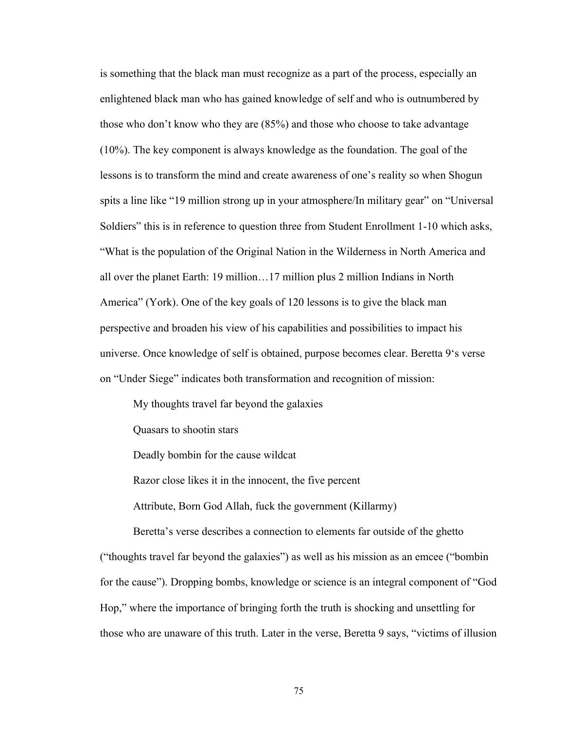is something that the black man must recognize as a part of the process, especially an enlightened black man who has gained knowledge of self and who is outnumbered by those who don't know who they are (85%) and those who choose to take advantage (10%). The key component is always knowledge as the foundation. The goal of the lessons is to transform the mind and create awareness of one's reality so when Shogun spits a line like "19 million strong up in your atmosphere/In military gear" on "Universal Soldiers" this is in reference to question three from Student Enrollment 1-10 which asks, "What is the population of the Original Nation in the Wilderness in North America and all over the planet Earth: 19 million…17 million plus 2 million Indians in North America" (York). One of the key goals of 120 lessons is to give the black man perspective and broaden his view of his capabilities and possibilities to impact his universe. Once knowledge of self is obtained, purpose becomes clear. Beretta 9's verse on "Under Siege" indicates both transformation and recognition of mission:

My thoughts travel far beyond the galaxies

Quasars to shootin stars

Deadly bombin for the cause wildcat

Razor close likes it in the innocent, the five percent

Attribute, Born God Allah, fuck the government (Killarmy)

Beretta's verse describes a connection to elements far outside of the ghetto ("thoughts travel far beyond the galaxies") as well as his mission as an emcee ("bombin for the cause"). Dropping bombs, knowledge or science is an integral component of "God Hop," where the importance of bringing forth the truth is shocking and unsettling for those who are unaware of this truth. Later in the verse, Beretta 9 says, "victims of illusion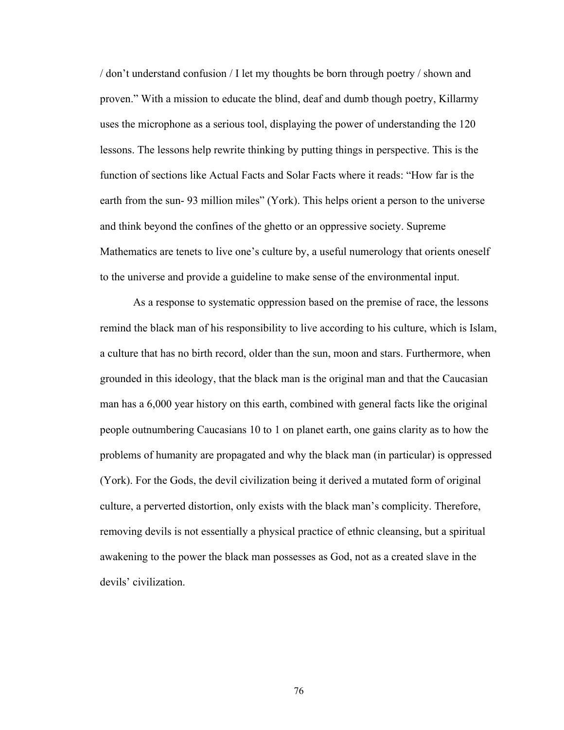/ don't understand confusion / I let my thoughts be born through poetry / shown and proven." With a mission to educate the blind, deaf and dumb though poetry, Killarmy uses the microphone as a serious tool, displaying the power of understanding the 120 lessons. The lessons help rewrite thinking by putting things in perspective. This is the function of sections like Actual Facts and Solar Facts where it reads: "How far is the earth from the sun- 93 million miles" (York). This helps orient a person to the universe and think beyond the confines of the ghetto or an oppressive society. Supreme Mathematics are tenets to live one's culture by, a useful numerology that orients oneself to the universe and provide a guideline to make sense of the environmental input.

As a response to systematic oppression based on the premise of race, the lessons remind the black man of his responsibility to live according to his culture, which is Islam, a culture that has no birth record, older than the sun, moon and stars. Furthermore, when grounded in this ideology, that the black man is the original man and that the Caucasian man has a 6,000 year history on this earth, combined with general facts like the original people outnumbering Caucasians 10 to 1 on planet earth, one gains clarity as to how the problems of humanity are propagated and why the black man (in particular) is oppressed (York). For the Gods, the devil civilization being it derived a mutated form of original culture, a perverted distortion, only exists with the black man's complicity. Therefore, removing devils is not essentially a physical practice of ethnic cleansing, but a spiritual awakening to the power the black man possesses as God, not as a created slave in the devils' civilization.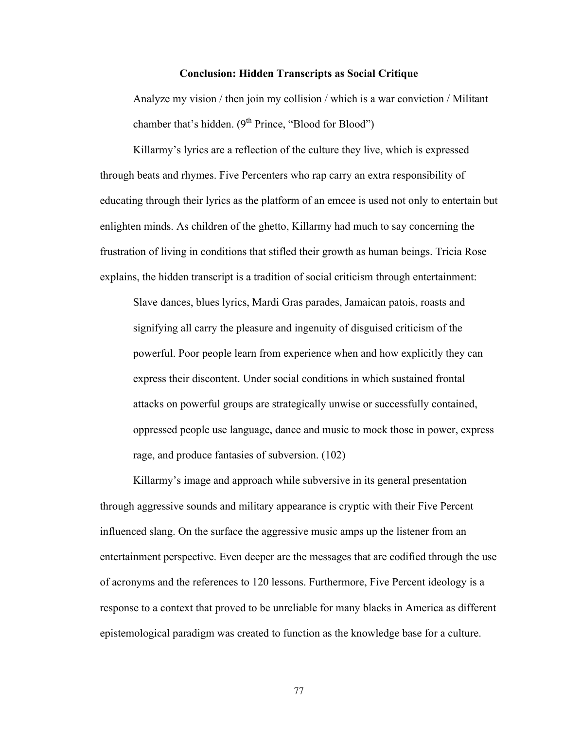## **Conclusion: Hidden Transcripts as Social Critique**

Analyze my vision / then join my collision / which is a war conviction / Militant chamber that's hidden.  $(9<sup>th</sup> Prince, "Blood for Blood")$ 

Killarmy's lyrics are a reflection of the culture they live, which is expressed through beats and rhymes. Five Percenters who rap carry an extra responsibility of educating through their lyrics as the platform of an emcee is used not only to entertain but enlighten minds. As children of the ghetto, Killarmy had much to say concerning the frustration of living in conditions that stifled their growth as human beings. Tricia Rose explains, the hidden transcript is a tradition of social criticism through entertainment:

Slave dances, blues lyrics, Mardi Gras parades, Jamaican patois, roasts and signifying all carry the pleasure and ingenuity of disguised criticism of the powerful. Poor people learn from experience when and how explicitly they can express their discontent. Under social conditions in which sustained frontal attacks on powerful groups are strategically unwise or successfully contained, oppressed people use language, dance and music to mock those in power, express rage, and produce fantasies of subversion. (102)

Killarmy's image and approach while subversive in its general presentation through aggressive sounds and military appearance is cryptic with their Five Percent influenced slang. On the surface the aggressive music amps up the listener from an entertainment perspective. Even deeper are the messages that are codified through the use of acronyms and the references to 120 lessons. Furthermore, Five Percent ideology is a response to a context that proved to be unreliable for many blacks in America as different epistemological paradigm was created to function as the knowledge base for a culture.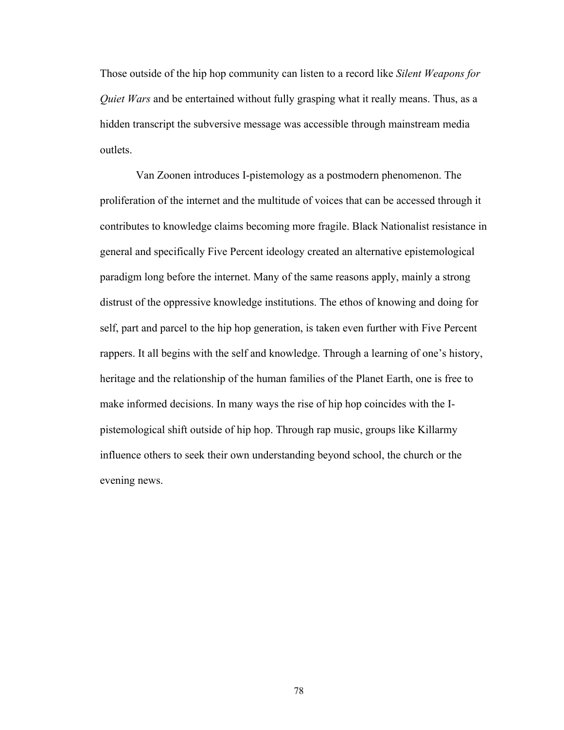Those outside of the hip hop community can listen to a record like *Silent Weapons for Quiet Wars* and be entertained without fully grasping what it really means. Thus, as a hidden transcript the subversive message was accessible through mainstream media outlets.

Van Zoonen introduces I-pistemology as a postmodern phenomenon. The proliferation of the internet and the multitude of voices that can be accessed through it contributes to knowledge claims becoming more fragile. Black Nationalist resistance in general and specifically Five Percent ideology created an alternative epistemological paradigm long before the internet. Many of the same reasons apply, mainly a strong distrust of the oppressive knowledge institutions. The ethos of knowing and doing for self, part and parcel to the hip hop generation, is taken even further with Five Percent rappers. It all begins with the self and knowledge. Through a learning of one's history, heritage and the relationship of the human families of the Planet Earth, one is free to make informed decisions. In many ways the rise of hip hop coincides with the Ipistemological shift outside of hip hop. Through rap music, groups like Killarmy influence others to seek their own understanding beyond school, the church or the evening news.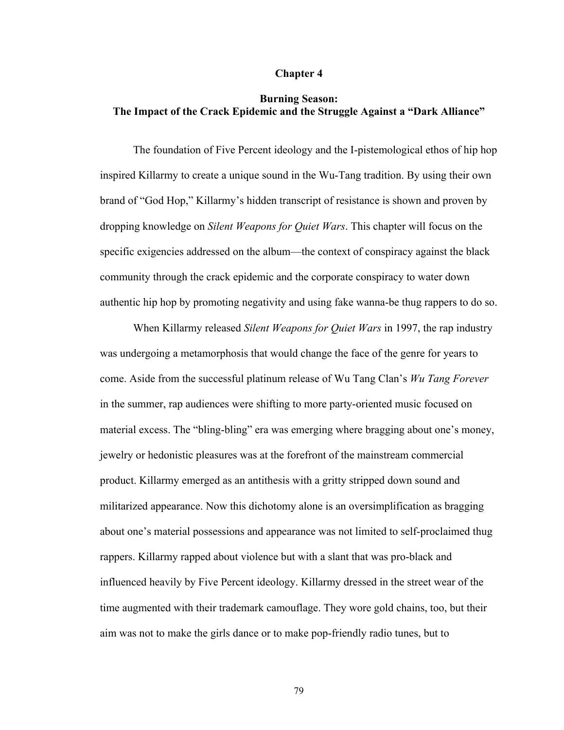# **Chapter 4**

# **Burning Season: The Impact of the Crack Epidemic and the Struggle Against a "Dark Alliance"**

The foundation of Five Percent ideology and the I-pistemological ethos of hip hop inspired Killarmy to create a unique sound in the Wu-Tang tradition. By using their own brand of "God Hop," Killarmy's hidden transcript of resistance is shown and proven by dropping knowledge on *Silent Weapons for Quiet Wars*. This chapter will focus on the specific exigencies addressed on the album—the context of conspiracy against the black community through the crack epidemic and the corporate conspiracy to water down authentic hip hop by promoting negativity and using fake wanna-be thug rappers to do so.

When Killarmy released *Silent Weapons for Quiet Wars* in 1997, the rap industry was undergoing a metamorphosis that would change the face of the genre for years to come. Aside from the successful platinum release of Wu Tang Clan's *Wu Tang Forever* in the summer, rap audiences were shifting to more party-oriented music focused on material excess. The "bling-bling" era was emerging where bragging about one's money, jewelry or hedonistic pleasures was at the forefront of the mainstream commercial product. Killarmy emerged as an antithesis with a gritty stripped down sound and militarized appearance. Now this dichotomy alone is an oversimplification as bragging about one's material possessions and appearance was not limited to self-proclaimed thug rappers. Killarmy rapped about violence but with a slant that was pro-black and influenced heavily by Five Percent ideology. Killarmy dressed in the street wear of the time augmented with their trademark camouflage. They wore gold chains, too, but their aim was not to make the girls dance or to make pop-friendly radio tunes, but to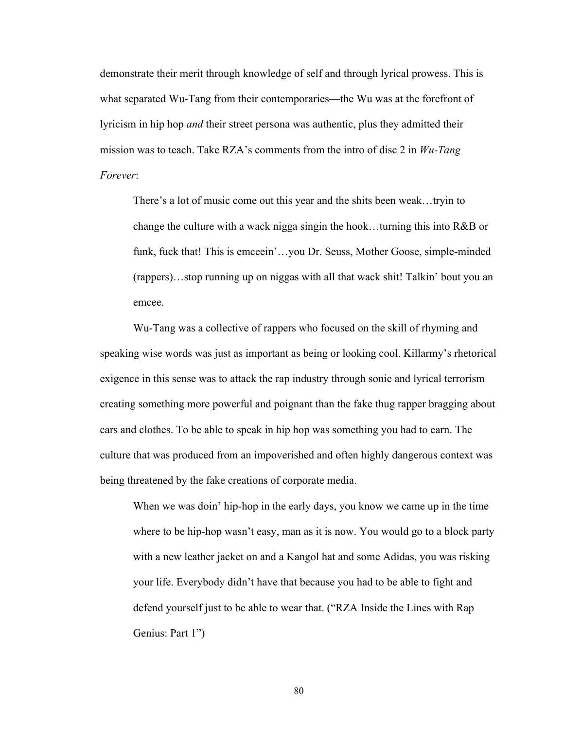demonstrate their merit through knowledge of self and through lyrical prowess. This is what separated Wu-Tang from their contemporaries—the Wu was at the forefront of lyricism in hip hop *and* their street persona was authentic, plus they admitted their mission was to teach. Take RZA's comments from the intro of disc 2 in *Wu-Tang Forever*:

There's a lot of music come out this year and the shits been weak…tryin to change the culture with a wack nigga singin the hook…turning this into R&B or funk, fuck that! This is emceein'...you Dr. Seuss, Mother Goose, simple-minded (rappers)…stop running up on niggas with all that wack shit! Talkin' bout you an emcee.

Wu-Tang was a collective of rappers who focused on the skill of rhyming and speaking wise words was just as important as being or looking cool. Killarmy's rhetorical exigence in this sense was to attack the rap industry through sonic and lyrical terrorism creating something more powerful and poignant than the fake thug rapper bragging about cars and clothes. To be able to speak in hip hop was something you had to earn. The culture that was produced from an impoverished and often highly dangerous context was being threatened by the fake creations of corporate media.

When we was doin' hip-hop in the early days, you know we came up in the time where to be hip-hop wasn't easy, man as it is now. You would go to a block party with a new leather jacket on and a Kangol hat and some Adidas, you was risking your life. Everybody didn't have that because you had to be able to fight and defend yourself just to be able to wear that. ("RZA Inside the Lines with Rap Genius: Part 1")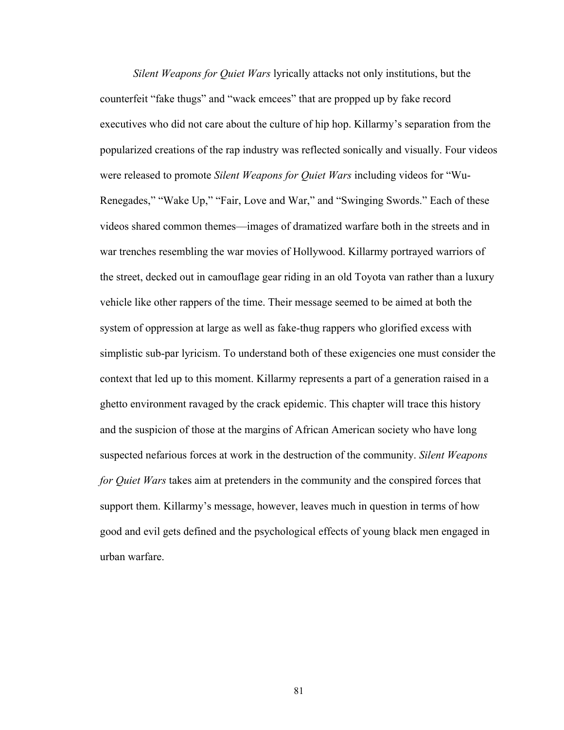*Silent Weapons for Quiet Wars* lyrically attacks not only institutions, but the counterfeit "fake thugs" and "wack emcees" that are propped up by fake record executives who did not care about the culture of hip hop. Killarmy's separation from the popularized creations of the rap industry was reflected sonically and visually. Four videos were released to promote *Silent Weapons for Quiet Wars* including videos for "Wu-Renegades," "Wake Up," "Fair, Love and War," and "Swinging Swords." Each of these videos shared common themes—images of dramatized warfare both in the streets and in war trenches resembling the war movies of Hollywood. Killarmy portrayed warriors of the street, decked out in camouflage gear riding in an old Toyota van rather than a luxury vehicle like other rappers of the time. Their message seemed to be aimed at both the system of oppression at large as well as fake-thug rappers who glorified excess with simplistic sub-par lyricism. To understand both of these exigencies one must consider the context that led up to this moment. Killarmy represents a part of a generation raised in a ghetto environment ravaged by the crack epidemic. This chapter will trace this history and the suspicion of those at the margins of African American society who have long suspected nefarious forces at work in the destruction of the community. *Silent Weapons for Quiet Wars* takes aim at pretenders in the community and the conspired forces that support them. Killarmy's message, however, leaves much in question in terms of how good and evil gets defined and the psychological effects of young black men engaged in urban warfare.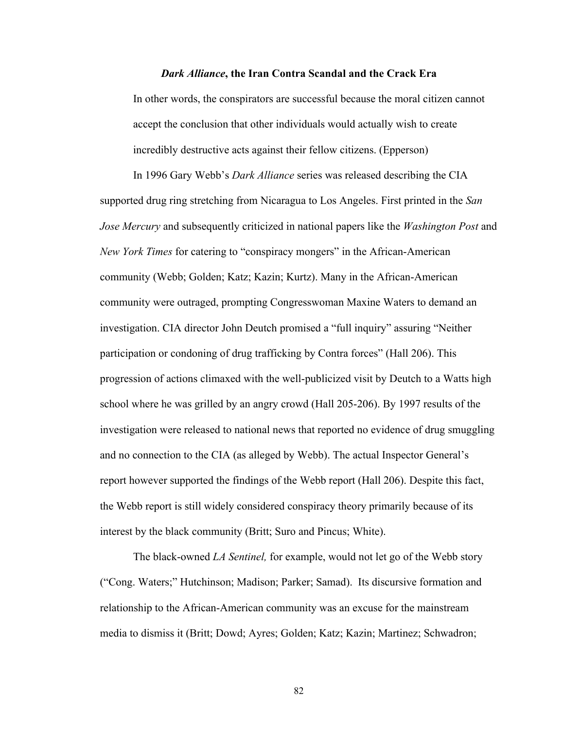#### *Dark Alliance***, the Iran Contra Scandal and the Crack Era**

In other words, the conspirators are successful because the moral citizen cannot accept the conclusion that other individuals would actually wish to create incredibly destructive acts against their fellow citizens. (Epperson)

In 1996 Gary Webb's *Dark Alliance* series was released describing the CIA supported drug ring stretching from Nicaragua to Los Angeles. First printed in the *San Jose Mercury* and subsequently criticized in national papers like the *Washington Post* and *New York Times* for catering to "conspiracy mongers" in the African-American community (Webb; Golden; Katz; Kazin; Kurtz). Many in the African-American community were outraged, prompting Congresswoman Maxine Waters to demand an investigation. CIA director John Deutch promised a "full inquiry" assuring "Neither participation or condoning of drug trafficking by Contra forces" (Hall 206). This progression of actions climaxed with the well-publicized visit by Deutch to a Watts high school where he was grilled by an angry crowd (Hall 205-206). By 1997 results of the investigation were released to national news that reported no evidence of drug smuggling and no connection to the CIA (as alleged by Webb). The actual Inspector General's report however supported the findings of the Webb report (Hall 206). Despite this fact, the Webb report is still widely considered conspiracy theory primarily because of its interest by the black community (Britt; Suro and Pincus; White).

The black-owned *LA Sentinel,* for example, would not let go of the Webb story ("Cong. Waters;" Hutchinson; Madison; Parker; Samad). Its discursive formation and relationship to the African-American community was an excuse for the mainstream media to dismiss it (Britt; Dowd; Ayres; Golden; Katz; Kazin; Martinez; Schwadron;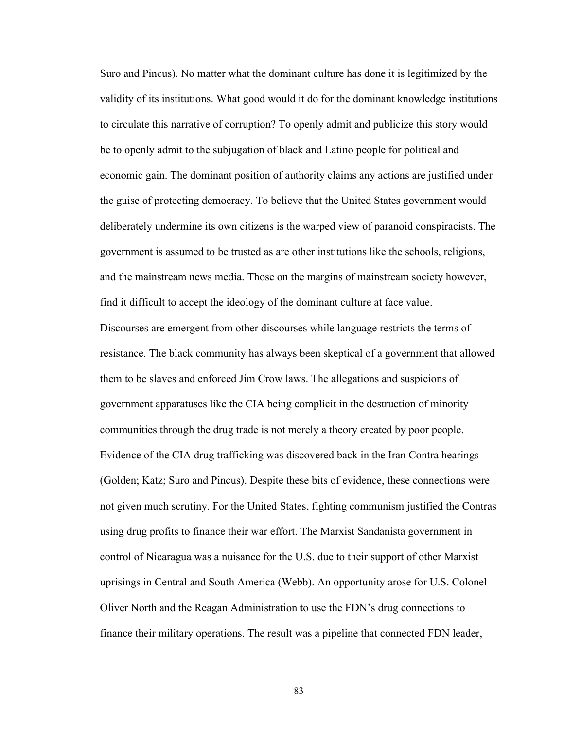Suro and Pincus). No matter what the dominant culture has done it is legitimized by the validity of its institutions. What good would it do for the dominant knowledge institutions to circulate this narrative of corruption? To openly admit and publicize this story would be to openly admit to the subjugation of black and Latino people for political and economic gain. The dominant position of authority claims any actions are justified under the guise of protecting democracy. To believe that the United States government would deliberately undermine its own citizens is the warped view of paranoid conspiracists. The government is assumed to be trusted as are other institutions like the schools, religions, and the mainstream news media. Those on the margins of mainstream society however, find it difficult to accept the ideology of the dominant culture at face value. Discourses are emergent from other discourses while language restricts the terms of resistance. The black community has always been skeptical of a government that allowed them to be slaves and enforced Jim Crow laws. The allegations and suspicions of government apparatuses like the CIA being complicit in the destruction of minority communities through the drug trade is not merely a theory created by poor people. Evidence of the CIA drug trafficking was discovered back in the Iran Contra hearings (Golden; Katz; Suro and Pincus). Despite these bits of evidence, these connections were not given much scrutiny. For the United States, fighting communism justified the Contras using drug profits to finance their war effort. The Marxist Sandanista government in control of Nicaragua was a nuisance for the U.S. due to their support of other Marxist uprisings in Central and South America (Webb). An opportunity arose for U.S. Colonel Oliver North and the Reagan Administration to use the FDN's drug connections to finance their military operations. The result was a pipeline that connected FDN leader,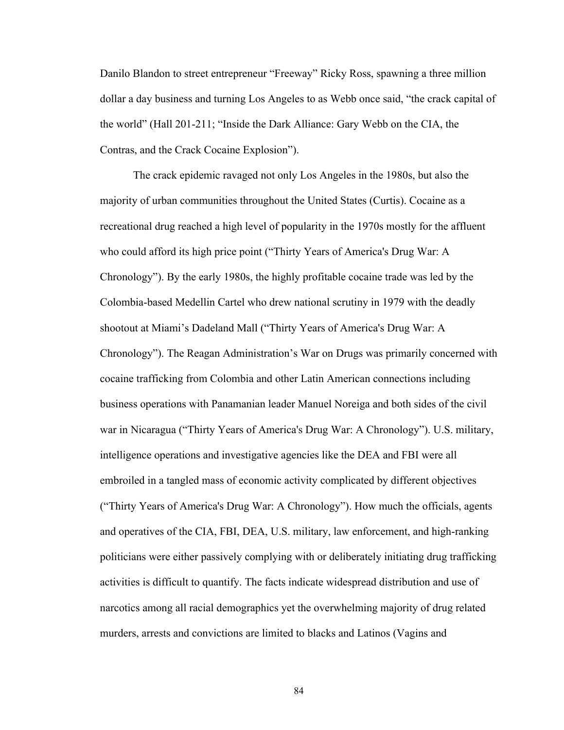Danilo Blandon to street entrepreneur "Freeway" Ricky Ross, spawning a three million dollar a day business and turning Los Angeles to as Webb once said, "the crack capital of the world" (Hall 201-211; "Inside the Dark Alliance: Gary Webb on the CIA, the Contras, and the Crack Cocaine Explosion").

The crack epidemic ravaged not only Los Angeles in the 1980s, but also the majority of urban communities throughout the United States (Curtis). Cocaine as a recreational drug reached a high level of popularity in the 1970s mostly for the affluent who could afford its high price point ("Thirty Years of America's Drug War: A Chronology"). By the early 1980s, the highly profitable cocaine trade was led by the Colombia-based Medellin Cartel who drew national scrutiny in 1979 with the deadly shootout at Miami's Dadeland Mall ("Thirty Years of America's Drug War: A Chronology"). The Reagan Administration's War on Drugs was primarily concerned with cocaine trafficking from Colombia and other Latin American connections including business operations with Panamanian leader Manuel Noreiga and both sides of the civil war in Nicaragua ("Thirty Years of America's Drug War: A Chronology"). U.S. military, intelligence operations and investigative agencies like the DEA and FBI were all embroiled in a tangled mass of economic activity complicated by different objectives ("Thirty Years of America's Drug War: A Chronology"). How much the officials, agents and operatives of the CIA, FBI, DEA, U.S. military, law enforcement, and high-ranking politicians were either passively complying with or deliberately initiating drug trafficking activities is difficult to quantify. The facts indicate widespread distribution and use of narcotics among all racial demographics yet the overwhelming majority of drug related murders, arrests and convictions are limited to blacks and Latinos (Vagins and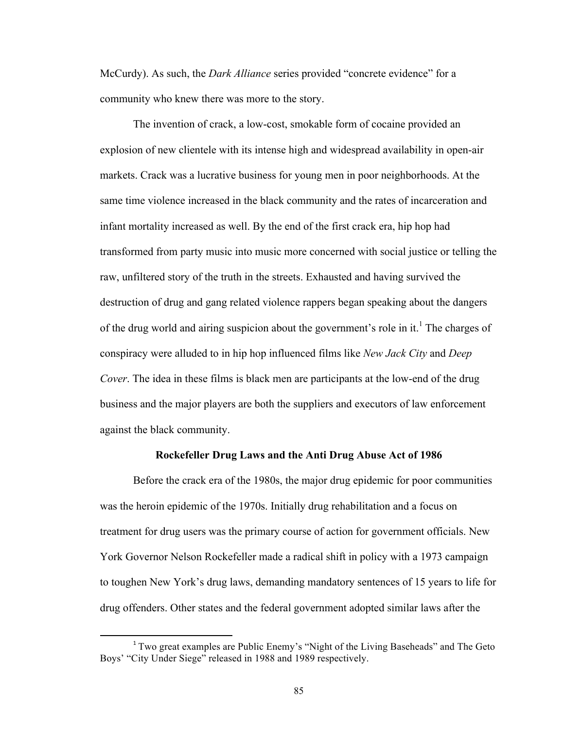McCurdy). As such, the *Dark Alliance* series provided "concrete evidence" for a community who knew there was more to the story.

The invention of crack, a low-cost, smokable form of cocaine provided an explosion of new clientele with its intense high and widespread availability in open-air markets. Crack was a lucrative business for young men in poor neighborhoods. At the same time violence increased in the black community and the rates of incarceration and infant mortality increased as well. By the end of the first crack era, hip hop had transformed from party music into music more concerned with social justice or telling the raw, unfiltered story of the truth in the streets. Exhausted and having survived the destruction of drug and gang related violence rappers began speaking about the dangers of the drug world and airing suspicion about the government's role in it.<sup>1</sup> The charges of conspiracy were alluded to in hip hop influenced films like *New Jack City* and *Deep Cover*. The idea in these films is black men are participants at the low-end of the drug business and the major players are both the suppliers and executors of law enforcement against the black community.

#### **Rockefeller Drug Laws and the Anti Drug Abuse Act of 1986**

Before the crack era of the 1980s, the major drug epidemic for poor communities was the heroin epidemic of the 1970s. Initially drug rehabilitation and a focus on treatment for drug users was the primary course of action for government officials. New York Governor Nelson Rockefeller made a radical shift in policy with a 1973 campaign to toughen New York's drug laws, demanding mandatory sentences of 15 years to life for drug offenders. Other states and the federal government adopted similar laws after the

!!!!!!!!!!!!!!!!!!!!!!!!!!!!!!!!!!!!!!!!!!!!!!!!!!!!!!!!!!!!

<sup>&</sup>lt;sup>1</sup> Two great examples are Public Enemy's "Night of the Living Baseheads" and The Geto Boys' "City Under Siege" released in 1988 and 1989 respectively.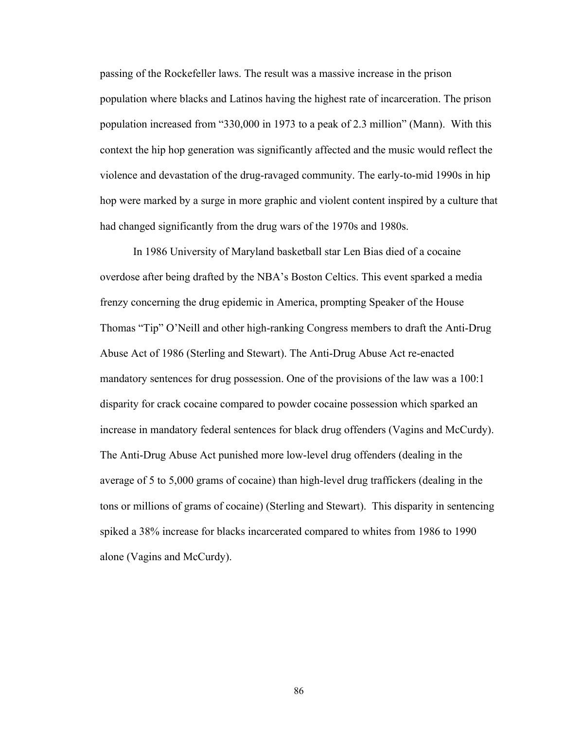passing of the Rockefeller laws. The result was a massive increase in the prison population where blacks and Latinos having the highest rate of incarceration. The prison population increased from "330,000 in 1973 to a peak of 2.3 million" (Mann). With this context the hip hop generation was significantly affected and the music would reflect the violence and devastation of the drug-ravaged community. The early-to-mid 1990s in hip hop were marked by a surge in more graphic and violent content inspired by a culture that had changed significantly from the drug wars of the 1970s and 1980s.

In 1986 University of Maryland basketball star Len Bias died of a cocaine overdose after being drafted by the NBA's Boston Celtics. This event sparked a media frenzy concerning the drug epidemic in America, prompting Speaker of the House Thomas "Tip" O'Neill and other high-ranking Congress members to draft the Anti-Drug Abuse Act of 1986 (Sterling and Stewart). The Anti-Drug Abuse Act re-enacted mandatory sentences for drug possession. One of the provisions of the law was a 100:1 disparity for crack cocaine compared to powder cocaine possession which sparked an increase in mandatory federal sentences for black drug offenders (Vagins and McCurdy). The Anti-Drug Abuse Act punished more low-level drug offenders (dealing in the average of 5 to 5,000 grams of cocaine) than high-level drug traffickers (dealing in the tons or millions of grams of cocaine) (Sterling and Stewart). This disparity in sentencing spiked a 38% increase for blacks incarcerated compared to whites from 1986 to 1990 alone (Vagins and McCurdy).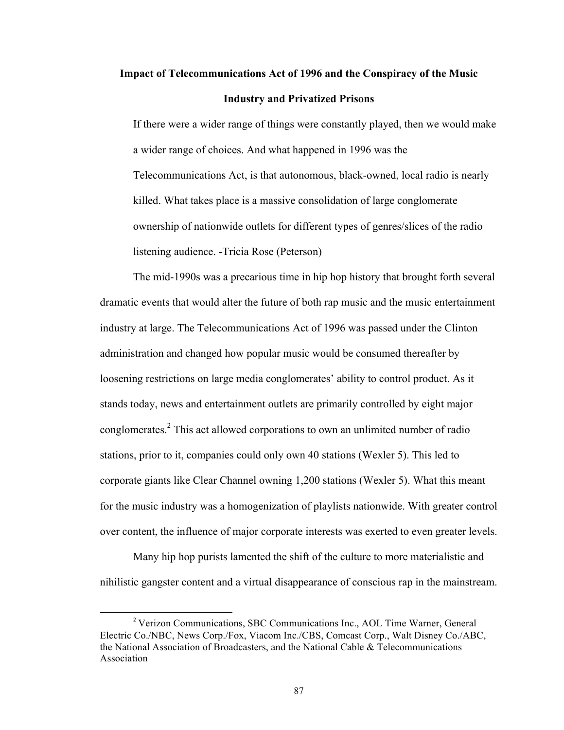# **Impact of Telecommunications Act of 1996 and the Conspiracy of the Music Industry and Privatized Prisons**

If there were a wider range of things were constantly played, then we would make a wider range of choices. And what happened in 1996 was the Telecommunications Act, is that autonomous, black-owned, local radio is nearly killed. What takes place is a massive consolidation of large conglomerate ownership of nationwide outlets for different types of genres/slices of the radio listening audience. -Tricia Rose (Peterson)

The mid-1990s was a precarious time in hip hop history that brought forth several dramatic events that would alter the future of both rap music and the music entertainment industry at large. The Telecommunications Act of 1996 was passed under the Clinton administration and changed how popular music would be consumed thereafter by loosening restrictions on large media conglomerates' ability to control product. As it stands today, news and entertainment outlets are primarily controlled by eight major conglomerates. <sup>2</sup> This act allowed corporations to own an unlimited number of radio stations, prior to it, companies could only own 40 stations (Wexler 5). This led to corporate giants like Clear Channel owning 1,200 stations (Wexler 5). What this meant for the music industry was a homogenization of playlists nationwide. With greater control over content, the influence of major corporate interests was exerted to even greater levels.

Many hip hop purists lamented the shift of the culture to more materialistic and nihilistic gangster content and a virtual disappearance of conscious rap in the mainstream.

!!!!!!!!!!!!!!!!!!!!!!!!!!!!!!!!!!!!!!!!!!!!!!!!!!!!!!!!!!!!

<sup>2</sup> Verizon Communications, SBC Communications Inc., AOL Time Warner, General Electric Co./NBC, News Corp./Fox, Viacom Inc./CBS, Comcast Corp., Walt Disney Co./ABC, the National Association of Broadcasters, and the National Cable & Telecommunications Association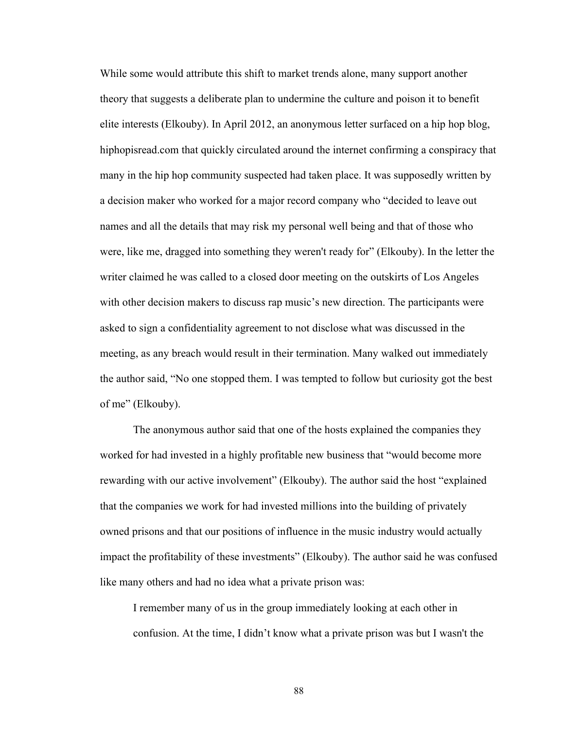While some would attribute this shift to market trends alone, many support another theory that suggests a deliberate plan to undermine the culture and poison it to benefit elite interests (Elkouby). In April 2012, an anonymous letter surfaced on a hip hop blog, hiphopisread.com that quickly circulated around the internet confirming a conspiracy that many in the hip hop community suspected had taken place. It was supposedly written by a decision maker who worked for a major record company who "decided to leave out names and all the details that may risk my personal well being and that of those who were, like me, dragged into something they weren't ready for" (Elkouby). In the letter the writer claimed he was called to a closed door meeting on the outskirts of Los Angeles with other decision makers to discuss rap music's new direction. The participants were asked to sign a confidentiality agreement to not disclose what was discussed in the meeting, as any breach would result in their termination. Many walked out immediately the author said, "No one stopped them. I was tempted to follow but curiosity got the best of me" (Elkouby).

The anonymous author said that one of the hosts explained the companies they worked for had invested in a highly profitable new business that "would become more rewarding with our active involvement" (Elkouby). The author said the host "explained that the companies we work for had invested millions into the building of privately owned prisons and that our positions of influence in the music industry would actually impact the profitability of these investments" (Elkouby). The author said he was confused like many others and had no idea what a private prison was:

I remember many of us in the group immediately looking at each other in confusion. At the time, I didn't know what a private prison was but I wasn't the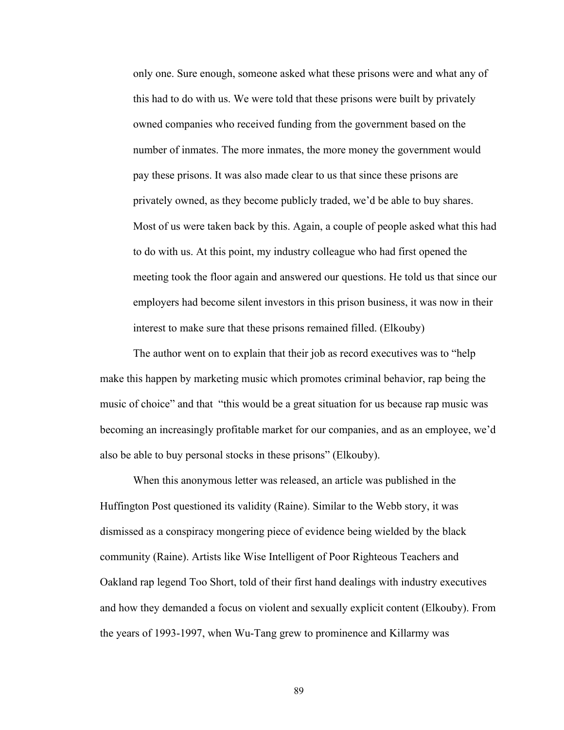only one. Sure enough, someone asked what these prisons were and what any of this had to do with us. We were told that these prisons were built by privately owned companies who received funding from the government based on the number of inmates. The more inmates, the more money the government would pay these prisons. It was also made clear to us that since these prisons are privately owned, as they become publicly traded, we'd be able to buy shares. Most of us were taken back by this. Again, a couple of people asked what this had to do with us. At this point, my industry colleague who had first opened the meeting took the floor again and answered our questions. He told us that since our employers had become silent investors in this prison business, it was now in their interest to make sure that these prisons remained filled. (Elkouby)

The author went on to explain that their job as record executives was to "help make this happen by marketing music which promotes criminal behavior, rap being the music of choice" and that "this would be a great situation for us because rap music was becoming an increasingly profitable market for our companies, and as an employee, we'd also be able to buy personal stocks in these prisons" (Elkouby).

When this anonymous letter was released, an article was published in the Huffington Post questioned its validity (Raine). Similar to the Webb story, it was dismissed as a conspiracy mongering piece of evidence being wielded by the black community (Raine). Artists like Wise Intelligent of Poor Righteous Teachers and Oakland rap legend Too Short, told of their first hand dealings with industry executives and how they demanded a focus on violent and sexually explicit content (Elkouby). From the years of 1993-1997, when Wu-Tang grew to prominence and Killarmy was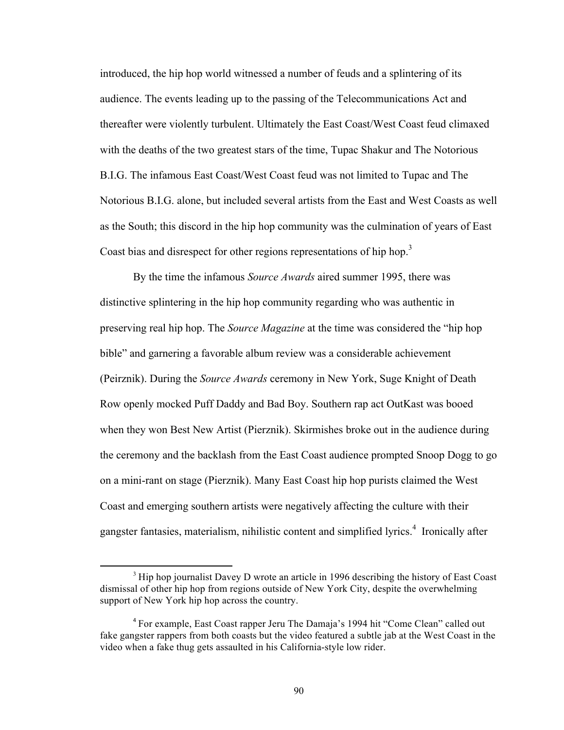introduced, the hip hop world witnessed a number of feuds and a splintering of its audience. The events leading up to the passing of the Telecommunications Act and thereafter were violently turbulent. Ultimately the East Coast/West Coast feud climaxed with the deaths of the two greatest stars of the time, Tupac Shakur and The Notorious B.I.G. The infamous East Coast/West Coast feud was not limited to Tupac and The Notorious B.I.G. alone, but included several artists from the East and West Coasts as well as the South; this discord in the hip hop community was the culmination of years of East Coast bias and disrespect for other regions representations of hip hop.<sup>3</sup>

By the time the infamous *Source Awards* aired summer 1995, there was distinctive splintering in the hip hop community regarding who was authentic in preserving real hip hop. The *Source Magazine* at the time was considered the "hip hop bible" and garnering a favorable album review was a considerable achievement (Peirznik). During the *Source Awards* ceremony in New York, Suge Knight of Death Row openly mocked Puff Daddy and Bad Boy. Southern rap act OutKast was booed when they won Best New Artist (Pierznik). Skirmishes broke out in the audience during the ceremony and the backlash from the East Coast audience prompted Snoop Dogg to go on a mini-rant on stage (Pierznik). Many East Coast hip hop purists claimed the West Coast and emerging southern artists were negatively affecting the culture with their gangster fantasies, materialism, nihilistic content and simplified lyrics.<sup>4</sup> Ironically after

!!!!!!!!!!!!!!!!!!!!!!!!!!!!!!!!!!!!!!!!!!!!!!!!!!!!!!!!!!!!

 $3$  Hip hop journalist Davey D wrote an article in 1996 describing the history of East Coast dismissal of other hip hop from regions outside of New York City, despite the overwhelming support of New York hip hop across the country.

<sup>4</sup> For example, East Coast rapper Jeru The Damaja's 1994 hit "Come Clean" called out fake gangster rappers from both coasts but the video featured a subtle jab at the West Coast in the video when a fake thug gets assaulted in his California-style low rider.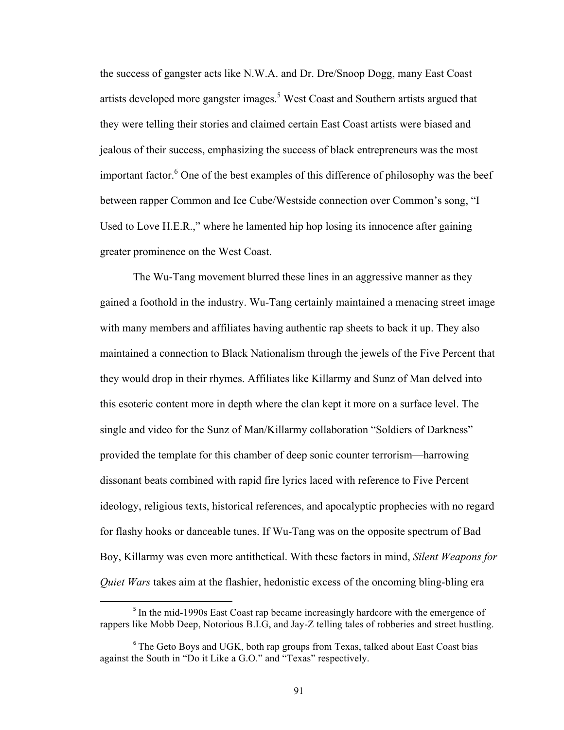the success of gangster acts like N.W.A. and Dr. Dre/Snoop Dogg, many East Coast artists developed more gangster images. <sup>5</sup> West Coast and Southern artists argued that they were telling their stories and claimed certain East Coast artists were biased and jealous of their success, emphasizing the success of black entrepreneurs was the most important factor. <sup>6</sup> One of the best examples of this difference of philosophy was the beef between rapper Common and Ice Cube/Westside connection over Common's song, "I Used to Love H.E.R.," where he lamented hip hop losing its innocence after gaining greater prominence on the West Coast.

The Wu-Tang movement blurred these lines in an aggressive manner as they gained a foothold in the industry. Wu-Tang certainly maintained a menacing street image with many members and affiliates having authentic rap sheets to back it up. They also maintained a connection to Black Nationalism through the jewels of the Five Percent that they would drop in their rhymes. Affiliates like Killarmy and Sunz of Man delved into this esoteric content more in depth where the clan kept it more on a surface level. The single and video for the Sunz of Man/Killarmy collaboration "Soldiers of Darkness" provided the template for this chamber of deep sonic counter terrorism—harrowing dissonant beats combined with rapid fire lyrics laced with reference to Five Percent ideology, religious texts, historical references, and apocalyptic prophecies with no regard for flashy hooks or danceable tunes. If Wu-Tang was on the opposite spectrum of Bad Boy, Killarmy was even more antithetical. With these factors in mind, *Silent Weapons for Quiet Wars* takes aim at the flashier, hedonistic excess of the oncoming bling-bling era

!!!!!!!!!!!!!!!!!!!!!!!!!!!!!!!!!!!!!!!!!!!!!!!!!!!!!!!!!!!!

<sup>&</sup>lt;sup>5</sup> In the mid-1990s East Coast rap became increasingly hardcore with the emergence of rappers like Mobb Deep, Notorious B.I.G, and Jay-Z telling tales of robberies and street hustling.

<sup>&</sup>lt;sup>6</sup> The Geto Boys and UGK, both rap groups from Texas, talked about East Coast bias against the South in "Do it Like a G.O." and "Texas" respectively.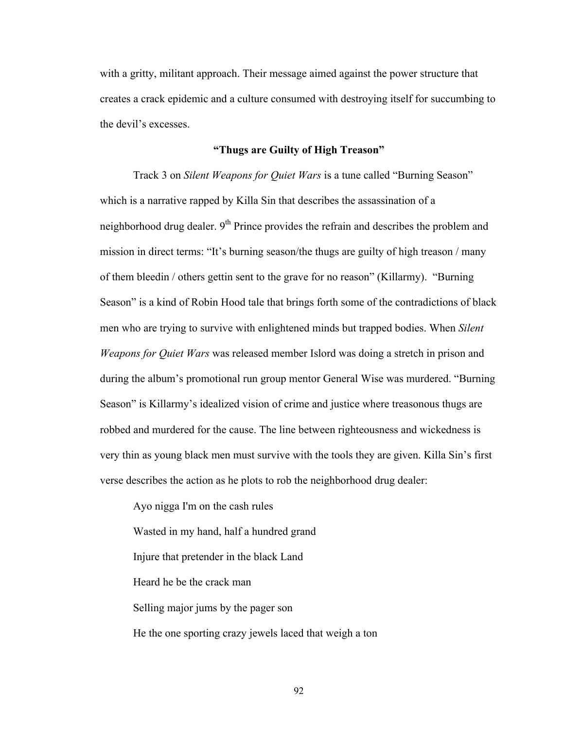with a gritty, militant approach. Their message aimed against the power structure that creates a crack epidemic and a culture consumed with destroying itself for succumbing to the devil's excesses.

## **"Thugs are Guilty of High Treason"**

Track 3 on *Silent Weapons for Quiet Wars* is a tune called "Burning Season" which is a narrative rapped by Killa Sin that describes the assassination of a neighborhood drug dealer.  $9<sup>th</sup>$  Prince provides the refrain and describes the problem and mission in direct terms: "It's burning season/the thugs are guilty of high treason / many of them bleedin / others gettin sent to the grave for no reason" (Killarmy). "Burning Season" is a kind of Robin Hood tale that brings forth some of the contradictions of black men who are trying to survive with enlightened minds but trapped bodies. When *Silent Weapons for Quiet Wars* was released member Islord was doing a stretch in prison and during the album's promotional run group mentor General Wise was murdered. "Burning Season" is Killarmy's idealized vision of crime and justice where treasonous thugs are robbed and murdered for the cause. The line between righteousness and wickedness is very thin as young black men must survive with the tools they are given. Killa Sin's first verse describes the action as he plots to rob the neighborhood drug dealer:

Ayo nigga I'm on the cash rules Wasted in my hand, half a hundred grand Injure that pretender in the black Land Heard he be the crack man Selling major jums by the pager son He the one sporting crazy jewels laced that weigh a ton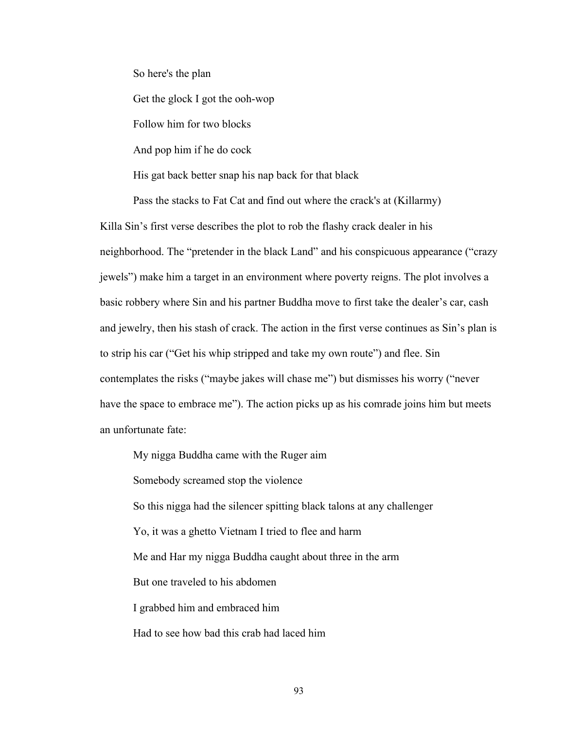So here's the plan

Get the glock I got the ooh-wop

Follow him for two blocks

And pop him if he do cock

His gat back better snap his nap back for that black

Pass the stacks to Fat Cat and find out where the crack's at (Killarmy)

Killa Sin's first verse describes the plot to rob the flashy crack dealer in his neighborhood. The "pretender in the black Land" and his conspicuous appearance ("crazy jewels") make him a target in an environment where poverty reigns. The plot involves a basic robbery where Sin and his partner Buddha move to first take the dealer's car, cash and jewelry, then his stash of crack. The action in the first verse continues as Sin's plan is to strip his car ("Get his whip stripped and take my own route") and flee. Sin contemplates the risks ("maybe jakes will chase me") but dismisses his worry ("never have the space to embrace me"). The action picks up as his comrade joins him but meets an unfortunate fate:

My nigga Buddha came with the Ruger aim

Somebody screamed stop the violence

So this nigga had the silencer spitting black talons at any challenger

Yo, it was a ghetto Vietnam I tried to flee and harm

Me and Har my nigga Buddha caught about three in the arm

But one traveled to his abdomen

I grabbed him and embraced him

Had to see how bad this crab had laced him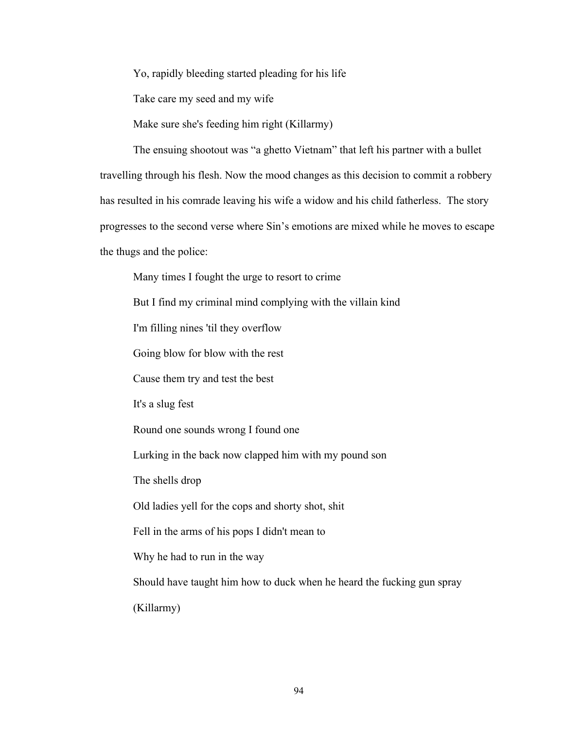Yo, rapidly bleeding started pleading for his life

Take care my seed and my wife

Make sure she's feeding him right (Killarmy)

The ensuing shootout was "a ghetto Vietnam" that left his partner with a bullet travelling through his flesh. Now the mood changes as this decision to commit a robbery has resulted in his comrade leaving his wife a widow and his child fatherless. The story progresses to the second verse where Sin's emotions are mixed while he moves to escape the thugs and the police:

Many times I fought the urge to resort to crime But I find my criminal mind complying with the villain kind

I'm filling nines 'til they overflow

Going blow for blow with the rest

Cause them try and test the best

It's a slug fest

Round one sounds wrong I found one

Lurking in the back now clapped him with my pound son

The shells drop

Old ladies yell for the cops and shorty shot, shit

Fell in the arms of his pops I didn't mean to

Why he had to run in the way

Should have taught him how to duck when he heard the fucking gun spray

(Killarmy)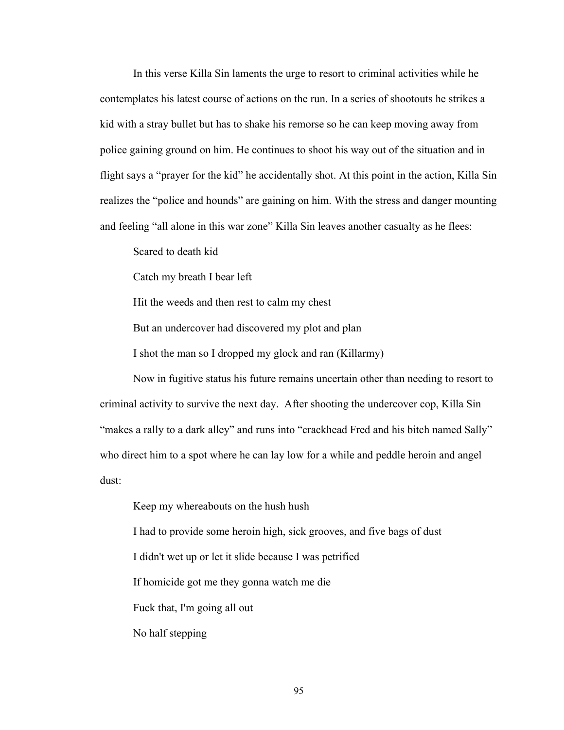In this verse Killa Sin laments the urge to resort to criminal activities while he contemplates his latest course of actions on the run. In a series of shootouts he strikes a kid with a stray bullet but has to shake his remorse so he can keep moving away from police gaining ground on him. He continues to shoot his way out of the situation and in flight says a "prayer for the kid" he accidentally shot. At this point in the action, Killa Sin realizes the "police and hounds" are gaining on him. With the stress and danger mounting and feeling "all alone in this war zone" Killa Sin leaves another casualty as he flees:

Scared to death kid

Catch my breath I bear left

Hit the weeds and then rest to calm my chest

But an undercover had discovered my plot and plan

I shot the man so I dropped my glock and ran (Killarmy)

Now in fugitive status his future remains uncertain other than needing to resort to criminal activity to survive the next day. After shooting the undercover cop, Killa Sin "makes a rally to a dark alley" and runs into "crackhead Fred and his bitch named Sally" who direct him to a spot where he can lay low for a while and peddle heroin and angel dust:

Keep my whereabouts on the hush hush

I had to provide some heroin high, sick grooves, and five bags of dust

I didn't wet up or let it slide because I was petrified

If homicide got me they gonna watch me die

Fuck that, I'm going all out

No half stepping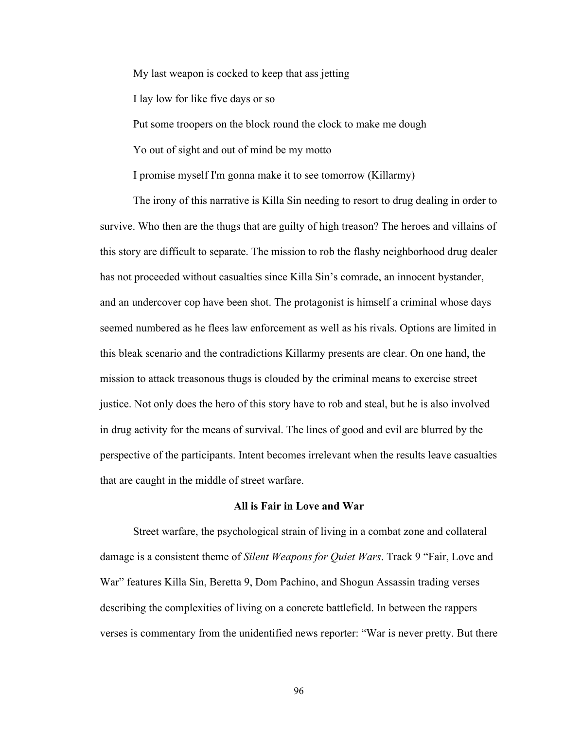My last weapon is cocked to keep that ass jetting I lay low for like five days or so Put some troopers on the block round the clock to make me dough Yo out of sight and out of mind be my motto

I promise myself I'm gonna make it to see tomorrow (Killarmy)

The irony of this narrative is Killa Sin needing to resort to drug dealing in order to survive. Who then are the thugs that are guilty of high treason? The heroes and villains of this story are difficult to separate. The mission to rob the flashy neighborhood drug dealer has not proceeded without casualties since Killa Sin's comrade, an innocent bystander, and an undercover cop have been shot. The protagonist is himself a criminal whose days seemed numbered as he flees law enforcement as well as his rivals. Options are limited in this bleak scenario and the contradictions Killarmy presents are clear. On one hand, the mission to attack treasonous thugs is clouded by the criminal means to exercise street justice. Not only does the hero of this story have to rob and steal, but he is also involved in drug activity for the means of survival. The lines of good and evil are blurred by the perspective of the participants. Intent becomes irrelevant when the results leave casualties that are caught in the middle of street warfare.

#### **All is Fair in Love and War**

Street warfare, the psychological strain of living in a combat zone and collateral damage is a consistent theme of *Silent Weapons for Quiet Wars*. Track 9 "Fair, Love and War" features Killa Sin, Beretta 9, Dom Pachino, and Shogun Assassin trading verses describing the complexities of living on a concrete battlefield. In between the rappers verses is commentary from the unidentified news reporter: "War is never pretty. But there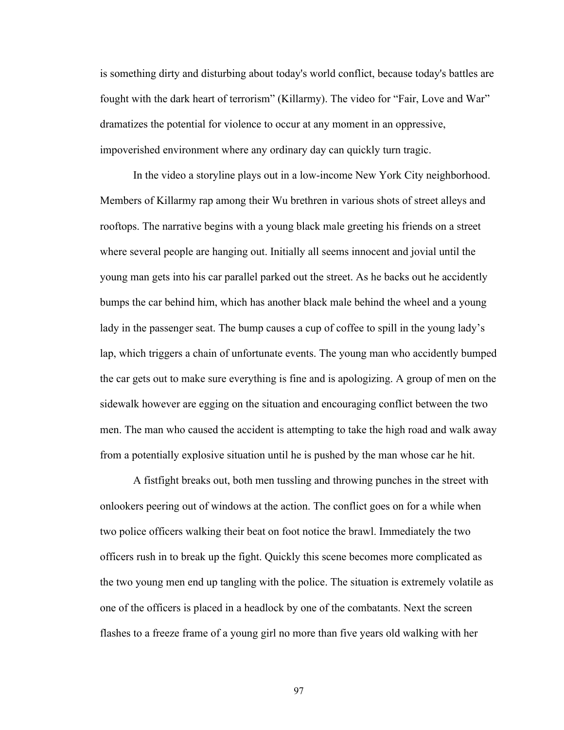is something dirty and disturbing about today's world conflict, because today's battles are fought with the dark heart of terrorism" (Killarmy). The video for "Fair, Love and War" dramatizes the potential for violence to occur at any moment in an oppressive, impoverished environment where any ordinary day can quickly turn tragic.

In the video a storyline plays out in a low-income New York City neighborhood. Members of Killarmy rap among their Wu brethren in various shots of street alleys and rooftops. The narrative begins with a young black male greeting his friends on a street where several people are hanging out. Initially all seems innocent and jovial until the young man gets into his car parallel parked out the street. As he backs out he accidently bumps the car behind him, which has another black male behind the wheel and a young lady in the passenger seat. The bump causes a cup of coffee to spill in the young lady's lap, which triggers a chain of unfortunate events. The young man who accidently bumped the car gets out to make sure everything is fine and is apologizing. A group of men on the sidewalk however are egging on the situation and encouraging conflict between the two men. The man who caused the accident is attempting to take the high road and walk away from a potentially explosive situation until he is pushed by the man whose car he hit.

A fistfight breaks out, both men tussling and throwing punches in the street with onlookers peering out of windows at the action. The conflict goes on for a while when two police officers walking their beat on foot notice the brawl. Immediately the two officers rush in to break up the fight. Quickly this scene becomes more complicated as the two young men end up tangling with the police. The situation is extremely volatile as one of the officers is placed in a headlock by one of the combatants. Next the screen flashes to a freeze frame of a young girl no more than five years old walking with her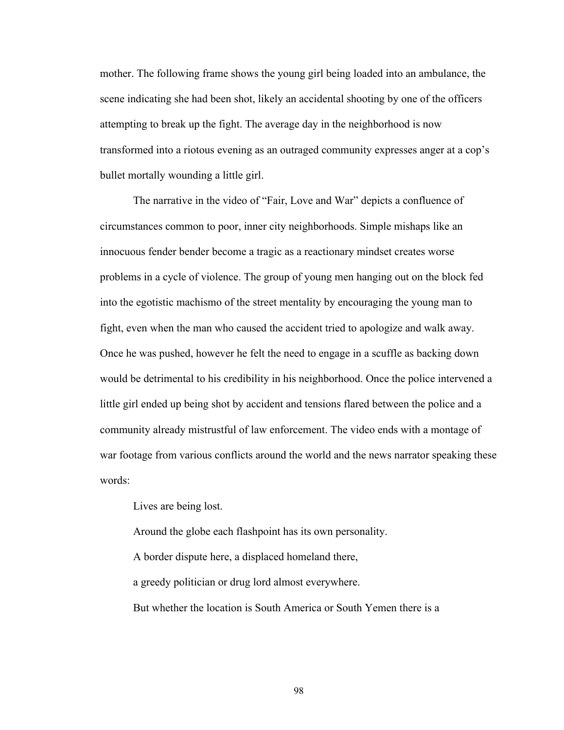mother. The following frame shows the young girl being loaded into an ambulance, the scene indicating she had been shot, likely an accidental shooting by one of the officers attempting to break up the fight. The average day in the neighborhood is now transformed into a riotous evening as an outraged community expresses anger at a cop's bullet mortally wounding a little girl.

The narrative in the video of "Fair, Love and War" depicts a confluence of circumstances common to poor, inner city neighborhoods. Simple mishaps like an innocuous fender bender become a tragic as a reactionary mindset creates worse problems in a cycle of violence. The group of young men hanging out on the block fed into the egotistic machismo of the street mentality by encouraging the young man to fight, even when the man who caused the accident tried to apologize and walk away. Once he was pushed, however he felt the need to engage in a scuffle as backing down would be detrimental to his credibility in his neighborhood. Once the police intervened a little girl ended up being shot by accident and tensions flared between the police and a community already mistrustful of law enforcement. The video ends with a montage of war footage from various conflicts around the world and the news narrator speaking these words:

Lives are being lost.

Around the globe each flashpoint has its own personality. A border dispute here, a displaced homeland there, a greedy politician or drug lord almost everywhere. But whether the location is South America or South Yemen there is a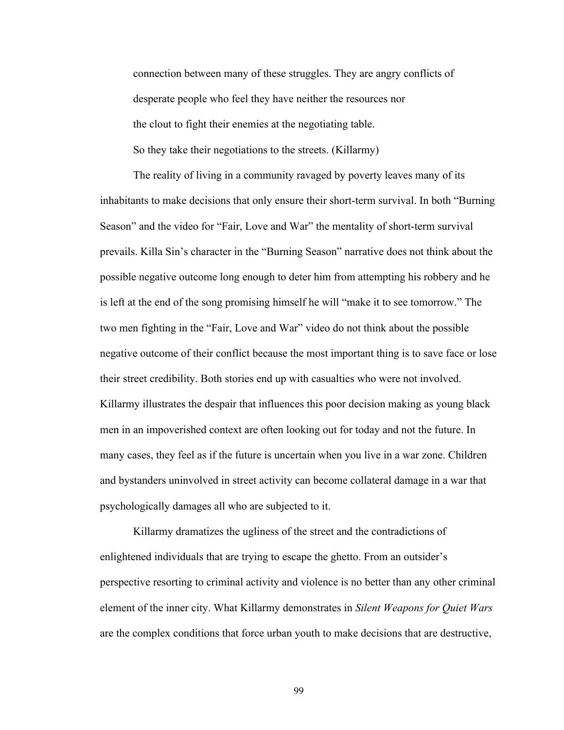connection between many of these struggles. They are angry conflicts of desperate people who feel they have neither the resources nor the clout to fight their enemies at the negotiating table.

So they take their negotiations to the streets. (Killarmy)

The reality of living in a community ravaged by poverty leaves many of its inhabitants to make decisions that only ensure their short-term survival. In both "Burning Season" and the video for "Fair, Love and War" the mentality of short-term survival prevails. Killa Sin's character in the "Burning Season" narrative does not think about the possible negative outcome long enough to deter him from attempting his robbery and he is left at the end of the song promising himself he will "make it to see tomorrow." The two men fighting in the "Fair, Love and War" video do not think about the possible negative outcome of their conflict because the most important thing is to save face or lose their street credibility. Both stories end up with casualties who were not involved. Killarmy illustrates the despair that influences this poor decision making as young black men in an impoverished context are often looking out for today and not the future. In many cases, they feel as if the future is uncertain when you live in a war zone. Children and bystanders uninvolved in street activity can become collateral damage in a war that psychologically damages all who are subjected to it.

Killarmy dramatizes the ugliness of the street and the contradictions of enlightened individuals that are trying to escape the ghetto. From an outsider's perspective resorting to criminal activity and violence is no better than any other criminal element of the inner city. What Killarmy demonstrates in *Silent Weapons for Quiet Wars* are the complex conditions that force urban youth to make decisions that are destructive,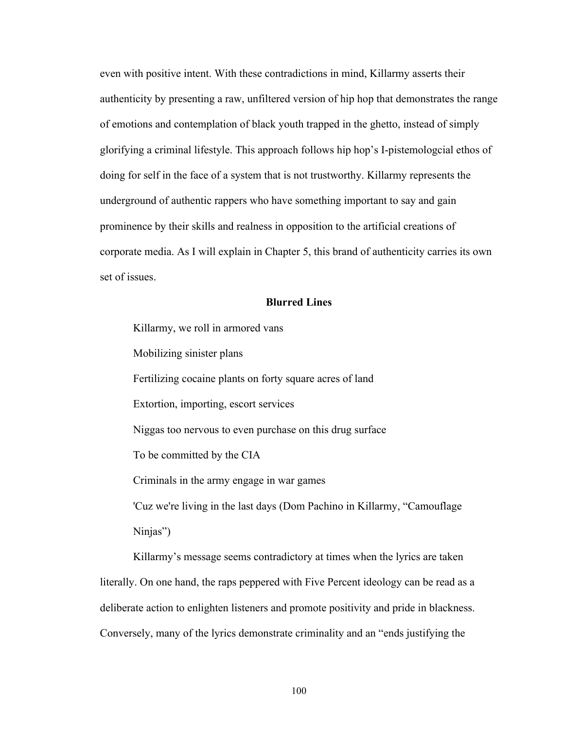even with positive intent. With these contradictions in mind, Killarmy asserts their authenticity by presenting a raw, unfiltered version of hip hop that demonstrates the range of emotions and contemplation of black youth trapped in the ghetto, instead of simply glorifying a criminal lifestyle. This approach follows hip hop's I-pistemologcial ethos of doing for self in the face of a system that is not trustworthy. Killarmy represents the underground of authentic rappers who have something important to say and gain prominence by their skills and realness in opposition to the artificial creations of corporate media. As I will explain in Chapter 5, this brand of authenticity carries its own set of issues.

## **Blurred Lines**

Killarmy, we roll in armored vans Mobilizing sinister plans Fertilizing cocaine plants on forty square acres of land Extortion, importing, escort services Niggas too nervous to even purchase on this drug surface To be committed by the CIA Criminals in the army engage in war games 'Cuz we're living in the last days (Dom Pachino in Killarmy, "Camouflage Ninjas")

Killarmy's message seems contradictory at times when the lyrics are taken literally. On one hand, the raps peppered with Five Percent ideology can be read as a deliberate action to enlighten listeners and promote positivity and pride in blackness. Conversely, many of the lyrics demonstrate criminality and an "ends justifying the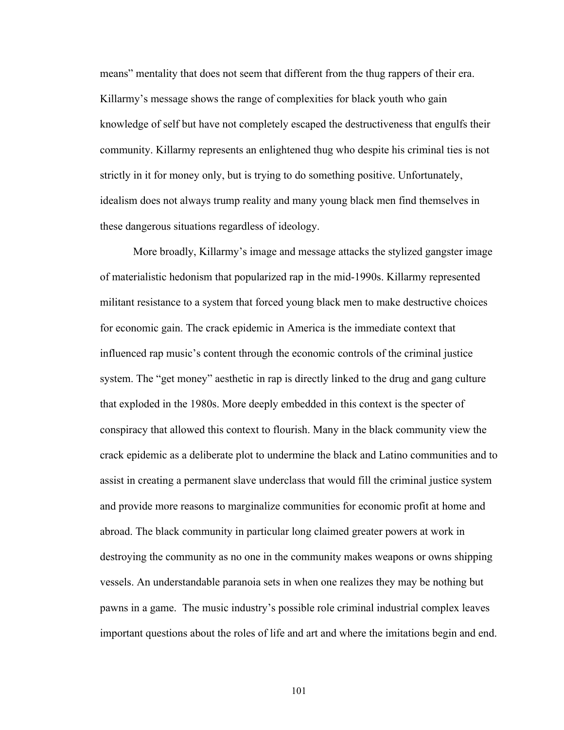means" mentality that does not seem that different from the thug rappers of their era. Killarmy's message shows the range of complexities for black youth who gain knowledge of self but have not completely escaped the destructiveness that engulfs their community. Killarmy represents an enlightened thug who despite his criminal ties is not strictly in it for money only, but is trying to do something positive. Unfortunately, idealism does not always trump reality and many young black men find themselves in these dangerous situations regardless of ideology.

More broadly, Killarmy's image and message attacks the stylized gangster image of materialistic hedonism that popularized rap in the mid-1990s. Killarmy represented militant resistance to a system that forced young black men to make destructive choices for economic gain. The crack epidemic in America is the immediate context that influenced rap music's content through the economic controls of the criminal justice system. The "get money" aesthetic in rap is directly linked to the drug and gang culture that exploded in the 1980s. More deeply embedded in this context is the specter of conspiracy that allowed this context to flourish. Many in the black community view the crack epidemic as a deliberate plot to undermine the black and Latino communities and to assist in creating a permanent slave underclass that would fill the criminal justice system and provide more reasons to marginalize communities for economic profit at home and abroad. The black community in particular long claimed greater powers at work in destroying the community as no one in the community makes weapons or owns shipping vessels. An understandable paranoia sets in when one realizes they may be nothing but pawns in a game. The music industry's possible role criminal industrial complex leaves important questions about the roles of life and art and where the imitations begin and end.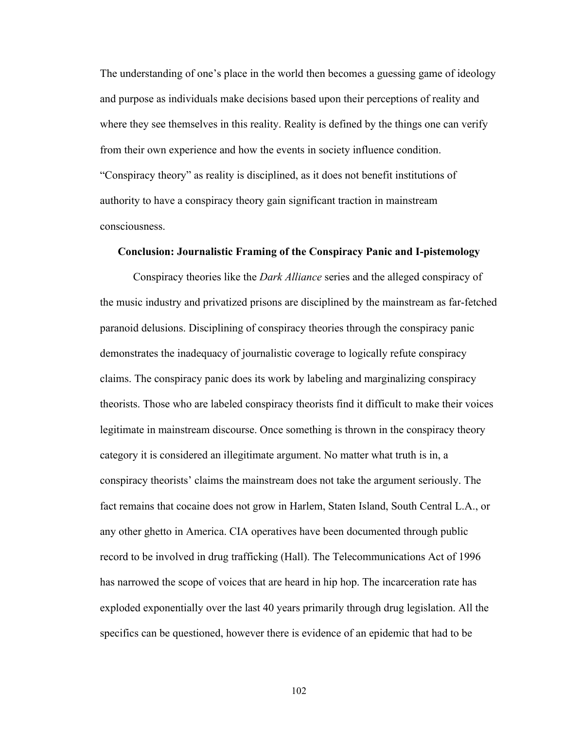The understanding of one's place in the world then becomes a guessing game of ideology and purpose as individuals make decisions based upon their perceptions of reality and where they see themselves in this reality. Reality is defined by the things one can verify from their own experience and how the events in society influence condition. "Conspiracy theory" as reality is disciplined, as it does not benefit institutions of authority to have a conspiracy theory gain significant traction in mainstream consciousness.

## **Conclusion: Journalistic Framing of the Conspiracy Panic and I-pistemology**

Conspiracy theories like the *Dark Alliance* series and the alleged conspiracy of the music industry and privatized prisons are disciplined by the mainstream as far-fetched paranoid delusions. Disciplining of conspiracy theories through the conspiracy panic demonstrates the inadequacy of journalistic coverage to logically refute conspiracy claims. The conspiracy panic does its work by labeling and marginalizing conspiracy theorists. Those who are labeled conspiracy theorists find it difficult to make their voices legitimate in mainstream discourse. Once something is thrown in the conspiracy theory category it is considered an illegitimate argument. No matter what truth is in, a conspiracy theorists' claims the mainstream does not take the argument seriously. The fact remains that cocaine does not grow in Harlem, Staten Island, South Central L.A., or any other ghetto in America. CIA operatives have been documented through public record to be involved in drug trafficking (Hall). The Telecommunications Act of 1996 has narrowed the scope of voices that are heard in hip hop. The incarceration rate has exploded exponentially over the last 40 years primarily through drug legislation. All the specifics can be questioned, however there is evidence of an epidemic that had to be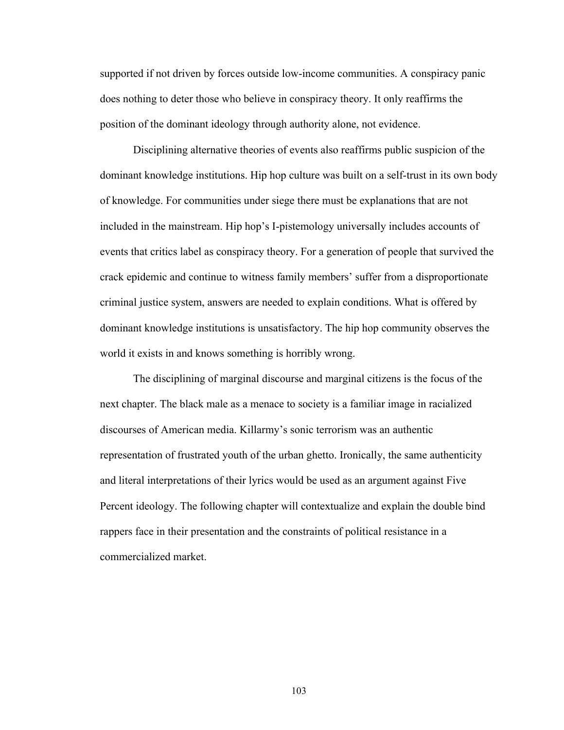supported if not driven by forces outside low-income communities. A conspiracy panic does nothing to deter those who believe in conspiracy theory. It only reaffirms the position of the dominant ideology through authority alone, not evidence.

Disciplining alternative theories of events also reaffirms public suspicion of the dominant knowledge institutions. Hip hop culture was built on a self-trust in its own body of knowledge. For communities under siege there must be explanations that are not included in the mainstream. Hip hop's I-pistemology universally includes accounts of events that critics label as conspiracy theory. For a generation of people that survived the crack epidemic and continue to witness family members' suffer from a disproportionate criminal justice system, answers are needed to explain conditions. What is offered by dominant knowledge institutions is unsatisfactory. The hip hop community observes the world it exists in and knows something is horribly wrong.

The disciplining of marginal discourse and marginal citizens is the focus of the next chapter. The black male as a menace to society is a familiar image in racialized discourses of American media. Killarmy's sonic terrorism was an authentic representation of frustrated youth of the urban ghetto. Ironically, the same authenticity and literal interpretations of their lyrics would be used as an argument against Five Percent ideology. The following chapter will contextualize and explain the double bind rappers face in their presentation and the constraints of political resistance in a commercialized market.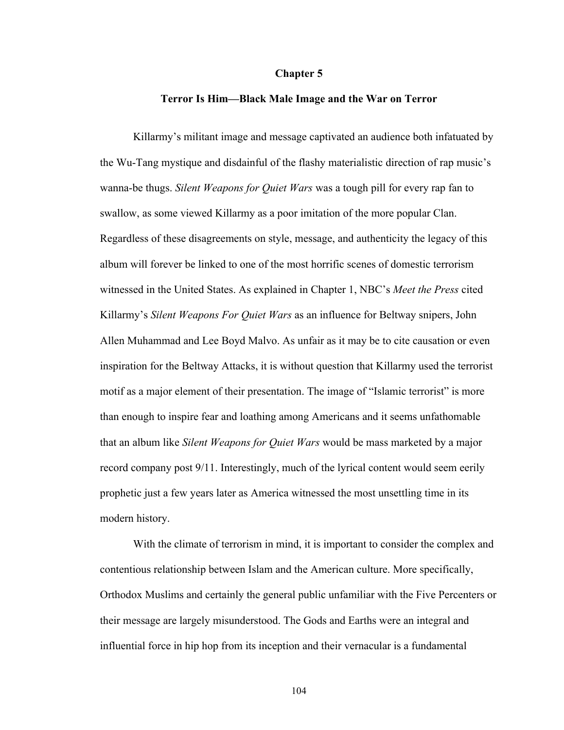#### **Chapter 5**

### **Terror Is Him—Black Male Image and the War on Terror**

Killarmy's militant image and message captivated an audience both infatuated by the Wu-Tang mystique and disdainful of the flashy materialistic direction of rap music's wanna-be thugs. *Silent Weapons for Quiet Wars* was a tough pill for every rap fan to swallow, as some viewed Killarmy as a poor imitation of the more popular Clan. Regardless of these disagreements on style, message, and authenticity the legacy of this album will forever be linked to one of the most horrific scenes of domestic terrorism witnessed in the United States. As explained in Chapter 1, NBC's *Meet the Press* cited Killarmy's *Silent Weapons For Quiet Wars* as an influence for Beltway snipers, John Allen Muhammad and Lee Boyd Malvo. As unfair as it may be to cite causation or even inspiration for the Beltway Attacks, it is without question that Killarmy used the terrorist motif as a major element of their presentation. The image of "Islamic terrorist" is more than enough to inspire fear and loathing among Americans and it seems unfathomable that an album like *Silent Weapons for Quiet Wars* would be mass marketed by a major record company post 9/11. Interestingly, much of the lyrical content would seem eerily prophetic just a few years later as America witnessed the most unsettling time in its modern history.

With the climate of terrorism in mind, it is important to consider the complex and contentious relationship between Islam and the American culture. More specifically, Orthodox Muslims and certainly the general public unfamiliar with the Five Percenters or their message are largely misunderstood. The Gods and Earths were an integral and influential force in hip hop from its inception and their vernacular is a fundamental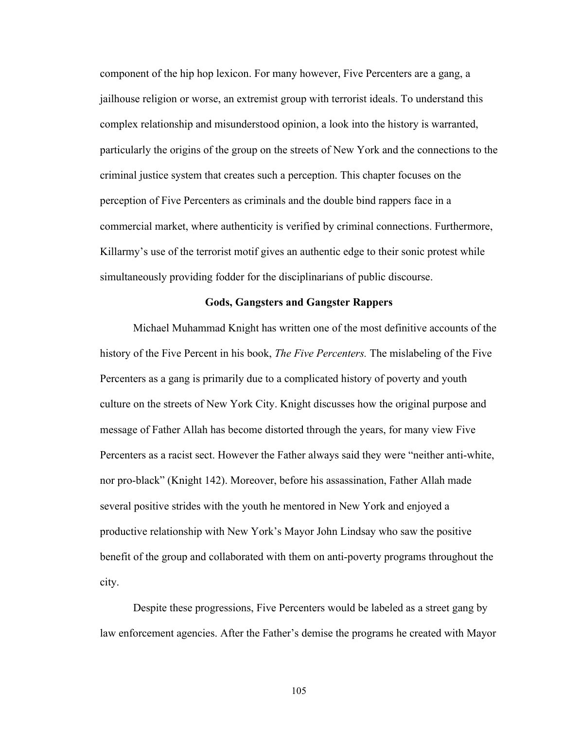component of the hip hop lexicon. For many however, Five Percenters are a gang, a jailhouse religion or worse, an extremist group with terrorist ideals. To understand this complex relationship and misunderstood opinion, a look into the history is warranted, particularly the origins of the group on the streets of New York and the connections to the criminal justice system that creates such a perception. This chapter focuses on the perception of Five Percenters as criminals and the double bind rappers face in a commercial market, where authenticity is verified by criminal connections. Furthermore, Killarmy's use of the terrorist motif gives an authentic edge to their sonic protest while simultaneously providing fodder for the disciplinarians of public discourse.

# **Gods, Gangsters and Gangster Rappers**

Michael Muhammad Knight has written one of the most definitive accounts of the history of the Five Percent in his book, *The Five Percenters.* The mislabeling of the Five Percenters as a gang is primarily due to a complicated history of poverty and youth culture on the streets of New York City. Knight discusses how the original purpose and message of Father Allah has become distorted through the years, for many view Five Percenters as a racist sect. However the Father always said they were "neither anti-white, nor pro-black" (Knight 142). Moreover, before his assassination, Father Allah made several positive strides with the youth he mentored in New York and enjoyed a productive relationship with New York's Mayor John Lindsay who saw the positive benefit of the group and collaborated with them on anti-poverty programs throughout the city.

Despite these progressions, Five Percenters would be labeled as a street gang by law enforcement agencies. After the Father's demise the programs he created with Mayor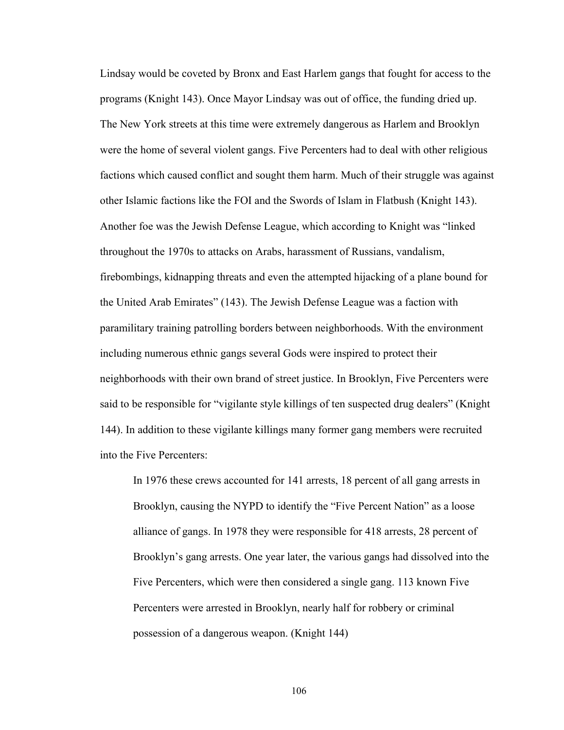Lindsay would be coveted by Bronx and East Harlem gangs that fought for access to the programs (Knight 143). Once Mayor Lindsay was out of office, the funding dried up. The New York streets at this time were extremely dangerous as Harlem and Brooklyn were the home of several violent gangs. Five Percenters had to deal with other religious factions which caused conflict and sought them harm. Much of their struggle was against other Islamic factions like the FOI and the Swords of Islam in Flatbush (Knight 143). Another foe was the Jewish Defense League, which according to Knight was "linked throughout the 1970s to attacks on Arabs, harassment of Russians, vandalism, firebombings, kidnapping threats and even the attempted hijacking of a plane bound for the United Arab Emirates" (143). The Jewish Defense League was a faction with paramilitary training patrolling borders between neighborhoods. With the environment including numerous ethnic gangs several Gods were inspired to protect their neighborhoods with their own brand of street justice. In Brooklyn, Five Percenters were said to be responsible for "vigilante style killings of ten suspected drug dealers" (Knight 144). In addition to these vigilante killings many former gang members were recruited into the Five Percenters:

In 1976 these crews accounted for 141 arrests, 18 percent of all gang arrests in Brooklyn, causing the NYPD to identify the "Five Percent Nation" as a loose alliance of gangs. In 1978 they were responsible for 418 arrests, 28 percent of Brooklyn's gang arrests. One year later, the various gangs had dissolved into the Five Percenters, which were then considered a single gang. 113 known Five Percenters were arrested in Brooklyn, nearly half for robbery or criminal possession of a dangerous weapon. (Knight 144)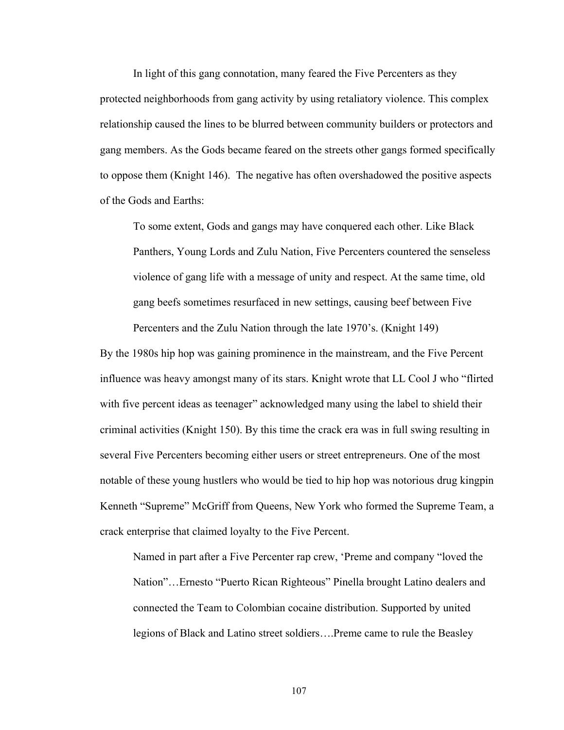In light of this gang connotation, many feared the Five Percenters as they protected neighborhoods from gang activity by using retaliatory violence. This complex relationship caused the lines to be blurred between community builders or protectors and gang members. As the Gods became feared on the streets other gangs formed specifically to oppose them (Knight 146). The negative has often overshadowed the positive aspects of the Gods and Earths:

To some extent, Gods and gangs may have conquered each other. Like Black Panthers, Young Lords and Zulu Nation, Five Percenters countered the senseless violence of gang life with a message of unity and respect. At the same time, old gang beefs sometimes resurfaced in new settings, causing beef between Five Percenters and the Zulu Nation through the late 1970's. (Knight 149)

By the 1980s hip hop was gaining prominence in the mainstream, and the Five Percent influence was heavy amongst many of its stars. Knight wrote that LL Cool J who "flirted with five percent ideas as teenager" acknowledged many using the label to shield their criminal activities (Knight 150). By this time the crack era was in full swing resulting in several Five Percenters becoming either users or street entrepreneurs. One of the most notable of these young hustlers who would be tied to hip hop was notorious drug kingpin Kenneth "Supreme" McGriff from Queens, New York who formed the Supreme Team, a crack enterprise that claimed loyalty to the Five Percent.

Named in part after a Five Percenter rap crew, 'Preme and company "loved the Nation"…Ernesto "Puerto Rican Righteous" Pinella brought Latino dealers and connected the Team to Colombian cocaine distribution. Supported by united legions of Black and Latino street soldiers….Preme came to rule the Beasley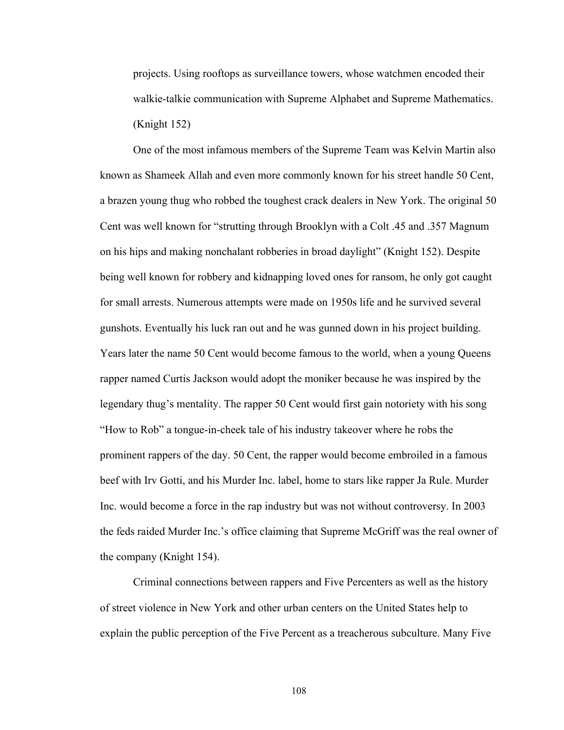projects. Using rooftops as surveillance towers, whose watchmen encoded their walkie-talkie communication with Supreme Alphabet and Supreme Mathematics. (Knight 152)

One of the most infamous members of the Supreme Team was Kelvin Martin also known as Shameek Allah and even more commonly known for his street handle 50 Cent, a brazen young thug who robbed the toughest crack dealers in New York. The original 50 Cent was well known for "strutting through Brooklyn with a Colt .45 and .357 Magnum on his hips and making nonchalant robberies in broad daylight" (Knight 152). Despite being well known for robbery and kidnapping loved ones for ransom, he only got caught for small arrests. Numerous attempts were made on 1950s life and he survived several gunshots. Eventually his luck ran out and he was gunned down in his project building. Years later the name 50 Cent would become famous to the world, when a young Queens rapper named Curtis Jackson would adopt the moniker because he was inspired by the legendary thug's mentality. The rapper 50 Cent would first gain notoriety with his song "How to Rob" a tongue-in-cheek tale of his industry takeover where he robs the prominent rappers of the day. 50 Cent, the rapper would become embroiled in a famous beef with Irv Gotti, and his Murder Inc. label, home to stars like rapper Ja Rule. Murder Inc. would become a force in the rap industry but was not without controversy. In 2003 the feds raided Murder Inc.'s office claiming that Supreme McGriff was the real owner of the company (Knight 154).

Criminal connections between rappers and Five Percenters as well as the history of street violence in New York and other urban centers on the United States help to explain the public perception of the Five Percent as a treacherous subculture. Many Five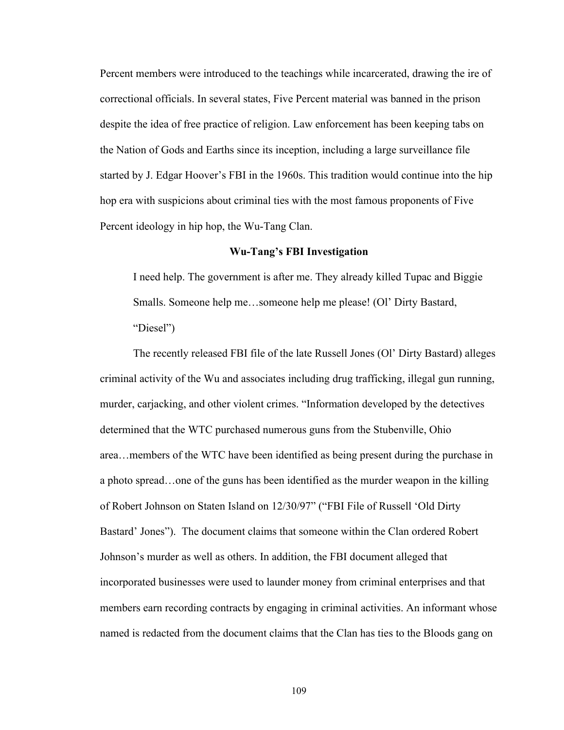Percent members were introduced to the teachings while incarcerated, drawing the ire of correctional officials. In several states, Five Percent material was banned in the prison despite the idea of free practice of religion. Law enforcement has been keeping tabs on the Nation of Gods and Earths since its inception, including a large surveillance file started by J. Edgar Hoover's FBI in the 1960s. This tradition would continue into the hip hop era with suspicions about criminal ties with the most famous proponents of Five Percent ideology in hip hop, the Wu-Tang Clan.

# **Wu-Tang's FBI Investigation**

I need help. The government is after me. They already killed Tupac and Biggie Smalls. Someone help me…someone help me please! (Ol' Dirty Bastard, "Diesel")

The recently released FBI file of the late Russell Jones (Ol' Dirty Bastard) alleges criminal activity of the Wu and associates including drug trafficking, illegal gun running, murder, carjacking, and other violent crimes. "Information developed by the detectives determined that the WTC purchased numerous guns from the Stubenville, Ohio area…members of the WTC have been identified as being present during the purchase in a photo spread…one of the guns has been identified as the murder weapon in the killing of Robert Johnson on Staten Island on 12/30/97" ("FBI File of Russell 'Old Dirty Bastard' Jones"). The document claims that someone within the Clan ordered Robert Johnson's murder as well as others. In addition, the FBI document alleged that incorporated businesses were used to launder money from criminal enterprises and that members earn recording contracts by engaging in criminal activities. An informant whose named is redacted from the document claims that the Clan has ties to the Bloods gang on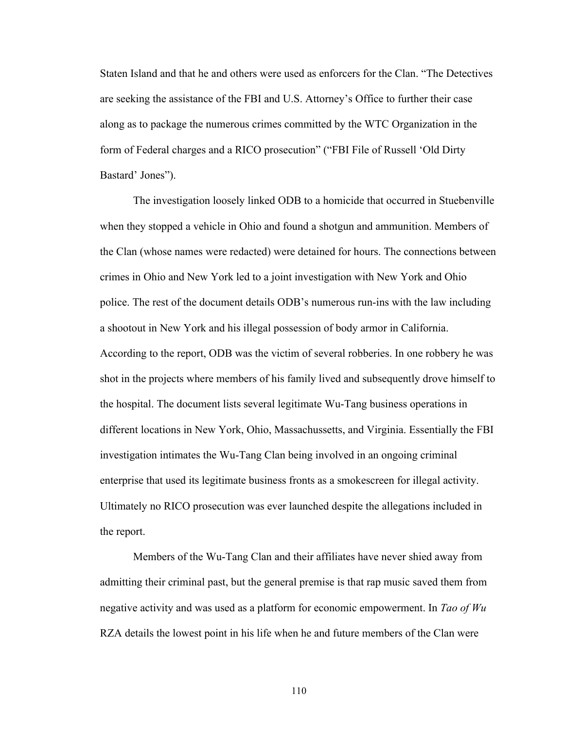Staten Island and that he and others were used as enforcers for the Clan. "The Detectives are seeking the assistance of the FBI and U.S. Attorney's Office to further their case along as to package the numerous crimes committed by the WTC Organization in the form of Federal charges and a RICO prosecution" ("FBI File of Russell 'Old Dirty Bastard' Jones").

The investigation loosely linked ODB to a homicide that occurred in Stuebenville when they stopped a vehicle in Ohio and found a shotgun and ammunition. Members of the Clan (whose names were redacted) were detained for hours. The connections between crimes in Ohio and New York led to a joint investigation with New York and Ohio police. The rest of the document details ODB's numerous run-ins with the law including a shootout in New York and his illegal possession of body armor in California. According to the report, ODB was the victim of several robberies. In one robbery he was shot in the projects where members of his family lived and subsequently drove himself to the hospital. The document lists several legitimate Wu-Tang business operations in different locations in New York, Ohio, Massachussetts, and Virginia. Essentially the FBI investigation intimates the Wu-Tang Clan being involved in an ongoing criminal enterprise that used its legitimate business fronts as a smokescreen for illegal activity. Ultimately no RICO prosecution was ever launched despite the allegations included in the report.

Members of the Wu-Tang Clan and their affiliates have never shied away from admitting their criminal past, but the general premise is that rap music saved them from negative activity and was used as a platform for economic empowerment. In *Tao of Wu* RZA details the lowest point in his life when he and future members of the Clan were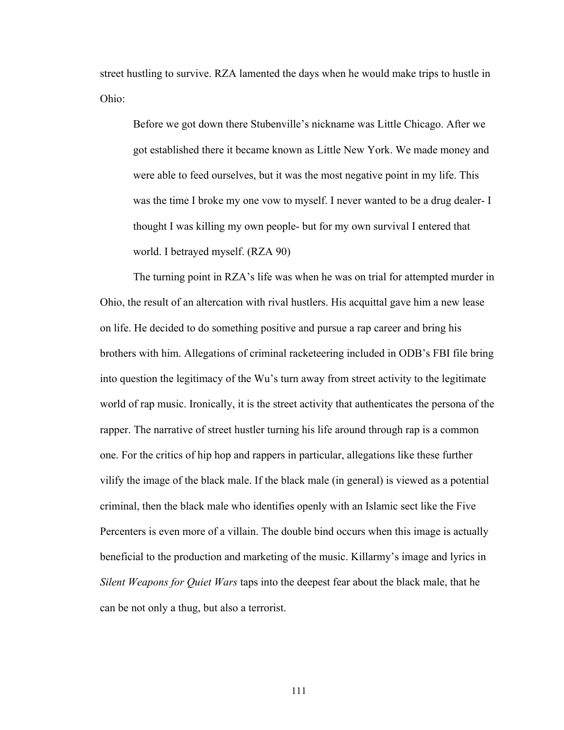street hustling to survive. RZA lamented the days when he would make trips to hustle in Ohio:

Before we got down there Stubenville's nickname was Little Chicago. After we got established there it became known as Little New York. We made money and were able to feed ourselves, but it was the most negative point in my life. This was the time I broke my one vow to myself. I never wanted to be a drug dealer- I thought I was killing my own people- but for my own survival I entered that world. I betrayed myself. (RZA 90)

The turning point in RZA's life was when he was on trial for attempted murder in Ohio, the result of an altercation with rival hustlers. His acquittal gave him a new lease on life. He decided to do something positive and pursue a rap career and bring his brothers with him. Allegations of criminal racketeering included in ODB's FBI file bring into question the legitimacy of the Wu's turn away from street activity to the legitimate world of rap music. Ironically, it is the street activity that authenticates the persona of the rapper. The narrative of street hustler turning his life around through rap is a common one. For the critics of hip hop and rappers in particular, allegations like these further vilify the image of the black male. If the black male (in general) is viewed as a potential criminal, then the black male who identifies openly with an Islamic sect like the Five Percenters is even more of a villain. The double bind occurs when this image is actually beneficial to the production and marketing of the music. Killarmy's image and lyrics in *Silent Weapons for Quiet Wars* taps into the deepest fear about the black male, that he can be not only a thug, but also a terrorist.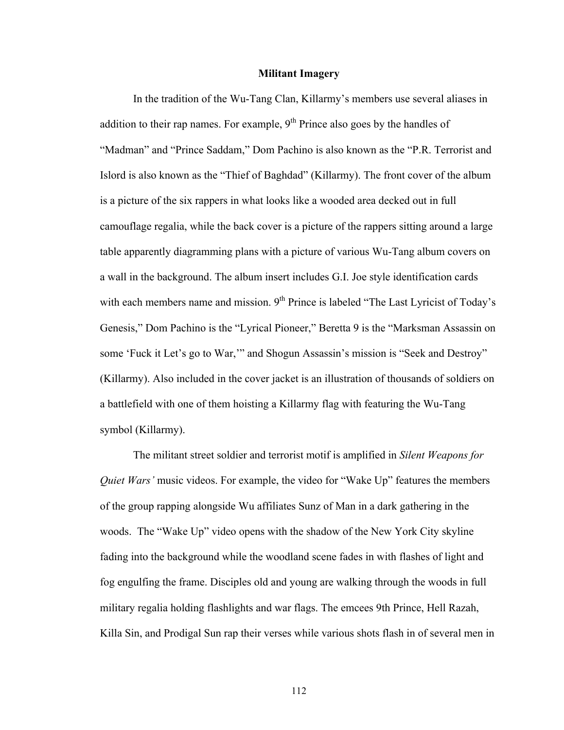### **Militant Imagery**

In the tradition of the Wu-Tang Clan, Killarmy's members use several aliases in addition to their rap names. For example,  $9<sup>th</sup>$  Prince also goes by the handles of "Madman" and "Prince Saddam," Dom Pachino is also known as the "P.R. Terrorist and Islord is also known as the "Thief of Baghdad" (Killarmy). The front cover of the album is a picture of the six rappers in what looks like a wooded area decked out in full camouflage regalia, while the back cover is a picture of the rappers sitting around a large table apparently diagramming plans with a picture of various Wu-Tang album covers on a wall in the background. The album insert includes G.I. Joe style identification cards with each members name and mission. 9<sup>th</sup> Prince is labeled "The Last Lyricist of Today's Genesis," Dom Pachino is the "Lyrical Pioneer," Beretta 9 is the "Marksman Assassin on some 'Fuck it Let's go to War,'" and Shogun Assassin's mission is "Seek and Destroy" (Killarmy). Also included in the cover jacket is an illustration of thousands of soldiers on a battlefield with one of them hoisting a Killarmy flag with featuring the Wu-Tang symbol (Killarmy).

The militant street soldier and terrorist motif is amplified in *Silent Weapons for Quiet Wars'* music videos. For example, the video for "Wake Up" features the members of the group rapping alongside Wu affiliates Sunz of Man in a dark gathering in the woods. The "Wake Up" video opens with the shadow of the New York City skyline fading into the background while the woodland scene fades in with flashes of light and fog engulfing the frame. Disciples old and young are walking through the woods in full military regalia holding flashlights and war flags. The emcees 9th Prince, Hell Razah, Killa Sin, and Prodigal Sun rap their verses while various shots flash in of several men in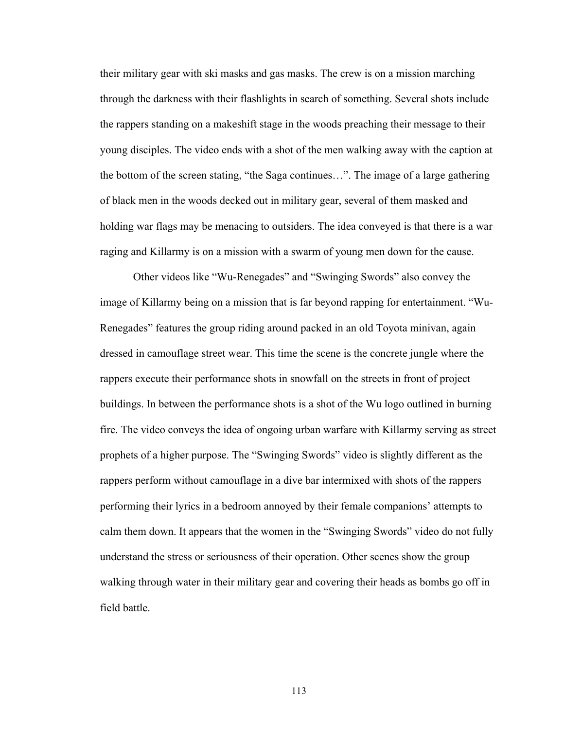their military gear with ski masks and gas masks. The crew is on a mission marching through the darkness with their flashlights in search of something. Several shots include the rappers standing on a makeshift stage in the woods preaching their message to their young disciples. The video ends with a shot of the men walking away with the caption at the bottom of the screen stating, "the Saga continues…". The image of a large gathering of black men in the woods decked out in military gear, several of them masked and holding war flags may be menacing to outsiders. The idea conveyed is that there is a war raging and Killarmy is on a mission with a swarm of young men down for the cause.

Other videos like "Wu-Renegades" and "Swinging Swords" also convey the image of Killarmy being on a mission that is far beyond rapping for entertainment. "Wu-Renegades" features the group riding around packed in an old Toyota minivan, again dressed in camouflage street wear. This time the scene is the concrete jungle where the rappers execute their performance shots in snowfall on the streets in front of project buildings. In between the performance shots is a shot of the Wu logo outlined in burning fire. The video conveys the idea of ongoing urban warfare with Killarmy serving as street prophets of a higher purpose. The "Swinging Swords" video is slightly different as the rappers perform without camouflage in a dive bar intermixed with shots of the rappers performing their lyrics in a bedroom annoyed by their female companions' attempts to calm them down. It appears that the women in the "Swinging Swords" video do not fully understand the stress or seriousness of their operation. Other scenes show the group walking through water in their military gear and covering their heads as bombs go off in field battle.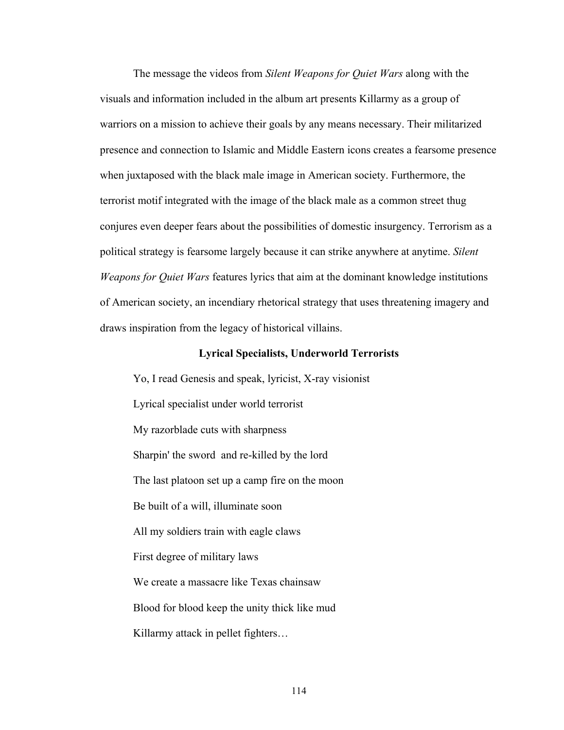The message the videos from *Silent Weapons for Quiet Wars* along with the visuals and information included in the album art presents Killarmy as a group of warriors on a mission to achieve their goals by any means necessary. Their militarized presence and connection to Islamic and Middle Eastern icons creates a fearsome presence when juxtaposed with the black male image in American society. Furthermore, the terrorist motif integrated with the image of the black male as a common street thug conjures even deeper fears about the possibilities of domestic insurgency. Terrorism as a political strategy is fearsome largely because it can strike anywhere at anytime. *Silent Weapons for Quiet Wars* features lyrics that aim at the dominant knowledge institutions of American society, an incendiary rhetorical strategy that uses threatening imagery and draws inspiration from the legacy of historical villains.

### **Lyrical Specialists, Underworld Terrorists**

Yo, I read Genesis and speak, lyricist, X-ray visionist Lyrical specialist under world terrorist My razorblade cuts with sharpness Sharpin' the sword and re-killed by the lord The last platoon set up a camp fire on the moon Be built of a will, illuminate soon All my soldiers train with eagle claws First degree of military laws We create a massacre like Texas chainsaw Blood for blood keep the unity thick like mud Killarmy attack in pellet fighters…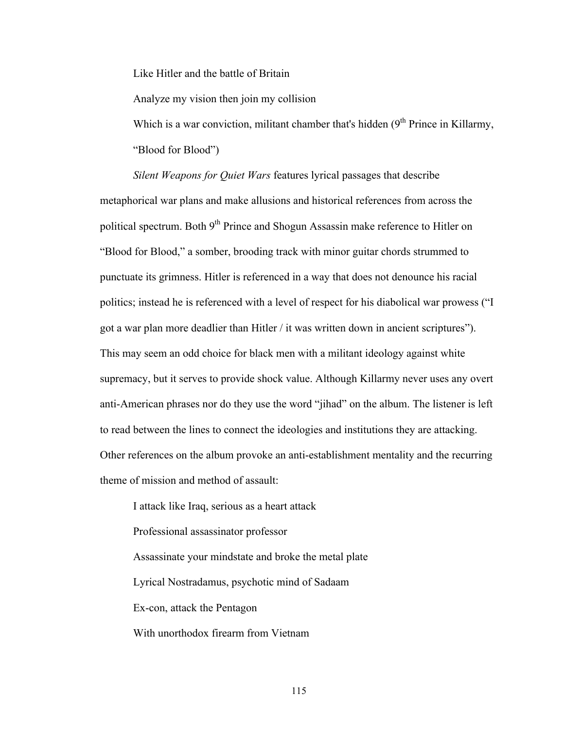Like Hitler and the battle of Britain

Analyze my vision then join my collision

Which is a war conviction, militant chamber that's hidden  $(9<sup>th</sup>$  Prince in Killarmy,

"Blood for Blood")

*Silent Weapons for Quiet Wars* features lyrical passages that describe metaphorical war plans and make allusions and historical references from across the political spectrum. Both 9<sup>th</sup> Prince and Shogun Assassin make reference to Hitler on "Blood for Blood," a somber, brooding track with minor guitar chords strummed to punctuate its grimness. Hitler is referenced in a way that does not denounce his racial politics; instead he is referenced with a level of respect for his diabolical war prowess ("I got a war plan more deadlier than Hitler / it was written down in ancient scriptures"). This may seem an odd choice for black men with a militant ideology against white supremacy, but it serves to provide shock value. Although Killarmy never uses any overt anti-American phrases nor do they use the word "jihad" on the album. The listener is left to read between the lines to connect the ideologies and institutions they are attacking. Other references on the album provoke an anti-establishment mentality and the recurring theme of mission and method of assault:

I attack like Iraq, serious as a heart attack Professional assassinator professor Assassinate your mindstate and broke the metal plate Lyrical Nostradamus, psychotic mind of Sadaam Ex-con, attack the Pentagon With unorthodox firearm from Vietnam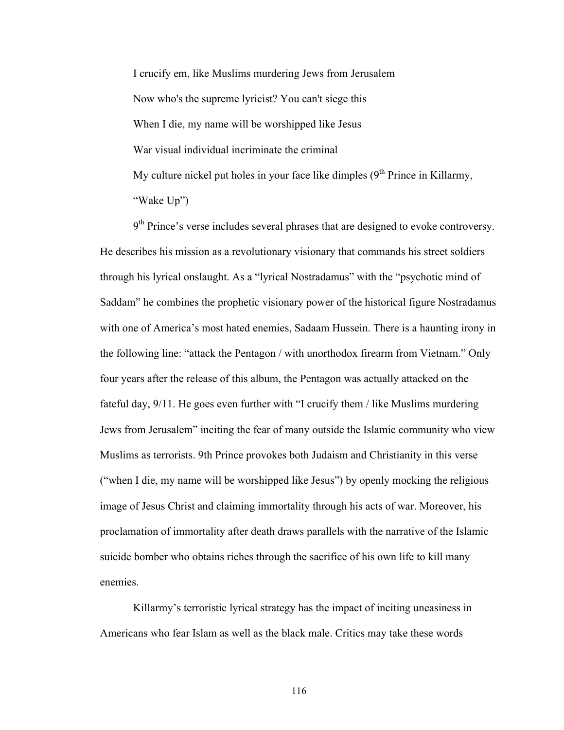I crucify em, like Muslims murdering Jews from Jerusalem Now who's the supreme lyricist? You can't siege this When I die, my name will be worshipped like Jesus War visual individual incriminate the criminal My culture nickel put holes in your face like dimples  $(9<sup>th</sup>$  Prince in Killarmy, "Wake Up")

 $9<sup>th</sup>$  Prince's verse includes several phrases that are designed to evoke controversy. He describes his mission as a revolutionary visionary that commands his street soldiers through his lyrical onslaught. As a "lyrical Nostradamus" with the "psychotic mind of Saddam" he combines the prophetic visionary power of the historical figure Nostradamus with one of America's most hated enemies, Sadaam Hussein. There is a haunting irony in the following line: "attack the Pentagon / with unorthodox firearm from Vietnam." Only four years after the release of this album, the Pentagon was actually attacked on the fateful day, 9/11. He goes even further with "I crucify them / like Muslims murdering Jews from Jerusalem" inciting the fear of many outside the Islamic community who view Muslims as terrorists. 9th Prince provokes both Judaism and Christianity in this verse ("when I die, my name will be worshipped like Jesus") by openly mocking the religious image of Jesus Christ and claiming immortality through his acts of war. Moreover, his proclamation of immortality after death draws parallels with the narrative of the Islamic suicide bomber who obtains riches through the sacrifice of his own life to kill many enemies.

Killarmy's terroristic lyrical strategy has the impact of inciting uneasiness in Americans who fear Islam as well as the black male. Critics may take these words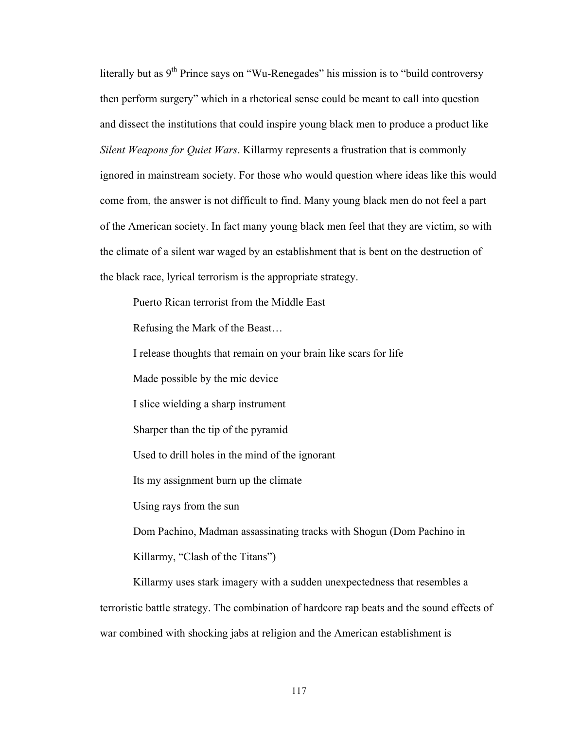literally but as  $9<sup>th</sup>$  Prince says on "Wu-Renegades" his mission is to "build controversy" then perform surgery" which in a rhetorical sense could be meant to call into question and dissect the institutions that could inspire young black men to produce a product like *Silent Weapons for Quiet Wars*. Killarmy represents a frustration that is commonly ignored in mainstream society. For those who would question where ideas like this would come from, the answer is not difficult to find. Many young black men do not feel a part of the American society. In fact many young black men feel that they are victim, so with the climate of a silent war waged by an establishment that is bent on the destruction of the black race, lyrical terrorism is the appropriate strategy.

Puerto Rican terrorist from the Middle East

Refusing the Mark of the Beast…

I release thoughts that remain on your brain like scars for life

Made possible by the mic device

I slice wielding a sharp instrument

Sharper than the tip of the pyramid

Used to drill holes in the mind of the ignorant

Its my assignment burn up the climate

Using rays from the sun

Dom Pachino, Madman assassinating tracks with Shogun (Dom Pachino in Killarmy, "Clash of the Titans")

Killarmy uses stark imagery with a sudden unexpectedness that resembles a terroristic battle strategy. The combination of hardcore rap beats and the sound effects of war combined with shocking jabs at religion and the American establishment is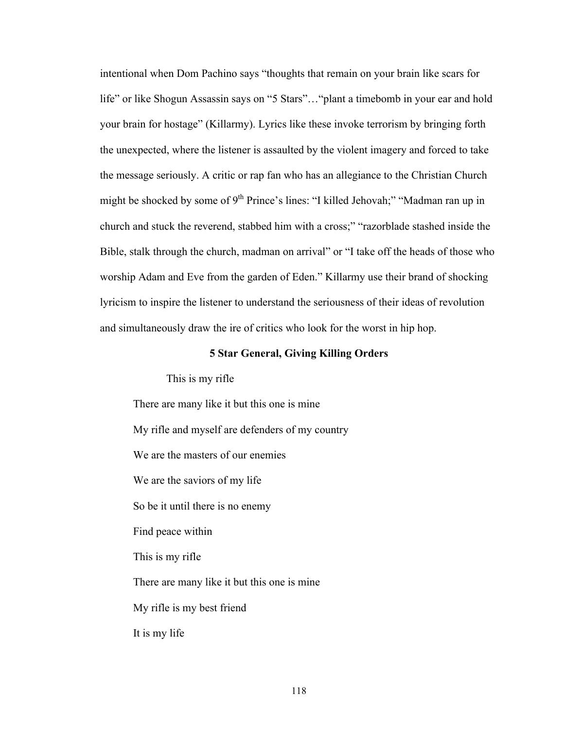intentional when Dom Pachino says "thoughts that remain on your brain like scars for life" or like Shogun Assassin says on "5 Stars"…"plant a timebomb in your ear and hold your brain for hostage" (Killarmy). Lyrics like these invoke terrorism by bringing forth the unexpected, where the listener is assaulted by the violent imagery and forced to take the message seriously. A critic or rap fan who has an allegiance to the Christian Church might be shocked by some of  $9<sup>th</sup>$  Prince's lines: "I killed Jehovah;" "Madman ran up in church and stuck the reverend, stabbed him with a cross;" "razorblade stashed inside the Bible, stalk through the church, madman on arrival" or "I take off the heads of those who worship Adam and Eve from the garden of Eden." Killarmy use their brand of shocking lyricism to inspire the listener to understand the seriousness of their ideas of revolution and simultaneously draw the ire of critics who look for the worst in hip hop.

#### **5 Star General, Giving Killing Orders**

This is my rifle

There are many like it but this one is mine My rifle and myself are defenders of my country We are the masters of our enemies We are the saviors of my life So be it until there is no enemy Find peace within This is my rifle There are many like it but this one is mine My rifle is my best friend It is my life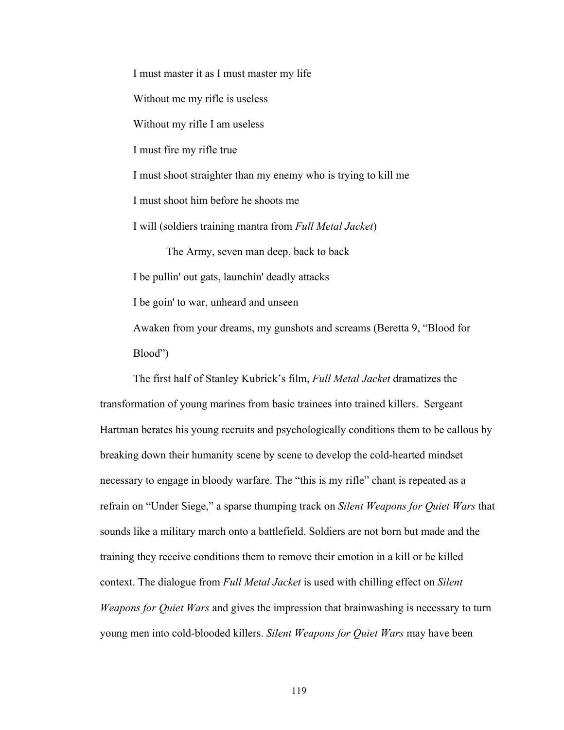I must master it as I must master my life Without me my rifle is useless Without my rifle I am useless I must fire my rifle true I must shoot straighter than my enemy who is trying to kill me I must shoot him before he shoots me I will (soldiers training mantra from *Full Metal Jacket*) The Army, seven man deep, back to back I be pullin' out gats, launchin' deadly attacks I be goin' to war, unheard and unseen Awaken from your dreams, my gunshots and screams (Beretta 9, "Blood for

Blood")

The first half of Stanley Kubrick's film, *Full Metal Jacket* dramatizes the transformation of young marines from basic trainees into trained killers. Sergeant Hartman berates his young recruits and psychologically conditions them to be callous by breaking down their humanity scene by scene to develop the cold-hearted mindset necessary to engage in bloody warfare. The "this is my rifle" chant is repeated as a refrain on "Under Siege," a sparse thumping track on *Silent Weapons for Quiet Wars* that sounds like a military march onto a battlefield. Soldiers are not born but made and the training they receive conditions them to remove their emotion in a kill or be killed context. The dialogue from *Full Metal Jacket* is used with chilling effect on *Silent Weapons for Quiet Wars* and gives the impression that brainwashing is necessary to turn young men into cold-blooded killers. *Silent Weapons for Quiet Wars* may have been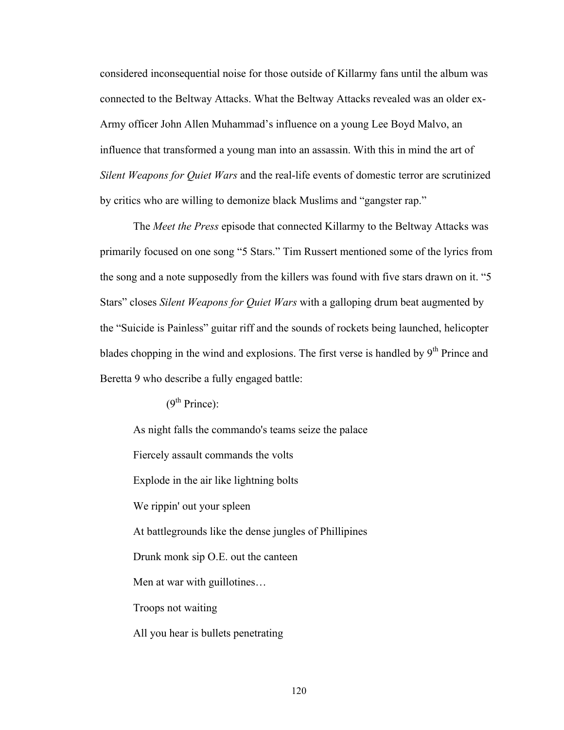considered inconsequential noise for those outside of Killarmy fans until the album was connected to the Beltway Attacks. What the Beltway Attacks revealed was an older ex-Army officer John Allen Muhammad's influence on a young Lee Boyd Malvo, an influence that transformed a young man into an assassin. With this in mind the art of *Silent Weapons for Quiet Wars* and the real-life events of domestic terror are scrutinized by critics who are willing to demonize black Muslims and "gangster rap."

The *Meet the Press* episode that connected Killarmy to the Beltway Attacks was primarily focused on one song "5 Stars." Tim Russert mentioned some of the lyrics from the song and a note supposedly from the killers was found with five stars drawn on it. "5 Stars" closes *Silent Weapons for Quiet Wars* with a galloping drum beat augmented by the "Suicide is Painless" guitar riff and the sounds of rockets being launched, helicopter blades chopping in the wind and explosions. The first verse is handled by  $9<sup>th</sup>$  Prince and Beretta 9 who describe a fully engaged battle:

 $(9<sup>th</sup> Prince):$ 

As night falls the commando's teams seize the palace Fiercely assault commands the volts Explode in the air like lightning bolts We rippin' out your spleen At battlegrounds like the dense jungles of Phillipines Drunk monk sip O.E. out the canteen Men at war with guillotines… Troops not waiting All you hear is bullets penetrating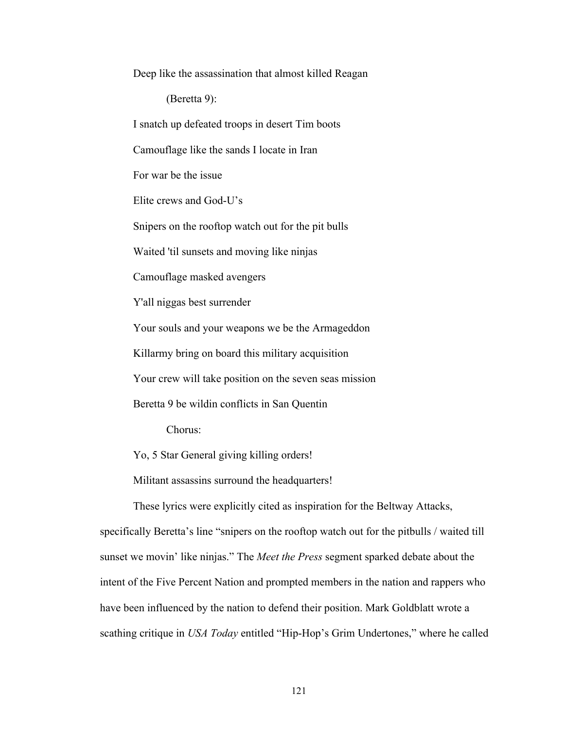Deep like the assassination that almost killed Reagan (Beretta 9): I snatch up defeated troops in desert Tim boots Camouflage like the sands I locate in Iran For war be the issue Elite crews and God-U's Snipers on the rooftop watch out for the pit bulls Waited 'til sunsets and moving like ninjas Camouflage masked avengers Y'all niggas best surrender Your souls and your weapons we be the Armageddon Killarmy bring on board this military acquisition Your crew will take position on the seven seas mission Beretta 9 be wildin conflicts in San Quentin Chorus: Yo, 5 Star General giving killing orders!

Militant assassins surround the headquarters!

These lyrics were explicitly cited as inspiration for the Beltway Attacks, specifically Beretta's line "snipers on the rooftop watch out for the pitbulls / waited till sunset we movin' like ninjas." The *Meet the Press* segment sparked debate about the intent of the Five Percent Nation and prompted members in the nation and rappers who have been influenced by the nation to defend their position. Mark Goldblatt wrote a scathing critique in *USA Today* entitled "Hip-Hop's Grim Undertones," where he called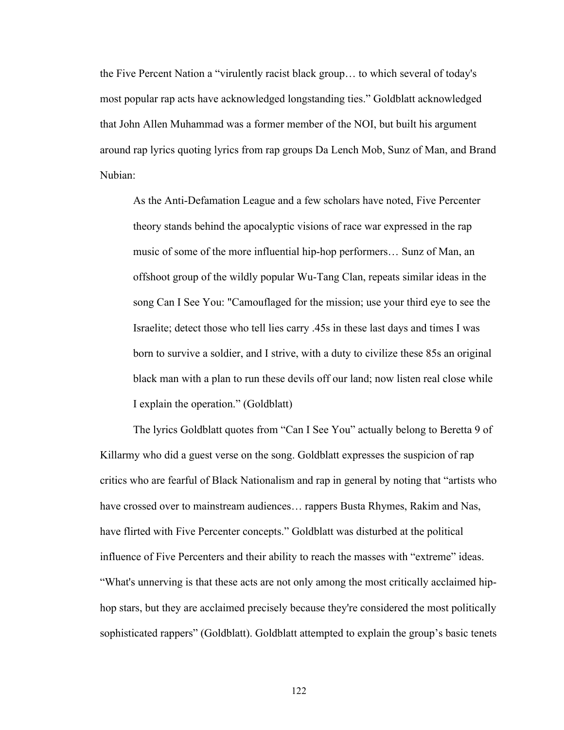the Five Percent Nation a "virulently racist black group… to which several of today's most popular rap acts have acknowledged longstanding ties." Goldblatt acknowledged that John Allen Muhammad was a former member of the NOI, but built his argument around rap lyrics quoting lyrics from rap groups Da Lench Mob, Sunz of Man, and Brand Nubian:

As the Anti-Defamation League and a few scholars have noted, Five Percenter theory stands behind the apocalyptic visions of race war expressed in the rap music of some of the more influential hip-hop performers… Sunz of Man, an offshoot group of the wildly popular Wu-Tang Clan, repeats similar ideas in the song Can I See You: "Camouflaged for the mission; use your third eye to see the Israelite; detect those who tell lies carry .45s in these last days and times I was born to survive a soldier, and I strive, with a duty to civilize these 85s an original black man with a plan to run these devils off our land; now listen real close while I explain the operation." (Goldblatt)

The lyrics Goldblatt quotes from "Can I See You" actually belong to Beretta 9 of Killarmy who did a guest verse on the song. Goldblatt expresses the suspicion of rap critics who are fearful of Black Nationalism and rap in general by noting that "artists who have crossed over to mainstream audiences... rappers Busta Rhymes, Rakim and Nas, have flirted with Five Percenter concepts." Goldblatt was disturbed at the political influence of Five Percenters and their ability to reach the masses with "extreme" ideas. "What's unnerving is that these acts are not only among the most critically acclaimed hiphop stars, but they are acclaimed precisely because they're considered the most politically sophisticated rappers" (Goldblatt). Goldblatt attempted to explain the group's basic tenets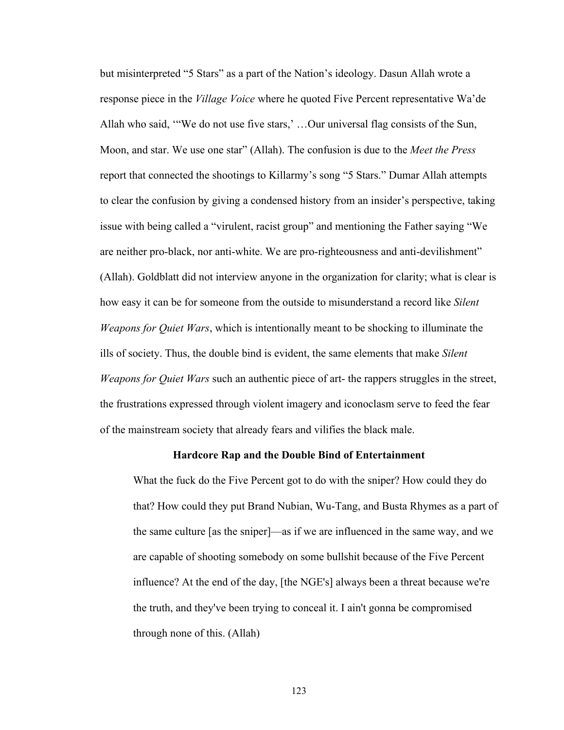but misinterpreted "5 Stars" as a part of the Nation's ideology. Dasun Allah wrote a response piece in the *Village Voice* where he quoted Five Percent representative Wa'de Allah who said, '"We do not use five stars,' …Our universal flag consists of the Sun, Moon, and star. We use one star" (Allah). The confusion is due to the *Meet the Press* report that connected the shootings to Killarmy's song "5 Stars." Dumar Allah attempts to clear the confusion by giving a condensed history from an insider's perspective, taking issue with being called a "virulent, racist group" and mentioning the Father saying "We are neither pro-black, nor anti-white. We are pro-righteousness and anti-devilishment" (Allah). Goldblatt did not interview anyone in the organization for clarity; what is clear is how easy it can be for someone from the outside to misunderstand a record like *Silent Weapons for Quiet Wars*, which is intentionally meant to be shocking to illuminate the ills of society. Thus, the double bind is evident, the same elements that make *Silent Weapons for Quiet Wars* such an authentic piece of art- the rappers struggles in the street, the frustrations expressed through violent imagery and iconoclasm serve to feed the fear of the mainstream society that already fears and vilifies the black male.

### **Hardcore Rap and the Double Bind of Entertainment**

What the fuck do the Five Percent got to do with the sniper? How could they do that? How could they put Brand Nubian, Wu-Tang, and Busta Rhymes as a part of the same culture [as the sniper]—as if we are influenced in the same way, and we are capable of shooting somebody on some bullshit because of the Five Percent influence? At the end of the day, [the NGE's] always been a threat because we're the truth, and they've been trying to conceal it. I ain't gonna be compromised through none of this. (Allah)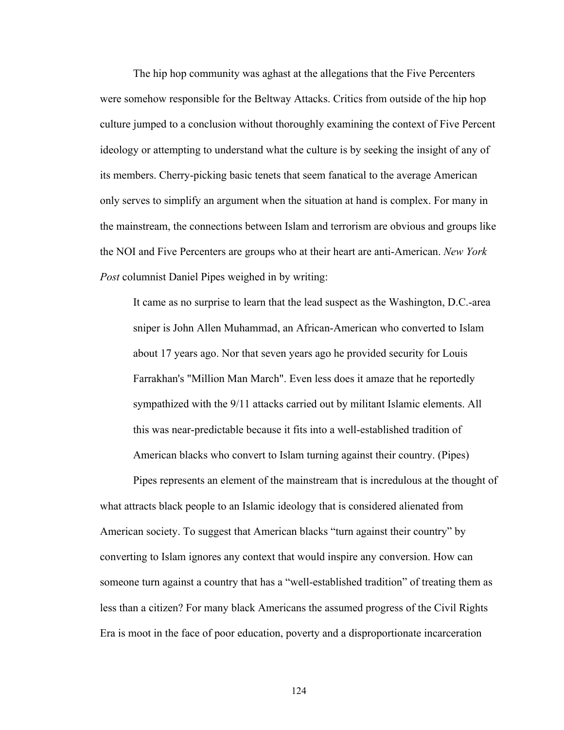The hip hop community was aghast at the allegations that the Five Percenters were somehow responsible for the Beltway Attacks. Critics from outside of the hip hop culture jumped to a conclusion without thoroughly examining the context of Five Percent ideology or attempting to understand what the culture is by seeking the insight of any of its members. Cherry-picking basic tenets that seem fanatical to the average American only serves to simplify an argument when the situation at hand is complex. For many in the mainstream, the connections between Islam and terrorism are obvious and groups like the NOI and Five Percenters are groups who at their heart are anti-American. *New York Post* columnist Daniel Pipes weighed in by writing:

It came as no surprise to learn that the lead suspect as the Washington, D.C.-area sniper is John Allen Muhammad, an African-American who converted to Islam about 17 years ago. Nor that seven years ago he provided security for Louis Farrakhan's "Million Man March". Even less does it amaze that he reportedly sympathized with the 9/11 attacks carried out by militant Islamic elements. All this was near-predictable because it fits into a well-established tradition of American blacks who convert to Islam turning against their country. (Pipes)

Pipes represents an element of the mainstream that is incredulous at the thought of what attracts black people to an Islamic ideology that is considered alienated from American society. To suggest that American blacks "turn against their country" by converting to Islam ignores any context that would inspire any conversion. How can someone turn against a country that has a "well-established tradition" of treating them as less than a citizen? For many black Americans the assumed progress of the Civil Rights Era is moot in the face of poor education, poverty and a disproportionate incarceration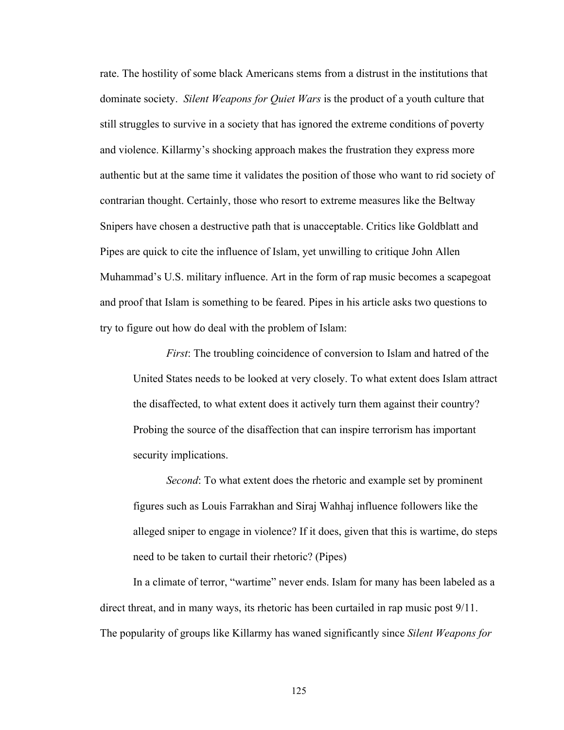rate. The hostility of some black Americans stems from a distrust in the institutions that dominate society. *Silent Weapons for Quiet Wars* is the product of a youth culture that still struggles to survive in a society that has ignored the extreme conditions of poverty and violence. Killarmy's shocking approach makes the frustration they express more authentic but at the same time it validates the position of those who want to rid society of contrarian thought. Certainly, those who resort to extreme measures like the Beltway Snipers have chosen a destructive path that is unacceptable. Critics like Goldblatt and Pipes are quick to cite the influence of Islam, yet unwilling to critique John Allen Muhammad's U.S. military influence. Art in the form of rap music becomes a scapegoat and proof that Islam is something to be feared. Pipes in his article asks two questions to try to figure out how do deal with the problem of Islam:

*First*: The troubling coincidence of conversion to Islam and hatred of the United States needs to be looked at very closely. To what extent does Islam attract the disaffected, to what extent does it actively turn them against their country? Probing the source of the disaffection that can inspire terrorism has important security implications.

*Second*: To what extent does the rhetoric and example set by prominent figures such as Louis Farrakhan and Siraj Wahhaj influence followers like the alleged sniper to engage in violence? If it does, given that this is wartime, do steps need to be taken to curtail their rhetoric? (Pipes)

In a climate of terror, "wartime" never ends. Islam for many has been labeled as a direct threat, and in many ways, its rhetoric has been curtailed in rap music post 9/11. The popularity of groups like Killarmy has waned significantly since *Silent Weapons for*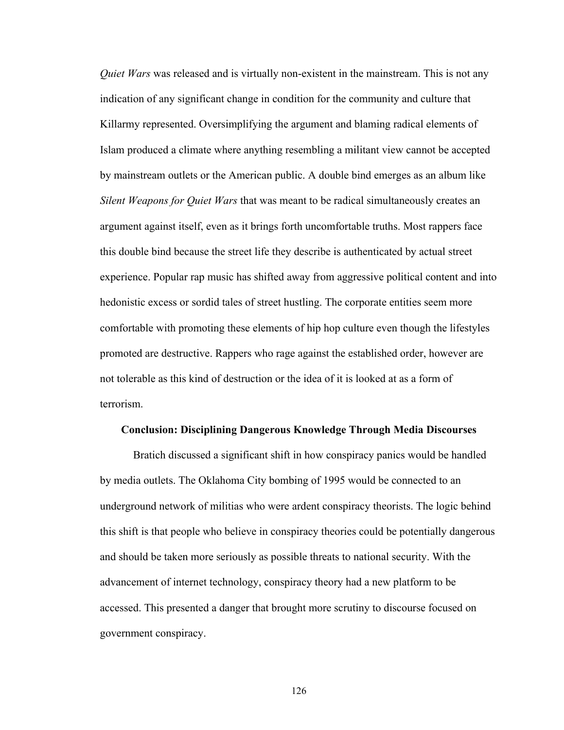*Quiet Wars* was released and is virtually non-existent in the mainstream. This is not any indication of any significant change in condition for the community and culture that Killarmy represented. Oversimplifying the argument and blaming radical elements of Islam produced a climate where anything resembling a militant view cannot be accepted by mainstream outlets or the American public. A double bind emerges as an album like *Silent Weapons for Quiet Wars* that was meant to be radical simultaneously creates an argument against itself, even as it brings forth uncomfortable truths. Most rappers face this double bind because the street life they describe is authenticated by actual street experience. Popular rap music has shifted away from aggressive political content and into hedonistic excess or sordid tales of street hustling. The corporate entities seem more comfortable with promoting these elements of hip hop culture even though the lifestyles promoted are destructive. Rappers who rage against the established order, however are not tolerable as this kind of destruction or the idea of it is looked at as a form of terrorism.

## **Conclusion: Disciplining Dangerous Knowledge Through Media Discourses**

Bratich discussed a significant shift in how conspiracy panics would be handled by media outlets. The Oklahoma City bombing of 1995 would be connected to an underground network of militias who were ardent conspiracy theorists. The logic behind this shift is that people who believe in conspiracy theories could be potentially dangerous and should be taken more seriously as possible threats to national security. With the advancement of internet technology, conspiracy theory had a new platform to be accessed. This presented a danger that brought more scrutiny to discourse focused on government conspiracy.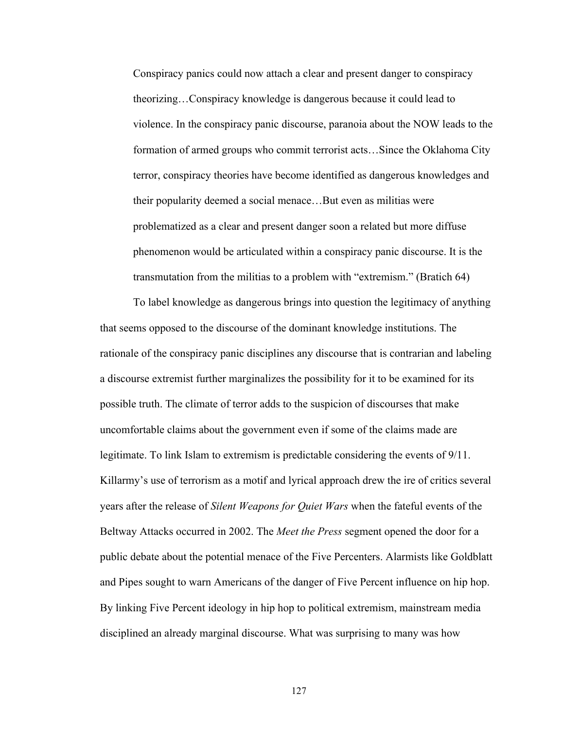Conspiracy panics could now attach a clear and present danger to conspiracy theorizing…Conspiracy knowledge is dangerous because it could lead to violence. In the conspiracy panic discourse, paranoia about the NOW leads to the formation of armed groups who commit terrorist acts…Since the Oklahoma City terror, conspiracy theories have become identified as dangerous knowledges and their popularity deemed a social menace…But even as militias were problematized as a clear and present danger soon a related but more diffuse phenomenon would be articulated within a conspiracy panic discourse. It is the transmutation from the militias to a problem with "extremism." (Bratich 64)

To label knowledge as dangerous brings into question the legitimacy of anything that seems opposed to the discourse of the dominant knowledge institutions. The rationale of the conspiracy panic disciplines any discourse that is contrarian and labeling a discourse extremist further marginalizes the possibility for it to be examined for its possible truth. The climate of terror adds to the suspicion of discourses that make uncomfortable claims about the government even if some of the claims made are legitimate. To link Islam to extremism is predictable considering the events of 9/11. Killarmy's use of terrorism as a motif and lyrical approach drew the ire of critics several years after the release of *Silent Weapons for Quiet Wars* when the fateful events of the Beltway Attacks occurred in 2002. The *Meet the Press* segment opened the door for a public debate about the potential menace of the Five Percenters. Alarmists like Goldblatt and Pipes sought to warn Americans of the danger of Five Percent influence on hip hop. By linking Five Percent ideology in hip hop to political extremism, mainstream media disciplined an already marginal discourse. What was surprising to many was how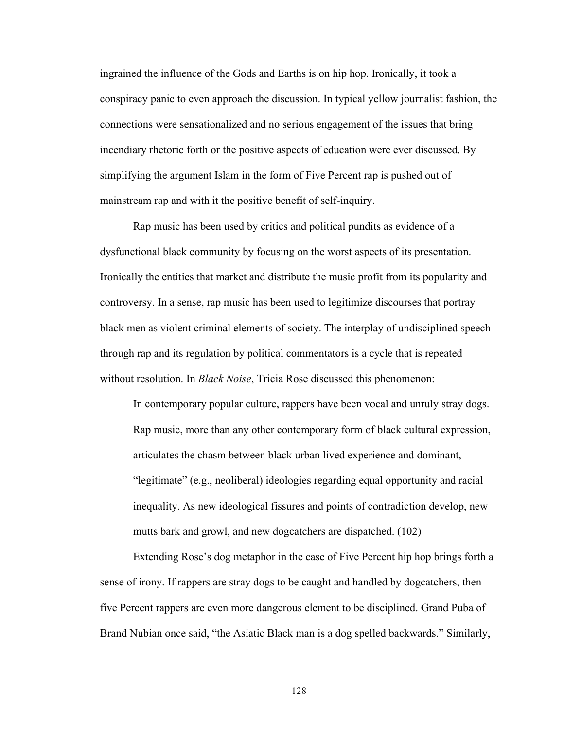ingrained the influence of the Gods and Earths is on hip hop. Ironically, it took a conspiracy panic to even approach the discussion. In typical yellow journalist fashion, the connections were sensationalized and no serious engagement of the issues that bring incendiary rhetoric forth or the positive aspects of education were ever discussed. By simplifying the argument Islam in the form of Five Percent rap is pushed out of mainstream rap and with it the positive benefit of self-inquiry.

Rap music has been used by critics and political pundits as evidence of a dysfunctional black community by focusing on the worst aspects of its presentation. Ironically the entities that market and distribute the music profit from its popularity and controversy. In a sense, rap music has been used to legitimize discourses that portray black men as violent criminal elements of society. The interplay of undisciplined speech through rap and its regulation by political commentators is a cycle that is repeated without resolution. In *Black Noise*, Tricia Rose discussed this phenomenon:

In contemporary popular culture, rappers have been vocal and unruly stray dogs. Rap music, more than any other contemporary form of black cultural expression, articulates the chasm between black urban lived experience and dominant, "legitimate" (e.g., neoliberal) ideologies regarding equal opportunity and racial inequality. As new ideological fissures and points of contradiction develop, new mutts bark and growl, and new dogcatchers are dispatched. (102)

Extending Rose's dog metaphor in the case of Five Percent hip hop brings forth a sense of irony. If rappers are stray dogs to be caught and handled by dogcatchers, then five Percent rappers are even more dangerous element to be disciplined. Grand Puba of Brand Nubian once said, "the Asiatic Black man is a dog spelled backwards." Similarly,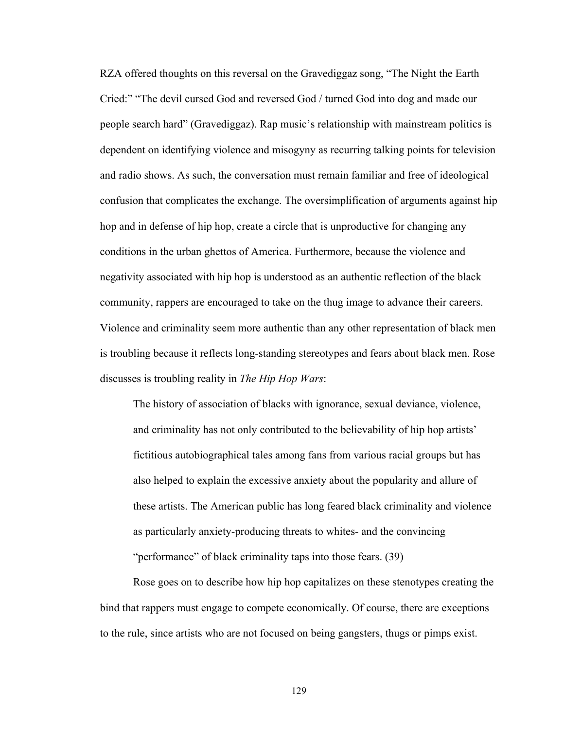RZA offered thoughts on this reversal on the Gravediggaz song, "The Night the Earth Cried:" "The devil cursed God and reversed God / turned God into dog and made our people search hard" (Gravediggaz). Rap music's relationship with mainstream politics is dependent on identifying violence and misogyny as recurring talking points for television and radio shows. As such, the conversation must remain familiar and free of ideological confusion that complicates the exchange. The oversimplification of arguments against hip hop and in defense of hip hop, create a circle that is unproductive for changing any conditions in the urban ghettos of America. Furthermore, because the violence and negativity associated with hip hop is understood as an authentic reflection of the black community, rappers are encouraged to take on the thug image to advance their careers. Violence and criminality seem more authentic than any other representation of black men is troubling because it reflects long-standing stereotypes and fears about black men. Rose discusses is troubling reality in *The Hip Hop Wars*:

The history of association of blacks with ignorance, sexual deviance, violence, and criminality has not only contributed to the believability of hip hop artists' fictitious autobiographical tales among fans from various racial groups but has also helped to explain the excessive anxiety about the popularity and allure of these artists. The American public has long feared black criminality and violence as particularly anxiety-producing threats to whites- and the convincing "performance" of black criminality taps into those fears. (39)

Rose goes on to describe how hip hop capitalizes on these stenotypes creating the bind that rappers must engage to compete economically. Of course, there are exceptions to the rule, since artists who are not focused on being gangsters, thugs or pimps exist.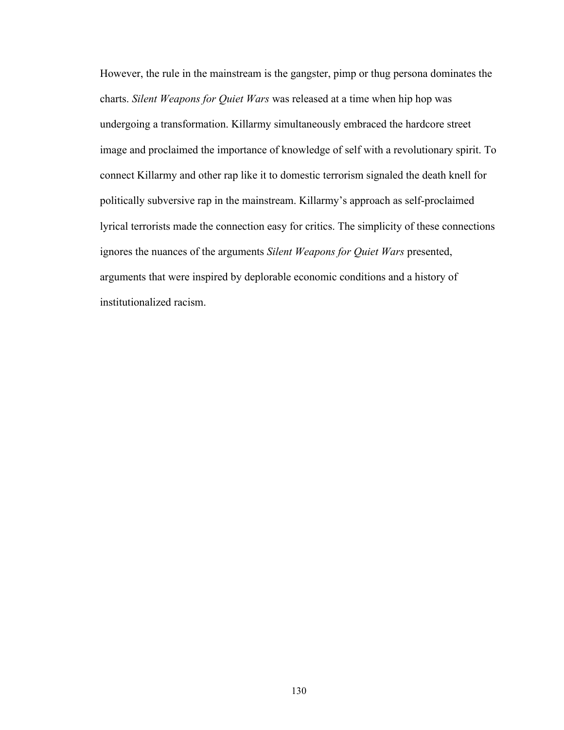However, the rule in the mainstream is the gangster, pimp or thug persona dominates the charts. *Silent Weapons for Quiet Wars* was released at a time when hip hop was undergoing a transformation. Killarmy simultaneously embraced the hardcore street image and proclaimed the importance of knowledge of self with a revolutionary spirit. To connect Killarmy and other rap like it to domestic terrorism signaled the death knell for politically subversive rap in the mainstream. Killarmy's approach as self-proclaimed lyrical terrorists made the connection easy for critics. The simplicity of these connections ignores the nuances of the arguments *Silent Weapons for Quiet Wars* presented, arguments that were inspired by deplorable economic conditions and a history of institutionalized racism.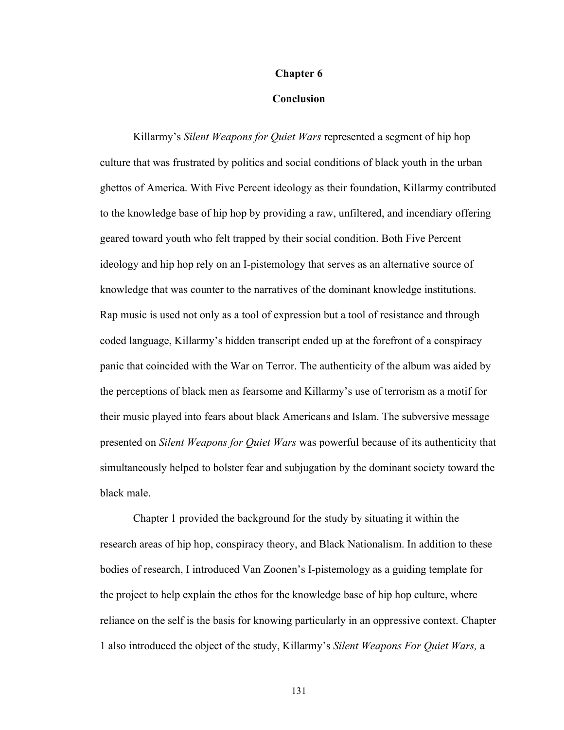### **Chapter 6**

# **Conclusion**

Killarmy's *Silent Weapons for Quiet Wars* represented a segment of hip hop culture that was frustrated by politics and social conditions of black youth in the urban ghettos of America. With Five Percent ideology as their foundation, Killarmy contributed to the knowledge base of hip hop by providing a raw, unfiltered, and incendiary offering geared toward youth who felt trapped by their social condition. Both Five Percent ideology and hip hop rely on an I-pistemology that serves as an alternative source of knowledge that was counter to the narratives of the dominant knowledge institutions. Rap music is used not only as a tool of expression but a tool of resistance and through coded language, Killarmy's hidden transcript ended up at the forefront of a conspiracy panic that coincided with the War on Terror. The authenticity of the album was aided by the perceptions of black men as fearsome and Killarmy's use of terrorism as a motif for their music played into fears about black Americans and Islam. The subversive message presented on *Silent Weapons for Quiet Wars* was powerful because of its authenticity that simultaneously helped to bolster fear and subjugation by the dominant society toward the black male.

Chapter 1 provided the background for the study by situating it within the research areas of hip hop, conspiracy theory, and Black Nationalism. In addition to these bodies of research, I introduced Van Zoonen's I-pistemology as a guiding template for the project to help explain the ethos for the knowledge base of hip hop culture, where reliance on the self is the basis for knowing particularly in an oppressive context. Chapter 1 also introduced the object of the study, Killarmy's *Silent Weapons For Quiet Wars,* a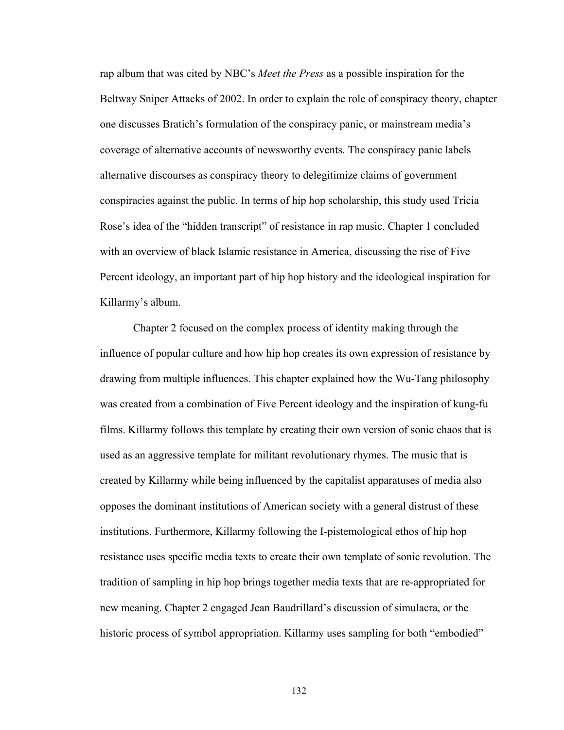rap album that was cited by NBC's *Meet the Press* as a possible inspiration for the Beltway Sniper Attacks of 2002. In order to explain the role of conspiracy theory, chapter one discusses Bratich's formulation of the conspiracy panic, or mainstream media's coverage of alternative accounts of newsworthy events. The conspiracy panic labels alternative discourses as conspiracy theory to delegitimize claims of government conspiracies against the public. In terms of hip hop scholarship, this study used Tricia Rose's idea of the "hidden transcript" of resistance in rap music. Chapter 1 concluded with an overview of black Islamic resistance in America, discussing the rise of Five Percent ideology, an important part of hip hop history and the ideological inspiration for Killarmy's album.

Chapter 2 focused on the complex process of identity making through the influence of popular culture and how hip hop creates its own expression of resistance by drawing from multiple influences. This chapter explained how the Wu-Tang philosophy was created from a combination of Five Percent ideology and the inspiration of kung-fu films. Killarmy follows this template by creating their own version of sonic chaos that is used as an aggressive template for militant revolutionary rhymes. The music that is created by Killarmy while being influenced by the capitalist apparatuses of media also opposes the dominant institutions of American society with a general distrust of these institutions. Furthermore, Killarmy following the I-pistemological ethos of hip hop resistance uses specific media texts to create their own template of sonic revolution. The tradition of sampling in hip hop brings together media texts that are re-appropriated for new meaning. Chapter 2 engaged Jean Baudrillard's discussion of simulacra, or the historic process of symbol appropriation. Killarmy uses sampling for both "embodied"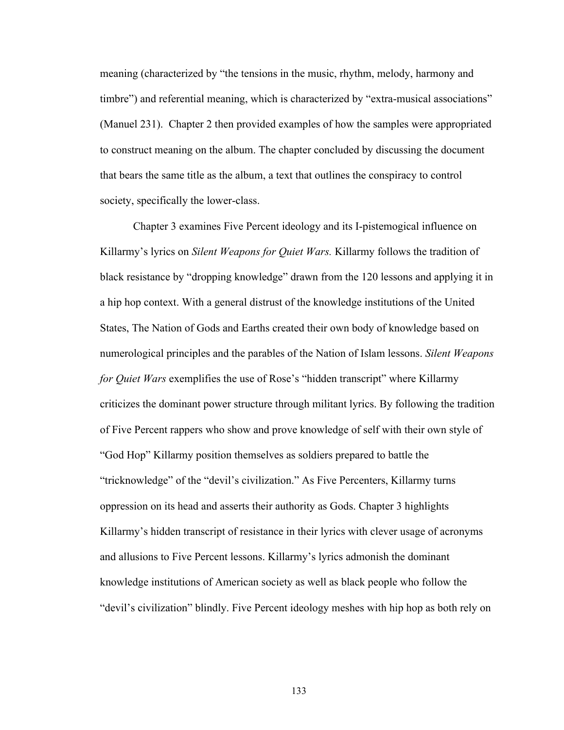meaning (characterized by "the tensions in the music, rhythm, melody, harmony and timbre") and referential meaning, which is characterized by "extra-musical associations" (Manuel 231). Chapter 2 then provided examples of how the samples were appropriated to construct meaning on the album. The chapter concluded by discussing the document that bears the same title as the album, a text that outlines the conspiracy to control society, specifically the lower-class.

Chapter 3 examines Five Percent ideology and its I-pistemogical influence on Killarmy's lyrics on *Silent Weapons for Quiet Wars.* Killarmy follows the tradition of black resistance by "dropping knowledge" drawn from the 120 lessons and applying it in a hip hop context. With a general distrust of the knowledge institutions of the United States, The Nation of Gods and Earths created their own body of knowledge based on numerological principles and the parables of the Nation of Islam lessons. *Silent Weapons for Quiet Wars* exemplifies the use of Rose's "hidden transcript" where Killarmy criticizes the dominant power structure through militant lyrics. By following the tradition of Five Percent rappers who show and prove knowledge of self with their own style of "God Hop" Killarmy position themselves as soldiers prepared to battle the "tricknowledge" of the "devil's civilization." As Five Percenters, Killarmy turns oppression on its head and asserts their authority as Gods. Chapter 3 highlights Killarmy's hidden transcript of resistance in their lyrics with clever usage of acronyms and allusions to Five Percent lessons. Killarmy's lyrics admonish the dominant knowledge institutions of American society as well as black people who follow the "devil's civilization" blindly. Five Percent ideology meshes with hip hop as both rely on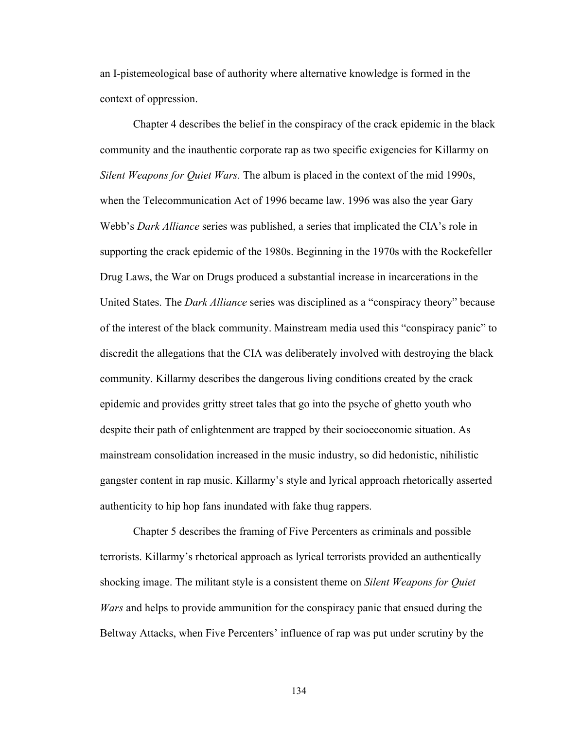an I-pistemeological base of authority where alternative knowledge is formed in the context of oppression.

Chapter 4 describes the belief in the conspiracy of the crack epidemic in the black community and the inauthentic corporate rap as two specific exigencies for Killarmy on *Silent Weapons for Quiet Wars.* The album is placed in the context of the mid 1990s, when the Telecommunication Act of 1996 became law. 1996 was also the year Gary Webb's *Dark Alliance* series was published, a series that implicated the CIA's role in supporting the crack epidemic of the 1980s. Beginning in the 1970s with the Rockefeller Drug Laws, the War on Drugs produced a substantial increase in incarcerations in the United States. The *Dark Alliance* series was disciplined as a "conspiracy theory" because of the interest of the black community. Mainstream media used this "conspiracy panic" to discredit the allegations that the CIA was deliberately involved with destroying the black community. Killarmy describes the dangerous living conditions created by the crack epidemic and provides gritty street tales that go into the psyche of ghetto youth who despite their path of enlightenment are trapped by their socioeconomic situation. As mainstream consolidation increased in the music industry, so did hedonistic, nihilistic gangster content in rap music. Killarmy's style and lyrical approach rhetorically asserted authenticity to hip hop fans inundated with fake thug rappers.

Chapter 5 describes the framing of Five Percenters as criminals and possible terrorists. Killarmy's rhetorical approach as lyrical terrorists provided an authentically shocking image. The militant style is a consistent theme on *Silent Weapons for Quiet Wars* and helps to provide ammunition for the conspiracy panic that ensued during the Beltway Attacks, when Five Percenters' influence of rap was put under scrutiny by the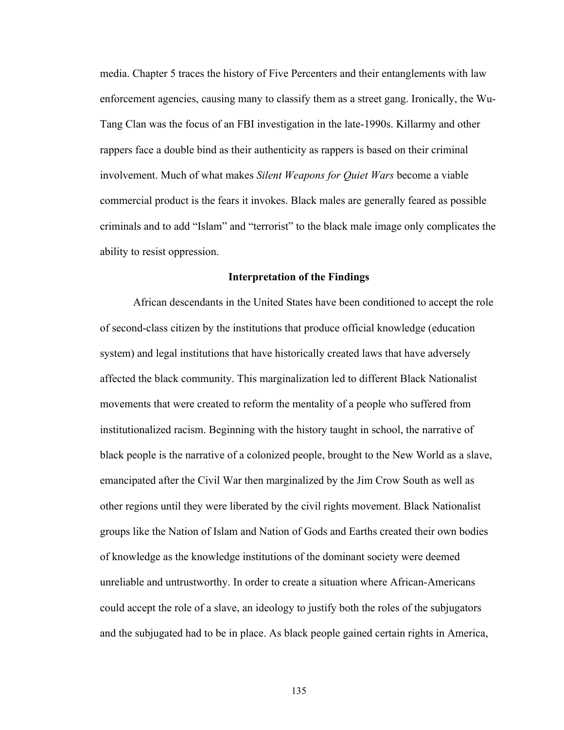media. Chapter 5 traces the history of Five Percenters and their entanglements with law enforcement agencies, causing many to classify them as a street gang. Ironically, the Wu-Tang Clan was the focus of an FBI investigation in the late-1990s. Killarmy and other rappers face a double bind as their authenticity as rappers is based on their criminal involvement. Much of what makes *Silent Weapons for Quiet Wars* become a viable commercial product is the fears it invokes. Black males are generally feared as possible criminals and to add "Islam" and "terrorist" to the black male image only complicates the ability to resist oppression.

#### **Interpretation of the Findings**

African descendants in the United States have been conditioned to accept the role of second-class citizen by the institutions that produce official knowledge (education system) and legal institutions that have historically created laws that have adversely affected the black community. This marginalization led to different Black Nationalist movements that were created to reform the mentality of a people who suffered from institutionalized racism. Beginning with the history taught in school, the narrative of black people is the narrative of a colonized people, brought to the New World as a slave, emancipated after the Civil War then marginalized by the Jim Crow South as well as other regions until they were liberated by the civil rights movement. Black Nationalist groups like the Nation of Islam and Nation of Gods and Earths created their own bodies of knowledge as the knowledge institutions of the dominant society were deemed unreliable and untrustworthy. In order to create a situation where African-Americans could accept the role of a slave, an ideology to justify both the roles of the subjugators and the subjugated had to be in place. As black people gained certain rights in America,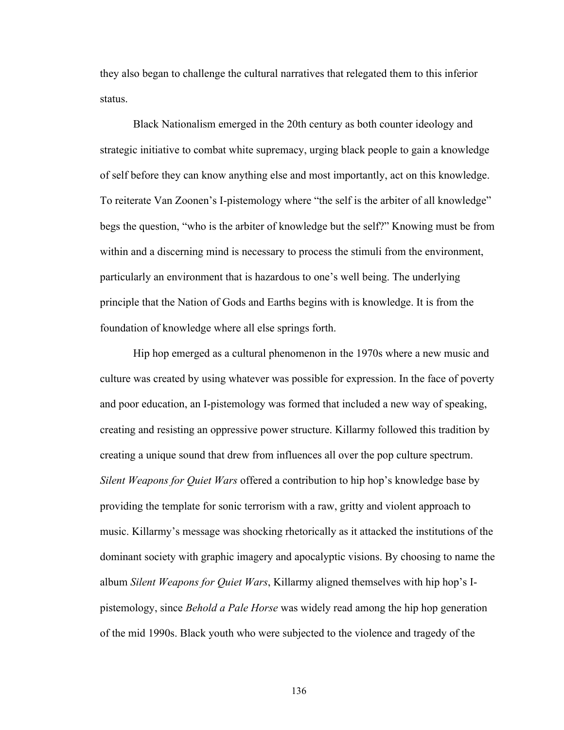they also began to challenge the cultural narratives that relegated them to this inferior status.

Black Nationalism emerged in the 20th century as both counter ideology and strategic initiative to combat white supremacy, urging black people to gain a knowledge of self before they can know anything else and most importantly, act on this knowledge. To reiterate Van Zoonen's I-pistemology where "the self is the arbiter of all knowledge" begs the question, "who is the arbiter of knowledge but the self?" Knowing must be from within and a discerning mind is necessary to process the stimuli from the environment, particularly an environment that is hazardous to one's well being. The underlying principle that the Nation of Gods and Earths begins with is knowledge. It is from the foundation of knowledge where all else springs forth.

Hip hop emerged as a cultural phenomenon in the 1970s where a new music and culture was created by using whatever was possible for expression. In the face of poverty and poor education, an I-pistemology was formed that included a new way of speaking, creating and resisting an oppressive power structure. Killarmy followed this tradition by creating a unique sound that drew from influences all over the pop culture spectrum. *Silent Weapons for Quiet Wars* offered a contribution to hip hop's knowledge base by providing the template for sonic terrorism with a raw, gritty and violent approach to music. Killarmy's message was shocking rhetorically as it attacked the institutions of the dominant society with graphic imagery and apocalyptic visions. By choosing to name the album *Silent Weapons for Quiet Wars*, Killarmy aligned themselves with hip hop's Ipistemology, since *Behold a Pale Horse* was widely read among the hip hop generation of the mid 1990s. Black youth who were subjected to the violence and tragedy of the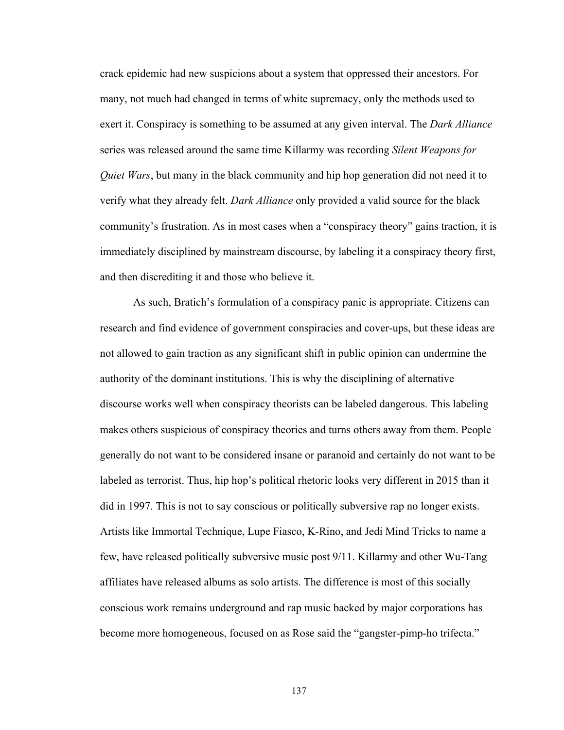crack epidemic had new suspicions about a system that oppressed their ancestors. For many, not much had changed in terms of white supremacy, only the methods used to exert it. Conspiracy is something to be assumed at any given interval. The *Dark Alliance* series was released around the same time Killarmy was recording *Silent Weapons for Quiet Wars*, but many in the black community and hip hop generation did not need it to verify what they already felt. *Dark Alliance* only provided a valid source for the black community's frustration. As in most cases when a "conspiracy theory" gains traction, it is immediately disciplined by mainstream discourse, by labeling it a conspiracy theory first, and then discrediting it and those who believe it.

As such, Bratich's formulation of a conspiracy panic is appropriate. Citizens can research and find evidence of government conspiracies and cover-ups, but these ideas are not allowed to gain traction as any significant shift in public opinion can undermine the authority of the dominant institutions. This is why the disciplining of alternative discourse works well when conspiracy theorists can be labeled dangerous. This labeling makes others suspicious of conspiracy theories and turns others away from them. People generally do not want to be considered insane or paranoid and certainly do not want to be labeled as terrorist. Thus, hip hop's political rhetoric looks very different in 2015 than it did in 1997. This is not to say conscious or politically subversive rap no longer exists. Artists like Immortal Technique, Lupe Fiasco, K-Rino, and Jedi Mind Tricks to name a few, have released politically subversive music post 9/11. Killarmy and other Wu-Tang affiliates have released albums as solo artists. The difference is most of this socially conscious work remains underground and rap music backed by major corporations has become more homogeneous, focused on as Rose said the "gangster-pimp-ho trifecta."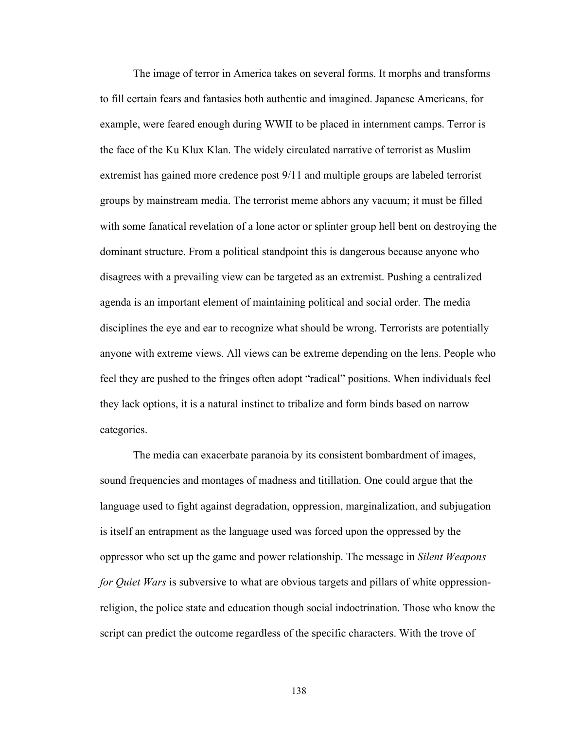The image of terror in America takes on several forms. It morphs and transforms to fill certain fears and fantasies both authentic and imagined. Japanese Americans, for example, were feared enough during WWII to be placed in internment camps. Terror is the face of the Ku Klux Klan. The widely circulated narrative of terrorist as Muslim extremist has gained more credence post 9/11 and multiple groups are labeled terrorist groups by mainstream media. The terrorist meme abhors any vacuum; it must be filled with some fanatical revelation of a lone actor or splinter group hell bent on destroying the dominant structure. From a political standpoint this is dangerous because anyone who disagrees with a prevailing view can be targeted as an extremist. Pushing a centralized agenda is an important element of maintaining political and social order. The media disciplines the eye and ear to recognize what should be wrong. Terrorists are potentially anyone with extreme views. All views can be extreme depending on the lens. People who feel they are pushed to the fringes often adopt "radical" positions. When individuals feel they lack options, it is a natural instinct to tribalize and form binds based on narrow categories.

The media can exacerbate paranoia by its consistent bombardment of images, sound frequencies and montages of madness and titillation. One could argue that the language used to fight against degradation, oppression, marginalization, and subjugation is itself an entrapment as the language used was forced upon the oppressed by the oppressor who set up the game and power relationship. The message in *Silent Weapons for Quiet Wars* is subversive to what are obvious targets and pillars of white oppressionreligion, the police state and education though social indoctrination. Those who know the script can predict the outcome regardless of the specific characters. With the trove of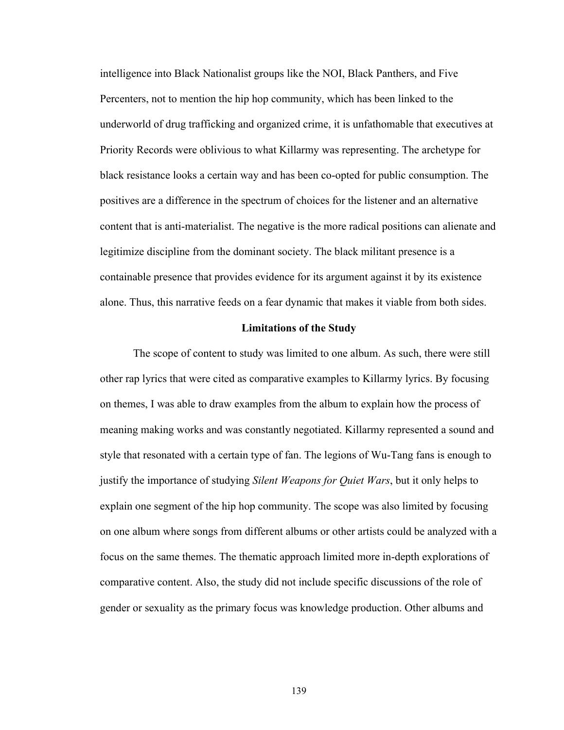intelligence into Black Nationalist groups like the NOI, Black Panthers, and Five Percenters, not to mention the hip hop community, which has been linked to the underworld of drug trafficking and organized crime, it is unfathomable that executives at Priority Records were oblivious to what Killarmy was representing. The archetype for black resistance looks a certain way and has been co-opted for public consumption. The positives are a difference in the spectrum of choices for the listener and an alternative content that is anti-materialist. The negative is the more radical positions can alienate and legitimize discipline from the dominant society. The black militant presence is a containable presence that provides evidence for its argument against it by its existence alone. Thus, this narrative feeds on a fear dynamic that makes it viable from both sides.

#### **Limitations of the Study**

The scope of content to study was limited to one album. As such, there were still other rap lyrics that were cited as comparative examples to Killarmy lyrics. By focusing on themes, I was able to draw examples from the album to explain how the process of meaning making works and was constantly negotiated. Killarmy represented a sound and style that resonated with a certain type of fan. The legions of Wu-Tang fans is enough to justify the importance of studying *Silent Weapons for Quiet Wars*, but it only helps to explain one segment of the hip hop community. The scope was also limited by focusing on one album where songs from different albums or other artists could be analyzed with a focus on the same themes. The thematic approach limited more in-depth explorations of comparative content. Also, the study did not include specific discussions of the role of gender or sexuality as the primary focus was knowledge production. Other albums and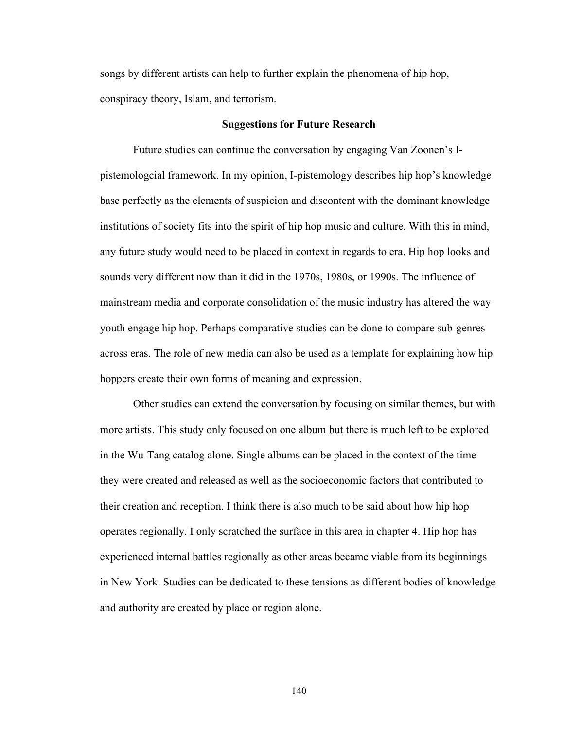songs by different artists can help to further explain the phenomena of hip hop, conspiracy theory, Islam, and terrorism.

### **Suggestions for Future Research**

Future studies can continue the conversation by engaging Van Zoonen's Ipistemologcial framework. In my opinion, I-pistemology describes hip hop's knowledge base perfectly as the elements of suspicion and discontent with the dominant knowledge institutions of society fits into the spirit of hip hop music and culture. With this in mind, any future study would need to be placed in context in regards to era. Hip hop looks and sounds very different now than it did in the 1970s, 1980s, or 1990s. The influence of mainstream media and corporate consolidation of the music industry has altered the way youth engage hip hop. Perhaps comparative studies can be done to compare sub-genres across eras. The role of new media can also be used as a template for explaining how hip hoppers create their own forms of meaning and expression.

Other studies can extend the conversation by focusing on similar themes, but with more artists. This study only focused on one album but there is much left to be explored in the Wu-Tang catalog alone. Single albums can be placed in the context of the time they were created and released as well as the socioeconomic factors that contributed to their creation and reception. I think there is also much to be said about how hip hop operates regionally. I only scratched the surface in this area in chapter 4. Hip hop has experienced internal battles regionally as other areas became viable from its beginnings in New York. Studies can be dedicated to these tensions as different bodies of knowledge and authority are created by place or region alone.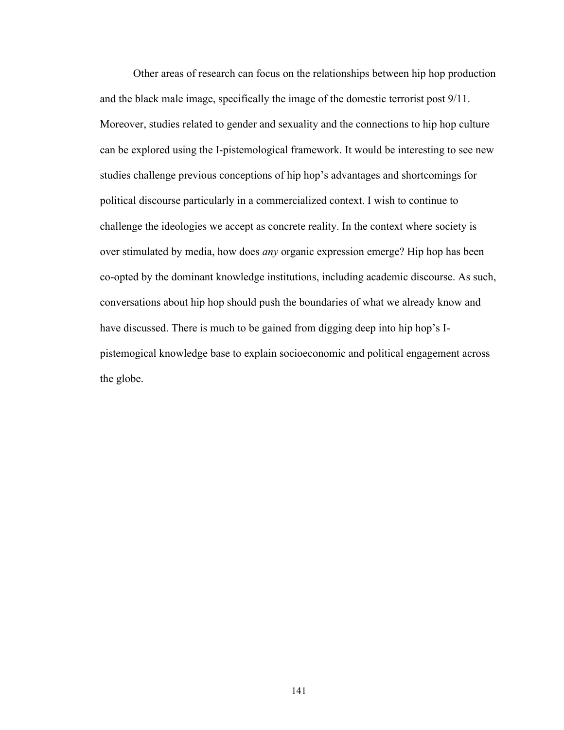Other areas of research can focus on the relationships between hip hop production and the black male image, specifically the image of the domestic terrorist post 9/11. Moreover, studies related to gender and sexuality and the connections to hip hop culture can be explored using the I-pistemological framework. It would be interesting to see new studies challenge previous conceptions of hip hop's advantages and shortcomings for political discourse particularly in a commercialized context. I wish to continue to challenge the ideologies we accept as concrete reality. In the context where society is over stimulated by media, how does *any* organic expression emerge? Hip hop has been co-opted by the dominant knowledge institutions, including academic discourse. As such, conversations about hip hop should push the boundaries of what we already know and have discussed. There is much to be gained from digging deep into hip hop's Ipistemogical knowledge base to explain socioeconomic and political engagement across the globe.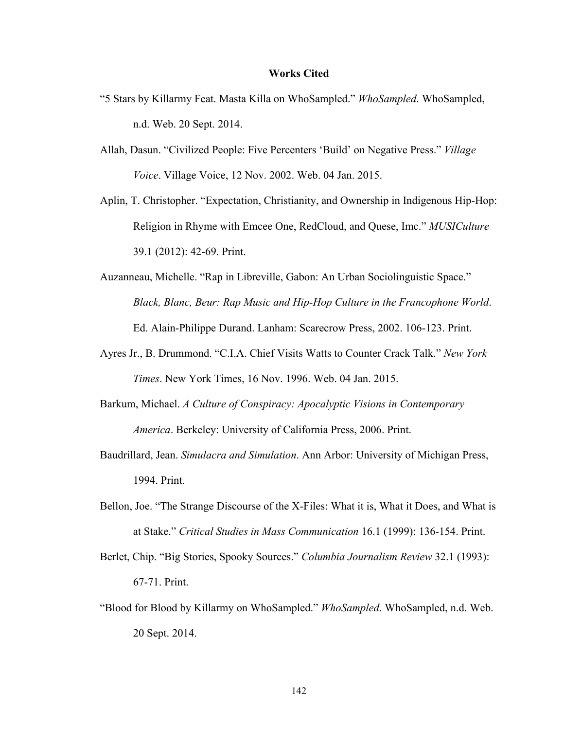### **Works Cited**

- "5 Stars by Killarmy Feat. Masta Killa on WhoSampled." *WhoSampled*. WhoSampled, n.d. Web. 20 Sept. 2014.
- Allah, Dasun. "Civilized People: Five Percenters 'Build' on Negative Press." *Village Voice*. Village Voice, 12 Nov. 2002. Web. 04 Jan. 2015.
- Aplin, T. Christopher. "Expectation, Christianity, and Ownership in Indigenous Hip-Hop: Religion in Rhyme with Emcee One, RedCloud, and Quese, Imc." *MUSICulture* 39.1 (2012): 42-69. Print.
- Auzanneau, Michelle. "Rap in Libreville, Gabon: An Urban Sociolinguistic Space." *Black, Blanc, Beur: Rap Music and Hip-Hop Culture in the Francophone World*. Ed. Alain-Philippe Durand. Lanham: Scarecrow Press, 2002. 106-123. Print.
- Ayres Jr., B. Drummond. "C.I.A. Chief Visits Watts to Counter Crack Talk." *New York Times*. New York Times, 16 Nov. 1996. Web. 04 Jan. 2015.
- Barkum, Michael. *A Culture of Conspiracy: Apocalyptic Visions in Contemporary America*. Berkeley: University of California Press, 2006. Print.
- Baudrillard, Jean. *Simulacra and Simulation*. Ann Arbor: University of Michigan Press, 1994. Print.
- Bellon, Joe. "The Strange Discourse of the X-Files: What it is, What it Does, and What is at Stake." *Critical Studies in Mass Communication* 16.1 (1999): 136-154. Print.
- Berlet, Chip. "Big Stories, Spooky Sources." *Columbia Journalism Review* 32.1 (1993): 67-71. Print.
- "Blood for Blood by Killarmy on WhoSampled." *WhoSampled*. WhoSampled, n.d. Web. 20 Sept. 2014.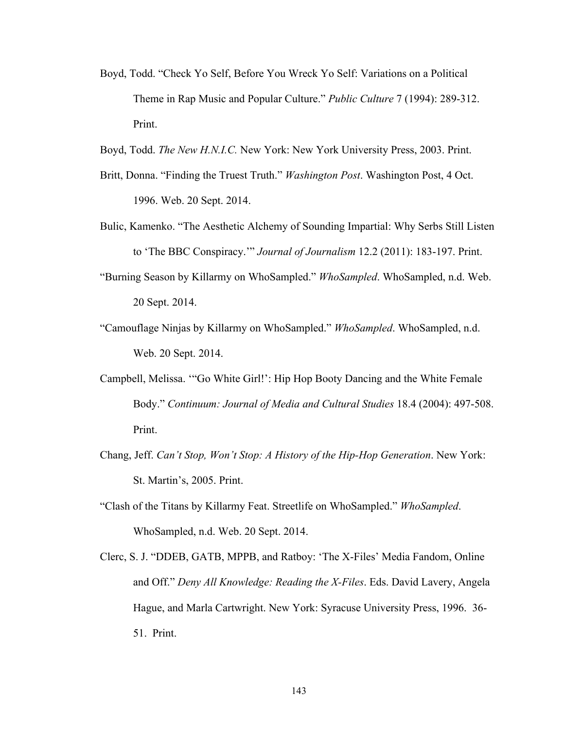- Boyd, Todd. "Check Yo Self, Before You Wreck Yo Self: Variations on a Political Theme in Rap Music and Popular Culture." *Public Culture* 7 (1994): 289-312. Print.
- Boyd, Todd. *The New H.N.I.C.* New York: New York University Press, 2003. Print.
- Britt, Donna. "Finding the Truest Truth." *Washington Post*. Washington Post, 4 Oct. 1996. Web. 20 Sept. 2014.
- Bulic, Kamenko. "The Aesthetic Alchemy of Sounding Impartial: Why Serbs Still Listen to 'The BBC Conspiracy.'" *Journal of Journalism* 12.2 (2011): 183-197. Print.
- "Burning Season by Killarmy on WhoSampled." *WhoSampled*. WhoSampled, n.d. Web. 20 Sept. 2014.
- "Camouflage Ninjas by Killarmy on WhoSampled." *WhoSampled*. WhoSampled, n.d. Web. 20 Sept. 2014.
- Campbell, Melissa. '"Go White Girl!': Hip Hop Booty Dancing and the White Female Body." *Continuum: Journal of Media and Cultural Studies* 18.4 (2004): 497-508. Print.
- Chang, Jeff. *Can't Stop, Won't Stop: A History of the Hip-Hop Generation*. New York: St. Martin's, 2005. Print.
- "Clash of the Titans by Killarmy Feat. Streetlife on WhoSampled." *WhoSampled*. WhoSampled, n.d. Web. 20 Sept. 2014.
- Clerc, S. J. "DDEB, GATB, MPPB, and Ratboy: 'The X-Files' Media Fandom, Online and Off." *Deny All Knowledge: Reading the X-Files*. Eds. David Lavery, Angela Hague, and Marla Cartwright. New York: Syracuse University Press, 1996. 36- 51. Print.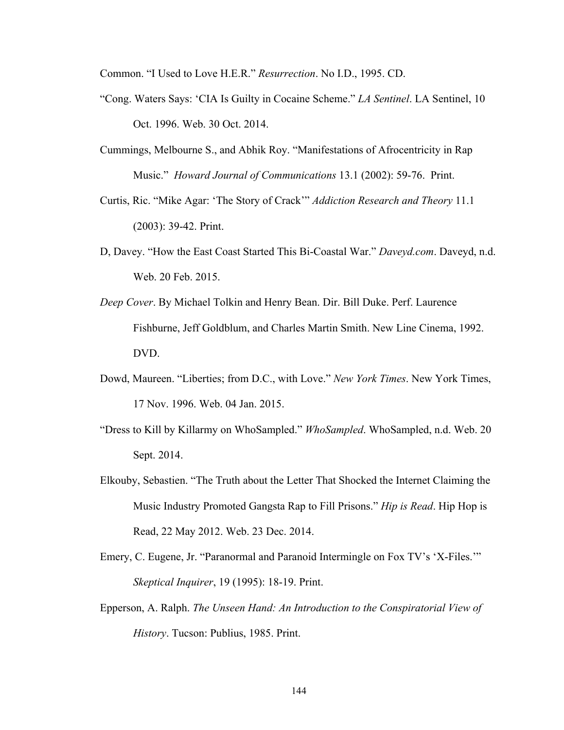Common. "I Used to Love H.E.R." *Resurrection*. No I.D., 1995. CD.

- "Cong. Waters Says: 'CIA Is Guilty in Cocaine Scheme." *LA Sentinel*. LA Sentinel, 10 Oct. 1996. Web. 30 Oct. 2014.
- Cummings, Melbourne S., and Abhik Roy. "Manifestations of Afrocentricity in Rap Music." *Howard Journal of Communications* 13.1 (2002): 59-76. Print.
- Curtis, Ric. "Mike Agar: 'The Story of Crack'" *Addiction Research and Theory* 11.1 (2003): 39-42. Print.
- D, Davey. "How the East Coast Started This Bi-Coastal War." *Daveyd.com*. Daveyd, n.d. Web. 20 Feb. 2015.
- *Deep Cover*. By Michael Tolkin and Henry Bean. Dir. Bill Duke. Perf. Laurence Fishburne, Jeff Goldblum, and Charles Martin Smith. New Line Cinema, 1992. DVD.
- Dowd, Maureen. "Liberties; from D.C., with Love." *New York Times*. New York Times, 17 Nov. 1996. Web. 04 Jan. 2015.
- "Dress to Kill by Killarmy on WhoSampled." *WhoSampled*. WhoSampled, n.d. Web. 20 Sept. 2014.
- Elkouby, Sebastien. "The Truth about the Letter That Shocked the Internet Claiming the Music Industry Promoted Gangsta Rap to Fill Prisons." *Hip is Read*. Hip Hop is Read, 22 May 2012. Web. 23 Dec. 2014.
- Emery, C. Eugene, Jr. "Paranormal and Paranoid Intermingle on Fox TV's 'X-Files.'" *Skeptical Inquirer*, 19 (1995): 18-19. Print.
- Epperson, A. Ralph. *The Unseen Hand: An Introduction to the Conspiratorial View of History*. Tucson: Publius, 1985. Print.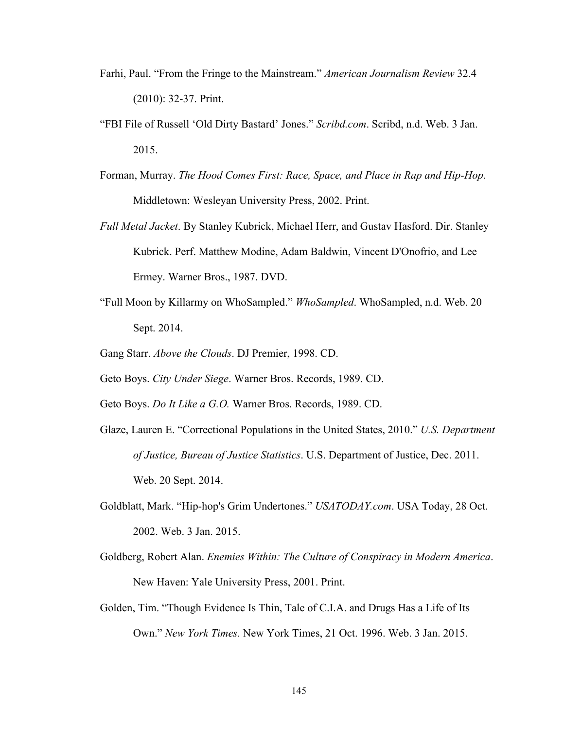- Farhi, Paul. "From the Fringe to the Mainstream." *American Journalism Review* 32.4 (2010): 32-37. Print.
- "FBI File of Russell 'Old Dirty Bastard' Jones." *Scribd.com*. Scribd, n.d. Web. 3 Jan. 2015.
- Forman, Murray. *The Hood Comes First: Race, Space, and Place in Rap and Hip-Hop*. Middletown: Wesleyan University Press, 2002. Print.
- *Full Metal Jacket*. By Stanley Kubrick, Michael Herr, and Gustav Hasford. Dir. Stanley Kubrick. Perf. Matthew Modine, Adam Baldwin, Vincent D'Onofrio, and Lee Ermey. Warner Bros., 1987. DVD.
- "Full Moon by Killarmy on WhoSampled." *WhoSampled*. WhoSampled, n.d. Web. 20 Sept. 2014.
- Gang Starr. *Above the Clouds*. DJ Premier, 1998. CD.
- Geto Boys. *City Under Siege*. Warner Bros. Records, 1989. CD.
- Geto Boys. *Do It Like a G.O.* Warner Bros. Records, 1989. CD.
- Glaze, Lauren E. "Correctional Populations in the United States, 2010." *U.S. Department of Justice, Bureau of Justice Statistics*. U.S. Department of Justice, Dec. 2011. Web. 20 Sept. 2014.
- Goldblatt, Mark. "Hip-hop's Grim Undertones." *USATODAY.com*. USA Today, 28 Oct. 2002. Web. 3 Jan. 2015.
- Goldberg, Robert Alan. *Enemies Within: The Culture of Conspiracy in Modern America*. New Haven: Yale University Press, 2001. Print.
- Golden, Tim. "Though Evidence Is Thin, Tale of C.I.A. and Drugs Has a Life of Its Own." *New York Times.* New York Times, 21 Oct. 1996. Web. 3 Jan. 2015.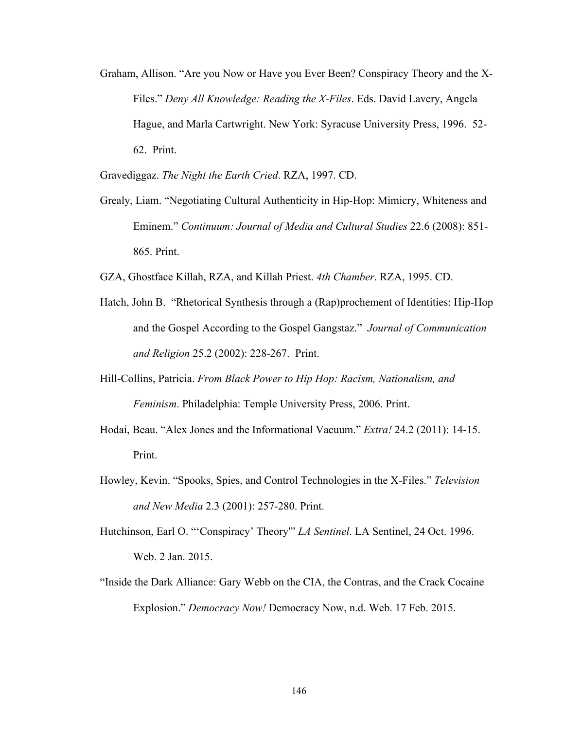Graham, Allison. "Are you Now or Have you Ever Been? Conspiracy Theory and the X-Files." *Deny All Knowledge: Reading the X-Files*. Eds. David Lavery, Angela Hague, and Marla Cartwright. New York: Syracuse University Press, 1996. 52- 62. Print.

Gravediggaz. *The Night the Earth Cried*. RZA, 1997. CD.

- Grealy, Liam. "Negotiating Cultural Authenticity in Hip-Hop: Mimicry, Whiteness and Eminem." *Continuum: Journal of Media and Cultural Studies* 22.6 (2008): 851- 865. Print.
- GZA, Ghostface Killah, RZA, and Killah Priest. *4th Chamber*. RZA, 1995. CD.
- Hatch, John B. "Rhetorical Synthesis through a (Rap)prochement of Identities: Hip-Hop and the Gospel According to the Gospel Gangstaz." *Journal of Communication and Religion* 25.2 (2002): 228-267. Print.
- Hill-Collins, Patricia. *From Black Power to Hip Hop: Racism, Nationalism, and Feminism*. Philadelphia: Temple University Press, 2006. Print.
- Hodai, Beau. "Alex Jones and the Informational Vacuum." *Extra!* 24.2 (2011): 14-15. Print.
- Howley, Kevin. "Spooks, Spies, and Control Technologies in the X-Files." *Television and New Media* 2.3 (2001): 257-280. Print.
- Hutchinson, Earl O. "'Conspiracy' Theory'" *LA Sentinel*. LA Sentinel, 24 Oct. 1996. Web. 2 Jan. 2015.
- "Inside the Dark Alliance: Gary Webb on the CIA, the Contras, and the Crack Cocaine Explosion." *Democracy Now!* Democracy Now, n.d. Web. 17 Feb. 2015.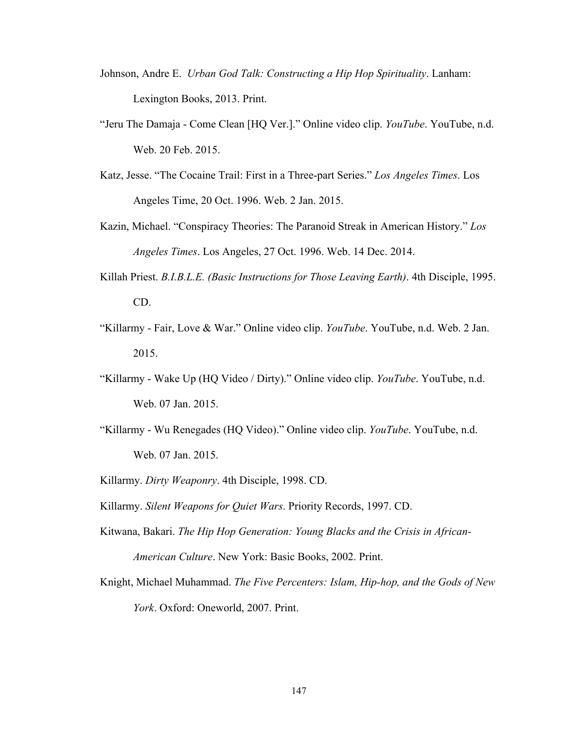- Johnson, Andre E. *Urban God Talk: Constructing a Hip Hop Spirituality*. Lanham: Lexington Books, 2013. Print.
- "Jeru The Damaja Come Clean [HQ Ver.]." Online video clip. *YouTube*. YouTube, n.d. Web. 20 Feb. 2015.
- Katz, Jesse. "The Cocaine Trail: First in a Three-part Series." *Los Angeles Times*. Los Angeles Time, 20 Oct. 1996. Web. 2 Jan. 2015.
- Kazin, Michael. "Conspiracy Theories: The Paranoid Streak in American History." *Los Angeles Times*. Los Angeles, 27 Oct. 1996. Web. 14 Dec. 2014.
- Killah Priest. *B.I.B.L.E. (Basic Instructions for Those Leaving Earth)*. 4th Disciple, 1995. CD.
- "Killarmy Fair, Love & War." Online video clip. *YouTube*. YouTube, n.d. Web. 2 Jan. 2015.
- "Killarmy Wake Up (HQ Video / Dirty)." Online video clip. *YouTube*. YouTube, n.d. Web. 07 Jan. 2015.
- "Killarmy Wu Renegades (HQ Video)." Online video clip. *YouTube*. YouTube, n.d. Web. 07 Jan. 2015.
- Killarmy. *Dirty Weaponry*. 4th Disciple, 1998. CD.
- Killarmy. *Silent Weapons for Quiet Wars*. Priority Records, 1997. CD.
- Kitwana, Bakari. *The Hip Hop Generation: Young Blacks and the Crisis in African-American Culture*. New York: Basic Books, 2002. Print.
- Knight, Michael Muhammad. *The Five Percenters: Islam, Hip-hop, and the Gods of New York*. Oxford: Oneworld, 2007. Print.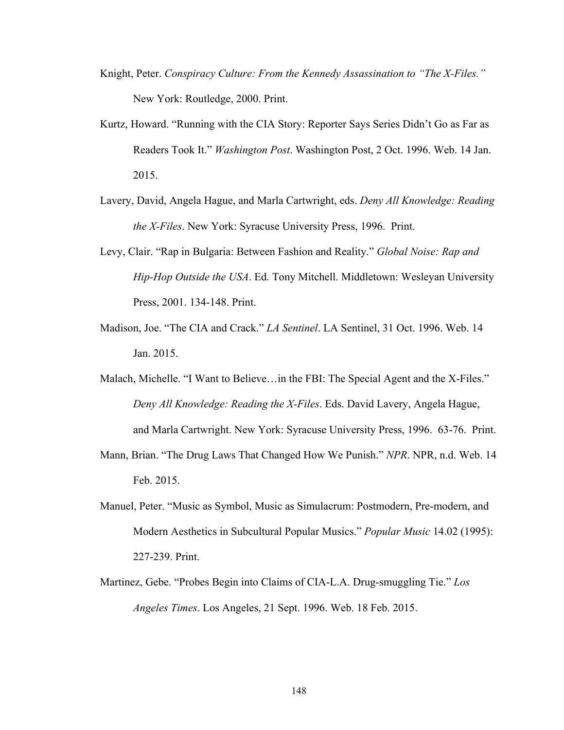- Knight, Peter. *Conspiracy Culture: From the Kennedy Assassination to "The X-Files."* New York: Routledge, 2000. Print.
- Kurtz, Howard. "Running with the CIA Story: Reporter Says Series Didn't Go as Far as Readers Took It." *Washington Post*. Washington Post, 2 Oct. 1996. Web. 14 Jan. 2015.
- Lavery, David, Angela Hague, and Marla Cartwright, eds. *Deny All Knowledge: Reading the X-Files*. New York: Syracuse University Press, 1996. Print.
- Levy, Clair. "Rap in Bulgaria: Between Fashion and Reality." *Global Noise: Rap and Hip-Hop Outside the USA*. Ed. Tony Mitchell. Middletown: Wesleyan University Press, 2001. 134-148. Print.
- Madison, Joe. "The CIA and Crack." *LA Sentinel*. LA Sentinel, 31 Oct. 1996. Web. 14 Jan. 2015.
- Malach, Michelle. "I Want to Believe…in the FBI: The Special Agent and the X-Files." *Deny All Knowledge: Reading the X-Files*. Eds. David Lavery, Angela Hague, and Marla Cartwright. New York: Syracuse University Press, 1996. 63-76. Print.
- Mann, Brian. "The Drug Laws That Changed How We Punish." *NPR*. NPR, n.d. Web. 14 Feb. 2015.
- Manuel, Peter. "Music as Symbol, Music as Simulacrum: Postmodern, Pre-modern, and Modern Aesthetics in Subcultural Popular Musics." *Popular Music* 14.02 (1995): 227-239. Print.
- Martinez, Gebe. "Probes Begin into Claims of CIA-L.A. Drug-smuggling Tie." *Los Angeles Times*. Los Angeles, 21 Sept. 1996. Web. 18 Feb. 2015.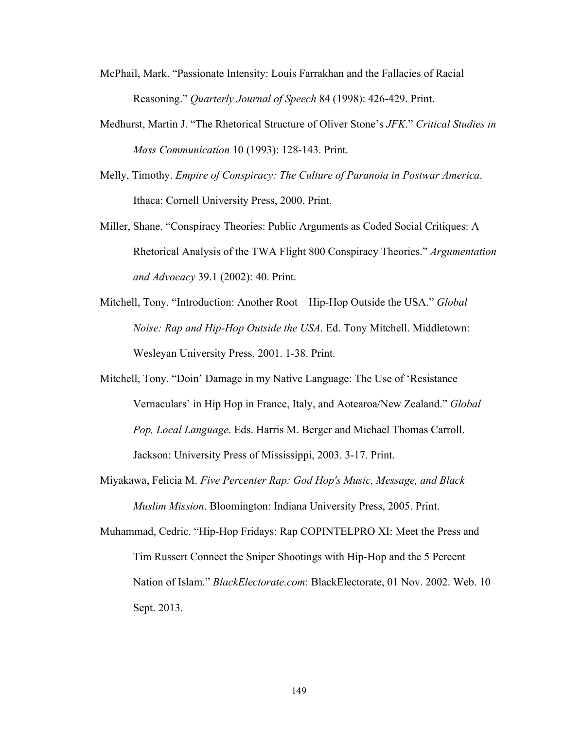- McPhail, Mark. "Passionate Intensity: Louis Farrakhan and the Fallacies of Racial Reasoning." *Quarterly Journal of Speech* 84 (1998): 426-429. Print.
- Medhurst, Martin J. "The Rhetorical Structure of Oliver Stone's *JFK*." *Critical Studies in Mass Communication* 10 (1993): 128-143. Print.
- Melly, Timothy. *Empire of Conspiracy: The Culture of Paranoia in Postwar America*. Ithaca: Cornell University Press, 2000. Print.
- Miller, Shane. "Conspiracy Theories: Public Arguments as Coded Social Critiques: A Rhetorical Analysis of the TWA Flight 800 Conspiracy Theories." *Argumentation and Advocacy* 39.1 (2002): 40. Print.
- Mitchell, Tony. "Introduction: Another Root—Hip-Hop Outside the USA." *Global Noise: Rap and Hip-Hop Outside the USA*. Ed. Tony Mitchell. Middletown: Wesleyan University Press, 2001. 1-38. Print.
- Mitchell, Tony. "Doin' Damage in my Native Language: The Use of 'Resistance Vernaculars' in Hip Hop in France, Italy, and Aotearoa/New Zealand." *Global Pop, Local Language*. Eds. Harris M. Berger and Michael Thomas Carroll. Jackson: University Press of Mississippi, 2003. 3-17. Print.
- Miyakawa, Felicia M. *Five Percenter Rap: God Hop's Music, Message, and Black Muslim Mission*. Bloomington: Indiana University Press, 2005. Print.

Muhammad, Cedric. "Hip-Hop Fridays: Rap COPINTELPRO XI: Meet the Press and Tim Russert Connect the Sniper Shootings with Hip-Hop and the 5 Percent Nation of Islam." *BlackElectorate.com*: BlackElectorate, 01 Nov. 2002. Web. 10 Sept. 2013.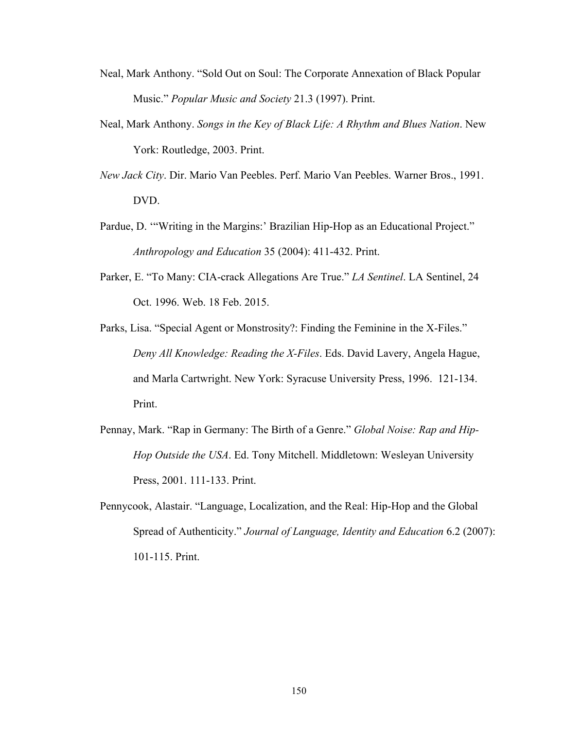- Neal, Mark Anthony. "Sold Out on Soul: The Corporate Annexation of Black Popular Music." *Popular Music and Society* 21.3 (1997). Print.
- Neal, Mark Anthony. *Songs in the Key of Black Life: A Rhythm and Blues Nation*. New York: Routledge, 2003. Print.
- *New Jack City*. Dir. Mario Van Peebles. Perf. Mario Van Peebles. Warner Bros., 1991. DVD.
- Pardue, D. '"Writing in the Margins:' Brazilian Hip-Hop as an Educational Project." *Anthropology and Education* 35 (2004): 411-432. Print.
- Parker, E. "To Many: CIA-crack Allegations Are True." *LA Sentinel*. LA Sentinel, 24 Oct. 1996. Web. 18 Feb. 2015.
- Parks, Lisa. "Special Agent or Monstrosity?: Finding the Feminine in the X-Files." *Deny All Knowledge: Reading the X-Files*. Eds. David Lavery, Angela Hague, and Marla Cartwright. New York: Syracuse University Press, 1996. 121-134. Print.
- Pennay, Mark. "Rap in Germany: The Birth of a Genre." *Global Noise: Rap and Hip-Hop Outside the USA*. Ed. Tony Mitchell. Middletown: Wesleyan University Press, 2001. 111-133. Print.
- Pennycook, Alastair. "Language, Localization, and the Real: Hip-Hop and the Global Spread of Authenticity." *Journal of Language, Identity and Education* 6.2 (2007): 101-115. Print.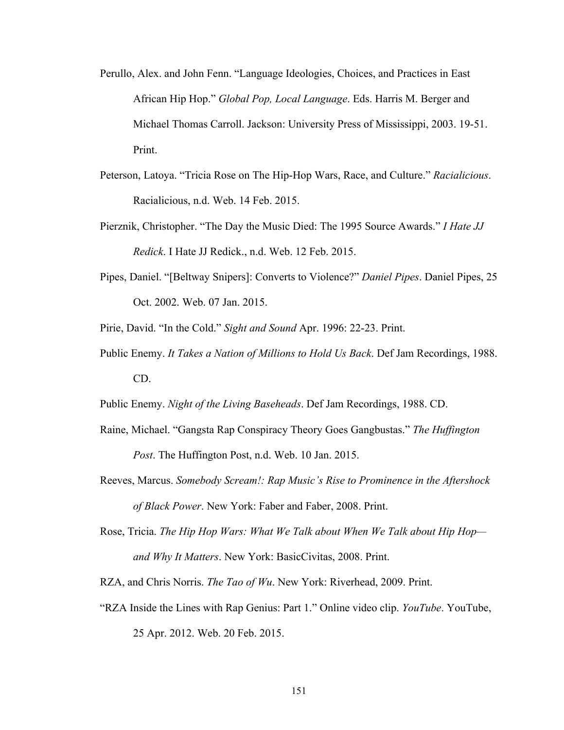- Perullo, Alex. and John Fenn. "Language Ideologies, Choices, and Practices in East African Hip Hop." *Global Pop, Local Language*. Eds. Harris M. Berger and Michael Thomas Carroll. Jackson: University Press of Mississippi, 2003. 19-51. Print.
- Peterson, Latoya. "Tricia Rose on The Hip-Hop Wars, Race, and Culture." *Racialicious*. Racialicious, n.d. Web. 14 Feb. 2015.
- Pierznik, Christopher. "The Day the Music Died: The 1995 Source Awards." *I Hate JJ Redick*. I Hate JJ Redick., n.d. Web. 12 Feb. 2015.
- Pipes, Daniel. "[Beltway Snipers]: Converts to Violence?" *Daniel Pipes*. Daniel Pipes, 25 Oct. 2002. Web. 07 Jan. 2015.
- Pirie, David. "In the Cold." *Sight and Sound* Apr. 1996: 22-23. Print.
- Public Enemy. *It Takes a Nation of Millions to Hold Us Back*. Def Jam Recordings, 1988. CD.
- Public Enemy. *Night of the Living Baseheads*. Def Jam Recordings, 1988. CD.
- Raine, Michael. "Gangsta Rap Conspiracy Theory Goes Gangbustas." *The Huffington Post*. The Huffington Post, n.d. Web. 10 Jan. 2015.
- Reeves, Marcus. *Somebody Scream!: Rap Music's Rise to Prominence in the Aftershock of Black Power*. New York: Faber and Faber, 2008. Print.
- Rose, Tricia. *The Hip Hop Wars: What We Talk about When We Talk about Hip Hop and Why It Matters*. New York: BasicCivitas, 2008. Print.
- RZA, and Chris Norris. *The Tao of Wu*. New York: Riverhead, 2009. Print.
- "RZA Inside the Lines with Rap Genius: Part 1." Online video clip. *YouTube*. YouTube, 25 Apr. 2012. Web. 20 Feb. 2015.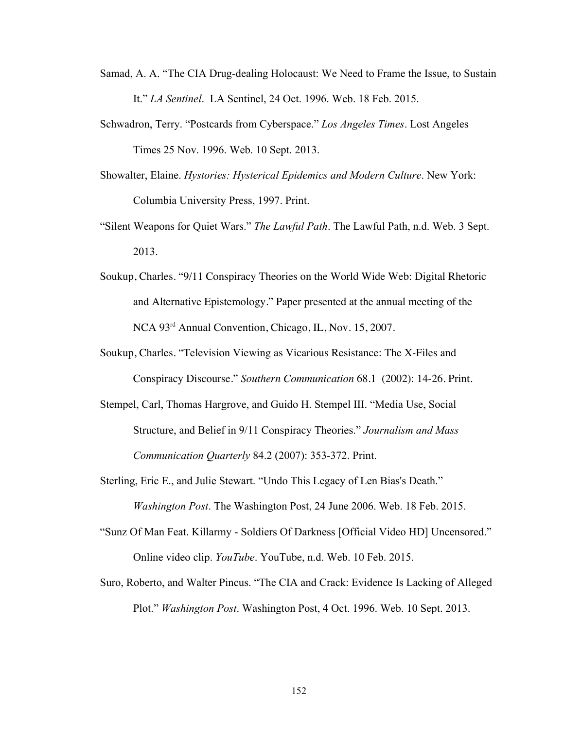- Samad, A. A. "The CIA Drug-dealing Holocaust: We Need to Frame the Issue, to Sustain It." *LA Sentinel*. LA Sentinel, 24 Oct. 1996. Web. 18 Feb. 2015.
- Schwadron, Terry. "Postcards from Cyberspace." *Los Angeles Times*. Lost Angeles Times 25 Nov. 1996. Web. 10 Sept. 2013.
- Showalter, Elaine. *Hystories: Hysterical Epidemics and Modern Culture*. New York: Columbia University Press, 1997. Print.
- "Silent Weapons for Quiet Wars." *The Lawful Path*. The Lawful Path, n.d. Web. 3 Sept. 2013.
- Soukup, Charles. "9/11 Conspiracy Theories on the World Wide Web: Digital Rhetoric and Alternative Epistemology." Paper presented at the annual meeting of the NCA 93rd Annual Convention, Chicago, IL, Nov. 15, 2007.
- Soukup, Charles. "Television Viewing as Vicarious Resistance: The X-Files and Conspiracy Discourse." *Southern Communication* 68.1 (2002): 14-26. Print.
- Stempel, Carl, Thomas Hargrove, and Guido H. Stempel III. "Media Use, Social Structure, and Belief in 9/11 Conspiracy Theories." *Journalism and Mass Communication Quarterly* 84.2 (2007): 353-372. Print.
- Sterling, Eric E., and Julie Stewart. "Undo This Legacy of Len Bias's Death." *Washington Post*. The Washington Post, 24 June 2006. Web. 18 Feb. 2015.
- "Sunz Of Man Feat. Killarmy Soldiers Of Darkness [Official Video HD] Uncensored." Online video clip. *YouTube*. YouTube, n.d. Web. 10 Feb. 2015.
- Suro, Roberto, and Walter Pincus. "The CIA and Crack: Evidence Is Lacking of Alleged Plot." *Washington Post*. Washington Post, 4 Oct. 1996. Web. 10 Sept. 2013.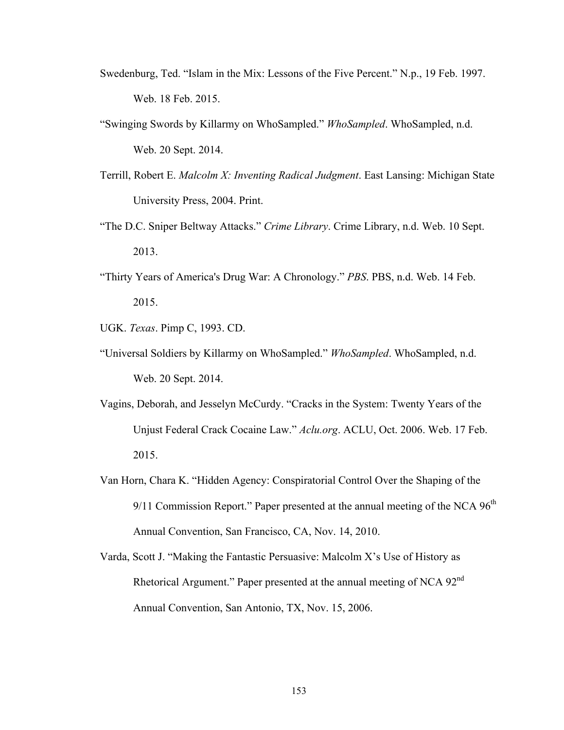- Swedenburg, Ted. "Islam in the Mix: Lessons of the Five Percent." N.p., 19 Feb. 1997. Web. 18 Feb. 2015.
- "Swinging Swords by Killarmy on WhoSampled." *WhoSampled*. WhoSampled, n.d. Web. 20 Sept. 2014.
- Terrill, Robert E. *Malcolm X: Inventing Radical Judgment*. East Lansing: Michigan State University Press, 2004. Print.
- "The D.C. Sniper Beltway Attacks." *Crime Library*. Crime Library, n.d. Web. 10 Sept. 2013.
- "Thirty Years of America's Drug War: A Chronology." *PBS*. PBS, n.d. Web. 14 Feb. 2015.

UGK. *Texas*. Pimp C, 1993. CD.

- "Universal Soldiers by Killarmy on WhoSampled." *WhoSampled*. WhoSampled, n.d. Web. 20 Sept. 2014.
- Vagins, Deborah, and Jesselyn McCurdy. "Cracks in the System: Twenty Years of the Unjust Federal Crack Cocaine Law." *Aclu.org*. ACLU, Oct. 2006. Web. 17 Feb. 2015.
- Van Horn, Chara K. "Hidden Agency: Conspiratorial Control Over the Shaping of the 9/11 Commission Report." Paper presented at the annual meeting of the NCA  $96<sup>th</sup>$ Annual Convention, San Francisco, CA, Nov. 14, 2010.
- Varda, Scott J. "Making the Fantastic Persuasive: Malcolm X's Use of History as Rhetorical Argument." Paper presented at the annual meeting of NCA  $92<sup>nd</sup>$ Annual Convention, San Antonio, TX, Nov. 15, 2006.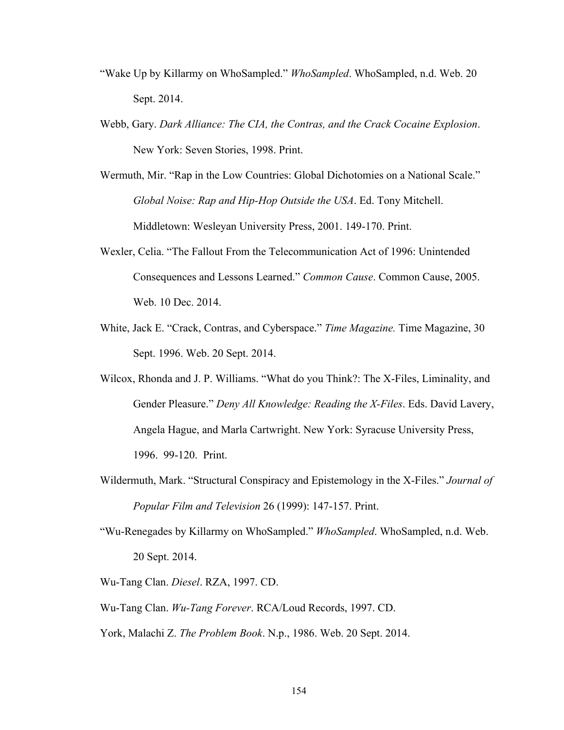- "Wake Up by Killarmy on WhoSampled." *WhoSampled*. WhoSampled, n.d. Web. 20 Sept. 2014.
- Webb, Gary. *Dark Alliance: The CIA, the Contras, and the Crack Cocaine Explosion*. New York: Seven Stories, 1998. Print.
- Wermuth, Mir. "Rap in the Low Countries: Global Dichotomies on a National Scale." *Global Noise: Rap and Hip-Hop Outside the USA*. Ed. Tony Mitchell. Middletown: Wesleyan University Press, 2001. 149-170. Print.
- Wexler, Celia. "The Fallout From the Telecommunication Act of 1996: Unintended Consequences and Lessons Learned." *Common Cause*. Common Cause, 2005. Web. 10 Dec. 2014.
- White, Jack E. "Crack, Contras, and Cyberspace." *Time Magazine.* Time Magazine, 30 Sept. 1996. Web. 20 Sept. 2014.
- Wilcox, Rhonda and J. P. Williams. "What do you Think?: The X-Files, Liminality, and Gender Pleasure." *Deny All Knowledge: Reading the X-Files*. Eds. David Lavery, Angela Hague, and Marla Cartwright. New York: Syracuse University Press, 1996. 99-120. Print.
- Wildermuth, Mark. "Structural Conspiracy and Epistemology in the X-Files." *Journal of Popular Film and Television* 26 (1999): 147-157. Print.
- "Wu-Renegades by Killarmy on WhoSampled." *WhoSampled*. WhoSampled, n.d. Web. 20 Sept. 2014.
- Wu-Tang Clan. *Diesel*. RZA, 1997. CD.
- Wu-Tang Clan. *Wu-Tang Forever*. RCA/Loud Records, 1997. CD.
- York, Malachi Z. *The Problem Book*. N.p., 1986. Web. 20 Sept. 2014.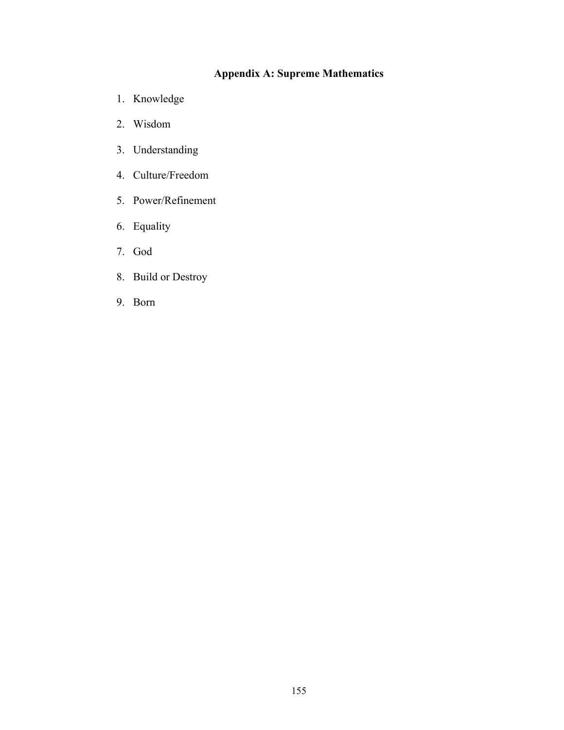# **Appendix A: Supreme Mathematics**

- 1. Knowledge
- 2. Wisdom
- 3. Understanding
- 4. Culture/Freedom
- 5. Power/Refinement
- 6. Equality
- 7. God
- 8. Build or Destroy
- 9. Born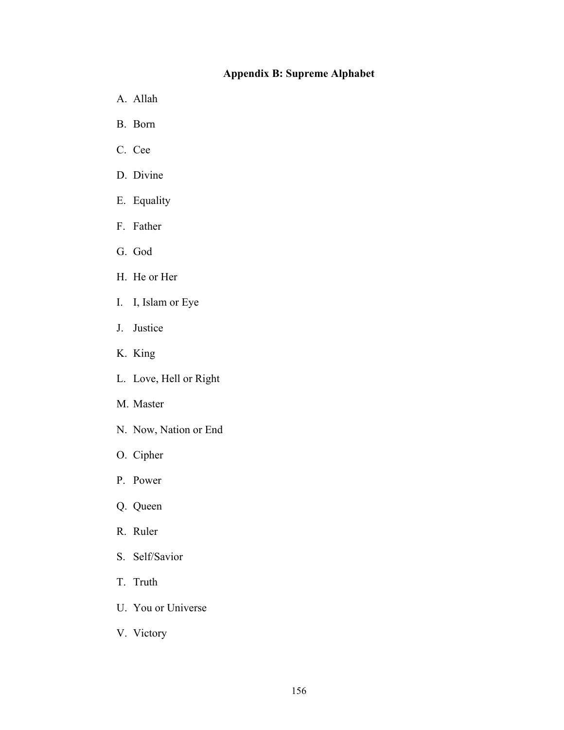### **Appendix B: Supreme Alphabet**

- A. Allah
- B. Born
- C. Cee
- D. Divine
- E. Equality
- F. Father
- G. God
- H. He or Her
- I. I, Islam or Eye
- J. Justice
- K. King
- L. Love, Hell or Right
- M. Master
- N. Now, Nation or End
- O. Cipher
- P. Power
- Q. Queen
- R. Ruler
- S. Self/Savior
- T. Truth
- U. You or Universe
- V. Victory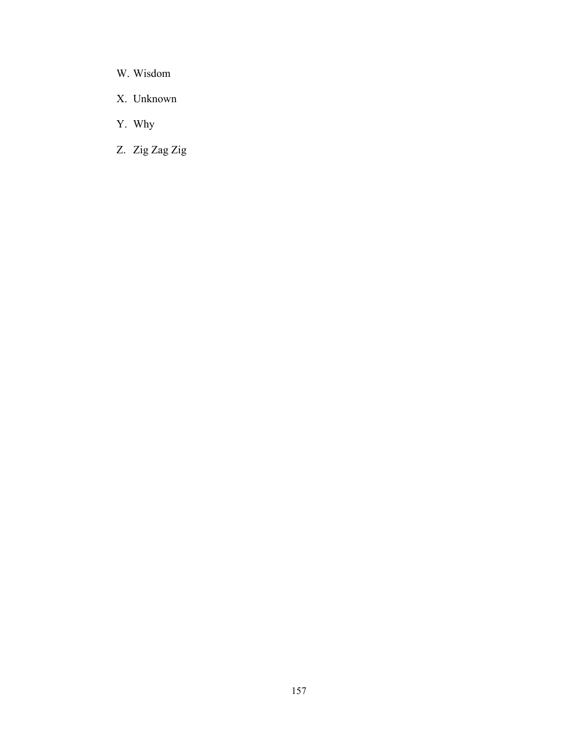- W. Wisdom
- X. Unknown
- Y. Why
- Z. Zig Zag Zig